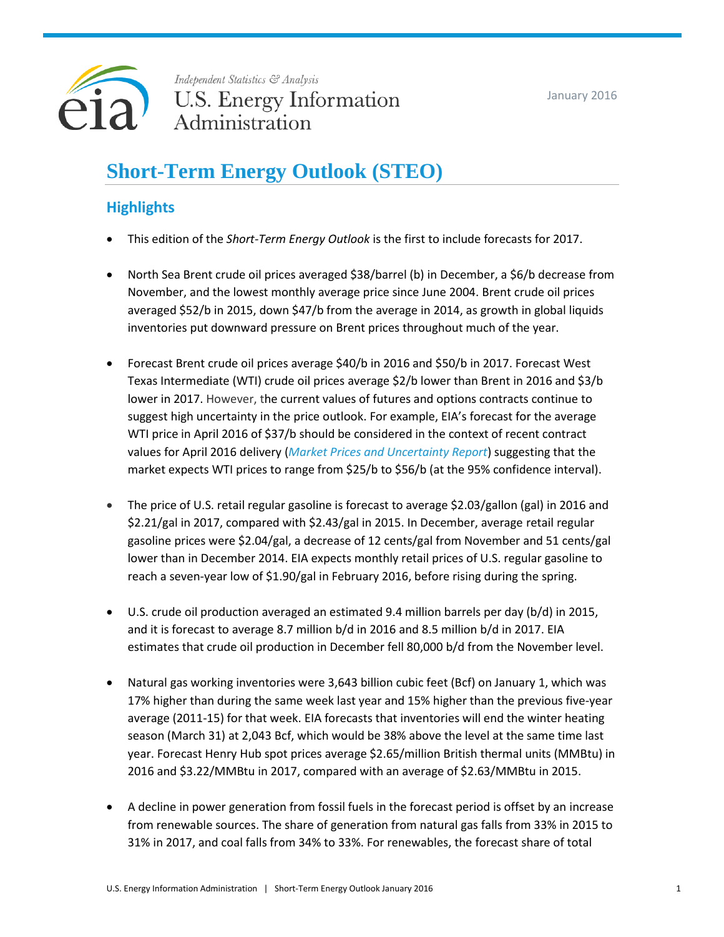

Independent Statistics & Analysis **U.S. Energy Information** Administration

# **Short-Term Energy Outlook (STEO)**

## **Highlights**

- This edition of the *Short-Term Energy Outlook* is the first to include forecasts for 2017.
- North Sea Brent crude oil prices averaged \$38/barrel (b) in December, a \$6/b decrease from November, and the lowest monthly average price since June 2004. Brent crude oil prices averaged \$52/b in 2015, down \$47/b from the average in 2014, as growth in global liquids inventories put downward pressure on Brent prices throughout much of the year.
- Forecast Brent crude oil prices average \$40/b in 2016 and \$50/b in 2017. Forecast West Texas Intermediate (WTI) crude oil prices average \$2/b lower than Brent in 2016 and \$3/b lower in 2017. However, the current values of futures and options contracts continue to suggest high uncertainty in the price outlook. For example, EIA's forecast for the average WTI price in April 2016 of \$37/b should be considered in the context of recent contract values for April 2016 delivery (*[Market Prices and Uncertainty Report](http://www.eia.gov/forecasts/steo/uncertainty/index.cfm)*) suggesting that the market expects WTI prices to range from \$25/b to \$56/b (at the 95% confidence interval).
- The price of U.S. retail regular gasoline is forecast to average \$2.03/gallon (gal) in 2016 and \$2.21/gal in 2017, compared with \$2.43/gal in 2015. In December, average retail regular gasoline prices were \$2.04/gal, a decrease of 12 cents/gal from November and 51 cents/gal lower than in December 2014. EIA expects monthly retail prices of U.S. regular gasoline to reach a seven-year low of \$1.90/gal in February 2016, before rising during the spring.
- U.S. crude oil production averaged an estimated 9.4 million barrels per day (b/d) in 2015, and it is forecast to average 8.7 million b/d in 2016 and 8.5 million b/d in 2017. EIA estimates that crude oil production in December fell 80,000 b/d from the November level.
- Natural gas working inventories were 3,643 billion cubic feet (Bcf) on January 1, which was 17% higher than during the same week last year and 15% higher than the previous five-year average (2011-15) for that week. EIA forecasts that inventories will end the winter heating season (March 31) at 2,043 Bcf, which would be 38% above the level at the same time last year. Forecast Henry Hub spot prices average \$2.65/million British thermal units (MMBtu) in 2016 and \$3.22/MMBtu in 2017, compared with an average of \$2.63/MMBtu in 2015.
- A decline in power generation from fossil fuels in the forecast period is offset by an increase from renewable sources. The share of generation from natural gas falls from 33% in 2015 to 31% in 2017, and coal falls from 34% to 33%. For renewables, the forecast share of total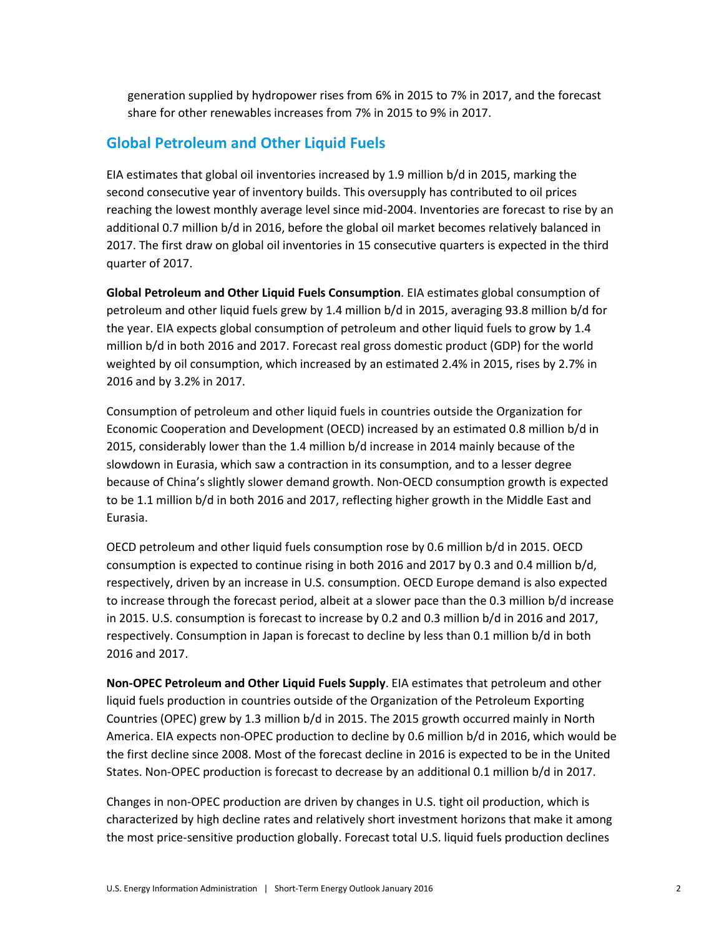generation supplied by hydropower rises from 6% in 2015 to 7% in 2017, and the forecast share for other renewables increases from 7% in 2015 to 9% in 2017.

### **Global Petroleum and Other Liquid Fuels**

EIA estimates that global oil inventories increased by 1.9 million b/d in 2015, marking the second consecutive year of inventory builds. This oversupply has contributed to oil prices reaching the lowest monthly average level since mid-2004. Inventories are forecast to rise by an additional 0.7 million b/d in 2016, before the global oil market becomes relatively balanced in 2017. The first draw on global oil inventories in 15 consecutive quarters is expected in the third quarter of 2017.

**Global Petroleum and Other Liquid Fuels Consumption**. EIA estimates global consumption of petroleum and other liquid fuels grew by 1.4 million b/d in 2015, averaging 93.8 million b/d for the year. EIA expects global consumption of petroleum and other liquid fuels to grow by 1.4 million b/d in both 2016 and 2017. Forecast real gross domestic product (GDP) for the world weighted by oil consumption, which increased by an estimated 2.4% in 2015, rises by 2.7% in 2016 and by 3.2% in 2017.

Consumption of petroleum and other liquid fuels in countries outside the Organization for Economic Cooperation and Development (OECD) increased by an estimated 0.8 million b/d in 2015, considerably lower than the 1.4 million b/d increase in 2014 mainly because of the slowdown in Eurasia, which saw a contraction in its consumption, and to a lesser degree because of China's slightly slower demand growth. Non-OECD consumption growth is expected to be 1.1 million b/d in both 2016 and 2017, reflecting higher growth in the Middle East and Eurasia.

OECD petroleum and other liquid fuels consumption rose by 0.6 million b/d in 2015. OECD consumption is expected to continue rising in both 2016 and 2017 by 0.3 and 0.4 million b/d, respectively, driven by an increase in U.S. consumption. OECD Europe demand is also expected to increase through the forecast period, albeit at a slower pace than the 0.3 million b/d increase in 2015. U.S. consumption is forecast to increase by 0.2 and 0.3 million b/d in 2016 and 2017, respectively. Consumption in Japan is forecast to decline by less than 0.1 million b/d in both 2016 and 2017.

**Non‐OPEC Petroleum and Other Liquid Fuels Supply**. EIA estimates that petroleum and other liquid fuels production in countries outside of the Organization of the Petroleum Exporting Countries (OPEC) grew by 1.3 million b/d in 2015. The 2015 growth occurred mainly in North America. EIA expects non-OPEC production to decline by 0.6 million b/d in 2016, which would be the first decline since 2008. Most of the forecast decline in 2016 is expected to be in the United States. Non-OPEC production is forecast to decrease by an additional 0.1 million b/d in 2017.

Changes in non-OPEC production are driven by changes in U.S. tight oil production, which is characterized by high decline rates and relatively short investment horizons that make it among the most price-sensitive production globally. Forecast total U.S. liquid fuels production declines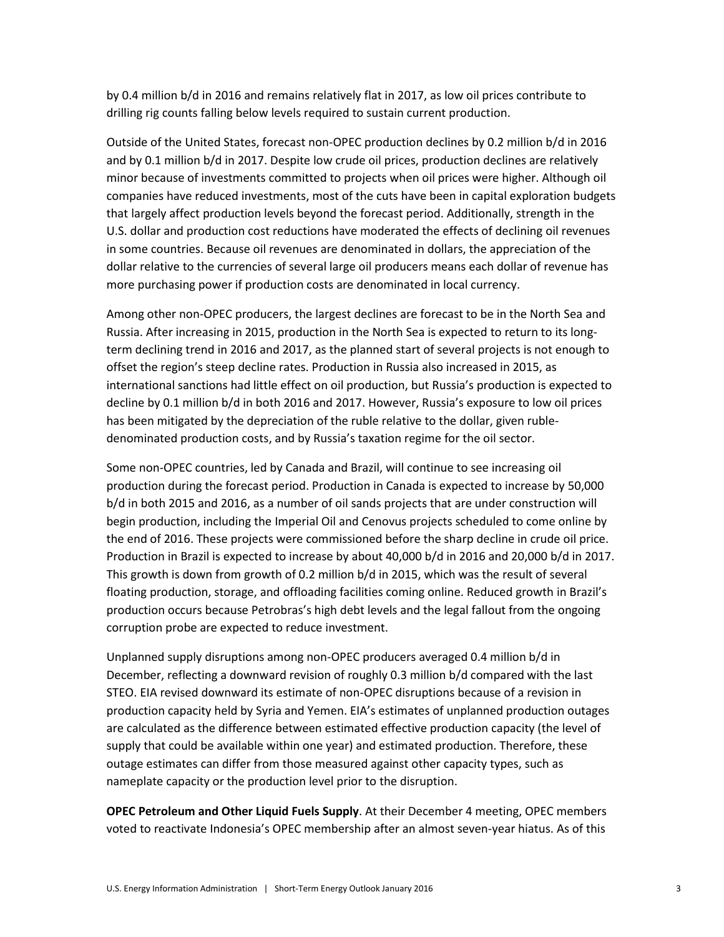by 0.4 million b/d in 2016 and remains relatively flat in 2017, as low oil prices contribute to drilling rig counts falling below levels required to sustain current production.

Outside of the United States, forecast non-OPEC production declines by 0.2 million b/d in 2016 and by 0.1 million b/d in 2017. Despite low crude oil prices, production declines are relatively minor because of investments committed to projects when oil prices were higher. Although oil companies have reduced investments, most of the cuts have been in capital exploration budgets that largely affect production levels beyond the forecast period. Additionally, strength in the U.S. dollar and production cost reductions have moderated the effects of declining oil revenues in some countries. Because oil revenues are denominated in dollars, the appreciation of the dollar relative to the currencies of several large oil producers means each dollar of revenue has more purchasing power if production costs are denominated in local currency.

Among other non-OPEC producers, the largest declines are forecast to be in the North Sea and Russia. After increasing in 2015, production in the North Sea is expected to return to its longterm declining trend in 2016 and 2017, as the planned start of several projects is not enough to offset the region's steep decline rates. Production in Russia also increased in 2015, as international sanctions had little effect on oil production, but Russia's production is expected to decline by 0.1 million b/d in both 2016 and 2017. However, Russia's exposure to low oil prices has been mitigated by the depreciation of the ruble relative to the dollar, given rubledenominated production costs, and by Russia's taxation regime for the oil sector.

Some non-OPEC countries, led by Canada and Brazil, will continue to see increasing oil production during the forecast period. Production in Canada is expected to increase by 50,000 b/d in both 2015 and 2016, as a number of oil sands projects that are under construction will begin production, including the Imperial Oil and Cenovus projects scheduled to come online by the end of 2016. These projects were commissioned before the sharp decline in crude oil price. Production in Brazil is expected to increase by about 40,000 b/d in 2016 and 20,000 b/d in 2017. This growth is down from growth of 0.2 million b/d in 2015, which was the result of several floating production, storage, and offloading facilities coming online. Reduced growth in Brazil's production occurs because Petrobras's high debt levels and the legal fallout from the ongoing corruption probe are expected to reduce investment.

Unplanned supply disruptions among non-OPEC producers averaged 0.4 million b/d in December, reflecting a downward revision of roughly 0.3 million b/d compared with the last STEO. EIA revised downward its estimate of non-OPEC disruptions because of a revision in production capacity held by Syria and Yemen. EIA's estimates of unplanned production outages are calculated as the difference between estimated effective production capacity (the level of supply that could be available within one year) and estimated production. Therefore, these outage estimates can differ from those measured against other capacity types, such as nameplate capacity or the production level prior to the disruption.

**OPEC Petroleum and Other Liquid Fuels Supply**. At their December 4 meeting, OPEC members voted to reactivate Indonesia's OPEC membership after an almost seven-year hiatus. As of this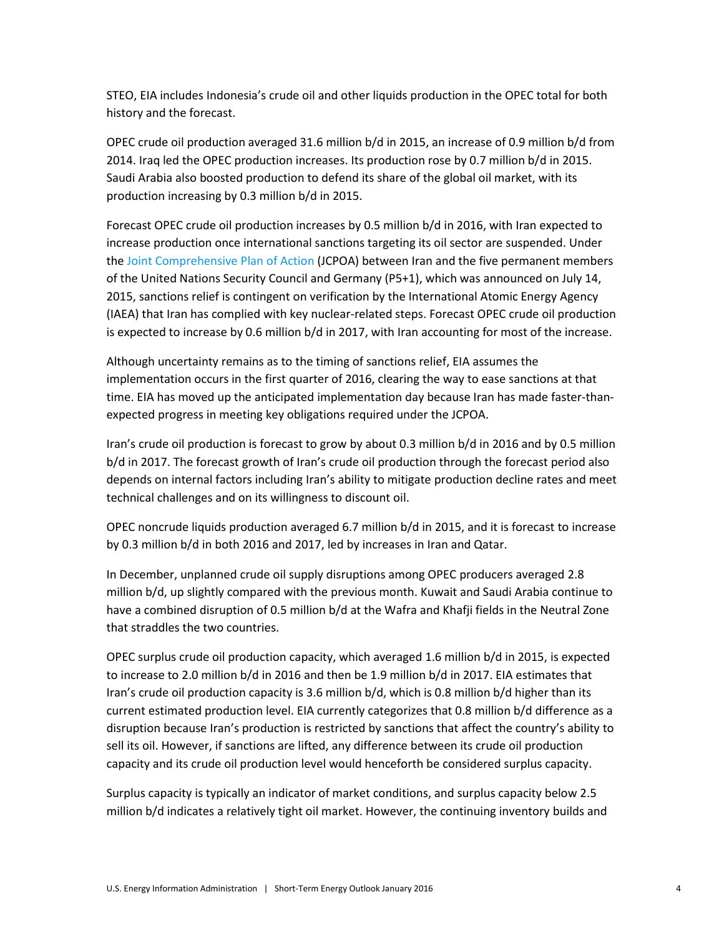STEO, EIA includes Indonesia's crude oil and other liquids production in the OPEC total for both history and the forecast.

OPEC crude oil production averaged 31.6 million b/d in 2015, an increase of 0.9 million b/d from 2014. Iraq led the OPEC production increases. Its production rose by 0.7 million b/d in 2015. Saudi Arabia also boosted production to defend its share of the global oil market, with its production increasing by 0.3 million b/d in 2015.

Forecast OPEC crude oil production increases by 0.5 million b/d in 2016, with Iran expected to increase production once international sanctions targeting its oil sector are suspended. Under th[e Joint Comprehensive Plan of Action](https://www.whitehouse.gov/sites/default/files/docs/jcpoa_key_excerpts.pdf) (JCPOA) between Iran and the five permanent members of the United Nations Security Council and Germany (P5+1), which was announced on July 14, 2015, sanctions relief is contingent on verification by the International Atomic Energy Agency (IAEA) that Iran has complied with key nuclear-related steps. Forecast OPEC crude oil production is expected to increase by 0.6 million b/d in 2017, with Iran accounting for most of the increase.

Although uncertainty remains as to the timing of sanctions relief, EIA assumes the implementation occurs in the first quarter of 2016, clearing the way to ease sanctions at that time. EIA has moved up the anticipated implementation day because Iran has made faster-thanexpected progress in meeting key obligations required under the JCPOA.

Iran's crude oil production is forecast to grow by about 0.3 million b/d in 2016 and by 0.5 million b/d in 2017. The forecast growth of Iran's crude oil production through the forecast period also depends on internal factors including Iran's ability to mitigate production decline rates and meet technical challenges and on its willingness to discount oil.

OPEC noncrude liquids production averaged 6.7 million b/d in 2015, and it is forecast to increase by 0.3 million b/d in both 2016 and 2017, led by increases in Iran and Qatar.

In December, unplanned crude oil supply disruptions among OPEC producers averaged 2.8 million b/d, up slightly compared with the previous month. Kuwait and Saudi Arabia continue to have a combined disruption of 0.5 million b/d at the Wafra and Khafji fields in the Neutral Zone that straddles the two countries.

OPEC surplus crude oil production capacity, which averaged 1.6 million b/d in 2015, is expected to increase to 2.0 million b/d in 2016 and then be 1.9 million b/d in 2017. EIA estimates that Iran's crude oil production capacity is 3.6 million b/d, which is 0.8 million b/d higher than its current estimated production level. EIA currently categorizes that 0.8 million b/d difference as a disruption because Iran's production is restricted by sanctions that affect the country's ability to sell its oil. However, if sanctions are lifted, any difference between its crude oil production capacity and its crude oil production level would henceforth be considered surplus capacity.

Surplus capacity is typically an indicator of market conditions, and surplus capacity below 2.5 million b/d indicates a relatively tight oil market. However, the continuing inventory builds and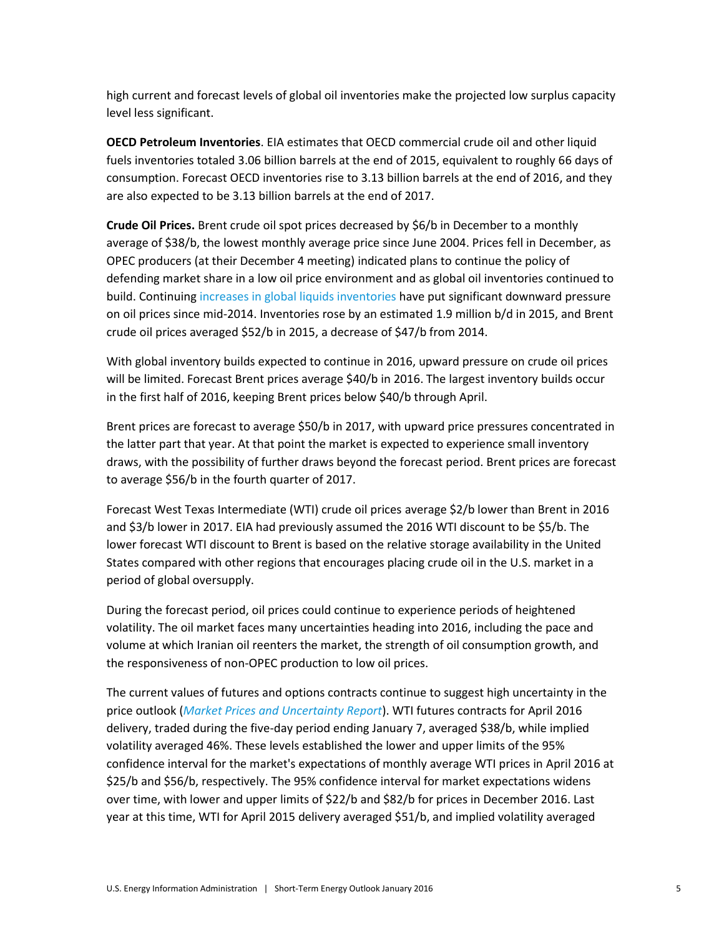high current and forecast levels of global oil inventories make the projected low surplus capacity level less significant.

**OECD Petroleum Inventories**. EIA estimates that OECD commercial crude oil and other liquid fuels inventories totaled 3.06 billion barrels at the end of 2015, equivalent to roughly 66 days of consumption. Forecast OECD inventories rise to 3.13 billion barrels at the end of 2016, and they are also expected to be 3.13 billion barrels at the end of 2017.

**Crude Oil Prices.** Brent crude oil spot prices decreased by \$6/b in December to a monthly average of \$38/b, the lowest monthly average price since June 2004. Prices fell in December, as OPEC producers (at their December 4 meeting) indicated plans to continue the policy of defending market share in a low oil price environment and as global oil inventories continued to build. Continuing [increases in global liquids inventories](http://www.eia.gov/todayinenergy/detail.cfm?id=22632) have put significant downward pressure on oil prices since mid-2014. Inventories rose by an estimated 1.9 million b/d in 2015, and Brent crude oil prices averaged \$52/b in 2015, a decrease of \$47/b from 2014.

With global inventory builds expected to continue in 2016, upward pressure on crude oil prices will be limited. Forecast Brent prices average \$40/b in 2016. The largest inventory builds occur in the first half of 2016, keeping Brent prices below \$40/b through April.

Brent prices are forecast to average \$50/b in 2017, with upward price pressures concentrated in the latter part that year. At that point the market is expected to experience small inventory draws, with the possibility of further draws beyond the forecast period. Brent prices are forecast to average \$56/b in the fourth quarter of 2017.

Forecast West Texas Intermediate (WTI) crude oil prices average \$2/b lower than Brent in 2016 and \$3/b lower in 2017. EIA had previously assumed the 2016 WTI discount to be \$5/b. The lower forecast WTI discount to Brent is based on the relative storage availability in the United States compared with other regions that encourages placing crude oil in the U.S. market in a period of global oversupply.

During the forecast period, oil prices could continue to experience periods of heightened volatility. The oil market faces many uncertainties heading into 2016, including the pace and volume at which Iranian oil reenters the market, the strength of oil consumption growth, and the responsiveness of non-OPEC production to low oil prices.

The current values of futures and options contracts continue to suggest high uncertainty in the price outlook (*[Market Prices and Uncertainty Report](http://www.eia.gov/forecasts/steo/uncertainty/index.cfm)*). WTI futures contracts for April 2016 delivery, traded during the five-day period ending January 7, averaged \$38/b, while implied volatility averaged 46%. These levels established the lower and upper limits of the 95% confidence interval for the market's expectations of monthly average WTI prices in April 2016 at \$25/b and \$56/b, respectively. The 95% confidence interval for market expectations widens over time, with lower and upper limits of \$22/b and \$82/b for prices in December 2016. Last year at this time, WTI for April 2015 delivery averaged \$51/b, and implied volatility averaged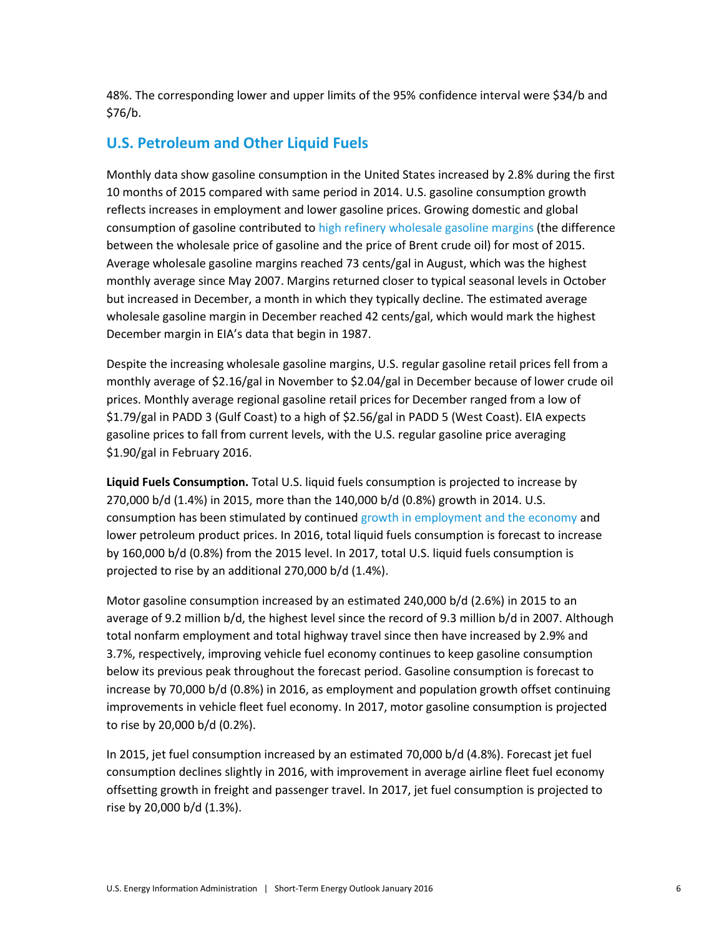48%. The corresponding lower and upper limits of the 95% confidence interval were \$34/b and \$76/b.

### **U.S. Petroleum and Other Liquid Fuels**

Monthly data show gasoline consumption in the United States increased by 2.8% during the first 10 months of 2015 compared with same period in 2014. U.S. gasoline consumption growth reflects increases in employment and lower gasoline prices. Growing domestic and global consumption of gasoline contributed to [high refinery wholesale gasoline margins](http://www.eia.gov/petroleum/weekly/archive/2015/150805/includes/analysis_print.cfm) (the difference between the wholesale price of gasoline and the price of Brent crude oil) for most of 2015. Average wholesale gasoline margins reached 73 cents/gal in August, which was the highest monthly average since May 2007. Margins returned closer to typical seasonal levels in October but increased in December, a month in which they typically decline. The estimated average wholesale gasoline margin in December reached 42 cents/gal, which would mark the highest December margin in EIA's data that begin in 1987.

Despite the increasing wholesale gasoline margins, U.S. regular gasoline retail prices fell from a monthly average of \$2.16/gal in November to \$2.04/gal in December because of lower crude oil prices. Monthly average regional gasoline retail prices for December ranged from a low of \$1.79/gal in PADD 3 (Gulf Coast) to a high of \$2.56/gal in PADD 5 (West Coast). EIA expects gasoline prices to fall from current levels, with the U.S. regular gasoline price averaging \$1.90/gal in February 2016.

**Liquid Fuels Consumption.** Total U.S. liquid fuels consumption is projected to increase by 270,000 b/d (1.4%) in 2015, more than the 140,000 b/d (0.8%) growth in 2014. U.S. consumption has been stimulated by continued [growth in employment and the economy](http://www.eia.gov/todayinenergy/detail.cfm?id=22932) and lower petroleum product prices. In 2016, total liquid fuels consumption is forecast to increase by 160,000 b/d (0.8%) from the 2015 level. In 2017, total U.S. liquid fuels consumption is projected to rise by an additional 270,000 b/d (1.4%).

Motor gasoline consumption increased by an estimated 240,000 b/d (2.6%) in 2015 to an average of 9.2 million b/d, the highest level since the record of 9.3 million b/d in 2007. Although total nonfarm employment and total highway travel since then have increased by 2.9% and 3.7%, respectively, improving vehicle fuel economy continues to keep gasoline consumption below its previous peak throughout the forecast period. Gasoline consumption is forecast to increase by 70,000 b/d (0.8%) in 2016, as employment and population growth offset continuing improvements in vehicle fleet fuel economy. In 2017, motor gasoline consumption is projected to rise by 20,000 b/d (0.2%).

In 2015, jet fuel consumption increased by an estimated 70,000 b/d (4.8%). Forecast jet fuel consumption declines slightly in 2016, with improvement in average airline fleet fuel economy offsetting growth in freight and passenger travel. In 2017, jet fuel consumption is projected to rise by 20,000 b/d (1.3%).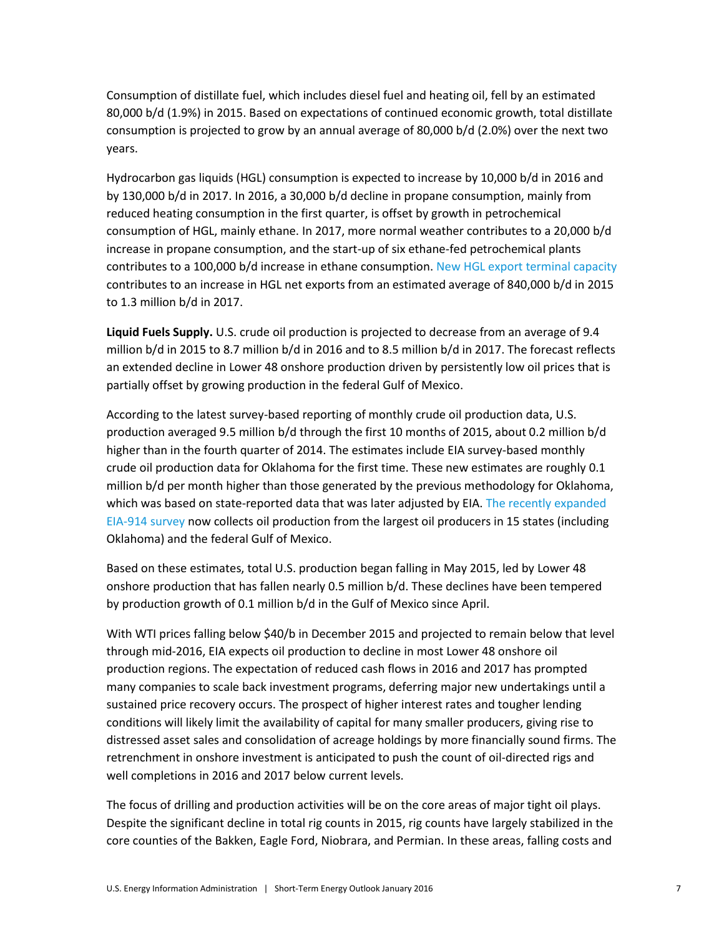Consumption of distillate fuel, which includes diesel fuel and heating oil, fell by an estimated 80,000 b/d (1.9%) in 2015. Based on expectations of continued economic growth, total distillate consumption is projected to grow by an annual average of 80,000 b/d (2.0%) over the next two years.

Hydrocarbon gas liquids (HGL) consumption is expected to increase by 10,000 b/d in 2016 and by 130,000 b/d in 2017. In 2016, a 30,000 b/d decline in propane consumption, mainly from reduced heating consumption in the first quarter, is offset by growth in petrochemical consumption of HGL, mainly ethane. In 2017, more normal weather contributes to a 20,000 b/d increase in propane consumption, and the start-up of six ethane-fed petrochemical plants contributes to a 100,000 b/d increase in ethane consumption. [New HGL export terminal capacity](http://www.eia.gov/petroleum/weekly/archive/2015/151028/includes/analysis_print.cfm) contributes to an increase in HGL net exports from an estimated average of 840,000 b/d in 2015 to 1.3 million b/d in 2017.

**Liquid Fuels Supply.** U.S. crude oil production is projected to decrease from an average of 9.4 million b/d in 2015 to 8.7 million b/d in 2016 and to 8.5 million b/d in 2017. The forecast reflects an extended decline in Lower 48 onshore production driven by persistently low oil prices that is partially offset by growing production in the federal Gulf of Mexico.

According to the latest survey-based reporting of monthly crude oil production data, U.S. production averaged 9.5 million b/d through the first 10 months of 2015, about 0.2 million b/d higher than in the fourth quarter of 2014. The estimates include EIA survey-based monthly crude oil production data for Oklahoma for the first time. These new estimates are roughly 0.1 million b/d per month higher than those generated by the previous methodology for Oklahoma, which was based on state-reported data that was later adjusted by EIA. The recently expanded [EIA-914 survey](http://www.eia.gov/petroleum/production/?src=home-b6) now collects oil production from the largest oil producers in 15 states (including Oklahoma) and the federal Gulf of Mexico.

Based on these estimates, total U.S. production began falling in May 2015, led by Lower 48 onshore production that has fallen nearly 0.5 million b/d. These declines have been tempered by production growth of 0.1 million b/d in the Gulf of Mexico since April.

With WTI prices falling below \$40/b in December 2015 and projected to remain below that level through mid-2016, EIA expects oil production to decline in most Lower 48 onshore oil production regions. The expectation of reduced cash flows in 2016 and 2017 has prompted many companies to scale back investment programs, deferring major new undertakings until a sustained price recovery occurs. The prospect of higher interest rates and tougher lending conditions will likely limit the availability of capital for many smaller producers, giving rise to distressed asset sales and consolidation of acreage holdings by more financially sound firms. The retrenchment in onshore investment is anticipated to push the count of oil-directed rigs and well completions in 2016 and 2017 below current levels.

The focus of drilling and production activities will be on the core areas of major tight oil plays. Despite the significant decline in total rig counts in 2015, rig counts have largely stabilized in the core counties of the Bakken, Eagle Ford, Niobrara, and Permian. In these areas, falling costs and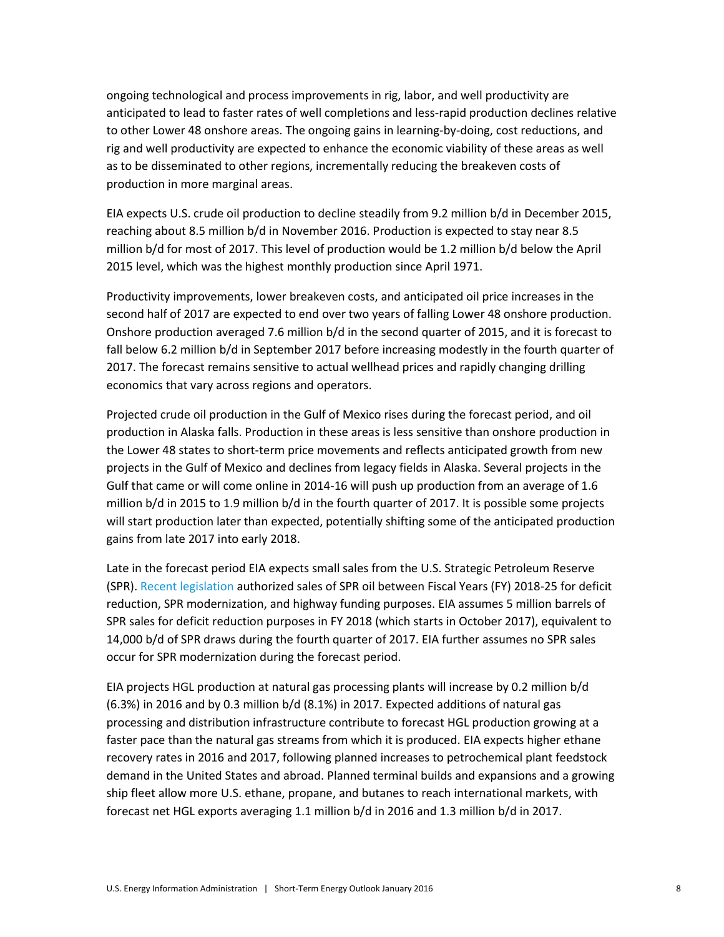ongoing technological and process improvements in rig, labor, and well productivity are anticipated to lead to faster rates of well completions and less-rapid production declines relative to other Lower 48 onshore areas. The ongoing gains in learning-by-doing, cost reductions, and rig and well productivity are expected to enhance the economic viability of these areas as well as to be disseminated to other regions, incrementally reducing the breakeven costs of production in more marginal areas.

EIA expects U.S. crude oil production to decline steadily from 9.2 million b/d in December 2015, reaching about 8.5 million b/d in November 2016. Production is expected to stay near 8.5 million b/d for most of 2017. This level of production would be 1.2 million b/d below the April 2015 level, which was the highest monthly production since April 1971.

Productivity improvements, lower breakeven costs, and anticipated oil price increases in the second half of 2017 are expected to end over two years of falling Lower 48 onshore production. Onshore production averaged 7.6 million b/d in the second quarter of 2015, and it is forecast to fall below 6.2 million b/d in September 2017 before increasing modestly in the fourth quarter of 2017. The forecast remains sensitive to actual wellhead prices and rapidly changing drilling economics that vary across regions and operators.

Projected crude oil production in the Gulf of Mexico rises during the forecast period, and oil production in Alaska falls. Production in these areas is less sensitive than onshore production in the Lower 48 states to short-term price movements and reflects anticipated growth from new projects in the Gulf of Mexico and declines from legacy fields in Alaska. Several projects in the Gulf that came or will come online in 2014-16 will push up production from an average of 1.6 million b/d in 2015 to 1.9 million b/d in the fourth quarter of 2017. It is possible some projects will start production later than expected, potentially shifting some of the anticipated production gains from late 2017 into early 2018.

Late in the forecast period EIA expects small sales from the U.S. Strategic Petroleum Reserve (SPR). [Recent legislation](http://www.eia.gov/todayinenergy/detail.cfm?id=24072) authorized sales of SPR oil between Fiscal Years (FY) 2018-25 for deficit reduction, SPR modernization, and highway funding purposes. EIA assumes 5 million barrels of SPR sales for deficit reduction purposes in FY 2018 (which starts in October 2017), equivalent to 14,000 b/d of SPR draws during the fourth quarter of 2017. EIA further assumes no SPR sales occur for SPR modernization during the forecast period.

EIA projects HGL production at natural gas processing plants will increase by 0.2 million b/d (6.3%) in 2016 and by 0.3 million b/d (8.1%) in 2017. Expected additions of natural gas processing and distribution infrastructure contribute to forecast HGL production growing at a faster pace than the natural gas streams from which it is produced. EIA expects higher ethane recovery rates in 2016 and 2017, following planned increases to petrochemical plant feedstock demand in the United States and abroad. Planned terminal builds and expansions and a growing ship fleet allow more U.S. ethane, propane, and butanes to reach international markets, with forecast net HGL exports averaging 1.1 million b/d in 2016 and 1.3 million b/d in 2017.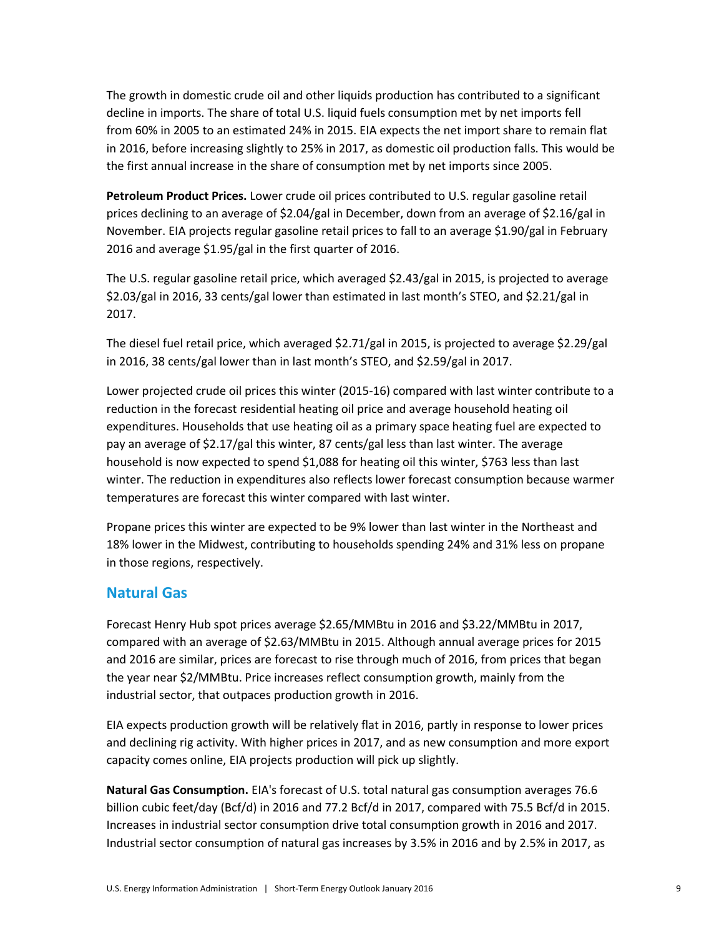The growth in domestic crude oil and other liquids production has contributed to a significant decline in imports. The share of total U.S. liquid fuels consumption met by net imports fell from 60% in 2005 to an estimated 24% in 2015. EIA expects the net import share to remain flat in 2016, before increasing slightly to 25% in 2017, as domestic oil production falls. This would be the first annual increase in the share of consumption met by net imports since 2005.

**Petroleum Product Prices.** Lower crude oil prices contributed to U.S. regular gasoline retail prices declining to an average of \$2.04/gal in December, down from an average of \$2.16/gal in November. EIA projects regular gasoline retail prices to fall to an average \$1.90/gal in February 2016 and average \$1.95/gal in the first quarter of 2016.

The U.S. regular gasoline retail price, which averaged \$2.43/gal in 2015, is projected to average \$2.03/gal in 2016, 33 cents/gal lower than estimated in last month's STEO, and \$2.21/gal in 2017.

The diesel fuel retail price, which averaged \$2.71/gal in 2015, is projected to average \$2.29/gal in 2016, 38 cents/gal lower than in last month's STEO, and \$2.59/gal in 2017.

Lower projected crude oil prices this winter (2015-16) compared with last winter contribute to a reduction in the forecast residential heating oil price and average household heating oil expenditures. Households that use heating oil as a primary space heating fuel are expected to pay an average of \$2.17/gal this winter, 87 cents/gal less than last winter. The average household is now expected to spend \$1,088 for heating oil this winter, \$763 less than last winter. The reduction in expenditures also reflects lower forecast consumption because warmer temperatures are forecast this winter compared with last winter.

Propane prices this winter are expected to be 9% lower than last winter in the Northeast and 18% lower in the Midwest, contributing to households spending 24% and 31% less on propane in those regions, respectively.

### **Natural Gas**

Forecast Henry Hub spot prices average \$2.65/MMBtu in 2016 and \$3.22/MMBtu in 2017, compared with an average of \$2.63/MMBtu in 2015. Although annual average prices for 2015 and 2016 are similar, prices are forecast to rise through much of 2016, from prices that began the year near \$2/MMBtu. Price increases reflect consumption growth, mainly from the industrial sector, that outpaces production growth in 2016.

EIA expects production growth will be relatively flat in 2016, partly in response to lower prices and declining rig activity. With higher prices in 2017, and as new consumption and more export capacity comes online, EIA projects production will pick up slightly.

**Natural Gas Consumption.** EIA's forecast of U.S. total natural gas consumption averages 76.6 billion cubic feet/day (Bcf/d) in 2016 and 77.2 Bcf/d in 2017, compared with 75.5 Bcf/d in 2015. Increases in industrial sector consumption drive total consumption growth in 2016 and 2017. Industrial sector consumption of natural gas increases by 3.5% in 2016 and by 2.5% in 2017, as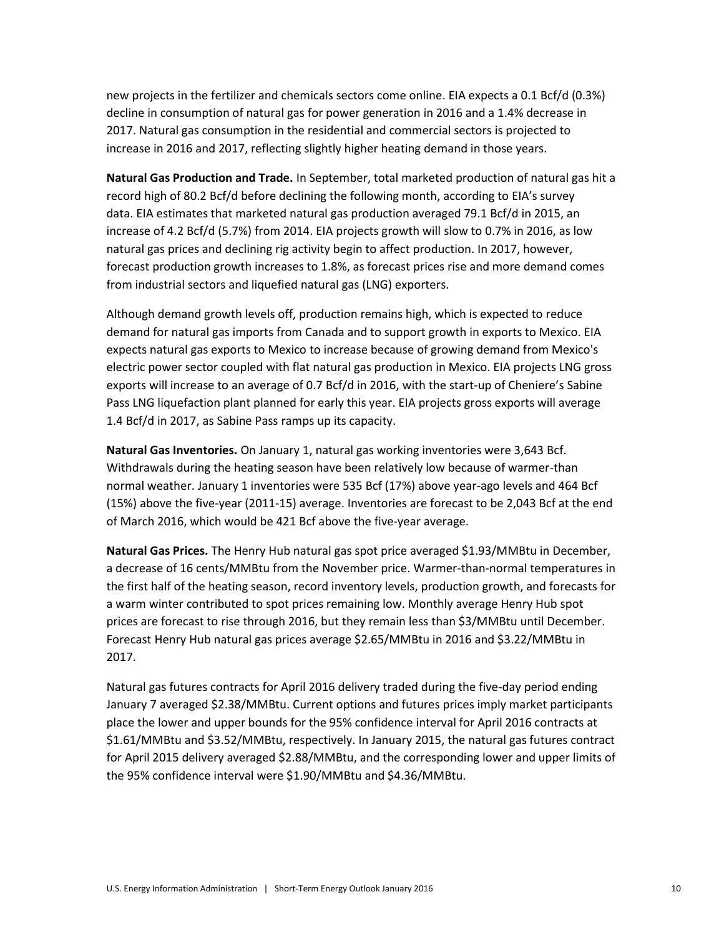new projects in the fertilizer and chemicals sectors come online. EIA expects a 0.1 Bcf/d (0.3%) decline in consumption of natural gas for power generation in 2016 and a 1.4% decrease in 2017. Natural gas consumption in the residential and commercial sectors is projected to increase in 2016 and 2017, reflecting slightly higher heating demand in those years.

**Natural Gas Production and Trade.** In September, total marketed production of natural gas hit a record high of 80.2 Bcf/d before declining the following month, according to EIA's survey data. EIA estimates that marketed natural gas production averaged 79.1 Bcf/d in 2015, an increase of 4.2 Bcf/d (5.7%) from 2014. EIA projects growth will slow to 0.7% in 2016, as low natural gas prices and declining rig activity begin to affect production. In 2017, however, forecast production growth increases to 1.8%, as forecast prices rise and more demand comes from industrial sectors and liquefied natural gas (LNG) exporters.

Although demand growth levels off, production remains high, which is expected to reduce demand for natural gas imports from Canada and to support growth in exports to Mexico. EIA expects natural gas exports to Mexico to increase because of growing demand from Mexico's electric power sector coupled with flat natural gas production in Mexico. EIA projects LNG gross exports will increase to an average of 0.7 Bcf/d in 2016, with the start-up of Cheniere's Sabine Pass LNG liquefaction plant planned for early this year. EIA projects gross exports will average 1.4 Bcf/d in 2017, as Sabine Pass ramps up its capacity.

**Natural Gas Inventories.** On January 1, natural gas working inventories were 3,643 Bcf. Withdrawals during the heating season have been relatively low because of warmer-than normal weather. January 1 inventories were 535 Bcf (17%) above year-ago levels and 464 Bcf (15%) above the five-year (2011-15) average. Inventories are forecast to be 2,043 Bcf at the end of March 2016, which would be 421 Bcf above the five-year average.

**Natural Gas Prices.** The Henry Hub natural gas spot price averaged \$1.93/MMBtu in December, a decrease of 16 cents/MMBtu from the November price. Warmer-than-normal temperatures in the first half of the heating season, record inventory levels, production growth, and forecasts for a warm winter contributed to spot prices remaining low. Monthly average Henry Hub spot prices are forecast to rise through 2016, but they remain less than \$3/MMBtu until December. Forecast Henry Hub natural gas prices average \$2.65/MMBtu in 2016 and \$3.22/MMBtu in 2017.

Natural gas futures contracts for April 2016 delivery traded during the five-day period ending January 7 averaged \$2.38/MMBtu. Current options and futures prices imply market participants place the lower and upper bounds for the 95% confidence interval for April 2016 contracts at \$1.61/MMBtu and \$3.52/MMBtu, respectively. In January 2015, the natural gas futures contract for April 2015 delivery averaged \$2.88/MMBtu, and the corresponding lower and upper limits of the 95% confidence interval were \$1.90/MMBtu and \$4.36/MMBtu.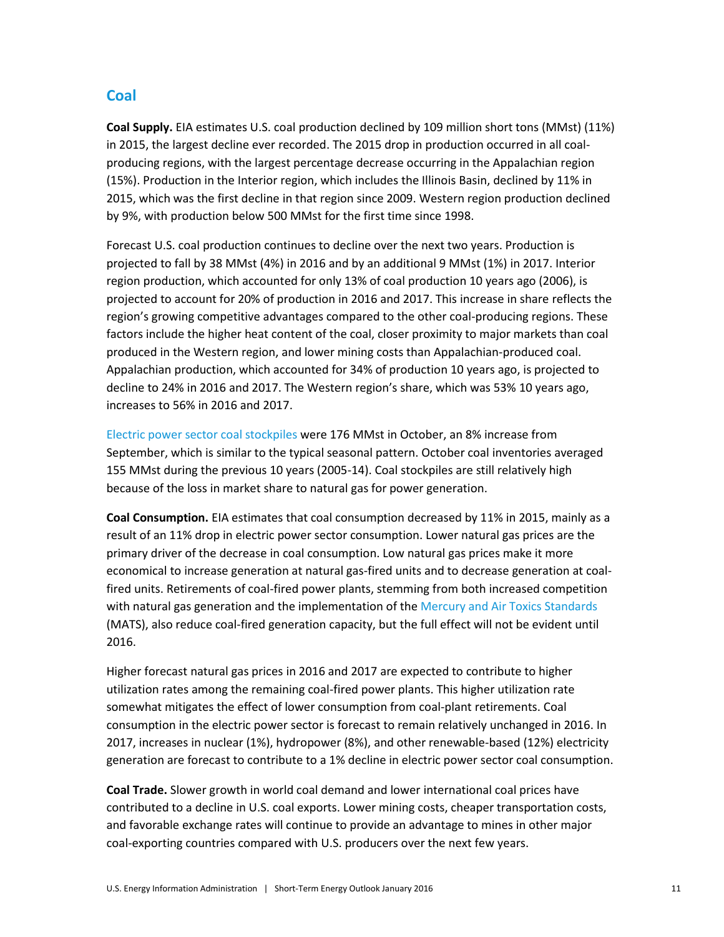### **Coal**

**Coal Supply.** EIA estimates U.S. coal production declined by 109 million short tons (MMst) (11%) in 2015, the largest decline ever recorded. The 2015 drop in production occurred in all coalproducing regions, with the largest percentage decrease occurring in the Appalachian region (15%). Production in the Interior region, which includes the Illinois Basin, declined by 11% in 2015, which was the first decline in that region since 2009. Western region production declined by 9%, with production below 500 MMst for the first time since 1998.

Forecast U.S. coal production continues to decline over the next two years. Production is projected to fall by 38 MMst (4%) in 2016 and by an additional 9 MMst (1%) in 2017. Interior region production, which accounted for only 13% of coal production 10 years ago (2006), is projected to account for 20% of production in 2016 and 2017. This increase in share reflects the region's growing competitive advantages compared to the other coal-producing regions. These factors include the higher heat content of the coal, closer proximity to major markets than coal produced in the Western region, and lower mining costs than Appalachian-produced coal. Appalachian production, which accounted for 34% of production 10 years ago, is projected to decline to 24% in 2016 and 2017. The Western region's share, which was 53% 10 years ago, increases to 56% in 2016 and 2017.

[Electric power sector coal stockpiles](http://www.eia.gov/electricity/monthly/update/fossil_fuel_stocks.cfm) were 176 MMst in October, an 8% increase from September, which is similar to the typical seasonal pattern. October coal inventories averaged 155 MMst during the previous 10 years (2005-14). Coal stockpiles are still relatively high because of the loss in market share to natural gas for power generation.

**Coal Consumption.** EIA estimates that coal consumption decreased by 11% in 2015, mainly as a result of an 11% drop in electric power sector consumption. Lower natural gas prices are the primary driver of the decrease in coal consumption. Low natural gas prices make it more economical to increase generation at natural gas-fired units and to decrease generation at coalfired units. Retirements of coal-fired power plants, stemming from both increased competition with natural gas generation and the implementation of th[e Mercury and Air Toxics Standards](http://www.epa.gov/airquality/powerplanttoxics/) (MATS), also reduce coal-fired generation capacity, but the full effect will not be evident until 2016.

Higher forecast natural gas prices in 2016 and 2017 are expected to contribute to higher utilization rates among the remaining coal-fired power plants. This higher utilization rate somewhat mitigates the effect of lower consumption from coal-plant retirements. Coal consumption in the electric power sector is forecast to remain relatively unchanged in 2016. In 2017, increases in nuclear (1%), hydropower (8%), and other renewable-based (12%) electricity generation are forecast to contribute to a 1% decline in electric power sector coal consumption.

**Coal Trade.** Slower growth in world coal demand and lower international coal prices have contributed to a decline in U.S. coal exports. Lower mining costs, cheaper transportation costs, and favorable exchange rates will continue to provide an advantage to mines in other major coal-exporting countries compared with U.S. producers over the next few years.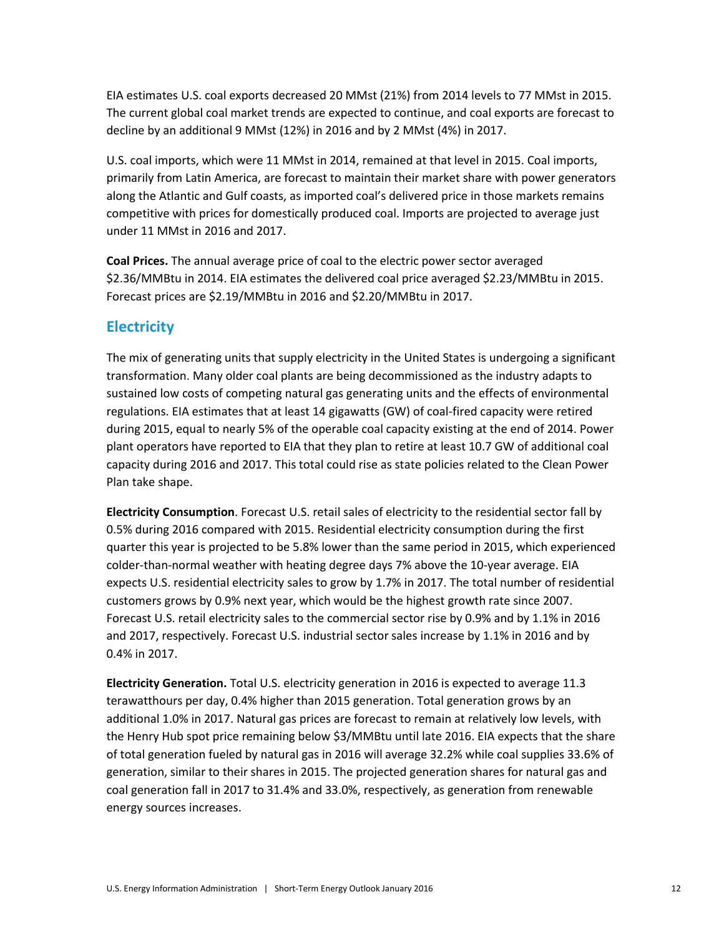EIA estimates U.S. coal exports decreased 20 MMst (21%) from 2014 levels to 77 MMst in 2015. The current global coal market trends are expected to continue, and coal exports are forecast to decline by an additional 9 MMst (12%) in 2016 and by 2 MMst (4%) in 2017.

U.S. coal imports, which were 11 MMst in 2014, remained at that level in 2015. Coal imports, primarily from Latin America, are forecast to maintain their market share with power generators along the Atlantic and Gulf coasts, as imported coal's delivered price in those markets remains competitive with prices for domestically produced coal. Imports are projected to average just under 11 MMst in 2016 and 2017.

**Coal Prices.** The annual average price of coal to the electric power sector averaged \$2.36/MMBtu in 2014. EIA estimates the delivered coal price averaged \$2.23/MMBtu in 2015. Forecast prices are \$2.19/MMBtu in 2016 and \$2.20/MMBtu in 2017.

### **Electricity**

The mix of generating units that supply electricity in the United States is undergoing a significant transformation. Many older coal plants are being decommissioned as the industry adapts to sustained low costs of competing natural gas generating units and the effects of environmental regulations. EIA estimates that at least 14 gigawatts (GW) of coal-fired capacity were retired during 2015, equal to nearly 5% of the operable coal capacity existing at the end of 2014. Power plant operators have reported to EIA that they plan to retire at least 10.7 GW of additional coal capacity during 2016 and 2017. This total could rise as state policies related to the Clean Power Plan take shape.

**Electricity Consumption**. Forecast U.S. retail sales of electricity to the residential sector fall by 0.5% during 2016 compared with 2015. Residential electricity consumption during the first quarter this year is projected to be 5.8% lower than the same period in 2015, which experienced colder-than-normal weather with heating degree days 7% above the 10-year average. EIA expects U.S. residential electricity sales to grow by 1.7% in 2017. The total number of residential customers grows by 0.9% next year, which would be the highest growth rate since 2007. Forecast U.S. retail electricity sales to the commercial sector rise by 0.9% and by 1.1% in 2016 and 2017, respectively. Forecast U.S. industrial sector sales increase by 1.1% in 2016 and by 0.4% in 2017.

**Electricity Generation.** Total U.S. electricity generation in 2016 is expected to average 11.3 terawatthours per day, 0.4% higher than 2015 generation. Total generation grows by an additional 1.0% in 2017. Natural gas prices are forecast to remain at relatively low levels, with the Henry Hub spot price remaining below \$3/MMBtu until late 2016. EIA expects that the share of total generation fueled by natural gas in 2016 will average 32.2% while coal supplies 33.6% of generation, similar to their shares in 2015. The projected generation shares for natural gas and coal generation fall in 2017 to 31.4% and 33.0%, respectively, as generation from renewable energy sources increases.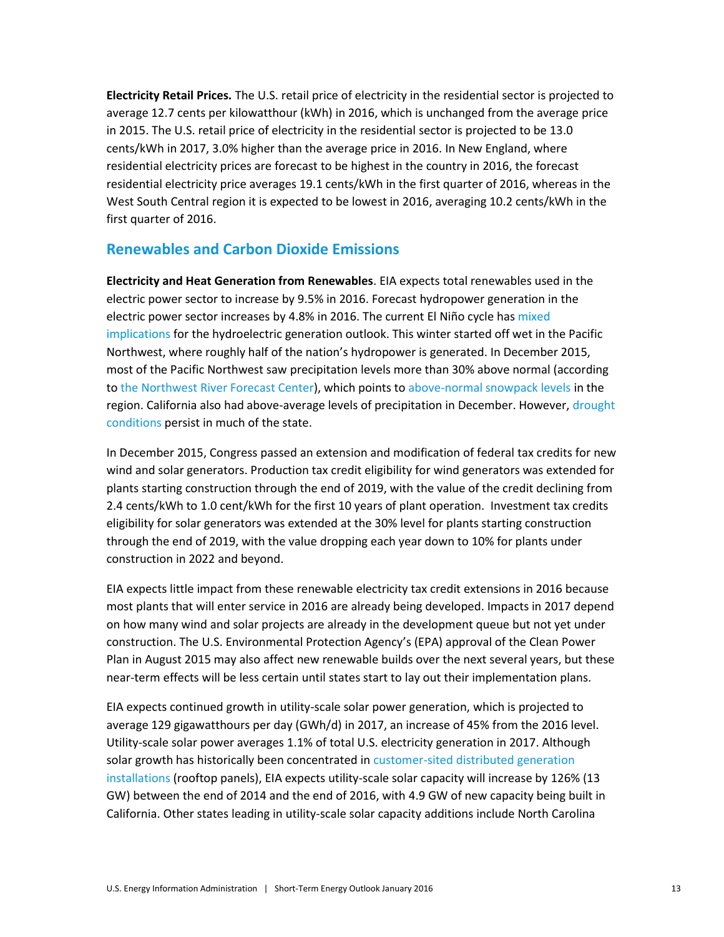**Electricity Retail Prices.** The U.S. retail price of electricity in the residential sector is projected to average 12.7 cents per kilowatthour (kWh) in 2016, which is unchanged from the average price in 2015. The U.S. retail price of electricity in the residential sector is projected to be 13.0 cents/kWh in 2017, 3.0% higher than the average price in 2016. In New England, where residential electricity prices are forecast to be highest in the country in 2016, the forecast residential electricity price averages 19.1 cents/kWh in the first quarter of 2016, whereas in the West South Central region it is expected to be lowest in 2016, averaging 10.2 cents/kWh in the first quarter of 2016.

### **Renewables and Carbon Dioxide Emissions**

**Electricity and Heat Generation from Renewables**. EIA expects total renewables used in the electric power sector to increase by 9.5% in 2016. Forecast hydropower generation in the electric power sector increases by 4.8% in 2016. The current El Niño cycle has [mixed](http://www.eia.gov/todayinenergy/detail.cfm?id=24012&src=email) [implications](http://www.eia.gov/todayinenergy/detail.cfm?id=24012&src=email) for the hydroelectric generation outlook. This winter started off wet in the Pacific Northwest, where roughly half of the nation's hydropower is generated. In December 2015, most of the Pacific Northwest saw precipitation levels more than 30% above normal (according to [the Northwest River Forecast Center\)](http://www.nwrfc.noaa.gov/WAT_RES_wy_summary/20160105/MonthMAP_2015Dec_2016010516.png), which points t[o above-normal snowpack levels](http://www.nwrfc.noaa.gov/snow/) in the region. California also had above-average levels of precipitation in December. However, drought [conditions](http://droughtmonitor.unl.edu/data/pngs/current/current_ca_cat.png) persist in much of the state.

In December 2015, Congress passed an extension and modification of federal tax credits for new wind and solar generators. Production tax credit eligibility for wind generators was extended for plants starting construction through the end of 2019, with the value of the credit declining from 2.4 cents/kWh to 1.0 cent/kWh for the first 10 years of plant operation. Investment tax credits eligibility for solar generators was extended at the 30% level for plants starting construction through the end of 2019, with the value dropping each year down to 10% for plants under construction in 2022 and beyond.

EIA expects little impact from these renewable electricity tax credit extensions in 2016 because most plants that will enter service in 2016 are already being developed. Impacts in 2017 depend on how many wind and solar projects are already in the development queue but not yet under construction. The U.S. Environmental Protection Agency's (EPA) approval of the Clean Power Plan in August 2015 may also affect new renewable builds over the next several years, but these near-term effects will be less certain until states start to lay out their implementation plans.

EIA expects continued growth in utility-scale solar power generation, which is projected to average 129 gigawatthours per day (GWh/d) in 2017, an increase of 45% from the 2016 level. Utility-scale solar power averages 1.1% of total U.S. electricity generation in 2017. Although solar growth has historically been concentrated in customer-sited distributed generation [installations](http://www.eia.gov/todayinenergy/detail.cfm?id=23972) (rooftop panels), EIA expects utility-scale solar capacity will increase by 126% (13 GW) between the end of 2014 and the end of 2016, with 4.9 GW of new capacity being built in California. Other states leading in utility-scale solar capacity additions include North Carolina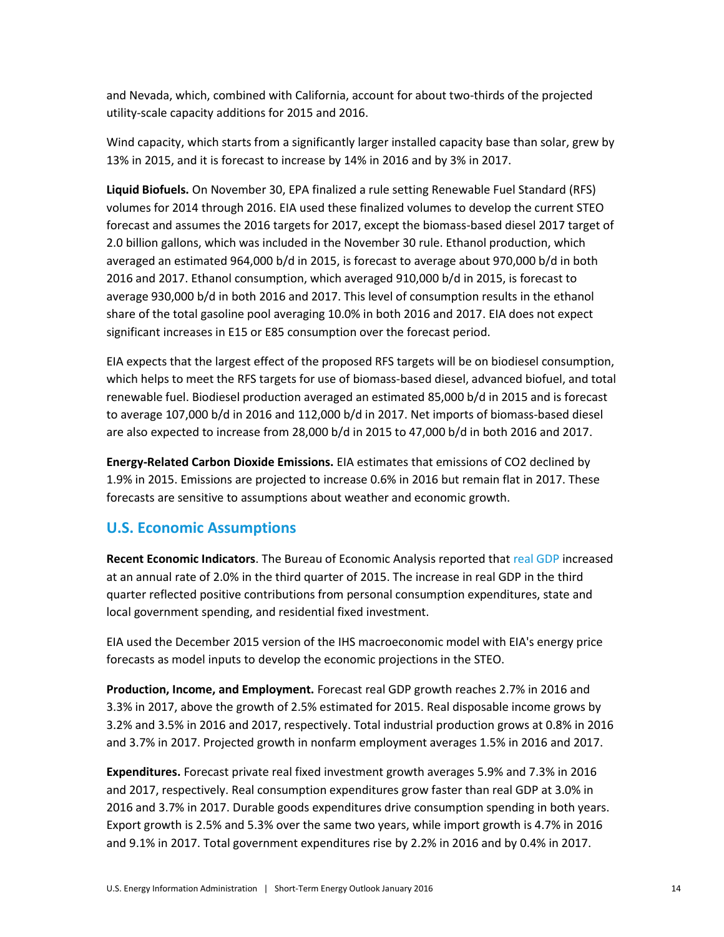and Nevada, which, combined with California, account for about two-thirds of the projected utility-scale capacity additions for 2015 and 2016.

Wind capacity, which starts from a significantly larger installed capacity base than solar, grew by 13% in 2015, and it is forecast to increase by 14% in 2016 and by 3% in 2017.

**Liquid Biofuels.** On November 30, EPA finalized a rule setting Renewable Fuel Standard (RFS) volumes for 2014 through 2016. EIA used these finalized volumes to develop the current STEO forecast and assumes the 2016 targets for 2017, except the biomass-based diesel 2017 target of 2.0 billion gallons, which was included in the November 30 rule. Ethanol production, which averaged an estimated 964,000 b/d in 2015, is forecast to average about 970,000 b/d in both 2016 and 2017. Ethanol consumption, which averaged 910,000 b/d in 2015, is forecast to average 930,000 b/d in both 2016 and 2017. This level of consumption results in the ethanol share of the total gasoline pool averaging 10.0% in both 2016 and 2017. EIA does not expect significant increases in E15 or E85 consumption over the forecast period.

EIA expects that the largest effect of the proposed RFS targets will be on biodiesel consumption, which helps to meet the RFS targets for use of biomass-based diesel, advanced biofuel, and total renewable fuel. Biodiesel production averaged an estimated 85,000 b/d in 2015 and is forecast to average 107,000 b/d in 2016 and 112,000 b/d in 2017. Net imports of biomass-based diesel are also expected to increase from 28,000 b/d in 2015 to 47,000 b/d in both 2016 and 2017.

**Energy-Related Carbon Dioxide Emissions.** EIA estimates that emissions of CO2 declined by 1.9% in 2015. Emissions are projected to increase 0.6% in 2016 but remain flat in 2017. These forecasts are sensitive to assumptions about weather and economic growth.

### **U.S. Economic Assumptions**

**Recent Economic Indicators**. The Bureau of Economic Analysis reported that [real GDP](http://www.bea.gov/newsreleases/national/gdp/gdpnewsrelease.htm) increased at an annual rate of 2.0% in the third quarter of 2015. The increase in real GDP in the third quarter reflected positive contributions from personal consumption expenditures, state and local government spending, and residential fixed investment.

EIA used the December 2015 version of the IHS macroeconomic model with EIA's energy price forecasts as model inputs to develop the economic projections in the STEO.

**Production, Income, and Employment.** Forecast real GDP growth reaches 2.7% in 2016 and 3.3% in 2017, above the growth of 2.5% estimated for 2015. Real disposable income grows by 3.2% and 3.5% in 2016 and 2017, respectively. Total industrial production grows at 0.8% in 2016 and 3.7% in 2017. Projected growth in nonfarm employment averages 1.5% in 2016 and 2017.

**Expenditures.** Forecast private real fixed investment growth averages 5.9% and 7.3% in 2016 and 2017, respectively. Real consumption expenditures grow faster than real GDP at 3.0% in 2016 and 3.7% in 2017. Durable goods expenditures drive consumption spending in both years. Export growth is 2.5% and 5.3% over the same two years, while import growth is 4.7% in 2016 and 9.1% in 2017. Total government expenditures rise by 2.2% in 2016 and by 0.4% in 2017.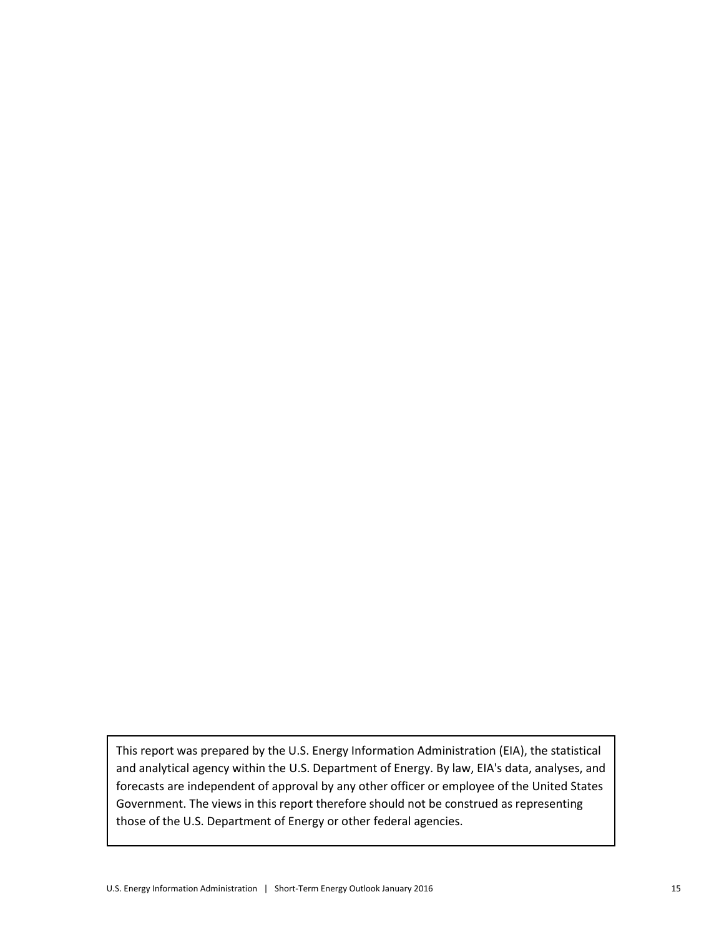This report was prepared by the U.S. Energy Information Administration (EIA), the statistical and analytical agency within the U.S. Department of Energy. By law, EIA's data, analyses, and forecasts are independent of approval by any other officer or employee of the United States Government. The views in this report therefore should not be construed as representing those of the U.S. Department of Energy or other federal agencies.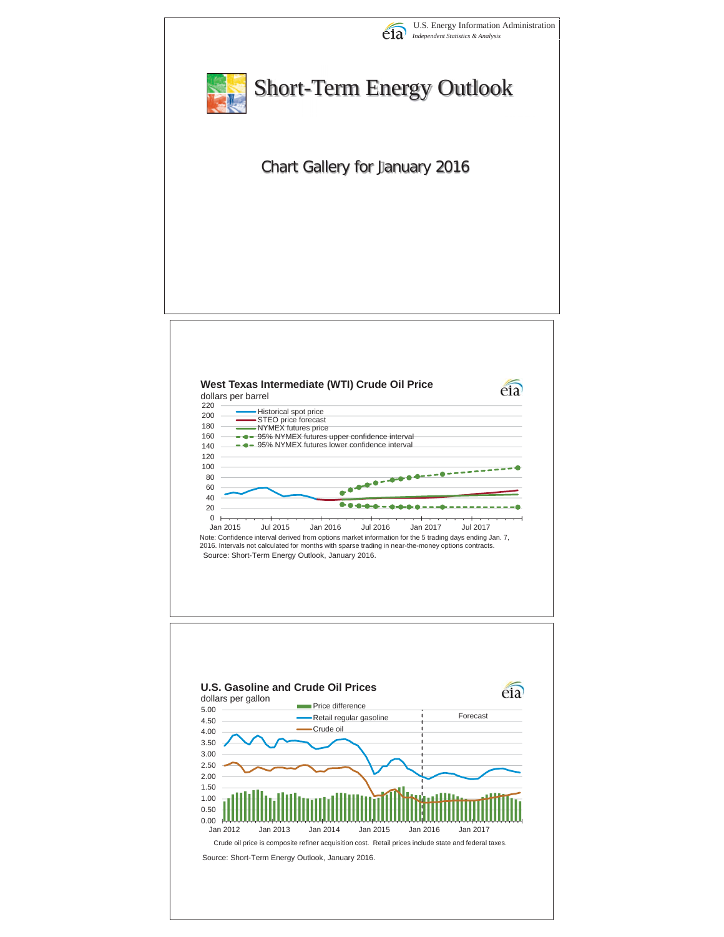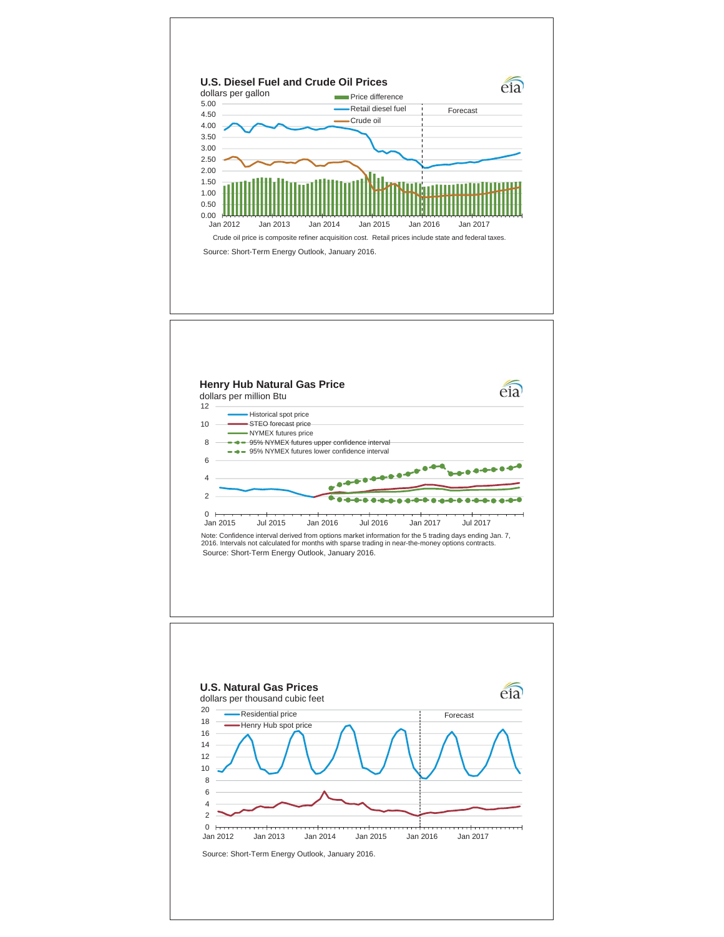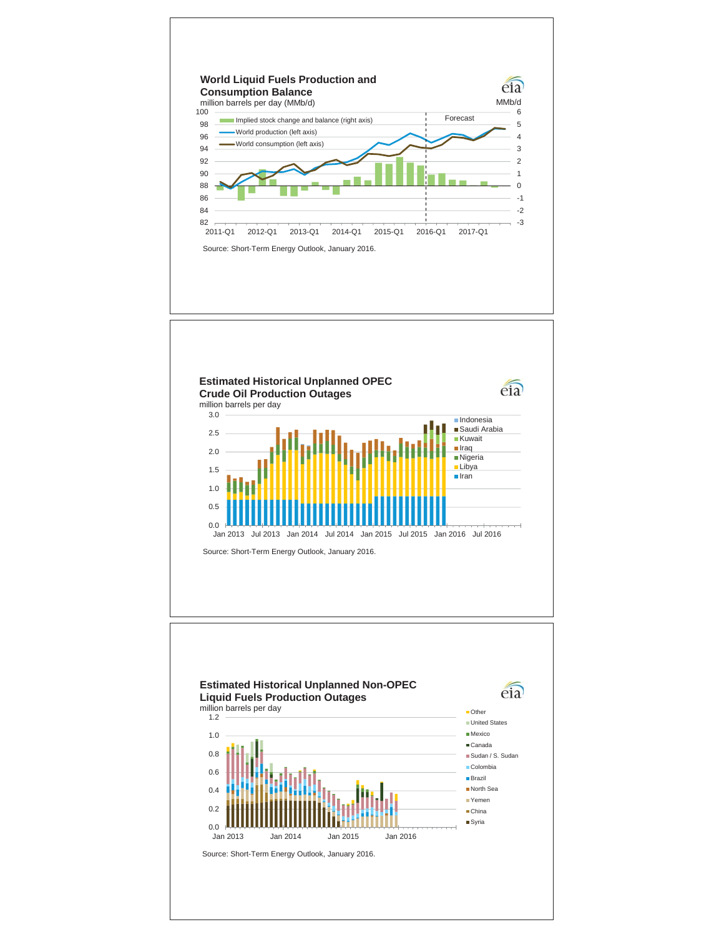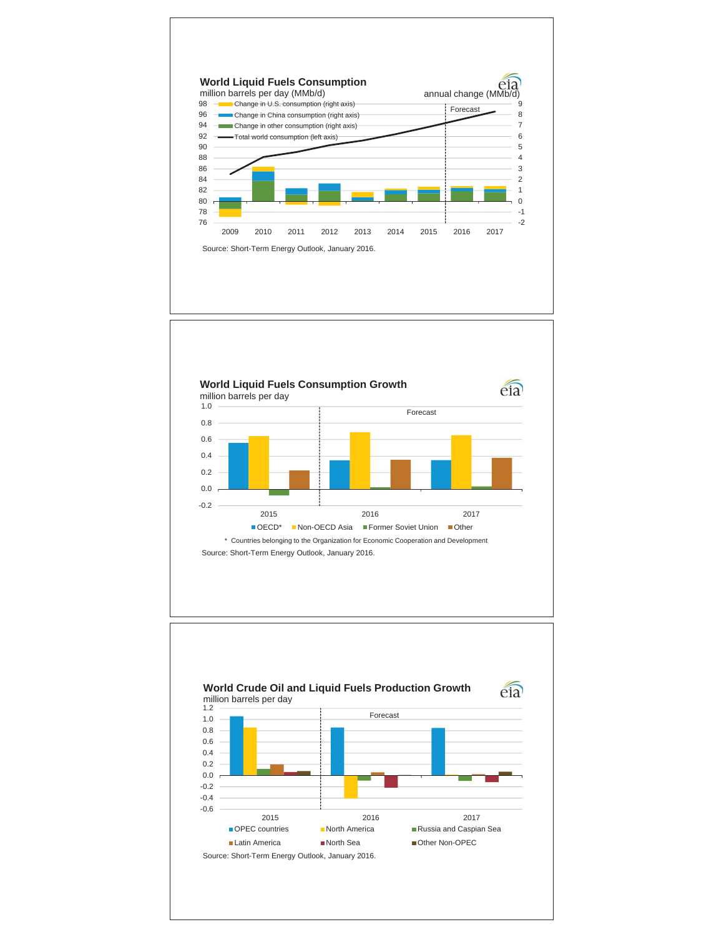



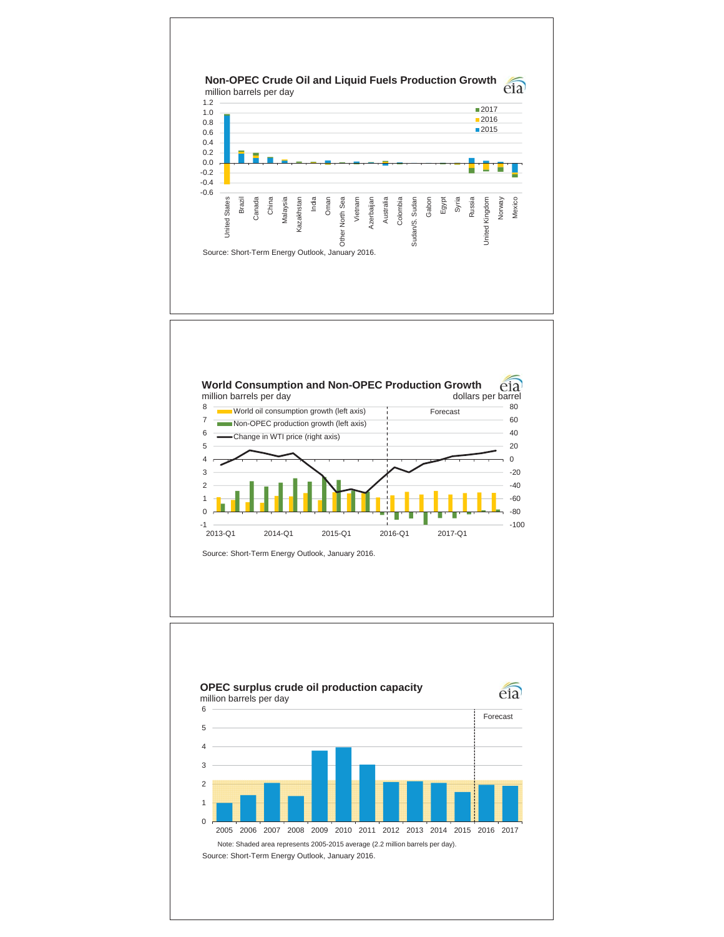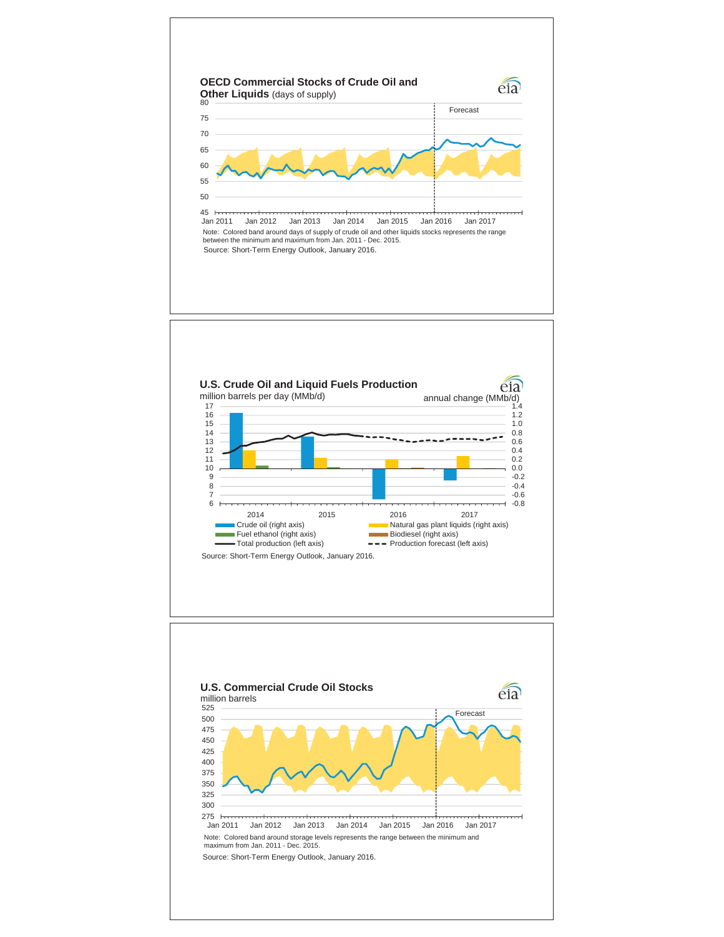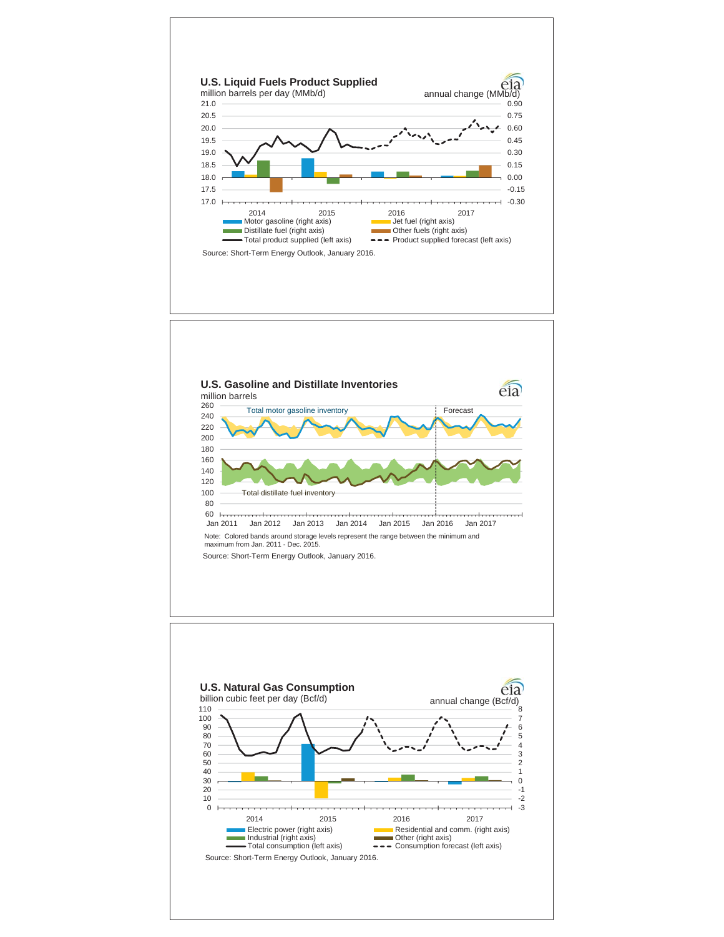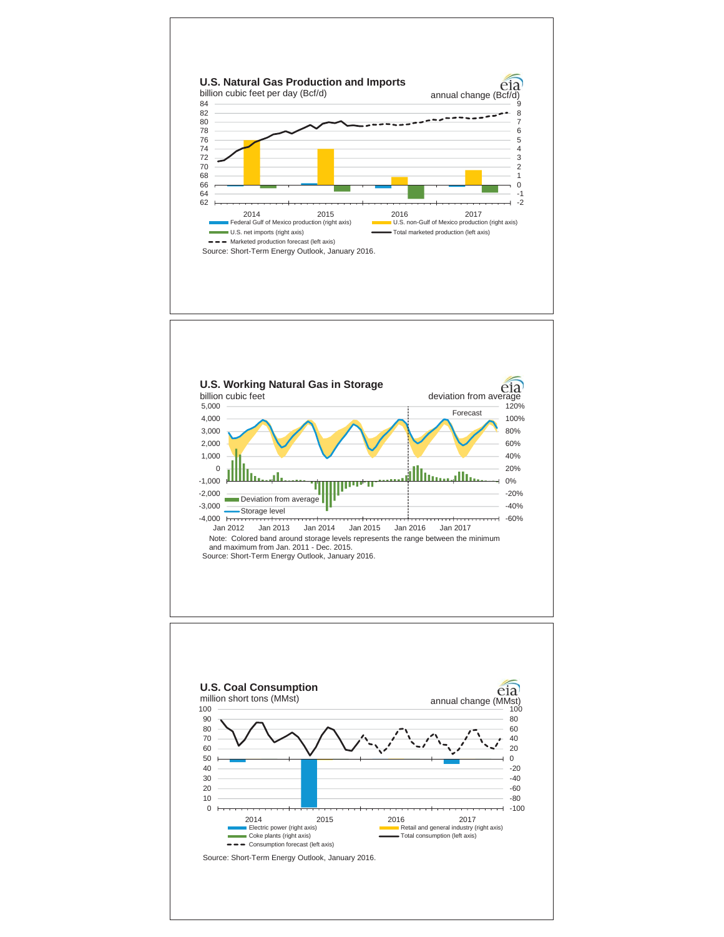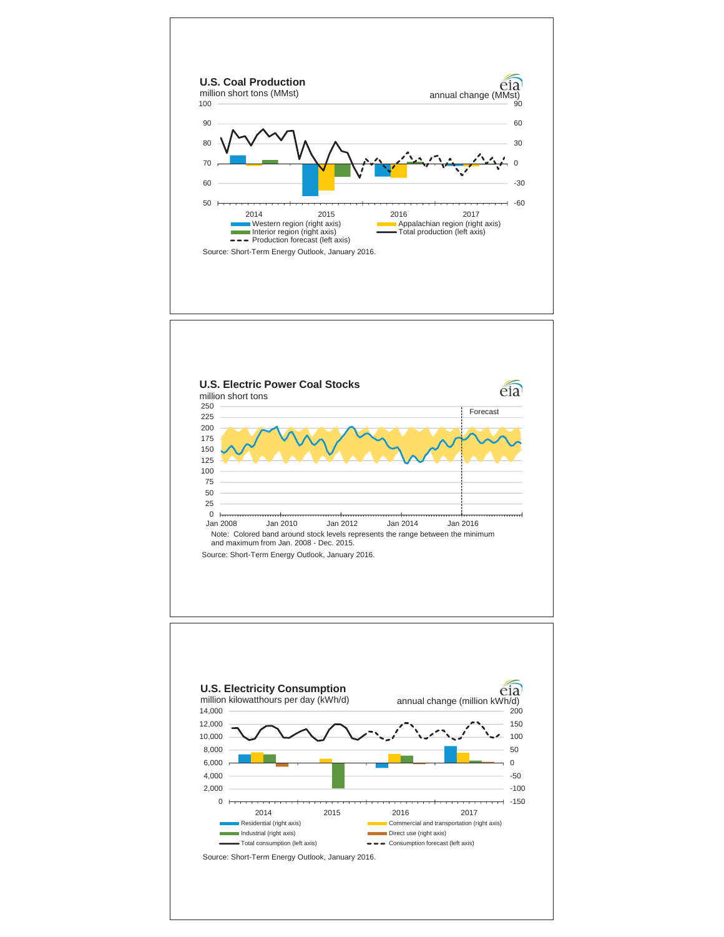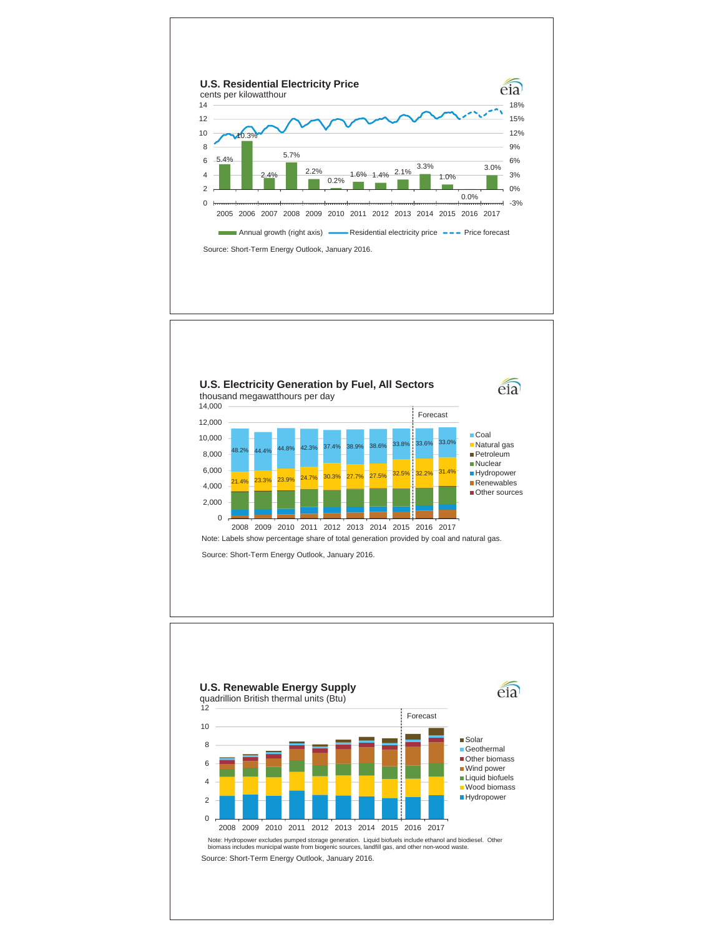

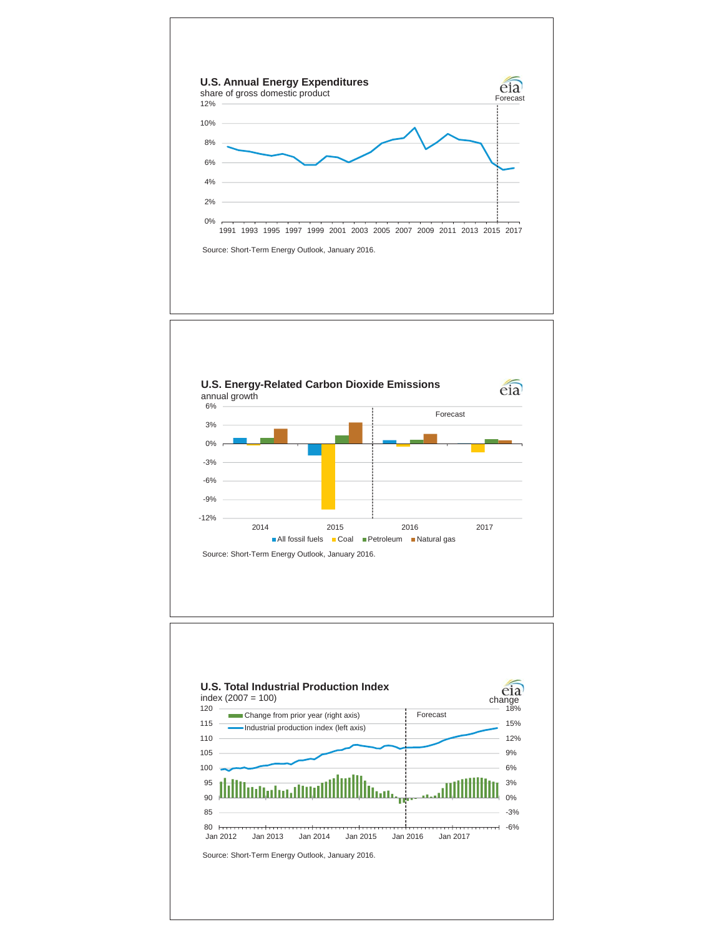



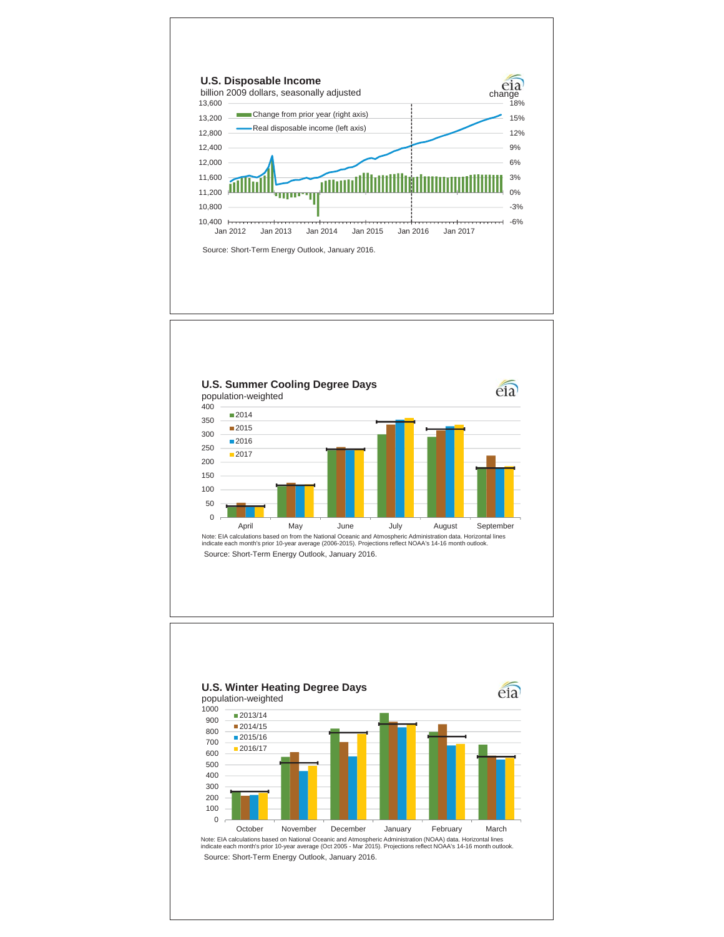



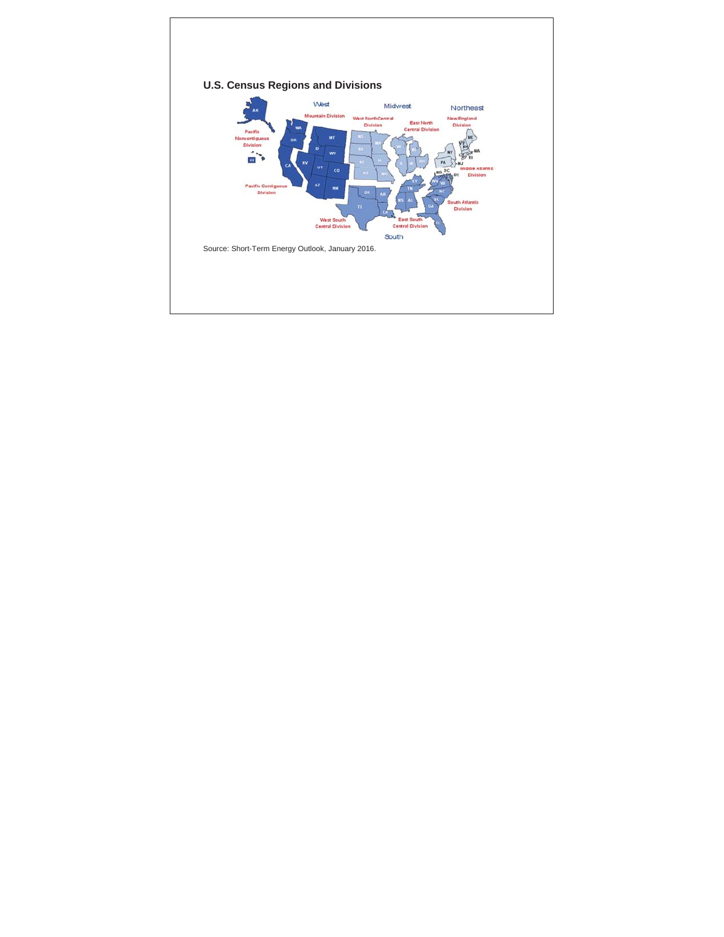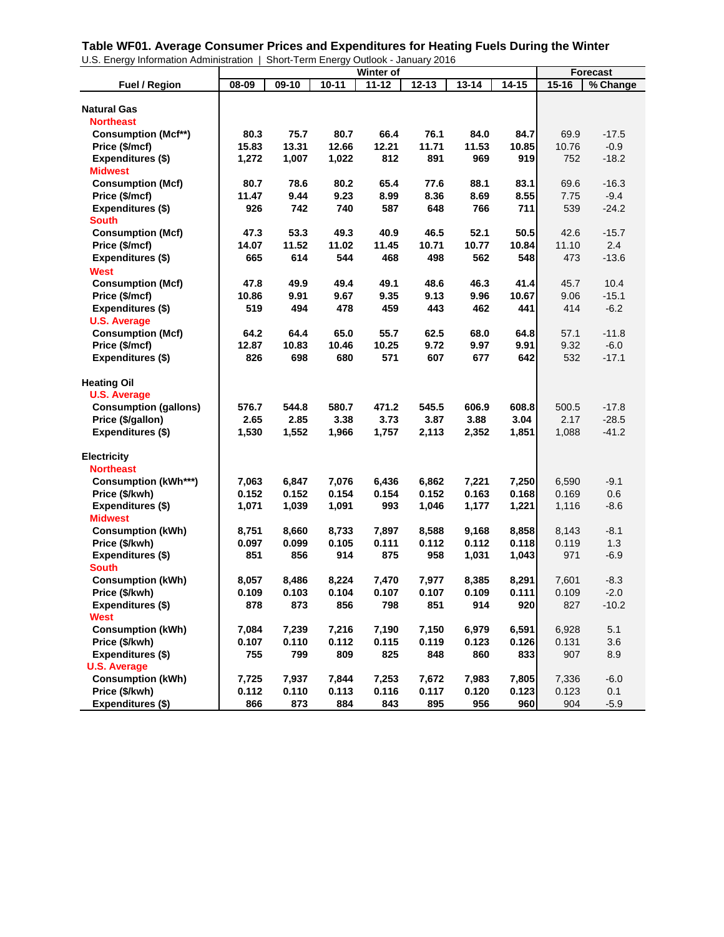**Table WF01. Average Consumer Prices and Expenditures for Heating Fuels During the Winter**

| U.S. Energy Information Administration       |       | Short-Term Energy Outlook - January 2016 |           |           |           |           |           |           |          |
|----------------------------------------------|-------|------------------------------------------|-----------|-----------|-----------|-----------|-----------|-----------|----------|
|                                              |       |                                          |           | Winter of |           |           |           |           | Forecast |
| <b>Fuel / Region</b>                         | 08-09 | 09-10                                    | $10 - 11$ | $11 - 12$ | $12 - 13$ | $13 - 14$ | $14 - 15$ | $15 - 16$ | % Change |
| <b>Natural Gas</b>                           |       |                                          |           |           |           |           |           |           |          |
| <b>Northeast</b>                             |       |                                          |           |           |           |           |           |           |          |
|                                              | 80.3  | 75.7                                     | 80.7      | 66.4      | 76.1      | 84.0      | 84.7      | 69.9      | $-17.5$  |
| <b>Consumption (Mcf**)</b><br>Price (\$/mcf) | 15.83 | 13.31                                    | 12.66     | 12.21     | 11.71     | 11.53     | 10.85     | 10.76     | $-0.9$   |
| Expenditures (\$)                            | 1,272 | 1,007                                    | 1,022     | 812       | 891       | 969       | 919       | 752       | $-18.2$  |
| <b>Midwest</b>                               |       |                                          |           |           |           |           |           |           |          |
| <b>Consumption (Mcf)</b>                     | 80.7  | 78.6                                     | 80.2      | 65.4      | 77.6      | 88.1      | 83.1      | 69.6      | $-16.3$  |
| Price (\$/mcf)                               | 11.47 | 9.44                                     | 9.23      | 8.99      | 8.36      | 8.69      | 8.55      | 7.75      | $-9.4$   |
| Expenditures (\$)                            | 926   | 742                                      | 740       | 587       | 648       | 766       | 711       | 539       | $-24.2$  |
| <b>South</b>                                 |       |                                          |           |           |           |           |           |           |          |
| <b>Consumption (Mcf)</b>                     | 47.3  | 53.3                                     | 49.3      | 40.9      | 46.5      | 52.1      | 50.5      | 42.6      | $-15.7$  |
| Price (\$/mcf)                               | 14.07 | 11.52                                    | 11.02     | 11.45     | 10.71     | 10.77     | 10.84     | 11.10     | 2.4      |
| Expenditures (\$)                            | 665   | 614                                      | 544       | 468       | 498       | 562       | 548       | 473       | $-13.6$  |
| <b>West</b>                                  |       |                                          |           |           |           |           |           |           |          |
| <b>Consumption (Mcf)</b>                     | 47.8  | 49.9                                     | 49.4      | 49.1      | 48.6      | 46.3      | 41.4      | 45.7      | 10.4     |
| Price (\$/mcf)                               | 10.86 | 9.91                                     | 9.67      | 9.35      | 9.13      | 9.96      | 10.67     | 9.06      | $-15.1$  |
| <b>Expenditures (\$)</b>                     | 519   | 494                                      | 478       | 459       | 443       | 462       | 441       | 414       | $-6.2$   |
| <b>U.S. Average</b>                          |       |                                          |           |           |           |           |           |           |          |
| <b>Consumption (Mcf)</b>                     | 64.2  | 64.4                                     | 65.0      | 55.7      | 62.5      | 68.0      | 64.8      | 57.1      | $-11.8$  |
| Price (\$/mcf)                               | 12.87 | 10.83                                    | 10.46     | 10.25     | 9.72      | 9.97      | 9.91      | 9.32      | $-6.0$   |
| Expenditures (\$)                            | 826   | 698                                      | 680       | 571       | 607       | 677       | 642       | 532       | $-17.1$  |
|                                              |       |                                          |           |           |           |           |           |           |          |
| <b>Heating Oil</b>                           |       |                                          |           |           |           |           |           |           |          |
| <b>U.S. Average</b>                          |       |                                          |           |           |           |           |           |           |          |
| <b>Consumption (gallons)</b>                 | 576.7 | 544.8                                    | 580.7     | 471.2     | 545.5     | 606.9     | 608.8     | 500.5     | $-17.8$  |
| Price (\$/gallon)                            | 2.65  | 2.85                                     | 3.38      | 3.73      | 3.87      | 3.88      | 3.04      | 2.17      | $-28.5$  |
| Expenditures (\$)                            | 1,530 | 1,552                                    | 1,966     | 1,757     | 2,113     | 2,352     | 1,851     | 1,088     | $-41.2$  |
|                                              |       |                                          |           |           |           |           |           |           |          |
| <b>Electricity</b>                           |       |                                          |           |           |           |           |           |           |          |
| <b>Northeast</b>                             |       |                                          |           |           |           |           |           |           |          |
| <b>Consumption (kWh***)</b>                  | 7,063 | 6,847                                    | 7,076     | 6,436     | 6,862     | 7,221     | 7,250     | 6,590     | $-9.1$   |
| Price (\$/kwh)                               | 0.152 | 0.152                                    | 0.154     | 0.154     | 0.152     | 0.163     | 0.168     | 0.169     | 0.6      |
| <b>Expenditures (\$)</b>                     | 1,071 | 1,039                                    | 1,091     | 993       | 1,046     | 1,177     | 1,221     | 1,116     | $-8.6$   |
| <b>Midwest</b>                               |       |                                          |           |           |           |           |           |           |          |
| <b>Consumption (kWh)</b>                     | 8,751 | 8,660                                    | 8,733     | 7,897     | 8,588     | 9,168     | 8,858     | 8,143     | $-8.1$   |
| Price (\$/kwh)                               | 0.097 | 0.099                                    | 0.105     | 0.111     | 0.112     | 0.112     | 0.118     | 0.119     | 1.3      |
| Expenditures (\$)                            | 851   | 856                                      | 914       | 875       | 958       | 1,031     | 1,043     | 971       | $-6.9$   |
| <b>South</b>                                 |       |                                          |           |           |           |           |           |           |          |
| <b>Consumption (kWh)</b>                     | 8,057 | 8,486                                    | 8,224     | 7,470     | 7,977     | 8,385     | 8,291     | 7,601     | $-8.3$   |
| Price (\$/kwh)                               | 0.109 | 0.103                                    | 0.104     | 0.107     | 0.107     | 0.109     | 0.111     | 0.109     | $-2.0$   |
| Expenditures (\$)                            | 878   | 873                                      | 856       | 798       | 851       | 914       | 920       | 827       | $-10.2$  |
| <b>West</b>                                  |       |                                          |           |           |           |           |           |           |          |
| <b>Consumption (kWh)</b>                     | 7,084 | 7,239                                    | 7,216     | 7,190     | 7,150     | 6,979     | 6,591     | 6,928     | 5.1      |
| Price (\$/kwh)                               | 0.107 | 0.110                                    | 0.112     | 0.115     | 0.119     | 0.123     | 0.126     | 0.131     | 3.6      |
| Expenditures (\$)                            | 755   | 799                                      | 809       | 825       | 848       | 860       | 833       | 907       | 8.9      |
| <b>U.S. Average</b>                          |       |                                          |           |           |           |           |           |           |          |
| <b>Consumption (kWh)</b>                     | 7,725 | 7,937                                    | 7,844     | 7,253     | 7,672     | 7,983     | 7,805     | 7,336     | $-6.0$   |
| Price (\$/kwh)                               | 0.112 | 0.110                                    | 0.113     | 0.116     | 0.117     | 0.120     | 0.123     | 0.123     | 0.1      |
| Expenditures (\$)                            | 866   | 873                                      | 884       | 843       | 895       | 956       | 960       | 904       | $-5.9$   |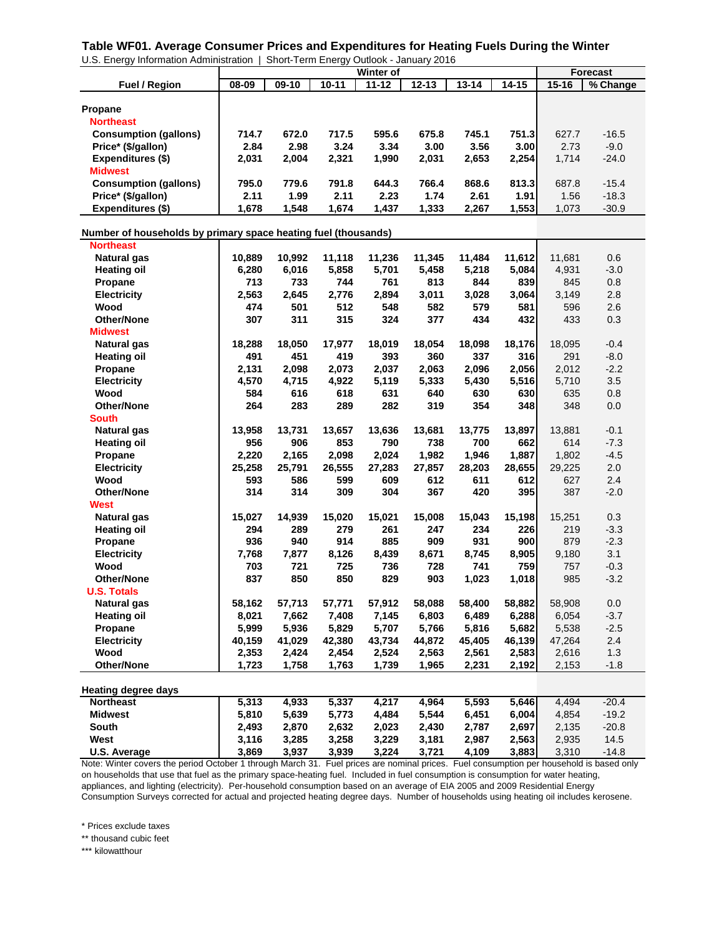**Table WF01. Average Consumer Prices and Expenditures for Heating Fuels During the Winter**

| U.S. Energy Information Administration                         |               |               |               |                  | Short-Term Energy Outlook - January 2016 |            |            |            |                 |
|----------------------------------------------------------------|---------------|---------------|---------------|------------------|------------------------------------------|------------|------------|------------|-----------------|
|                                                                |               |               |               | <b>Winter of</b> |                                          |            |            |            | <b>Forecast</b> |
| <b>Fuel / Region</b>                                           | 08-09         | 09-10         | $10 - 11$     | $11 - 12$        | $12 - 13$                                | $13 - 14$  | $14 - 15$  | $15 - 16$  | % Change        |
|                                                                |               |               |               |                  |                                          |            |            |            |                 |
| <b>Propane</b>                                                 |               |               |               |                  |                                          |            |            |            |                 |
| <b>Northeast</b>                                               |               |               |               |                  |                                          |            |            |            |                 |
| <b>Consumption (gallons)</b>                                   | 714.7         | 672.0         | 717.5         | 595.6            | 675.8                                    | 745.1      | 751.3      | 627.7      | $-16.5$         |
| Price* (\$/gallon)                                             | 2.84          | 2.98          | 3.24          | 3.34             | 3.00                                     | 3.56       | 3.00       | 2.73       | $-9.0$          |
| <b>Expenditures (\$)</b>                                       | 2,031         | 2,004         | 2,321         | 1,990            | 2,031                                    | 2,653      | 2,254      | 1,714      | $-24.0$         |
| <b>Midwest</b>                                                 |               |               |               |                  |                                          |            |            |            |                 |
| <b>Consumption (gallons)</b>                                   | 795.0         | 779.6         | 791.8         | 644.3            | 766.4                                    | 868.6      | 813.3      | 687.8      | $-15.4$         |
| Price* (\$/gallon)                                             | 2.11          | 1.99          | 2.11          | 2.23             | 1.74                                     | 2.61       | 1.91       | 1.56       | $-18.3$         |
| Expenditures (\$)                                              | 1,678         | 1,548         | 1,674         | 1,437            | 1,333                                    | 2,267      | 1,553      | 1,073      | $-30.9$         |
|                                                                |               |               |               |                  |                                          |            |            |            |                 |
| Number of households by primary space heating fuel (thousands) |               |               |               |                  |                                          |            |            |            |                 |
| <b>Northeast</b>                                               |               |               |               |                  |                                          |            |            |            |                 |
| <b>Natural gas</b>                                             | 10,889        | 10,992        | 11,118        | 11,236           | 11,345                                   | 11,484     | 11,612     | 11,681     | 0.6             |
| <b>Heating oil</b>                                             | 6,280         | 6,016         | 5,858         | 5,701            | 5,458                                    | 5,218      | 5,084      | 4,931      | $-3.0$          |
| Propane                                                        | 713           | 733           | 744           | 761              | 813                                      | 844        | 839        | 845        | 0.8             |
| <b>Electricity</b>                                             | 2,563         | 2,645         | 2,776         | 2,894            | 3,011                                    | 3,028      | 3,064      | 3,149      | 2.8             |
| Wood                                                           | 474           | 501           | 512           | 548              | 582                                      | 579        | 581        | 596        | 2.6             |
| <b>Other/None</b>                                              | 307           | 311           | 315           | 324              | 377                                      | 434        | 432        | 433        | 0.3             |
| <b>Midwest</b>                                                 |               |               |               |                  |                                          |            |            |            |                 |
| <b>Natural gas</b>                                             | 18,288        | 18,050        | 17,977        | 18,019           | 18,054                                   | 18,098     | 18,176     | 18,095     | $-0.4$          |
| <b>Heating oil</b>                                             | 491           | 451           | 419           | 393              | 360                                      | 337        | 316        | 291        | $-8.0$          |
| Propane                                                        | 2,131         | 2,098         | 2,073         | 2,037            | 2,063                                    | 2,096      | 2,056      | 2,012      | $-2.2$          |
| <b>Electricity</b>                                             | 4,570         | 4,715         | 4,922         | 5,119            | 5,333                                    | 5,430      | 5,516      | 5,710      | 3.5             |
| Wood                                                           | 584           | 616           | 618           | 631              | 640                                      | 630        | 630        | 635        | 0.8             |
| Other/None                                                     | 264           | 283           | 289           | 282              | 319                                      | 354        | 348        | 348        | 0.0             |
| <b>South</b>                                                   |               |               |               |                  |                                          |            |            |            |                 |
| <b>Natural gas</b>                                             | 13,958        | 13,731        | 13,657        | 13,636           | 13,681                                   | 13,775     | 13,897     | 13,881     | $-0.1$          |
| <b>Heating oil</b>                                             | 956           | 906           | 853           | 790              | 738                                      | 700        | 662        | 614        | $-7.3$          |
|                                                                |               |               |               |                  |                                          |            |            |            |                 |
| Propane                                                        | 2,220         | 2,165         | 2,098         | 2,024            | 1,982                                    | 1,946      | 1,887      | 1,802      | $-4.5$          |
| <b>Electricity</b>                                             | 25,258<br>593 | 25,791<br>586 | 26,555<br>599 | 27,283           | 27,857                                   | 28,203     | 28,655     | 29,225     | 2.0<br>2.4      |
| Wood                                                           | 314           | 314           | 309           | 609<br>304       | 612<br>367                               | 611<br>420 | 612<br>395 | 627<br>387 |                 |
| Other/None                                                     |               |               |               |                  |                                          |            |            |            | $-2.0$          |
| West                                                           |               |               |               |                  |                                          |            |            |            |                 |
| <b>Natural gas</b>                                             | 15,027        | 14,939        | 15,020        | 15,021           | 15,008                                   | 15,043     | 15,198     | 15,251     | 0.3             |
| <b>Heating oil</b>                                             | 294           | 289           | 279           | 261              | 247                                      | 234        | 226        | 219        | $-3.3$          |
| Propane                                                        | 936           | 940           | 914           | 885              | 909                                      | 931        | 900        | 879        | $-2.3$          |
| <b>Electricity</b>                                             | 7,768         | 7,877         | 8,126         | 8,439            | 8,671                                    | 8,745      | 8,905      | 9,180      | 3.1             |
| Wood                                                           | 703           | 721           | 725           | 736              | 728                                      | 741        | 759        | 757        | $-0.3$          |
| Other/None                                                     | 837           | 850           | 850           | 829              | 903                                      | 1,023      | 1,018      | 985        | $-3.2$          |
| <b>U.S. Totals</b>                                             |               |               |               |                  |                                          |            |            |            |                 |
| <b>Natural gas</b>                                             | 58,162        | 57,713        | 57,771        | 57,912           | 58,088                                   | 58,400     | 58,882     | 58,908     | 0.0             |
| <b>Heating oil</b>                                             | 8,021         | 7,662         | 7,408         | 7,145            | 6,803                                    | 6,489      | 6,288      | 6,054      | $-3.7$          |
| Propane                                                        | 5,999         | 5,936         | 5,829         | 5,707            | 5,766                                    | 5,816      | 5,682      | 5,538      | $-2.5$          |
| <b>Electricity</b>                                             | 40,159        | 41,029        | 42,380        | 43,734           | 44,872                                   | 45,405     | 46,139     | 47,264     | 2.4             |
| Wood                                                           | 2,353         | 2,424         | 2,454         | 2,524            | 2,563                                    | 2,561      | 2,583      | 2,616      | 1.3             |
| <b>Other/None</b>                                              | 1,723         | 1,758         | 1,763         | 1,739            | 1,965                                    | 2,231      | 2,192      | 2,153      | $-1.8$          |
| <b>Heating degree days</b>                                     |               |               |               |                  |                                          |            |            |            |                 |
| <b>Northeast</b>                                               | 5,313         | 4,933         | 5,337         | 4,217            | 4,964                                    | 5,593      | 5,646      | 4,494      | $-20.4$         |
| <b>Midwest</b>                                                 | 5,810         | 5,639         | 5,773         | 4,484            | 5,544                                    | 6,451      | 6,004      | 4,854      | $-19.2$         |
| <b>South</b>                                                   | 2,493         | 2,870         | 2,632         | 2,023            | 2,430                                    | 2,787      | 2,697      | 2,135      | $-20.8$         |
| West                                                           | 3,116         | 3,285         | 3,258         | 3,229            | 3,181                                    | 2,987      | 2,563      | 2,935      | 14.5            |
| U.S. Average                                                   | 3,869         | 3,937         | 3,939         | 3,224            | 3,721                                    | 4,109      | 3,883      | 3,310      | $-14.8$         |
|                                                                |               |               |               |                  |                                          |            |            |            |                 |

Note: Winter covers the period October 1 through March 31. Fuel prices are nominal prices. Fuel consumption per household is based only on households that use that fuel as the primary space-heating fuel. Included in fuel consumption is consumption for water heating, appliances, and lighting (electricity). Per-household consumption based on an average of EIA 2005 and 2009 Residential Energy Consumption Surveys corrected for actual and projected heating degree days. Number of households using heating oil includes kerosene.

\* Prices exclude taxes

\*\* thousand cubic feet

\*\*\* kilowatthour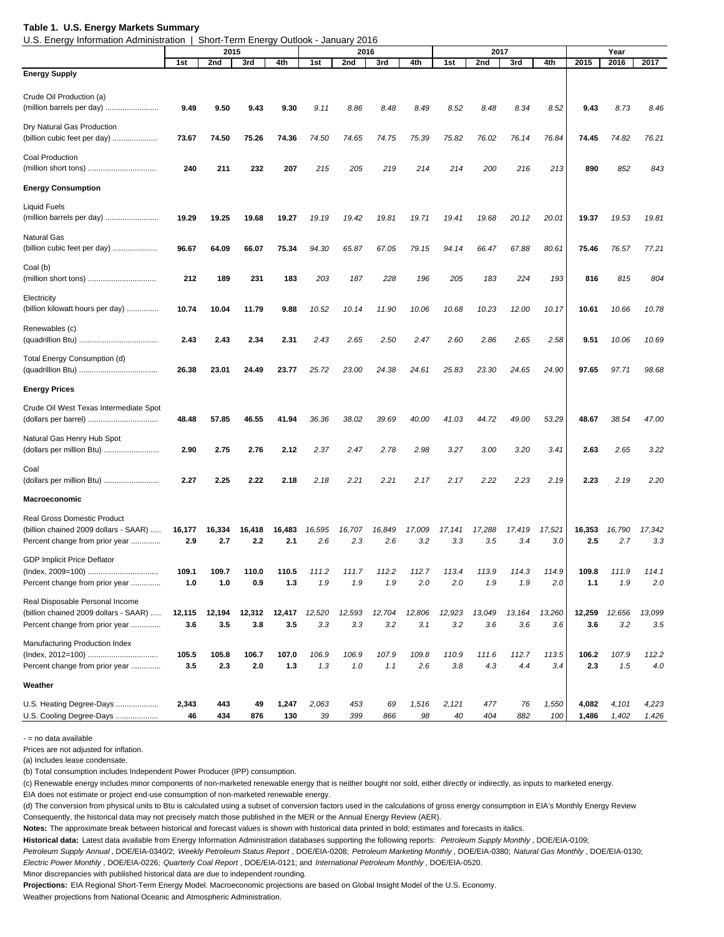### **Table 1. U.S. Energy Markets Summary**

 $H$  Torm Energy Qutlook - January 2016

| 0.3. Ellergy information Administration                                     |        | Short-Term Energy Outlook - January 2010 |        |        |        |        |        |        |        |        |        |        |        |        |        |
|-----------------------------------------------------------------------------|--------|------------------------------------------|--------|--------|--------|--------|--------|--------|--------|--------|--------|--------|--------|--------|--------|
|                                                                             |        | 2015                                     |        |        |        | 2016   |        |        |        | 2017   |        |        |        | Year   |        |
| <b>Energy Supply</b>                                                        | 1st    | 2nd                                      | 3rd    | 4th    | 1st    | 2nd    | 3rd    | 4th    | 1st    | 2nd    | 3rd    | 4th    | 2015   | 2016   | 2017   |
| Crude Oil Production (a)                                                    |        |                                          |        |        |        |        |        |        |        |        |        |        |        |        |        |
| (million barrels per day)                                                   | 9.49   | 9.50                                     | 9.43   | 9.30   | 9.11   | 8.86   | 8.48   | 8.49   | 8.52   | 8.48   | 8.34   | 8.52   | 9.43   | 8.73   | 8.46   |
| Dry Natural Gas Production                                                  |        |                                          |        |        |        |        |        |        |        |        |        |        |        |        |        |
| (billion cubic feet per day)                                                | 73.67  | 74.50                                    | 75.26  | 74.36  | 74.50  | 74.65  | 74.75  | 75.39  | 75.82  | 76.02  | 76.14  | 76.84  | 74.45  | 74.82  | 76.21  |
| <b>Coal Production</b>                                                      |        |                                          |        |        |        |        |        |        |        |        |        |        |        |        |        |
| (million short tons)                                                        | 240    | 211                                      | 232    | 207    | 215    | 205    | 219    | 214    | 214    | 200    | 216    | 213    | 890    | 852    | 843    |
| <b>Energy Consumption</b>                                                   |        |                                          |        |        |        |        |        |        |        |        |        |        |        |        |        |
| <b>Liquid Fuels</b>                                                         |        |                                          |        |        |        |        |        |        |        |        |        |        |        |        |        |
|                                                                             | 19.29  | 19.25                                    | 19.68  | 19.27  | 19.19  | 19.42  | 19.81  | 19.71  | 19.41  | 19.68  | 20.12  | 20.01  | 19.37  | 19.53  | 19.81  |
| <b>Natural Gas</b>                                                          |        |                                          |        |        |        |        |        |        |        |        |        |        |        |        |        |
| (billion cubic feet per day)                                                | 96.67  | 64.09                                    | 66.07  | 75.34  | 94.30  | 65.87  | 67.05  | 79.15  | 94.14  | 66.47  | 67.88  | 80.61  | 75.46  | 76.57  | 77.21  |
| Coal (b)                                                                    |        |                                          |        |        |        |        |        |        |        |        |        |        |        |        |        |
|                                                                             | 212    | 189                                      | 231    | 183    | 203    | 187    | 228    | 196    | 205    | 183    | 224    | 193    | 816    | 815    | 804    |
| Electricity                                                                 |        |                                          |        |        |        |        |        |        |        |        |        |        |        |        |        |
| (billion kilowatt hours per day)                                            | 10.74  | 10.04                                    | 11.79  | 9.88   | 10.52  | 10.14  | 11.90  | 10.06  | 10.68  | 10.23  | 12.00  | 10.17  | 10.61  | 10.66  | 10.78  |
| Renewables (c)                                                              |        |                                          |        |        |        |        |        |        |        |        |        |        |        |        |        |
|                                                                             | 2.43   | 2.43                                     | 2.34   | 2.31   | 2.43   | 2.65   | 2.50   | 2.47   | 2.60   | 2.86   | 2.65   | 2.58   | 9.51   | 10.06  | 10.69  |
| <b>Total Energy Consumption (d)</b>                                         |        |                                          |        |        |        |        |        |        |        |        |        | 24.90  |        |        |        |
|                                                                             | 26.38  | 23.01                                    | 24.49  | 23.77  | 25.72  | 23.00  | 24.38  | 24.61  | 25.83  | 23.30  | 24.65  |        | 97.65  | 97.71  | 98.68  |
| <b>Energy Prices</b>                                                        |        |                                          |        |        |        |        |        |        |        |        |        |        |        |        |        |
| Crude Oil West Texas Intermediate Spot                                      |        |                                          |        |        |        |        |        |        |        |        |        |        |        |        |        |
|                                                                             | 48.48  | 57.85                                    | 46.55  | 41.94  | 36.36  | 38.02  | 39.69  | 40.00  | 41.03  | 44.72  | 49.00  | 53.29  | 48.67  | 38.54  | 47.00  |
| Natural Gas Henry Hub Spot<br>(dollars per million Btu)                     | 2.90   | 2.75                                     | 2.76   | 2.12   | 2.37   | 2.47   | 2.78   | 2.98   | 3.27   | 3.00   | 3.20   | 3.41   | 2.63   | 2.65   | 3.22   |
|                                                                             |        |                                          |        |        |        |        |        |        |        |        |        |        |        |        |        |
| Coal<br>(dollars per million Btu)                                           | 2.27   | 2.25                                     | 2.22   | 2.18   | 2.18   | 2.21   | 2.21   | 2.17   | 2.17   | 2.22   | 2.23   | 2.19   | 2.23   | 2.19   | 2.20   |
| <b>Macroeconomic</b>                                                        |        |                                          |        |        |        |        |        |        |        |        |        |        |        |        |        |
|                                                                             |        |                                          |        |        |        |        |        |        |        |        |        |        |        |        |        |
| <b>Real Gross Domestic Product</b><br>(billion chained 2009 dollars - SAAR) | 16,177 | 16.334                                   | 16,418 | 16,483 | 16,595 | 16,707 | 16,849 | 17,009 | 17,141 | 17,288 | 17,419 | 17,521 | 16,353 | 16,790 | 17,342 |
| Percent change from prior year                                              | 2.9    | 2.7                                      | 2.2    | 2.1    | 2.6    | 2.3    | 2.6    | 3.2    | 3.3    | 3.5    | 3.4    | 3.0    | 2.5    | 2.7    | 3.3    |
| <b>GDP Implicit Price Deflator</b>                                          |        |                                          |        |        |        |        |        |        |        |        |        |        |        |        |        |
|                                                                             | 109.1  |                                          |        | 110.5  | 111.2  | 111.7  | 112.2  | 112.7  | 113.4  |        | 114.3  | 114.9  | 100    |        | 114.1  |
| Percent change from prior year                                              | 1.0    | 1.0                                      | 0.9    | 1.3    | 1.9    | 1.9    | 1.9    | 2.0    | 2.0    | 1.9    | 1.9    | 2.0    | 1.1    | 1.9    | 2.0    |
| Real Disposable Personal Income                                             |        |                                          |        |        |        |        |        |        |        |        |        |        |        |        |        |
| (billion chained 2009 dollars - SAAR)                                       | 12,115 | 12,194                                   | 12,312 | 12,417 | 12,520 | 12,593 | 12,704 | 12,806 | 12,923 | 13,049 | 13,164 | 13,260 | 12,259 | 12,656 | 13,099 |
| Percent change from prior year                                              | 3.6    | 3.5                                      | 3.8    | 3.5    | 3.3    | 3.3    | 3.2    | 3.1    | 3.2    | 3.6    | 3.6    | 3.6    | 3.6    | 3.2    | 3.5    |
| Manufacturing Production Index<br>(Index, 2012=100)                         | 105.5  | 105.8                                    | 106.7  | 107.0  | 106.9  | 106.9  | 107.9  | 109.8  | 110.9  | 111.6  | 112.7  | 113.5  | 106.2  | 107.9  | 112.2  |
| Percent change from prior year                                              | 3.5    | 2.3                                      | 2.0    | 1.3    | 1.3    | 1.0    | 1.1    | 2.6    | 3.8    | 4.3    | 4.4    | 3.4    | 2.3    | 1.5    | 4.0    |
| Weather                                                                     |        |                                          |        |        |        |        |        |        |        |        |        |        |        |        |        |
| U.S. Heating Degree-Days                                                    | 2,343  | 443                                      | 49     | 1,247  | 2,063  | 453    | 69     | 1,516  | 2,121  | 477    | 76     | 1,550  | 4,082  | 4,101  | 4,223  |
| U.S. Cooling Degree-Days                                                    | 46     | 434                                      | 876    | 130    | 39     | 399    | 866    | 98     | 40     | 404    | 882    | 100    | 1,486  | 1,402  | 1,426  |
|                                                                             |        |                                          |        |        |        |        |        |        |        |        |        |        |        |        |        |

- = no data available

Prices are not adjusted for inflation.

(a) Includes lease condensate.

(b) Total consumption includes Independent Power Producer (IPP) consumption.

(c) Renewable energy includes minor components of non-marketed renewable energy that is neither bought nor sold, either directly or indirectly, as inputs to marketed energy.

EIA does not estimate or project end-use consumption of non-marketed renewable energy.

(d) The conversion from physical units to Btu is calculated using a subset of conversion factors used in the calculations of gross energy consumption in EIA's Monthly Energy Review Consequently, the historical data may not precisely match those published in the MER or the Annual Energy Review (AER).

**Notes:** The approximate break between historical and forecast values is shown with historical data printed in bold; estimates and forecasts in italics.

**Historical data:** Latest data available from Energy Information Administration databases supporting the following reports: *Petroleum Supply Monthly* , DOE/EIA-0109;

*Petroleum Supply Annual* , DOE/EIA-0340/2; *Weekly Petroleum Status Report* , DOE/EIA-0208; *Petroleum Marketing Monthly* , DOE/EIA-0380; *Natural Gas Monthly* , DOE/EIA-0130; *Electric Power Monthly* , DOE/EIA-0226; *Quarterly Coal Report* , DOE/EIA-0121; and *International Petroleum Monthly* , DOE/EIA-0520.

Minor discrepancies with published historical data are due to independent rounding.

**Projections:** EIA Regional Short-Term Energy Model. Macroeconomic projections are based on Global Insight Model of the U.S. Economy.

Weather projections from National Oceanic and Atmospheric Administration.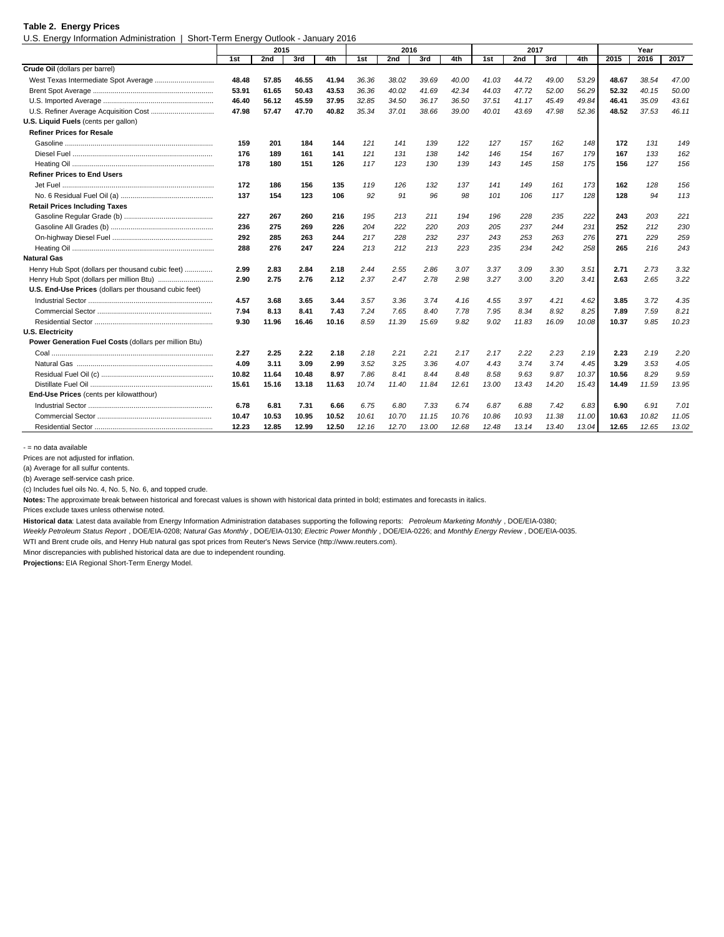#### **Table 2. Energy Prices**

U.S. Energy Information Administration | Short-Term Energy Outlook - January 2016

|                                                       |       | 2015  |       |       |       | 2016  |       |       |       | 2017  |       |       |       | Year  |       |
|-------------------------------------------------------|-------|-------|-------|-------|-------|-------|-------|-------|-------|-------|-------|-------|-------|-------|-------|
|                                                       | 1st   | 2nd   | 3rd   | 4th   | 1st   | 2nd   | 3rd   | 4th   | 1st   | 2nd   | 3rd   | 4th   | 2015  | 2016  | 2017  |
| Crude Oil (dollars per barrel)                        |       |       |       |       |       |       |       |       |       |       |       |       |       |       |       |
|                                                       | 48.48 | 57.85 | 46.55 | 41.94 | 36.36 | 38.02 | 39.69 | 40.00 | 41.03 | 44.72 | 49.00 | 53.29 | 48.67 | 38.54 | 47.00 |
|                                                       | 53.91 | 61.65 | 50.43 | 43.53 | 36.36 | 40.02 | 41.69 | 42.34 | 44.03 | 47.72 | 52.00 | 56.29 | 52.32 | 40.15 | 50.00 |
|                                                       | 46.40 | 56.12 | 45.59 | 37.95 | 32.85 | 34.50 | 36.17 | 36.50 | 37.51 | 41.17 | 45.49 | 49.84 | 46.41 | 35.09 | 43.61 |
|                                                       | 47.98 | 57.47 | 47.70 | 40.82 | 35.34 | 37.01 | 38.66 | 39.00 | 40.01 | 43.69 | 47.98 | 52.36 | 48.52 | 37.53 | 46.11 |
| U.S. Liquid Fuels (cents per gallon)                  |       |       |       |       |       |       |       |       |       |       |       |       |       |       |       |
| <b>Refiner Prices for Resale</b>                      |       |       |       |       |       |       |       |       |       |       |       |       |       |       |       |
|                                                       | 159   | 201   | 184   | 144   | 121   | 141   | 139   | 122   | 127   | 157   | 162   | 148   | 172   | 131   | 149   |
|                                                       | 176   | 189   | 161   | 141   | 121   | 131   | 138   | 142   | 146   | 154   | 167   | 179   | 167   | 133   | 162   |
|                                                       | 178   | 180   | 151   | 126   | 117   | 123   | 130   | 139   | 143   | 145   | 158   | 175   | 156   | 127   | 156   |
| <b>Refiner Prices to End Users</b>                    |       |       |       |       |       |       |       |       |       |       |       |       |       |       |       |
|                                                       | 172   | 186   | 156   | 135   | 119   | 126   | 132   | 137   | 141   | 149   | 161   | 173   | 162   | 128   | 156   |
|                                                       | 137   | 154   | 123   | 106   | 92    | 91    | 96    | 98    | 101   | 106   | 117   | 128   | 128   | 94    | 113   |
| <b>Retail Prices Including Taxes</b>                  |       |       |       |       |       |       |       |       |       |       |       |       |       |       |       |
|                                                       | 227   | 267   | 260   | 216   | 195   | 213   | 211   | 194   | 196   | 228   | 235   | 222   | 243   | 203   | 221   |
|                                                       | 236   | 275   | 269   | 226   | 204   | 222   | 220   | 203   | 205   | 237   | 244   | 231   | 252   | 212   | 230   |
|                                                       | 292   | 285   | 263   | 244   | 217   | 228   | 232   | 237   | 243   | 253   | 263   | 276   | 271   | 229   | 259   |
|                                                       | 288   | 276   | 247   | 224   | 213   | 212   | 213   | 223   | 235   | 234   | 242   | 258   | 265   | 216   | 243   |
| <b>Natural Gas</b>                                    |       |       |       |       |       |       |       |       |       |       |       |       |       |       |       |
| Henry Hub Spot (dollars per thousand cubic feet)      | 2.99  | 2.83  | 2.84  | 2.18  | 2.44  | 2.55  | 2.86  | 3.07  | 3.37  | 3.09  | 3.30  | 3.51  | 2.71  | 2.73  | 3.32  |
|                                                       | 2.90  | 2.75  | 2.76  | 2.12  | 2.37  | 2.47  | 2.78  | 2.98  | 3.27  | 3.00  | 3.20  | 3.41  | 2.63  | 2.65  | 3.22  |
| U.S. End-Use Prices (dollars per thousand cubic feet) |       |       |       |       |       |       |       |       |       |       |       |       |       |       |       |
|                                                       | 4.57  | 3.68  | 3.65  | 3.44  | 3.57  | 3.36  | 3.74  | 4.16  | 4.55  | 3.97  | 4.21  | 4.62  | 3.85  | 3.72  | 4.35  |
|                                                       | 7.94  | 8.13  | 8.41  | 7.43  | 7.24  | 7.65  | 8.40  | 7.78  | 7.95  | 8.34  | 8.92  | 8.25  | 7.89  | 7.59  | 8.21  |
|                                                       | 9.30  | 11.96 | 16.46 | 10.16 | 8.59  | 11.39 | 15.69 | 9.82  | 9.02  | 11.83 | 16.09 | 10.08 | 10.37 | 9.85  | 10.23 |
| <b>U.S. Electricity</b>                               |       |       |       |       |       |       |       |       |       |       |       |       |       |       |       |
| Power Generation Fuel Costs (dollars per million Btu) |       |       |       |       |       |       |       |       |       |       |       |       |       |       |       |
|                                                       | 2.27  | 2.25  | 2.22  | 2.18  | 2.18  | 2.21  | 2.21  | 2.17  | 2.17  | 2.22  | 2.23  | 2.19  | 2.23  | 2.19  | 2.20  |
|                                                       | 4.09  | 3.11  | 3.09  | 2.99  | 3.52  | 3.25  | 3.36  | 4.07  | 4.43  | 3.74  | 3.74  | 4.45  | 3.29  | 3.53  | 4.05  |
|                                                       | 10.82 | 11.64 | 10.48 | 8.97  | 7.86  | 8.41  | 8.44  | 8.48  | 8.58  | 9.63  | 9.87  | 10.37 | 10.56 | 8.29  | 9.59  |
|                                                       | 15.61 | 15.16 | 13.18 | 11.63 | 10.74 | 11.40 | 11.84 | 12.61 | 13.00 | 13.43 | 14.20 | 15.43 | 14.49 | 11.59 | 13.95 |
| End-Use Prices (cents per kilowatthour)               |       |       |       |       |       |       |       |       |       |       |       |       |       |       |       |
|                                                       | 6.78  | 6.81  | 7.31  | 6.66  | 6.75  | 6.80  | 7.33  | 6.74  | 6.87  | 6.88  | 7.42  | 6.83  | 6.90  | 6.91  | 7.01  |
|                                                       | 10.47 | 10.53 | 10.95 | 10.52 | 10.61 | 10.70 | 11.15 | 10.76 | 10.86 | 10.93 | 11.38 | 11.00 | 10.63 | 10.82 | 11.05 |
|                                                       | 12.23 | 12.85 | 12.99 | 12.50 | 12.16 | 12.70 | 13.00 | 12.68 | 12.48 | 13.14 | 13.40 | 13.04 | 12.65 | 12.65 | 13.02 |

- = no data available

Prices are not adjusted for inflation.

(a) Average for all sulfur contents.

(b) Average self-service cash price.

(c) Includes fuel oils No. 4, No. 5, No. 6, and topped crude.

**Notes:** The approximate break between historical and forecast values is shown with historical data printed in bold; estimates and forecasts in italics.

Prices exclude taxes unless otherwise noted.

**Historical data**: Latest data available from Energy Information Administration databases supporting the following reports: *Petroleum Marketing Monthly* , DOE/EIA-0380;

*Weekly Petroleum Status Report* , DOE/EIA-0208; *Natural Gas Monthly* , DOE/EIA-0130; *Electric Power Monthly* , DOE/EIA-0226; and *Monthly Energy Review* , DOE/EIA-0035.

WTI and Brent crude oils, and Henry Hub natural gas spot prices from Reuter's News Service (http://www.reuters.com).

Minor discrepancies with published historical data are due to independent rounding.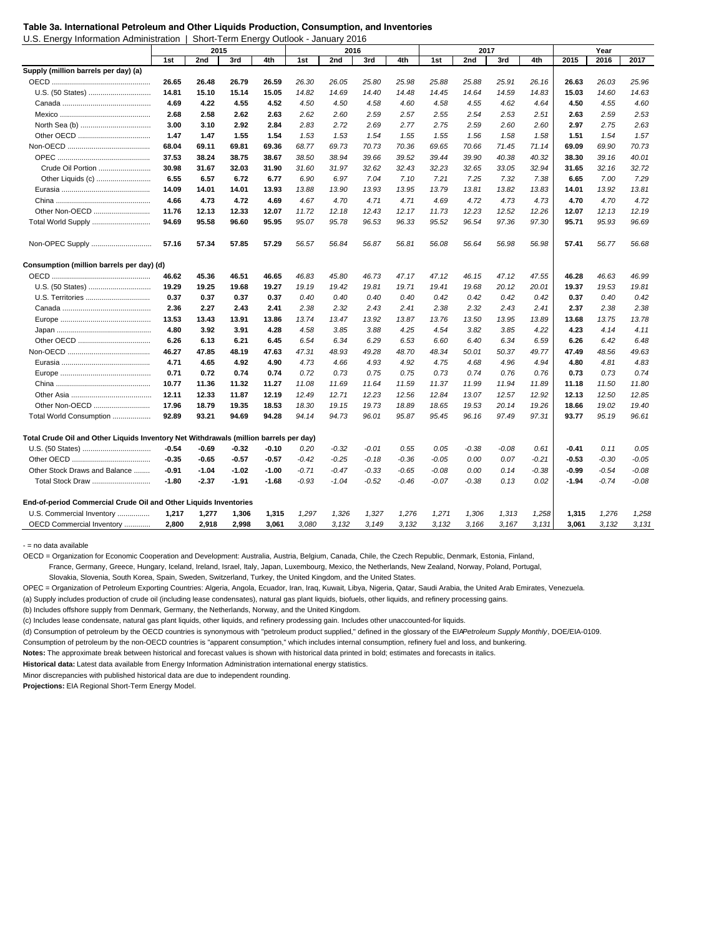U.S. Energy Information Administration | Short-Term Energy Outlook - January 2016

| 2015<br>2016<br>2017<br>2nd<br>3rd<br>4th<br>2nd<br>3rd<br>4th<br>2nd<br>3rd<br>4th<br>1st<br>1st<br>1st<br>26.65<br>26.48<br>26.79<br>26.59<br>26.30<br>26.05<br>25.80<br>25.98<br>25.88<br>25.88<br>25.91<br>26.16<br>26.63<br>26.03<br>25.96<br>U.S. (50 States)<br>15.05<br>14.82<br>14.83<br>15.03<br>14.60<br>14.63<br>14.81<br>15.10<br>15.14<br>14.69<br>14.40<br>14.48<br>14.45<br>14.64<br>14.59<br>4.69<br>4.22<br>4.55<br>4.52<br>4.50<br>4.50<br>4.58<br>4.60<br>4.58<br>4.55<br>4.62<br>4.64<br>4.50<br>4.55<br>4.60<br>2.68<br>2.62<br>2.63<br>2.62<br>2.53<br>2.58<br>2.60<br>2.59<br>2.57<br>2.55<br>2.54<br>2.53<br>2.51<br>2.63<br>2.59<br>3.00<br>2.92<br>2.84<br>2.83<br>2.63<br>3.10<br>2.72<br>2.69<br>2.77<br>2.75<br>2.59<br>2.60<br>2.60<br>2.97<br>2.75<br>1.47<br>1.47<br>1.55<br>1.57<br>1.54<br>1.53<br>1.53<br>1.54<br>1.55<br>1.55<br>1.56<br>1.58<br>1.58<br>1.51<br>1.54<br>68.04<br>69.73<br>70.36<br>69.65<br>71.14<br>69.09<br>69.90<br>70.73<br>69.11<br>69.81<br>69.36<br>68.77<br>70.73<br>70.66<br>71.45<br>40.01<br>37.53<br>38.24<br>38.75<br>38.67<br>38.50<br>38.94<br>39.66<br>39.52<br>39.44<br>39.90<br>40.38<br>40.32<br>38.30<br>39.16<br>Crude Oil Portion<br>30.98<br>32.03<br>32.23<br>32.94<br>31.65<br>32.16<br>32.72<br>31.67<br>31.90<br>31.60<br>31.97<br>32.62<br>32.43<br>32.65<br>33.05<br>6.55<br>7.29<br>6.57<br>6.72<br>6.77<br>6.90<br>6.97<br>7.04<br>7.10<br>7.21<br>7.25<br>7.32<br>7.38<br>6.65<br>7.00<br>13.81<br>14.09<br>14.01<br>14.01<br>13.93<br>13.88<br>13.90<br>13.93<br>13.95<br>13.79<br>13.81<br>13.82<br>13.83<br>14.01<br>13.92<br>4.66<br>4.73<br>4.72<br>4.69<br>4.70<br>4.70<br>4.72<br>4.67<br>4.70<br>4.71<br>4.71<br>4.69<br>4.72<br>4.73<br>4.73<br>Other Non-OECD<br>11.76<br>12.52<br>12.19<br>12.13<br>12.33<br>12.07<br>11.72<br>12.18<br>12.43<br>12.17<br>11.73<br>12.23<br>12.26<br>12.07<br>12.13<br>Total World Supply<br>95.71<br>95.93<br>96.69<br>94.69<br>95.58<br>96.60<br>95.95<br>95.07<br>95.78<br>96.53<br>96.33<br>95.52<br>96.54<br>97.36<br>97.30<br>Non-OPEC Supply<br>57.16<br>57.34<br>57.85<br>57.29<br>56.98<br>57.41<br>56.57<br>56.84<br>56.87<br>56.81<br>56.08<br>56.64<br>56.98<br>56.77<br>56.68<br>Consumption (million barrels per day) (d)<br>46.62<br>45.36<br>46.51<br>46.65<br>46.83<br>45.80<br>46.73<br>47.17<br>47.12<br>46.15<br>47.12<br>47.55<br>46.28<br>46.63<br>46.99<br>U.S. (50 States)<br>19.29<br>19.25<br>19.27<br>19.42<br>19.81<br>19.71<br>20.12<br>19.37<br>19.53<br>19.81<br>19.68<br>19.19<br>19.41<br>19.68<br>20.01<br>0.37<br>0.37<br>0.42<br>U.S. Territories<br>0.37<br>0.37<br>0.40<br>0.40<br>0.40<br>0.40<br>0.42<br>0.42<br>0.42<br>0.42<br>0.37<br>0.40<br>2.36<br>2.27<br>2.43<br>2.41<br>2.38<br>2.32<br>2.43<br>2.41<br>2.38<br>2.32<br>2.43<br>2.41<br>2.37<br>2.38<br>2.38<br>13.89<br>13.78<br>13.53<br>13.43<br>13.91<br>13.86<br>13.74<br>13.47<br>13.92<br>13.87<br>13.76<br>13.50<br>13.95<br>13.68<br>13.75<br>4.80<br>4.23<br>4.14<br>4.11<br>3.92<br>3.91<br>4.28<br>4.58<br>3.85<br>3.88<br>4.25<br>4.54<br>3.82<br>3.85<br>4.22<br>6.26<br>6.13<br>6.21<br>6.45<br>6.54<br>6.34<br>6.29<br>6.53<br>6.60<br>6.40<br>6.34<br>6.59<br>6.26<br>6.42<br>6.48<br>46.27<br>47.85<br>48.19<br>47.63<br>47.31<br>48.93<br>49.28<br>48.70<br>48.34<br>50.01<br>50.37<br>49.77<br>47.49<br>48.56<br>49.63<br>4.71<br>4.65<br>4.92<br>4.90<br>4.73<br>4.66<br>4.93<br>4.92<br>4.75<br>4.68<br>4.96<br>4.94<br>4.80<br>4.81<br>4.83<br>0.71<br>0.73<br>0.74<br>0.72<br>0.74<br>0.74<br>0.72<br>0.73<br>0.75<br>0.75<br>0.73<br>0.74<br>0.76<br>0.76<br>0.73<br>10.77<br>11.36<br>11.32<br>11.27<br>11.08<br>11.69<br>11.59<br>11.37<br>11.99<br>11.94<br>11.89<br>11.18<br>11.50<br>11.80<br>11.64<br>12.11<br>12.33<br>12.19<br>12.49<br>12.71<br>12.23<br>12.57<br>12.92<br>12.13<br>12.50<br>12.85<br>11.87<br>12.56<br>12.84<br>13.07<br>Other Non-OECD<br>17.96<br>18.79<br>19.35<br>18.53<br>18.30<br>19.15<br>19.73<br>18.89<br>18.65<br>19.53<br>20.14<br>19.26<br>18.66<br>19.02<br>19.40<br>Total World Consumption<br>92.89<br>93.21<br>94.69<br>94.28<br>94.73<br>96.01<br>95.87<br>96.16<br>97.49<br>97.31<br>93.77<br>95.19<br>96.61<br>94.14<br>95.45<br>Total Crude Oil and Other Liquids Inventory Net Withdrawals (million barrels per day)<br>$-0.54$<br>$-0.69$<br>$-0.32$<br>$-0.32$<br>$-0.01$<br>0.55<br>0.05<br>$-0.38$<br>$-0.08$<br>$-0.41$<br>0.11<br>0.05<br>$-0.10$<br>0.20<br>0.61<br>$-0.53$<br>$-0.35$<br>$-0.65$<br>$-0.57$<br>$-0.57$<br>$-0.42$<br>$-0.25$<br>$-0.18$<br>$-0.36$<br>$-0.05$<br>0.00<br>0.07<br>$-0.21$<br>$-0.30$<br>$-0.05$<br>Other Stock Draws and Balance<br>$-0.91$<br>$-0.38$<br>$-0.99$<br>$-0.54$<br>$-0.08$<br>$-1.04$<br>$-1.02$<br>-1.00<br>$-0.71$<br>$-0.47$<br>$-0.33$<br>$-0.65$<br>$-0.08$<br>0.00<br>0.14 |                                      |         | 2015    |         |         |         | 2016    |         |         |         | 2017    |      |      |         | Year    |         |
|------------------------------------------------------------------------------------------------------------------------------------------------------------------------------------------------------------------------------------------------------------------------------------------------------------------------------------------------------------------------------------------------------------------------------------------------------------------------------------------------------------------------------------------------------------------------------------------------------------------------------------------------------------------------------------------------------------------------------------------------------------------------------------------------------------------------------------------------------------------------------------------------------------------------------------------------------------------------------------------------------------------------------------------------------------------------------------------------------------------------------------------------------------------------------------------------------------------------------------------------------------------------------------------------------------------------------------------------------------------------------------------------------------------------------------------------------------------------------------------------------------------------------------------------------------------------------------------------------------------------------------------------------------------------------------------------------------------------------------------------------------------------------------------------------------------------------------------------------------------------------------------------------------------------------------------------------------------------------------------------------------------------------------------------------------------------------------------------------------------------------------------------------------------------------------------------------------------------------------------------------------------------------------------------------------------------------------------------------------------------------------------------------------------------------------------------------------------------------------------------------------------------------------------------------------------------------------------------------------------------------------------------------------------------------------------------------------------------------------------------------------------------------------------------------------------------------------------------------------------------------------------------------------------------------------------------------------------------------------------------------------------------------------------------------------------------------------------------------------------------------------------------------------------------------------------------------------------------------------------------------------------------------------------------------------------------------------------------------------------------------------------------------------------------------------------------------------------------------------------------------------------------------------------------------------------------------------------------------------------------------------------------------------------------------------------------------------------------------------------------------------------------------------------------------------------------------------------------------------------------------------------------------------------------------------------------------------------------------------------------------------------------------------------------------------------------------------------------------------------------------------------------------------------------------------------------------------------------------------------------------------------------------------------------------------------------------------------------------------------------------------------------------------------------------------------------------------------------------------------------------------------------------------------------------------------------------------------------------------------------------------------------------------------------------------------------------------------------------------------------------------------------------------------------------------------------------------------------|--------------------------------------|---------|---------|---------|---------|---------|---------|---------|---------|---------|---------|------|------|---------|---------|---------|
|                                                                                                                                                                                                                                                                                                                                                                                                                                                                                                                                                                                                                                                                                                                                                                                                                                                                                                                                                                                                                                                                                                                                                                                                                                                                                                                                                                                                                                                                                                                                                                                                                                                                                                                                                                                                                                                                                                                                                                                                                                                                                                                                                                                                                                                                                                                                                                                                                                                                                                                                                                                                                                                                                                                                                                                                                                                                                                                                                                                                                                                                                                                                                                                                                                                                                                                                                                                                                                                                                                                                                                                                                                                                                                                                                                                                                                                                                                                                                                                                                                                                                                                                                                                                                                                                                                                                                                                                                                                                                                                                                                                                                                                                                                                                                                                                                                                |                                      |         |         |         |         |         |         |         |         |         |         |      |      |         |         |         |
|                                                                                                                                                                                                                                                                                                                                                                                                                                                                                                                                                                                                                                                                                                                                                                                                                                                                                                                                                                                                                                                                                                                                                                                                                                                                                                                                                                                                                                                                                                                                                                                                                                                                                                                                                                                                                                                                                                                                                                                                                                                                                                                                                                                                                                                                                                                                                                                                                                                                                                                                                                                                                                                                                                                                                                                                                                                                                                                                                                                                                                                                                                                                                                                                                                                                                                                                                                                                                                                                                                                                                                                                                                                                                                                                                                                                                                                                                                                                                                                                                                                                                                                                                                                                                                                                                                                                                                                                                                                                                                                                                                                                                                                                                                                                                                                                                                                | Supply (million barrels per day) (a) |         |         |         |         |         |         |         |         |         |         |      |      |         |         |         |
|                                                                                                                                                                                                                                                                                                                                                                                                                                                                                                                                                                                                                                                                                                                                                                                                                                                                                                                                                                                                                                                                                                                                                                                                                                                                                                                                                                                                                                                                                                                                                                                                                                                                                                                                                                                                                                                                                                                                                                                                                                                                                                                                                                                                                                                                                                                                                                                                                                                                                                                                                                                                                                                                                                                                                                                                                                                                                                                                                                                                                                                                                                                                                                                                                                                                                                                                                                                                                                                                                                                                                                                                                                                                                                                                                                                                                                                                                                                                                                                                                                                                                                                                                                                                                                                                                                                                                                                                                                                                                                                                                                                                                                                                                                                                                                                                                                                |                                      |         |         |         |         |         |         |         |         |         |         |      |      |         |         |         |
|                                                                                                                                                                                                                                                                                                                                                                                                                                                                                                                                                                                                                                                                                                                                                                                                                                                                                                                                                                                                                                                                                                                                                                                                                                                                                                                                                                                                                                                                                                                                                                                                                                                                                                                                                                                                                                                                                                                                                                                                                                                                                                                                                                                                                                                                                                                                                                                                                                                                                                                                                                                                                                                                                                                                                                                                                                                                                                                                                                                                                                                                                                                                                                                                                                                                                                                                                                                                                                                                                                                                                                                                                                                                                                                                                                                                                                                                                                                                                                                                                                                                                                                                                                                                                                                                                                                                                                                                                                                                                                                                                                                                                                                                                                                                                                                                                                                |                                      |         |         |         |         |         |         |         |         |         |         |      |      |         |         |         |
|                                                                                                                                                                                                                                                                                                                                                                                                                                                                                                                                                                                                                                                                                                                                                                                                                                                                                                                                                                                                                                                                                                                                                                                                                                                                                                                                                                                                                                                                                                                                                                                                                                                                                                                                                                                                                                                                                                                                                                                                                                                                                                                                                                                                                                                                                                                                                                                                                                                                                                                                                                                                                                                                                                                                                                                                                                                                                                                                                                                                                                                                                                                                                                                                                                                                                                                                                                                                                                                                                                                                                                                                                                                                                                                                                                                                                                                                                                                                                                                                                                                                                                                                                                                                                                                                                                                                                                                                                                                                                                                                                                                                                                                                                                                                                                                                                                                |                                      |         |         |         |         |         |         |         |         |         |         |      |      |         |         |         |
|                                                                                                                                                                                                                                                                                                                                                                                                                                                                                                                                                                                                                                                                                                                                                                                                                                                                                                                                                                                                                                                                                                                                                                                                                                                                                                                                                                                                                                                                                                                                                                                                                                                                                                                                                                                                                                                                                                                                                                                                                                                                                                                                                                                                                                                                                                                                                                                                                                                                                                                                                                                                                                                                                                                                                                                                                                                                                                                                                                                                                                                                                                                                                                                                                                                                                                                                                                                                                                                                                                                                                                                                                                                                                                                                                                                                                                                                                                                                                                                                                                                                                                                                                                                                                                                                                                                                                                                                                                                                                                                                                                                                                                                                                                                                                                                                                                                |                                      |         |         |         |         |         |         |         |         |         |         |      |      |         |         |         |
|                                                                                                                                                                                                                                                                                                                                                                                                                                                                                                                                                                                                                                                                                                                                                                                                                                                                                                                                                                                                                                                                                                                                                                                                                                                                                                                                                                                                                                                                                                                                                                                                                                                                                                                                                                                                                                                                                                                                                                                                                                                                                                                                                                                                                                                                                                                                                                                                                                                                                                                                                                                                                                                                                                                                                                                                                                                                                                                                                                                                                                                                                                                                                                                                                                                                                                                                                                                                                                                                                                                                                                                                                                                                                                                                                                                                                                                                                                                                                                                                                                                                                                                                                                                                                                                                                                                                                                                                                                                                                                                                                                                                                                                                                                                                                                                                                                                |                                      |         |         |         |         |         |         |         |         |         |         |      |      |         |         |         |
|                                                                                                                                                                                                                                                                                                                                                                                                                                                                                                                                                                                                                                                                                                                                                                                                                                                                                                                                                                                                                                                                                                                                                                                                                                                                                                                                                                                                                                                                                                                                                                                                                                                                                                                                                                                                                                                                                                                                                                                                                                                                                                                                                                                                                                                                                                                                                                                                                                                                                                                                                                                                                                                                                                                                                                                                                                                                                                                                                                                                                                                                                                                                                                                                                                                                                                                                                                                                                                                                                                                                                                                                                                                                                                                                                                                                                                                                                                                                                                                                                                                                                                                                                                                                                                                                                                                                                                                                                                                                                                                                                                                                                                                                                                                                                                                                                                                |                                      |         |         |         |         |         |         |         |         |         |         |      |      |         |         |         |
|                                                                                                                                                                                                                                                                                                                                                                                                                                                                                                                                                                                                                                                                                                                                                                                                                                                                                                                                                                                                                                                                                                                                                                                                                                                                                                                                                                                                                                                                                                                                                                                                                                                                                                                                                                                                                                                                                                                                                                                                                                                                                                                                                                                                                                                                                                                                                                                                                                                                                                                                                                                                                                                                                                                                                                                                                                                                                                                                                                                                                                                                                                                                                                                                                                                                                                                                                                                                                                                                                                                                                                                                                                                                                                                                                                                                                                                                                                                                                                                                                                                                                                                                                                                                                                                                                                                                                                                                                                                                                                                                                                                                                                                                                                                                                                                                                                                |                                      |         |         |         |         |         |         |         |         |         |         |      |      |         |         |         |
|                                                                                                                                                                                                                                                                                                                                                                                                                                                                                                                                                                                                                                                                                                                                                                                                                                                                                                                                                                                                                                                                                                                                                                                                                                                                                                                                                                                                                                                                                                                                                                                                                                                                                                                                                                                                                                                                                                                                                                                                                                                                                                                                                                                                                                                                                                                                                                                                                                                                                                                                                                                                                                                                                                                                                                                                                                                                                                                                                                                                                                                                                                                                                                                                                                                                                                                                                                                                                                                                                                                                                                                                                                                                                                                                                                                                                                                                                                                                                                                                                                                                                                                                                                                                                                                                                                                                                                                                                                                                                                                                                                                                                                                                                                                                                                                                                                                |                                      |         |         |         |         |         |         |         |         |         |         |      |      |         |         |         |
|                                                                                                                                                                                                                                                                                                                                                                                                                                                                                                                                                                                                                                                                                                                                                                                                                                                                                                                                                                                                                                                                                                                                                                                                                                                                                                                                                                                                                                                                                                                                                                                                                                                                                                                                                                                                                                                                                                                                                                                                                                                                                                                                                                                                                                                                                                                                                                                                                                                                                                                                                                                                                                                                                                                                                                                                                                                                                                                                                                                                                                                                                                                                                                                                                                                                                                                                                                                                                                                                                                                                                                                                                                                                                                                                                                                                                                                                                                                                                                                                                                                                                                                                                                                                                                                                                                                                                                                                                                                                                                                                                                                                                                                                                                                                                                                                                                                |                                      |         |         |         |         |         |         |         |         |         |         |      |      |         |         |         |
|                                                                                                                                                                                                                                                                                                                                                                                                                                                                                                                                                                                                                                                                                                                                                                                                                                                                                                                                                                                                                                                                                                                                                                                                                                                                                                                                                                                                                                                                                                                                                                                                                                                                                                                                                                                                                                                                                                                                                                                                                                                                                                                                                                                                                                                                                                                                                                                                                                                                                                                                                                                                                                                                                                                                                                                                                                                                                                                                                                                                                                                                                                                                                                                                                                                                                                                                                                                                                                                                                                                                                                                                                                                                                                                                                                                                                                                                                                                                                                                                                                                                                                                                                                                                                                                                                                                                                                                                                                                                                                                                                                                                                                                                                                                                                                                                                                                |                                      |         |         |         |         |         |         |         |         |         |         |      |      |         |         |         |
|                                                                                                                                                                                                                                                                                                                                                                                                                                                                                                                                                                                                                                                                                                                                                                                                                                                                                                                                                                                                                                                                                                                                                                                                                                                                                                                                                                                                                                                                                                                                                                                                                                                                                                                                                                                                                                                                                                                                                                                                                                                                                                                                                                                                                                                                                                                                                                                                                                                                                                                                                                                                                                                                                                                                                                                                                                                                                                                                                                                                                                                                                                                                                                                                                                                                                                                                                                                                                                                                                                                                                                                                                                                                                                                                                                                                                                                                                                                                                                                                                                                                                                                                                                                                                                                                                                                                                                                                                                                                                                                                                                                                                                                                                                                                                                                                                                                |                                      |         |         |         |         |         |         |         |         |         |         |      |      |         |         |         |
|                                                                                                                                                                                                                                                                                                                                                                                                                                                                                                                                                                                                                                                                                                                                                                                                                                                                                                                                                                                                                                                                                                                                                                                                                                                                                                                                                                                                                                                                                                                                                                                                                                                                                                                                                                                                                                                                                                                                                                                                                                                                                                                                                                                                                                                                                                                                                                                                                                                                                                                                                                                                                                                                                                                                                                                                                                                                                                                                                                                                                                                                                                                                                                                                                                                                                                                                                                                                                                                                                                                                                                                                                                                                                                                                                                                                                                                                                                                                                                                                                                                                                                                                                                                                                                                                                                                                                                                                                                                                                                                                                                                                                                                                                                                                                                                                                                                |                                      |         |         |         |         |         |         |         |         |         |         |      |      |         |         |         |
|                                                                                                                                                                                                                                                                                                                                                                                                                                                                                                                                                                                                                                                                                                                                                                                                                                                                                                                                                                                                                                                                                                                                                                                                                                                                                                                                                                                                                                                                                                                                                                                                                                                                                                                                                                                                                                                                                                                                                                                                                                                                                                                                                                                                                                                                                                                                                                                                                                                                                                                                                                                                                                                                                                                                                                                                                                                                                                                                                                                                                                                                                                                                                                                                                                                                                                                                                                                                                                                                                                                                                                                                                                                                                                                                                                                                                                                                                                                                                                                                                                                                                                                                                                                                                                                                                                                                                                                                                                                                                                                                                                                                                                                                                                                                                                                                                                                |                                      |         |         |         |         |         |         |         |         |         |         |      |      |         |         |         |
|                                                                                                                                                                                                                                                                                                                                                                                                                                                                                                                                                                                                                                                                                                                                                                                                                                                                                                                                                                                                                                                                                                                                                                                                                                                                                                                                                                                                                                                                                                                                                                                                                                                                                                                                                                                                                                                                                                                                                                                                                                                                                                                                                                                                                                                                                                                                                                                                                                                                                                                                                                                                                                                                                                                                                                                                                                                                                                                                                                                                                                                                                                                                                                                                                                                                                                                                                                                                                                                                                                                                                                                                                                                                                                                                                                                                                                                                                                                                                                                                                                                                                                                                                                                                                                                                                                                                                                                                                                                                                                                                                                                                                                                                                                                                                                                                                                                |                                      |         |         |         |         |         |         |         |         |         |         |      |      |         |         |         |
|                                                                                                                                                                                                                                                                                                                                                                                                                                                                                                                                                                                                                                                                                                                                                                                                                                                                                                                                                                                                                                                                                                                                                                                                                                                                                                                                                                                                                                                                                                                                                                                                                                                                                                                                                                                                                                                                                                                                                                                                                                                                                                                                                                                                                                                                                                                                                                                                                                                                                                                                                                                                                                                                                                                                                                                                                                                                                                                                                                                                                                                                                                                                                                                                                                                                                                                                                                                                                                                                                                                                                                                                                                                                                                                                                                                                                                                                                                                                                                                                                                                                                                                                                                                                                                                                                                                                                                                                                                                                                                                                                                                                                                                                                                                                                                                                                                                |                                      |         |         |         |         |         |         |         |         |         |         |      |      |         |         |         |
|                                                                                                                                                                                                                                                                                                                                                                                                                                                                                                                                                                                                                                                                                                                                                                                                                                                                                                                                                                                                                                                                                                                                                                                                                                                                                                                                                                                                                                                                                                                                                                                                                                                                                                                                                                                                                                                                                                                                                                                                                                                                                                                                                                                                                                                                                                                                                                                                                                                                                                                                                                                                                                                                                                                                                                                                                                                                                                                                                                                                                                                                                                                                                                                                                                                                                                                                                                                                                                                                                                                                                                                                                                                                                                                                                                                                                                                                                                                                                                                                                                                                                                                                                                                                                                                                                                                                                                                                                                                                                                                                                                                                                                                                                                                                                                                                                                                |                                      |         |         |         |         |         |         |         |         |         |         |      |      |         |         |         |
|                                                                                                                                                                                                                                                                                                                                                                                                                                                                                                                                                                                                                                                                                                                                                                                                                                                                                                                                                                                                                                                                                                                                                                                                                                                                                                                                                                                                                                                                                                                                                                                                                                                                                                                                                                                                                                                                                                                                                                                                                                                                                                                                                                                                                                                                                                                                                                                                                                                                                                                                                                                                                                                                                                                                                                                                                                                                                                                                                                                                                                                                                                                                                                                                                                                                                                                                                                                                                                                                                                                                                                                                                                                                                                                                                                                                                                                                                                                                                                                                                                                                                                                                                                                                                                                                                                                                                                                                                                                                                                                                                                                                                                                                                                                                                                                                                                                |                                      |         |         |         |         |         |         |         |         |         |         |      |      |         |         |         |
|                                                                                                                                                                                                                                                                                                                                                                                                                                                                                                                                                                                                                                                                                                                                                                                                                                                                                                                                                                                                                                                                                                                                                                                                                                                                                                                                                                                                                                                                                                                                                                                                                                                                                                                                                                                                                                                                                                                                                                                                                                                                                                                                                                                                                                                                                                                                                                                                                                                                                                                                                                                                                                                                                                                                                                                                                                                                                                                                                                                                                                                                                                                                                                                                                                                                                                                                                                                                                                                                                                                                                                                                                                                                                                                                                                                                                                                                                                                                                                                                                                                                                                                                                                                                                                                                                                                                                                                                                                                                                                                                                                                                                                                                                                                                                                                                                                                |                                      |         |         |         |         |         |         |         |         |         |         |      |      |         |         |         |
|                                                                                                                                                                                                                                                                                                                                                                                                                                                                                                                                                                                                                                                                                                                                                                                                                                                                                                                                                                                                                                                                                                                                                                                                                                                                                                                                                                                                                                                                                                                                                                                                                                                                                                                                                                                                                                                                                                                                                                                                                                                                                                                                                                                                                                                                                                                                                                                                                                                                                                                                                                                                                                                                                                                                                                                                                                                                                                                                                                                                                                                                                                                                                                                                                                                                                                                                                                                                                                                                                                                                                                                                                                                                                                                                                                                                                                                                                                                                                                                                                                                                                                                                                                                                                                                                                                                                                                                                                                                                                                                                                                                                                                                                                                                                                                                                                                                |                                      |         |         |         |         |         |         |         |         |         |         |      |      |         |         |         |
|                                                                                                                                                                                                                                                                                                                                                                                                                                                                                                                                                                                                                                                                                                                                                                                                                                                                                                                                                                                                                                                                                                                                                                                                                                                                                                                                                                                                                                                                                                                                                                                                                                                                                                                                                                                                                                                                                                                                                                                                                                                                                                                                                                                                                                                                                                                                                                                                                                                                                                                                                                                                                                                                                                                                                                                                                                                                                                                                                                                                                                                                                                                                                                                                                                                                                                                                                                                                                                                                                                                                                                                                                                                                                                                                                                                                                                                                                                                                                                                                                                                                                                                                                                                                                                                                                                                                                                                                                                                                                                                                                                                                                                                                                                                                                                                                                                                |                                      |         |         |         |         |         |         |         |         |         |         |      |      |         |         |         |
|                                                                                                                                                                                                                                                                                                                                                                                                                                                                                                                                                                                                                                                                                                                                                                                                                                                                                                                                                                                                                                                                                                                                                                                                                                                                                                                                                                                                                                                                                                                                                                                                                                                                                                                                                                                                                                                                                                                                                                                                                                                                                                                                                                                                                                                                                                                                                                                                                                                                                                                                                                                                                                                                                                                                                                                                                                                                                                                                                                                                                                                                                                                                                                                                                                                                                                                                                                                                                                                                                                                                                                                                                                                                                                                                                                                                                                                                                                                                                                                                                                                                                                                                                                                                                                                                                                                                                                                                                                                                                                                                                                                                                                                                                                                                                                                                                                                |                                      |         |         |         |         |         |         |         |         |         |         |      |      |         |         |         |
|                                                                                                                                                                                                                                                                                                                                                                                                                                                                                                                                                                                                                                                                                                                                                                                                                                                                                                                                                                                                                                                                                                                                                                                                                                                                                                                                                                                                                                                                                                                                                                                                                                                                                                                                                                                                                                                                                                                                                                                                                                                                                                                                                                                                                                                                                                                                                                                                                                                                                                                                                                                                                                                                                                                                                                                                                                                                                                                                                                                                                                                                                                                                                                                                                                                                                                                                                                                                                                                                                                                                                                                                                                                                                                                                                                                                                                                                                                                                                                                                                                                                                                                                                                                                                                                                                                                                                                                                                                                                                                                                                                                                                                                                                                                                                                                                                                                |                                      |         |         |         |         |         |         |         |         |         |         |      |      |         |         |         |
|                                                                                                                                                                                                                                                                                                                                                                                                                                                                                                                                                                                                                                                                                                                                                                                                                                                                                                                                                                                                                                                                                                                                                                                                                                                                                                                                                                                                                                                                                                                                                                                                                                                                                                                                                                                                                                                                                                                                                                                                                                                                                                                                                                                                                                                                                                                                                                                                                                                                                                                                                                                                                                                                                                                                                                                                                                                                                                                                                                                                                                                                                                                                                                                                                                                                                                                                                                                                                                                                                                                                                                                                                                                                                                                                                                                                                                                                                                                                                                                                                                                                                                                                                                                                                                                                                                                                                                                                                                                                                                                                                                                                                                                                                                                                                                                                                                                |                                      |         |         |         |         |         |         |         |         |         |         |      |      |         |         |         |
|                                                                                                                                                                                                                                                                                                                                                                                                                                                                                                                                                                                                                                                                                                                                                                                                                                                                                                                                                                                                                                                                                                                                                                                                                                                                                                                                                                                                                                                                                                                                                                                                                                                                                                                                                                                                                                                                                                                                                                                                                                                                                                                                                                                                                                                                                                                                                                                                                                                                                                                                                                                                                                                                                                                                                                                                                                                                                                                                                                                                                                                                                                                                                                                                                                                                                                                                                                                                                                                                                                                                                                                                                                                                                                                                                                                                                                                                                                                                                                                                                                                                                                                                                                                                                                                                                                                                                                                                                                                                                                                                                                                                                                                                                                                                                                                                                                                |                                      |         |         |         |         |         |         |         |         |         |         |      |      |         |         |         |
|                                                                                                                                                                                                                                                                                                                                                                                                                                                                                                                                                                                                                                                                                                                                                                                                                                                                                                                                                                                                                                                                                                                                                                                                                                                                                                                                                                                                                                                                                                                                                                                                                                                                                                                                                                                                                                                                                                                                                                                                                                                                                                                                                                                                                                                                                                                                                                                                                                                                                                                                                                                                                                                                                                                                                                                                                                                                                                                                                                                                                                                                                                                                                                                                                                                                                                                                                                                                                                                                                                                                                                                                                                                                                                                                                                                                                                                                                                                                                                                                                                                                                                                                                                                                                                                                                                                                                                                                                                                                                                                                                                                                                                                                                                                                                                                                                                                |                                      |         |         |         |         |         |         |         |         |         |         |      |      |         |         |         |
|                                                                                                                                                                                                                                                                                                                                                                                                                                                                                                                                                                                                                                                                                                                                                                                                                                                                                                                                                                                                                                                                                                                                                                                                                                                                                                                                                                                                                                                                                                                                                                                                                                                                                                                                                                                                                                                                                                                                                                                                                                                                                                                                                                                                                                                                                                                                                                                                                                                                                                                                                                                                                                                                                                                                                                                                                                                                                                                                                                                                                                                                                                                                                                                                                                                                                                                                                                                                                                                                                                                                                                                                                                                                                                                                                                                                                                                                                                                                                                                                                                                                                                                                                                                                                                                                                                                                                                                                                                                                                                                                                                                                                                                                                                                                                                                                                                                |                                      |         |         |         |         |         |         |         |         |         |         |      |      |         |         |         |
|                                                                                                                                                                                                                                                                                                                                                                                                                                                                                                                                                                                                                                                                                                                                                                                                                                                                                                                                                                                                                                                                                                                                                                                                                                                                                                                                                                                                                                                                                                                                                                                                                                                                                                                                                                                                                                                                                                                                                                                                                                                                                                                                                                                                                                                                                                                                                                                                                                                                                                                                                                                                                                                                                                                                                                                                                                                                                                                                                                                                                                                                                                                                                                                                                                                                                                                                                                                                                                                                                                                                                                                                                                                                                                                                                                                                                                                                                                                                                                                                                                                                                                                                                                                                                                                                                                                                                                                                                                                                                                                                                                                                                                                                                                                                                                                                                                                |                                      |         |         |         |         |         |         |         |         |         |         |      |      |         |         |         |
|                                                                                                                                                                                                                                                                                                                                                                                                                                                                                                                                                                                                                                                                                                                                                                                                                                                                                                                                                                                                                                                                                                                                                                                                                                                                                                                                                                                                                                                                                                                                                                                                                                                                                                                                                                                                                                                                                                                                                                                                                                                                                                                                                                                                                                                                                                                                                                                                                                                                                                                                                                                                                                                                                                                                                                                                                                                                                                                                                                                                                                                                                                                                                                                                                                                                                                                                                                                                                                                                                                                                                                                                                                                                                                                                                                                                                                                                                                                                                                                                                                                                                                                                                                                                                                                                                                                                                                                                                                                                                                                                                                                                                                                                                                                                                                                                                                                |                                      |         |         |         |         |         |         |         |         |         |         |      |      |         |         |         |
|                                                                                                                                                                                                                                                                                                                                                                                                                                                                                                                                                                                                                                                                                                                                                                                                                                                                                                                                                                                                                                                                                                                                                                                                                                                                                                                                                                                                                                                                                                                                                                                                                                                                                                                                                                                                                                                                                                                                                                                                                                                                                                                                                                                                                                                                                                                                                                                                                                                                                                                                                                                                                                                                                                                                                                                                                                                                                                                                                                                                                                                                                                                                                                                                                                                                                                                                                                                                                                                                                                                                                                                                                                                                                                                                                                                                                                                                                                                                                                                                                                                                                                                                                                                                                                                                                                                                                                                                                                                                                                                                                                                                                                                                                                                                                                                                                                                |                                      |         |         |         |         |         |         |         |         |         |         |      |      |         |         |         |
|                                                                                                                                                                                                                                                                                                                                                                                                                                                                                                                                                                                                                                                                                                                                                                                                                                                                                                                                                                                                                                                                                                                                                                                                                                                                                                                                                                                                                                                                                                                                                                                                                                                                                                                                                                                                                                                                                                                                                                                                                                                                                                                                                                                                                                                                                                                                                                                                                                                                                                                                                                                                                                                                                                                                                                                                                                                                                                                                                                                                                                                                                                                                                                                                                                                                                                                                                                                                                                                                                                                                                                                                                                                                                                                                                                                                                                                                                                                                                                                                                                                                                                                                                                                                                                                                                                                                                                                                                                                                                                                                                                                                                                                                                                                                                                                                                                                |                                      |         |         |         |         |         |         |         |         |         |         |      |      |         |         |         |
|                                                                                                                                                                                                                                                                                                                                                                                                                                                                                                                                                                                                                                                                                                                                                                                                                                                                                                                                                                                                                                                                                                                                                                                                                                                                                                                                                                                                                                                                                                                                                                                                                                                                                                                                                                                                                                                                                                                                                                                                                                                                                                                                                                                                                                                                                                                                                                                                                                                                                                                                                                                                                                                                                                                                                                                                                                                                                                                                                                                                                                                                                                                                                                                                                                                                                                                                                                                                                                                                                                                                                                                                                                                                                                                                                                                                                                                                                                                                                                                                                                                                                                                                                                                                                                                                                                                                                                                                                                                                                                                                                                                                                                                                                                                                                                                                                                                |                                      |         |         |         |         |         |         |         |         |         |         |      |      |         |         |         |
|                                                                                                                                                                                                                                                                                                                                                                                                                                                                                                                                                                                                                                                                                                                                                                                                                                                                                                                                                                                                                                                                                                                                                                                                                                                                                                                                                                                                                                                                                                                                                                                                                                                                                                                                                                                                                                                                                                                                                                                                                                                                                                                                                                                                                                                                                                                                                                                                                                                                                                                                                                                                                                                                                                                                                                                                                                                                                                                                                                                                                                                                                                                                                                                                                                                                                                                                                                                                                                                                                                                                                                                                                                                                                                                                                                                                                                                                                                                                                                                                                                                                                                                                                                                                                                                                                                                                                                                                                                                                                                                                                                                                                                                                                                                                                                                                                                                |                                      |         |         |         |         |         |         |         |         |         |         |      |      |         |         |         |
|                                                                                                                                                                                                                                                                                                                                                                                                                                                                                                                                                                                                                                                                                                                                                                                                                                                                                                                                                                                                                                                                                                                                                                                                                                                                                                                                                                                                                                                                                                                                                                                                                                                                                                                                                                                                                                                                                                                                                                                                                                                                                                                                                                                                                                                                                                                                                                                                                                                                                                                                                                                                                                                                                                                                                                                                                                                                                                                                                                                                                                                                                                                                                                                                                                                                                                                                                                                                                                                                                                                                                                                                                                                                                                                                                                                                                                                                                                                                                                                                                                                                                                                                                                                                                                                                                                                                                                                                                                                                                                                                                                                                                                                                                                                                                                                                                                                |                                      |         |         |         |         |         |         |         |         |         |         |      |      |         |         |         |
|                                                                                                                                                                                                                                                                                                                                                                                                                                                                                                                                                                                                                                                                                                                                                                                                                                                                                                                                                                                                                                                                                                                                                                                                                                                                                                                                                                                                                                                                                                                                                                                                                                                                                                                                                                                                                                                                                                                                                                                                                                                                                                                                                                                                                                                                                                                                                                                                                                                                                                                                                                                                                                                                                                                                                                                                                                                                                                                                                                                                                                                                                                                                                                                                                                                                                                                                                                                                                                                                                                                                                                                                                                                                                                                                                                                                                                                                                                                                                                                                                                                                                                                                                                                                                                                                                                                                                                                                                                                                                                                                                                                                                                                                                                                                                                                                                                                |                                      |         |         |         |         |         |         |         |         |         |         |      |      |         |         |         |
|                                                                                                                                                                                                                                                                                                                                                                                                                                                                                                                                                                                                                                                                                                                                                                                                                                                                                                                                                                                                                                                                                                                                                                                                                                                                                                                                                                                                                                                                                                                                                                                                                                                                                                                                                                                                                                                                                                                                                                                                                                                                                                                                                                                                                                                                                                                                                                                                                                                                                                                                                                                                                                                                                                                                                                                                                                                                                                                                                                                                                                                                                                                                                                                                                                                                                                                                                                                                                                                                                                                                                                                                                                                                                                                                                                                                                                                                                                                                                                                                                                                                                                                                                                                                                                                                                                                                                                                                                                                                                                                                                                                                                                                                                                                                                                                                                                                | Total Stock Draw                     | $-1.80$ | $-2.37$ | $-1.91$ | $-1.68$ | $-0.93$ | $-1.04$ | $-0.52$ | $-0.46$ | $-0.07$ | $-0.38$ | 0.13 | 0.02 | $-1.94$ | $-0.74$ | $-0.08$ |
| End-of-period Commercial Crude Oil and Other Liquids Inventories                                                                                                                                                                                                                                                                                                                                                                                                                                                                                                                                                                                                                                                                                                                                                                                                                                                                                                                                                                                                                                                                                                                                                                                                                                                                                                                                                                                                                                                                                                                                                                                                                                                                                                                                                                                                                                                                                                                                                                                                                                                                                                                                                                                                                                                                                                                                                                                                                                                                                                                                                                                                                                                                                                                                                                                                                                                                                                                                                                                                                                                                                                                                                                                                                                                                                                                                                                                                                                                                                                                                                                                                                                                                                                                                                                                                                                                                                                                                                                                                                                                                                                                                                                                                                                                                                                                                                                                                                                                                                                                                                                                                                                                                                                                                                                               |                                      |         |         |         |         |         |         |         |         |         |         |      |      |         |         |         |
| U.S. Commercial Inventory<br>1,217<br>1,277<br>1,306<br>1,315<br>1,297<br>1,326<br>1,327<br>1,276<br>1,271<br>1,306<br>1,313<br>1,258<br>1,315<br>1,276<br>1,258                                                                                                                                                                                                                                                                                                                                                                                                                                                                                                                                                                                                                                                                                                                                                                                                                                                                                                                                                                                                                                                                                                                                                                                                                                                                                                                                                                                                                                                                                                                                                                                                                                                                                                                                                                                                                                                                                                                                                                                                                                                                                                                                                                                                                                                                                                                                                                                                                                                                                                                                                                                                                                                                                                                                                                                                                                                                                                                                                                                                                                                                                                                                                                                                                                                                                                                                                                                                                                                                                                                                                                                                                                                                                                                                                                                                                                                                                                                                                                                                                                                                                                                                                                                                                                                                                                                                                                                                                                                                                                                                                                                                                                                                               |                                      |         |         |         |         |         |         |         |         |         |         |      |      |         |         |         |
| OECD Commercial Inventory<br>2,800<br>2,918<br>2,998<br>3,061<br>3,080<br>3,132<br>3,149<br>3,132<br>3,132<br>3,166<br>3,167<br>3,131<br>3,061<br>3,132<br>3,131                                                                                                                                                                                                                                                                                                                                                                                                                                                                                                                                                                                                                                                                                                                                                                                                                                                                                                                                                                                                                                                                                                                                                                                                                                                                                                                                                                                                                                                                                                                                                                                                                                                                                                                                                                                                                                                                                                                                                                                                                                                                                                                                                                                                                                                                                                                                                                                                                                                                                                                                                                                                                                                                                                                                                                                                                                                                                                                                                                                                                                                                                                                                                                                                                                                                                                                                                                                                                                                                                                                                                                                                                                                                                                                                                                                                                                                                                                                                                                                                                                                                                                                                                                                                                                                                                                                                                                                                                                                                                                                                                                                                                                                                               |                                      |         |         |         |         |         |         |         |         |         |         |      |      |         |         |         |

- = no data available

OECD = Organization for Economic Cooperation and Development: Australia, Austria, Belgium, Canada, Chile, the Czech Republic, Denmark, Estonia, Finland,

France, Germany, Greece, Hungary, Iceland, Ireland, Israel, Italy, Japan, Luxembourg, Mexico, the Netherlands, New Zealand, Norway, Poland, Portugal,

Slovakia, Slovenia, South Korea, Spain, Sweden, Switzerland, Turkey, the United Kingdom, and the United States.

OPEC = Organization of Petroleum Exporting Countries: Algeria, Angola, Ecuador, Iran, Iraq, Kuwait, Libya, Nigeria, Qatar, Saudi Arabia, the United Arab Emirates, Venezuela.

(a) Supply includes production of crude oil (including lease condensates), natural gas plant liquids, biofuels, other liquids, and refinery processing gains.

(b) Includes offshore supply from Denmark, Germany, the Netherlands, Norway, and the United Kingdom.

(c) Includes lease condensate, natural gas plant liquids, other liquids, and refinery prodessing gain. Includes other unaccounted-for liquids.

(d) Consumption of petroleum by the OECD countries is synonymous with "petroleum product supplied," defined in the glossary of the EIA *Petroleum Supply Monthly*, DOE/EIA-0109.

Consumption of petroleum by the non-OECD countries is "apparent consumption," which includes internal consumption, refinery fuel and loss, and bunkering.

**Notes:** The approximate break between historical and forecast values is shown with historical data printed in bold; estimates and forecasts in italics.

**Historical data:** Latest data available from Energy Information Administration international energy statistics.

Minor discrepancies with published historical data are due to independent rounding.

**Table 3a. International Petroleum and Other Liquids Production, Consumption, and Inventories**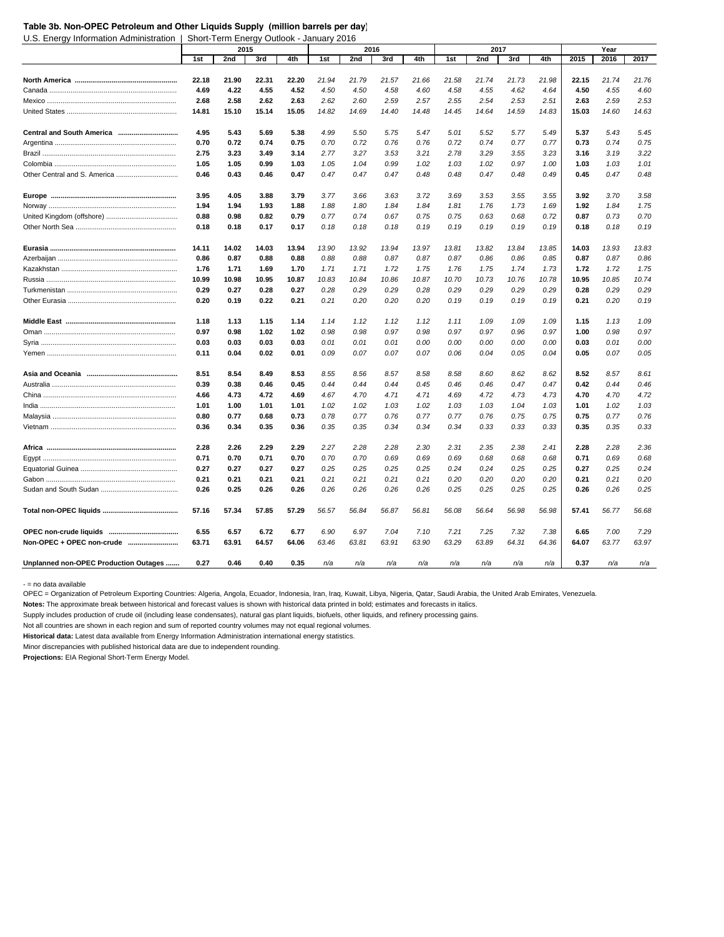#### **Table 3b. Non-OPEC Petroleum and Other Liquids Supply (million barrels per day)**

U.S. Energy Information Administration | Short-Term Energy Outlook - January 2016

|                                       |       | 2015  |       |       |       | 2016  |       |       |       | 2017  |       |       |       | Year  |       |
|---------------------------------------|-------|-------|-------|-------|-------|-------|-------|-------|-------|-------|-------|-------|-------|-------|-------|
|                                       | 1st   | 2nd   | 3rd   | 4th   | 1st   | 2nd   | 3rd   | 4th   | 1st   | 2nd   | 3rd   | 4th   | 2015  | 2016  | 2017  |
|                                       |       |       |       |       |       |       |       |       |       |       |       |       |       |       |       |
|                                       | 22.18 | 21.90 | 22.31 | 22.20 | 21.94 | 21.79 | 21.57 | 21.66 | 21.58 | 21.74 | 21.73 | 21.98 | 22.15 | 21.74 | 21.76 |
|                                       | 4.69  | 4.22  | 4.55  | 4.52  | 4.50  | 4.50  | 4.58  | 4.60  | 4.58  | 4.55  | 4.62  | 4.64  | 4.50  | 4.55  | 4.60  |
|                                       | 2.68  | 2.58  | 2.62  | 2.63  | 2.62  | 2.60  | 2.59  | 2.57  | 2.55  | 2.54  | 2.53  | 2.51  | 2.63  | 2.59  | 2.53  |
|                                       | 14.81 | 15.10 | 15.14 | 15.05 | 14.82 | 14.69 | 14.40 | 14.48 | 14.45 | 14.64 | 14.59 | 14.83 | 15.03 | 14.60 | 14.63 |
|                                       | 4.95  | 5.43  | 5.69  | 5.38  | 4.99  | 5.50  | 5.75  | 5.47  | 5.01  | 5.52  | 5.77  | 5.49  | 5.37  | 5.43  | 5.45  |
|                                       | 0.70  | 0.72  | 0.74  | 0.75  | 0.70  | 0.72  | 0.76  | 0.76  | 0.72  | 0.74  | 0.77  | 0.77  | 0.73  | 0.74  | 0.75  |
|                                       | 2.75  | 3.23  | 3.49  | 3.14  | 2.77  | 3.27  | 3.53  | 3.21  | 2.78  | 3.29  | 3.55  | 3.23  | 3.16  | 3.19  | 3.22  |
|                                       | 1.05  | 1.05  | 0.99  | 1.03  | 1.05  | 1.04  | 0.99  | 1.02  | 1.03  | 1.02  | 0.97  | 1.00  | 1.03  | 1.03  | 1.01  |
| Other Central and S. America          | 0.46  | 0.43  | 0.46  | 0.47  | 0.47  | 0.47  | 0.47  | 0.48  | 0.48  | 0.47  | 0.48  | 0.49  | 0.45  | 0.47  | 0.48  |
|                                       |       |       |       |       |       |       |       |       |       |       |       |       |       |       |       |
|                                       | 3.95  | 4.05  | 3.88  | 3.79  | 3.77  | 3.66  | 3.63  | 3.72  | 3.69  | 3.53  | 3.55  | 3.55  | 3.92  | 3.70  | 3.58  |
|                                       | 1.94  | 1.94  | 1.93  | 1.88  | 1.88  | 1.80  | 1.84  | 1.84  | 1.81  | 1.76  | 1.73  | 1.69  | 1.92  | 1.84  | 1.75  |
|                                       | 0.88  | 0.98  | 0.82  | 0.79  | 0.77  | 0.74  | 0.67  | 0.75  | 0.75  | 0.63  | 0.68  | 0.72  | 0.87  | 0.73  | 0.70  |
|                                       | 0.18  | 0.18  | 0.17  | 0.17  | 0.18  | 0.18  | 0.18  | 0.19  | 0.19  | 0.19  | 0.19  | 0.19  | 0.18  | 0.18  | 0.19  |
|                                       | 14.11 | 14.02 | 14.03 | 13.94 | 13.90 | 13.92 | 13.94 | 13.97 | 13.81 | 13.82 | 13.84 | 13.85 | 14.03 | 13.93 | 13.83 |
|                                       | 0.86  | 0.87  | 0.88  | 0.88  | 0.88  | 0.88  | 0.87  | 0.87  | 0.87  | 0.86  | 0.86  | 0.85  | 0.87  | 0.87  | 0.86  |
|                                       | 1.76  | 1.71  | 1.69  | 1.70  | 1.71  | 1.71  | 1.72  | 1.75  | 1.76  | 1.75  | 1.74  | 1.73  | 1.72  | 1.72  | 1.75  |
|                                       | 10.99 | 10.98 | 10.95 | 10.87 | 10.83 | 10.84 | 10.86 | 10.87 | 10.70 | 10.73 | 10.76 | 10.78 | 10.95 | 10.85 | 10.74 |
|                                       | 0.29  | 0.27  | 0.28  | 0.27  | 0.28  | 0.29  | 0.29  | 0.28  | 0.29  | 0.29  | 0.29  | 0.29  | 0.28  | 0.29  | 0.29  |
|                                       | 0.20  | 0.19  | 0.22  | 0.21  | 0.21  | 0.20  | 0.20  | 0.20  | 0.19  | 0.19  | 0.19  | 0.19  | 0.21  | 0.20  | 0.19  |
|                                       | 1.18  | 1.13  | 1.15  | 1.14  | 1.14  | 1.12  | 1.12  | 1.12  | 1.11  | 1.09  | 1.09  | 1.09  | 1.15  | 1.13  | 1.09  |
|                                       | 0.97  | 0.98  | 1.02  | 1.02  | 0.98  | 0.98  | 0.97  | 0.98  | 0.97  | 0.97  | 0.96  | 0.97  | 1.00  | 0.98  | 0.97  |
|                                       | 0.03  | 0.03  | 0.03  | 0.03  | 0.01  | 0.01  | 0.01  | 0.00  | 0.00  | 0.00  | 0.00  | 0.00  | 0.03  | 0.01  | 0.00  |
|                                       | 0.11  | 0.04  | 0.02  | 0.01  | 0.09  | 0.07  | 0.07  | 0.07  | 0.06  | 0.04  | 0.05  | 0.04  | 0.05  | 0.07  | 0.05  |
|                                       | 8.51  | 8.54  | 8.49  | 8.53  | 8.55  | 8.56  | 8.57  | 8.58  | 8.58  | 8.60  | 8.62  | 8.62  | 8.52  | 8.57  | 8.61  |
|                                       | 0.39  | 0.38  | 0.46  | 0.45  | 0.44  | 0.44  | 0.44  | 0.45  | 0.46  | 0.46  | 0.47  | 0.47  | 0.42  | 0.44  | 0.46  |
|                                       | 4.66  | 4.73  | 4.72  | 4.69  | 4.67  | 4.70  | 4.71  | 4.71  | 4.69  | 4.72  | 4.73  | 4.73  | 4.70  | 4.70  | 4.72  |
|                                       | 1.01  | 1.00  | 1.01  | 1.01  | 1.02  | 1.02  | 1.03  | 1.02  | 1.03  | 1.03  | 1.04  | 1.03  | 1.01  | 1.02  | 1.03  |
|                                       | 0.80  | 0.77  | 0.68  | 0.73  | 0.78  | 0.77  | 0.76  | 0.77  | 0.77  | 0.76  | 0.75  | 0.75  | 0.75  | 0.77  | 0.76  |
|                                       | 0.36  | 0.34  | 0.35  | 0.36  | 0.35  | 0.35  | 0.34  | 0.34  | 0.34  | 0.33  | 0.33  | 0.33  | 0.35  | 0.35  | 0.33  |
|                                       | 2.28  | 2.26  | 2.29  | 2.29  | 2.27  | 2.28  | 2.28  | 2.30  | 2.31  | 2.35  | 2.38  | 2.41  | 2.28  | 2.28  | 2.36  |
|                                       | 0.71  | 0.70  | 0.71  | 0.70  | 0.70  | 0.70  | 0.69  | 0.69  | 0.69  | 0.68  | 0.68  | 0.68  | 0.71  | 0.69  | 0.68  |
|                                       | 0.27  | 0.27  | 0.27  | 0.27  | 0.25  | 0.25  | 0.25  | 0.25  | 0.24  | 0.24  | 0.25  | 0.25  | 0.27  | 0.25  | 0.24  |
|                                       | 0.21  | 0.21  | 0.21  | 0.21  | 0.21  | 0.21  | 0.21  | 0.21  | 0.20  | 0.20  | 0.20  | 0.20  | 0.21  | 0.21  | 0.20  |
|                                       | 0.26  | 0.25  | 0.26  | 0.26  | 0.26  | 0.26  | 0.26  | 0.26  | 0.25  | 0.25  | 0.25  | 0.25  | 0.26  | 0.26  | 0.25  |
|                                       |       |       |       |       |       |       |       |       |       |       |       |       |       |       |       |
|                                       | 57.16 | 57.34 | 57.85 | 57.29 | 56.57 | 56.84 | 56.87 | 56.81 | 56.08 | 56.64 | 56.98 | 56.98 | 57.41 | 56.77 | 56.68 |
|                                       | 6.55  | 6.57  | 6.72  | 6.77  | 6.90  | 6.97  | 7.04  | 7.10  | 7.21  | 7.25  | 7.32  | 7.38  | 6.65  | 7.00  | 7.29  |
| Non-OPEC + OPEC non-crude             | 63.71 | 63.91 | 64.57 | 64.06 | 63.46 | 63.81 | 63.91 | 63.90 | 63.29 | 63.89 | 64.31 | 64.36 | 64.07 | 63.77 | 63.97 |
| Unplanned non-OPEC Production Outages | 0.27  | 0.46  | 0.40  | 0.35  | n/a   | n/a   | n/a   | n/a   | n/a   | n/a   | n/a   | n/a   | 0.37  | n/a   | n/a   |

- = no data available

OPEC = Organization of Petroleum Exporting Countries: Algeria, Angola, Ecuador, Indonesia, Iran, Iraq, Kuwait, Libya, Nigeria, Qatar, Saudi Arabia, the United Arab Emirates, Venezuela.

**Notes:** The approximate break between historical and forecast values is shown with historical data printed in bold; estimates and forecasts in italics.

Supply includes production of crude oil (including lease condensates), natural gas plant liquids, biofuels, other liquids, and refinery processing gains.

Not all countries are shown in each region and sum of reported country volumes may not equal regional volumes.

**Historical data:** Latest data available from Energy Information Administration international energy statistics.

Minor discrepancies with published historical data are due to independent rounding.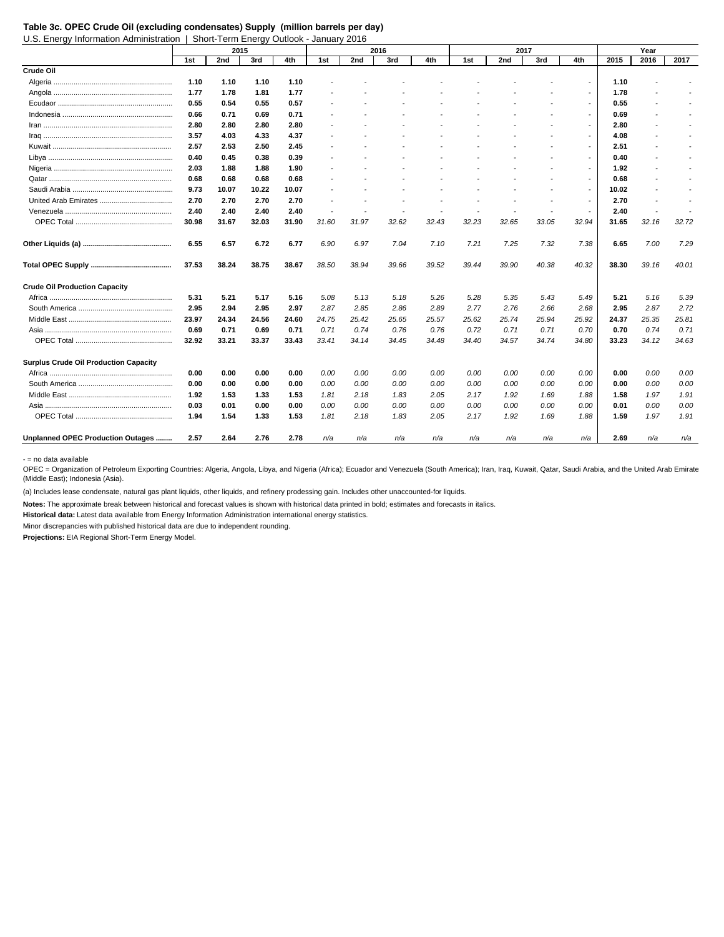U.S. Energy Information Administration | Short-Term Energy Outlook - January 2016

|                                              |       | 2015  |       |       |       |       | 2016  |       |       | 2017  |       |                          |       | Year                     |       |
|----------------------------------------------|-------|-------|-------|-------|-------|-------|-------|-------|-------|-------|-------|--------------------------|-------|--------------------------|-------|
|                                              | 1st   | 2nd   | 3rd   | 4th   | 1st   | 2nd   | 3rd   | 4th   | 1st   | 2nd   | 3rd   | 4th                      | 2015  | 2016                     | 2017  |
| Crude Oil                                    |       |       |       |       |       |       |       |       |       |       |       |                          |       |                          |       |
|                                              | 1.10  | 1.10  | 1.10  | 1.10  |       |       |       |       |       |       |       |                          | 1.10  |                          |       |
|                                              | 1.77  | 1.78  | 1.81  | 1.77  |       |       |       |       |       |       |       | $\overline{\phantom{a}}$ | 1.78  |                          |       |
|                                              | 0.55  | 0.54  | 0.55  | 0.57  |       |       |       |       |       |       |       | $\overline{a}$           | 0.55  | $\overline{a}$           |       |
|                                              | 0.66  | 0.71  | 0.69  | 0.71  |       |       |       |       |       |       |       | $\overline{\phantom{a}}$ | 0.69  | $\overline{\phantom{a}}$ |       |
|                                              | 2.80  | 2.80  | 2.80  | 2.80  |       |       |       |       |       |       |       |                          | 2.80  | $\overline{\phantom{a}}$ |       |
|                                              | 3.57  | 4.03  | 4.33  | 4.37  |       |       |       |       |       |       |       |                          | 4.08  | $\overline{\phantom{a}}$ |       |
|                                              | 2.57  | 2.53  | 2.50  | 2.45  |       |       |       |       |       |       |       |                          | 2.51  | $\overline{a}$           |       |
|                                              | 0.40  | 0.45  | 0.38  | 0.39  |       |       |       |       |       |       |       |                          | 0.40  |                          |       |
|                                              | 2.03  | 1.88  | 1.88  | 1.90  |       |       |       |       |       |       |       |                          | 1.92  |                          |       |
|                                              | 0.68  | 0.68  | 0.68  | 0.68  |       |       |       |       |       |       |       |                          | 0.68  |                          |       |
|                                              | 9.73  | 10.07 | 10.22 | 10.07 |       |       |       |       |       |       |       |                          | 10.02 |                          |       |
|                                              | 2.70  | 2.70  | 2.70  | 2.70  |       |       |       |       |       |       |       | $\overline{\phantom{a}}$ | 2.70  | $\overline{\phantom{a}}$ |       |
|                                              | 2.40  | 2.40  | 2.40  | 2.40  |       |       |       |       |       |       |       | $\overline{\phantom{a}}$ | 2.40  | $\overline{\phantom{a}}$ |       |
|                                              | 30.98 | 31.67 | 32.03 | 31.90 | 31.60 | 31.97 | 32.62 | 32.43 | 32.23 | 32.65 | 33.05 | 32.94                    | 31.65 | 32.16                    | 32.72 |
|                                              | 6.55  | 6.57  | 6.72  | 6.77  | 6.90  | 6.97  | 7.04  | 7.10  | 7.21  | 7.25  | 7.32  | 7.38                     | 6.65  | 7.00                     | 7.29  |
|                                              | 37.53 | 38.24 | 38.75 | 38.67 | 38.50 | 38.94 | 39.66 | 39.52 | 39.44 | 39.90 | 40.38 | 40.32                    | 38.30 | 39.16                    | 40.01 |
| <b>Crude Oil Production Capacity</b>         |       |       |       |       |       |       |       |       |       |       |       |                          |       |                          |       |
|                                              | 5.31  | 5.21  | 5.17  | 5.16  | 5.08  | 5.13  | 5.18  | 5.26  | 5.28  | 5.35  | 5.43  | 5.49                     | 5.21  | 5.16                     | 5.39  |
|                                              | 2.95  | 2.94  | 2.95  | 2.97  | 2.87  | 2.85  | 2.86  | 2.89  | 2.77  | 2.76  | 2.66  | 2.68                     | 2.95  | 2.87                     | 2.72  |
|                                              | 23.97 | 24.34 | 24.56 | 24.60 | 24.75 | 25.42 | 25.65 | 25.57 | 25.62 | 25.74 | 25.94 | 25.92                    | 24.37 | 25.35                    | 25.81 |
|                                              | 0.69  | 0.71  | 0.69  | 0.71  | 0.71  | 0.74  | 0.76  | 0.76  | 0.72  | 0.71  | 0.71  | 0.70                     | 0.70  | 0.74                     | 0.71  |
|                                              | 32.92 | 33.21 | 33.37 | 33.43 | 33.41 | 34.14 | 34.45 | 34.48 | 34.40 | 34.57 | 34.74 | 34.80                    | 33.23 | 34.12                    | 34.63 |
| <b>Surplus Crude Oil Production Capacity</b> |       |       |       |       |       |       |       |       |       |       |       |                          |       |                          |       |
|                                              | 0.00  | 0.00  | 0.00  | 0.00  | 0.00  | 0.00  | 0.00  | 0.00  | 0.00  | 0.00  | 0.00  | 0.00                     | 0.00  | 0.00                     | 0.00  |
|                                              | 0.00  | 0.00  | 0.00  | 0.00  | 0.00  | 0.00  | 0.00  | 0.00  | 0.00  | 0.00  | 0.00  | 0.00                     | 0.00  | 0.00                     | 0.00  |
|                                              | 1.92  | 1.53  | 1.33  | 1.53  | 1.81  | 2.18  | 1.83  | 2.05  | 2.17  | 1.92  | 1.69  | 1.88                     | 1.58  | 1.97                     | 1.91  |
|                                              | 0.03  | 0.01  | 0.00  | 0.00  | 0.00  | 0.00  | 0.00  | 0.00  | 0.00  | 0.00  | 0.00  | 0.00                     | 0.01  | 0.00                     | 0.00  |
|                                              | 1.94  | 1.54  | 1.33  | 1.53  | 1.81  | 2.18  | 1.83  | 2.05  | 2.17  | 1.92  | 1.69  | 1.88                     | 1.59  | 1.97                     | 1.91  |
| Unplanned OPEC Production Outages            | 2.57  | 2.64  | 2.76  | 2.78  | n/a   | n/a   | n/a   | n/a   | n/a   | n/a   | n/a   | n/a                      | 2.69  | n/a                      | n/a   |

- = no data available

OPEC = Organization of Petroleum Exporting Countries: Algeria, Angola, Libya, and Nigeria (Africa); Ecuador and Venezuela (South America); Iran, Iraq, Kuwait, Qatar, Saudi Arabia, and the United Arab Emirate (Middle East); Indonesia (Asia).

(a) Includes lease condensate, natural gas plant liquids, other liquids, and refinery prodessing gain. Includes other unaccounted-for liquids.

**Notes:** The approximate break between historical and forecast values is shown with historical data printed in bold; estimates and forecasts in italics.

**Historical data:** Latest data available from Energy Information Administration international energy statistics.

Minor discrepancies with published historical data are due to independent rounding.

**Table 3c. OPEC Crude Oil (excluding condensates) Supply (million barrels per day)**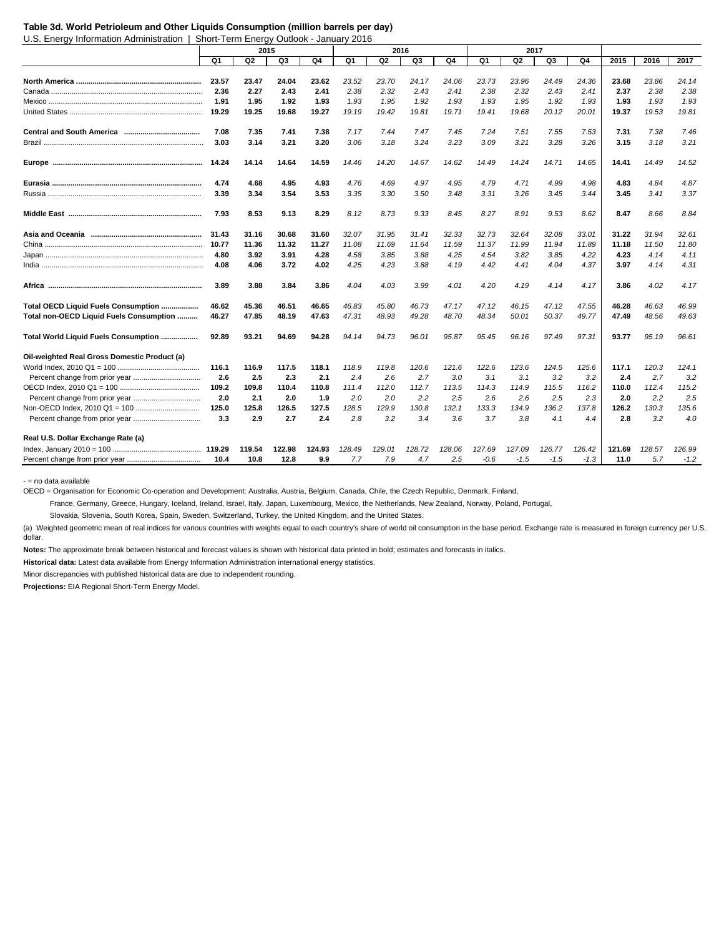#### **Table 3d. World Petrioleum and Other Liquids Consumption (million barrels per day)**

U.S. Energy Information Administration | Short-Term Energy Outlook - January 2016

|                                              |       |        | 2015   |        |        |                | 2016   |        |        | 2017           |        |        |        |        |        |
|----------------------------------------------|-------|--------|--------|--------|--------|----------------|--------|--------|--------|----------------|--------|--------|--------|--------|--------|
|                                              | Q1    | Q2     | Q3     | Q4     | Q1     | Q <sub>2</sub> | Q3     | Q4     | Q1     | Q <sub>2</sub> | Q3     | Q4     | 2015   | 2016   | 2017   |
|                                              |       |        |        |        |        |                |        |        |        |                |        |        |        |        |        |
|                                              | 23.57 | 23.47  | 24.04  | 23.62  | 23.52  | 23.70          | 24.17  | 24.06  | 23.73  | 23.96          | 24.49  | 24.36  | 23.68  | 23.86  | 24.14  |
|                                              | 2.36  | 2.27   | 2.43   | 2.41   | 2.38   | 2.32           | 2.43   | 2.41   | 2.38   | 2.32           | 2.43   | 2.41   | 2.37   | 2.38   | 2.38   |
|                                              | 1.91  | 1.95   | 1.92   | 1.93   | 1.93   | 1.95           | 1.92   | 1.93   | 1.93   | 1.95           | 1.92   | 1.93   | 1.93   | 1.93   | 1.93   |
|                                              | 19.29 | 19.25  | 19.68  | 19.27  | 19.19  | 19.42          | 19.81  | 19.71  | 19.41  | 19.68          | 20.12  | 20.01  | 19.37  | 19.53  | 19.81  |
|                                              | 7.08  | 7.35   | 7.41   | 7.38   | 7.17   | 7.44           | 7.47   | 7.45   | 7.24   | 7.51           | 7.55   | 7.53   | 7.31   | 7.38   | 7.46   |
|                                              | 3.03  | 3.14   | 3.21   | 3.20   | 3.06   | 3.18           | 3.24   | 3.23   | 3.09   | 3.21           | 3.28   | 3.26   | 3.15   | 3.18   | 3.21   |
|                                              | 14.24 | 14.14  | 14.64  | 14.59  | 14.46  | 14.20          | 14.67  | 14.62  | 14.49  | 14.24          | 14.71  | 14.65  | 14.41  | 14.49  | 14.52  |
|                                              | 4.74  | 4.68   | 4.95   | 4.93   | 4.76   | 4.69           | 4.97   | 4.95   | 4.79   | 4.71           | 4.99   | 4.98   | 4.83   | 4.84   | 4.87   |
|                                              | 3.39  | 3.34   | 3.54   | 3.53   | 3.35   | 3.30           | 3.50   | 3.48   | 3.31   | 3.26           | 3.45   | 3.44   | 3.45   | 3.41   | 3.37   |
|                                              | 7.93  | 8.53   | 9.13   | 8.29   | 8.12   | 8.73           | 9.33   | 8.45   | 8.27   | 8.91           | 9.53   | 8.62   | 8.47   | 8.66   | 8.84   |
|                                              | 31.43 | 31.16  | 30.68  | 31.60  | 32.07  | 31.95          | 31.41  | 32.33  | 32.73  | 32.64          | 32.08  | 33.01  | 31.22  | 31.94  | 32.61  |
|                                              | 10.77 | 11.36  | 11.32  | 11.27  | 11.08  | 11.69          | 11.64  | 11.59  | 11.37  | 11.99          | 11.94  | 11.89  | 11.18  | 11.50  | 11.80  |
|                                              | 4.80  | 3.92   | 3.91   | 4.28   | 4.58   | 3.85           | 3.88   | 4.25   | 4.54   | 3.82           | 3.85   | 4.22   | 4.23   | 4.14   | 4.11   |
|                                              | 4.08  | 4.06   | 3.72   | 4.02   | 4.25   | 4.23           | 3.88   | 4.19   | 4.42   | 4.41           | 4.04   | 4.37   | 3.97   | 4.14   | 4.31   |
|                                              | 3.89  | 3.88   | 3.84   | 3.86   | 4.04   | 4.03           | 3.99   | 4.01   | 4.20   | 4.19           | 4.14   | 4.17   | 3.86   | 4.02   | 4.17   |
| Total OECD Liquid Fuels Consumption          | 46.62 | 45.36  | 46.51  | 46.65  | 46.83  | 45.80          | 46.73  | 47.17  | 47.12  | 46.15          | 47.12  | 47.55  | 46.28  | 46.63  | 46.99  |
| Total non-OECD Liquid Fuels Consumption      | 46.27 | 47.85  | 48.19  | 47.63  | 47.31  | 48.93          | 49.28  | 48.70  | 48.34  | 50.01          | 50.37  | 49.77  | 47.49  | 48.56  | 49.63  |
| Total World Liquid Fuels Consumption         | 92.89 | 93.21  | 94.69  | 94.28  | 94.14  | 94.73          | 96.01  | 95.87  | 95.45  | 96.16          | 97.49  | 97.31  | 93.77  | 95.19  | 96.61  |
| Oil-weighted Real Gross Domestic Product (a) |       |        |        |        |        |                |        |        |        |                |        |        |        |        |        |
|                                              | 116.1 | 116.9  | 117.5  | 118.1  | 118.9  | 119.8          | 120.6  | 121.6  | 122.6  | 123.6          | 124.5  | 125.6  | 117.1  | 120.3  | 124.1  |
|                                              | 2.6   | 2.5    | 2.3    | 2.1    | 2.4    | 2.6            | 2.7    | 3.0    | 3.1    | 3.1            | 3.2    | 3.2    | 2.4    | 2.7    | 3.2    |
|                                              | 109.2 | 109.8  | 110.4  | 110.8  | 111.4  | 112.0          | 112.7  | 113.5  | 114.3  | 114.9          | 115.5  | 116.2  | 110.0  | 112.4  | 115.2  |
|                                              | 2.0   | 2.1    | 2.0    | 1.9    | 2.0    | 2.0            | 2.2    | 2.5    | 2.6    | 2.6            | 2.5    | 2.3    | 2.0    | 2.2    | 2.5    |
|                                              | 125.0 | 125.8  | 126.5  | 127.5  | 128.5  | 129.9          | 130.8  | 132.1  | 133.3  | 134.9          | 136.2  | 137.8  | 126.2  | 130.3  | 135.6  |
|                                              | 3.3   | 2.9    | 2.7    | 2.4    | 2.8    | 3.2            | 3.4    | 3.6    | 3.7    | 3.8            | 4.1    | 4.4    | 2.8    | 3.2    | 4.0    |
| Real U.S. Dollar Exchange Rate (a)           |       |        |        |        |        |                |        |        |        |                |        |        |        |        |        |
|                                              |       | 119.54 | 122.98 | 124.93 | 128.49 | 129.01         | 128.72 | 128.06 | 127.69 | 127.09         | 126.77 | 126.42 | 121.69 | 128.57 | 126.99 |
|                                              | 10.4  | 10.8   | 12.8   | 9.9    | 7.7    | 7.9            | 4.7    | 2.5    | $-0.6$ | $-1.5$         | $-1.5$ | $-1.3$ | 11.0   | 5.7    | $-1.2$ |

- = no data available

OECD = Organisation for Economic Co-operation and Development: Australia, Austria, Belgium, Canada, Chile, the Czech Republic, Denmark, Finland,

France, Germany, Greece, Hungary, Iceland, Ireland, Israel, Italy, Japan, Luxembourg, Mexico, the Netherlands, New Zealand, Norway, Poland, Portugal,

Slovakia, Slovenia, South Korea, Spain, Sweden, Switzerland, Turkey, the United Kingdom, and the United States.

(a) Weighted geometric mean of real indices for various countries with weights equal to each country's share of world oil consumption in the base period. Exchange rate is measured in foreign currency per U.S. dollar.

**Notes:** The approximate break between historical and forecast values is shown with historical data printed in bold; estimates and forecasts in italics.

**Historical data:** Latest data available from Energy Information Administration international energy statistics.

Minor discrepancies with published historical data are due to independent rounding.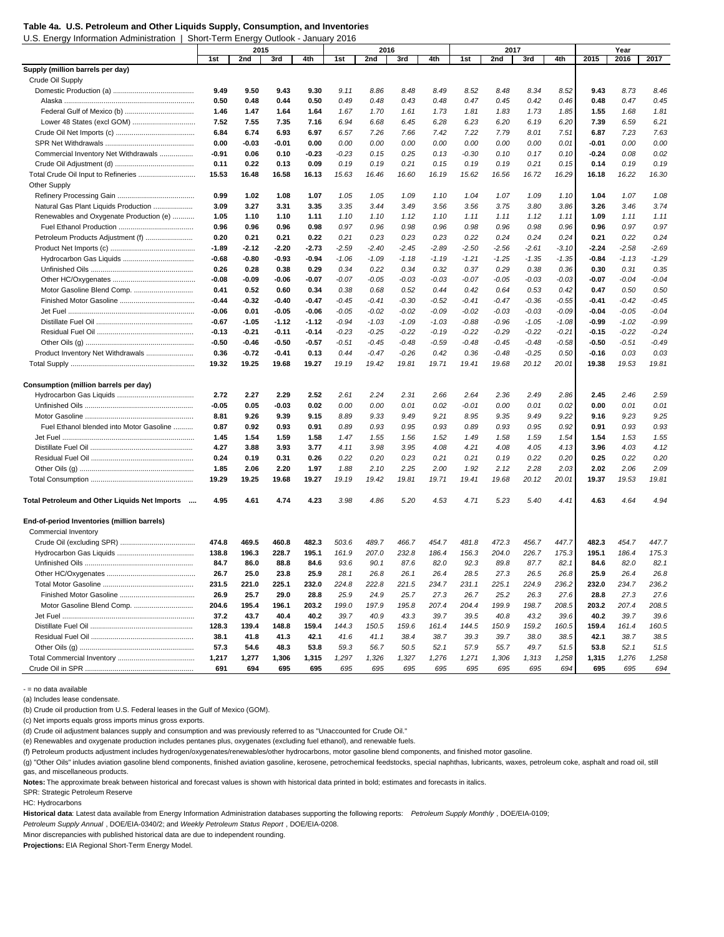U.S. Energy Information Administration | Short-Term Energy Outlook - January 2016

| 2016<br>2nd<br>3rd<br>4th<br>2nd<br>3rd<br>4th<br>1st<br>2nd<br>3rd<br>4th<br>2015<br>2017<br>1st<br>1st<br>Supply (million barrels per day)<br>Crude Oil Supply<br>9.49<br>9.50<br>9.43<br>9.30<br>9.11<br>8.86<br>8.48<br>8.49<br>8.52<br>8.48<br>8.34<br>8.52<br>9.43<br>8.73<br>8.46<br>0.45<br>0.50<br>0.48<br>0.44<br>0.50<br>0.49<br>0.48<br>0.43<br>0.48<br>0.47<br>0.45<br>0.42<br>0.46<br>0.48<br>0.47<br>1.47<br>1.64<br>1.67<br>1.73<br>1.85<br>1.55<br>1.68<br>1.81<br>1.46<br>1.64<br>1.70<br>1.61<br>1.73<br>1.81<br>1.83<br>6.21<br>7.52<br>7.55<br>7.35<br>7.16<br>6.94<br>6.45<br>6.28<br>6.23<br>6.20<br>6.19<br>6.20<br>7.39<br>6.59<br>6.68<br>7.51<br>6.84<br>6.74<br>6.93<br>6.97<br>7.66<br>7.42<br>7.22<br>7.79<br>8.01<br>6.87<br>7.23<br>7.63<br>6.57<br>7.26<br>$-0.03$<br>0.00<br>0.00<br>0.01<br>0.00<br>0.00<br>-0.01<br>0.00<br>0.00<br>0.00<br>0.00<br>0.00<br>0.00<br>$-0.01$<br>0.00<br>0.06<br>$-0.23$<br>0.25<br>0.10<br>0.08<br>0.02<br>Commercial Inventory Net Withdrawals<br>-0.91<br>0.10<br>$-0.23$<br>0.15<br>0.13<br>$-0.30$<br>0.10<br>0.17<br>$-0.24$<br>0.22<br>0.09<br>0.21<br>0.19<br>0.21<br>0.19<br>0.11<br>0.13<br>0.19<br>0.19<br>0.15<br>0.19<br>0.15<br>0.14<br>0.19<br>Total Crude Oil Input to Refineries<br>16.29<br>15.53<br>16.48<br>16.58<br>16.13<br>15.63<br>16.46<br>16.60<br>16.19<br>15.62<br>16.56<br>16.72<br>16.18<br>16.22<br>16.30<br><b>Other Supply</b><br>0.99<br>1.02<br>1.08<br>1.07<br>1.05<br>1.05<br>1.09<br>1.10<br>1.04<br>1.07<br>1.09<br>1.10<br>1.04<br>1.07<br>1.08<br>3.74<br>Natural Gas Plant Liquids Production<br>3.09<br>3.27<br>3.31<br>3.35<br>3.35<br>3.44<br>3.49<br>3.56<br>3.56<br>3.75<br>3.80<br>3.86<br>3.26<br>3.46<br>Renewables and Oxygenate Production (e)<br>1.05<br>1.10<br>1.10<br>1.11<br>1.10<br>1.10<br>1.12<br>1.10<br>1.11<br>1.11<br>1.12<br>1.11<br>1.09<br>1.11<br>1.11<br>0.97<br>0.96<br>0.96<br>0.96<br>0.98<br>0.97<br>0.96<br>0.98<br>0.96<br>0.98<br>0.96<br>0.98<br>0.96<br>0.96<br>0.97<br>0.24<br>Petroleum Products Adjustment (f)<br>0.21<br>0.21<br>0.22<br>0.21<br>0.23<br>0.23<br>0.23<br>0.22<br>0.24<br>0.24<br>0.24<br>0.21<br>0.22<br>0.20<br>-2.20<br>$-2.73$<br>$-2.59$<br>$-2.45$<br>$-2.89$<br>$-2.50$<br>$-2.56$<br>$-3.10$<br>$-2.24$<br>$-2.58$<br>$-2.69$<br>-1.89<br>-2.12<br>$-2.40$<br>-2.61<br>$-1.29$<br>-0.68<br>$-0.80$<br>-0.93<br>-0.94<br>-1.06<br>$-1.09$<br>$-1.18$<br>$-1.19$<br>$-1.21$<br>$-1.25$<br>-1.35<br>$-1.35$<br>-0.84<br>$-1.13$<br>0.32<br>0.29<br>0.35<br>0.26<br>0.28<br>0.38<br>0.29<br>0.34<br>0.22<br>0.34<br>0.37<br>0.38<br>0.36<br>0.30<br>0.31<br>$-0.09$<br>$-0.03$<br>$-0.07$<br>$-0.05$<br>$-0.04$<br>$-0.04$<br>-0.08<br>-0.06<br>-0.07<br>-0.07<br>$-0.05$<br>$-0.03$<br>$-0.03$<br>-0.03<br>$-0.07$<br>0.52<br>0.50<br>Motor Gasoline Blend Comp.<br>0.41<br>0.60<br>0.34<br>0.38<br>0.68<br>0.52<br>0.44<br>0.42<br>0.64<br>0.53<br>0.42<br>0.47<br>0.50<br>$-0.32$<br>$-0.30$<br>$-0.52$<br>$-0.47$<br>$-0.36$<br>$-0.42$<br>$-0.45$<br>-0.44<br>-0.40<br>-0.47<br>$-0.45$<br>$-0.41$<br>$-0.41$<br>$-0.55$<br>$-0.41$<br>$-0.05$<br>$-0.04$<br>-0.06<br>0.01<br>$-0.05$<br>$-0.06$<br>$-0.05$<br>$-0.02$<br>$-0.02$<br>$-0.09$<br>$-0.02$<br>$-0.03$<br>$-0.03$<br>$-0.09$<br>$-0.04$<br>$-0.99$<br>$-0.67$<br>$-1.05$<br>$-1.12$<br>$-1.12$<br>-0.94<br>$-1.03$<br>$-1.09$<br>$-1.03$<br>$-0.88$<br>$-0.96$<br>$-1.05$<br>$-1.08$<br>$-0.99$<br>$-1.02$<br>$-0.22$<br>$-0.22$<br>$-0.24$<br>$-0.13$<br>$-0.21$<br>$-0.11$<br>$-0.14$<br>$-0.23$<br>$-0.25$<br>$-0.22$<br>$-0.19$<br>$-0.22$<br>$-0.29$<br>$-0.21$<br>$-0.15$<br>-0.50<br>$-0.46$<br>-0.50<br>$-0.57$<br>-0.51<br>$-0.45$<br>$-0.48$<br>$-0.59$<br>$-0.48$<br>$-0.45$<br>$-0.48$<br>$-0.58$<br>$-0.50$<br>$-0.51$<br>$-0.49$<br>Product Inventory Net Withdrawals<br>0.36<br>$-0.72$<br>$-0.41$<br>0.13<br>0.44<br>$-0.47$<br>$-0.26$<br>0.42<br>0.36<br>$-0.48$<br>$-0.25$<br>0.50<br>$-0.16$<br>0.03<br>0.03<br>19.32<br>19.25<br>19.68<br>19.27<br>19.19<br>19.42<br>19.81<br>19.71<br>19.41<br>19.68<br>20.12<br>20.01<br>19.38<br>19.53<br>19.81<br>Consumption (million barrels per day)<br>2.27<br>2.72<br>2.29<br>2.52<br>2.61<br>2.24<br>2.31<br>2.66<br>2.64<br>2.36<br>2.49<br>2.86<br>2.45<br>2.46<br>2.59<br>0.05<br>-0.03<br>0.00<br>0.02<br>0.00<br>0.01<br>0.01<br>-0.05<br>0.02<br>0.00<br>0.00<br>0.01<br>0.02<br>-0.01<br>0.01<br>9.39<br>9.22<br>9.23<br>9.25<br>8.81<br>9.26<br>9.15<br>8.89<br>9.33<br>9.49<br>9.21<br>8.95<br>9.35<br>9.49<br>9.16<br>0.92<br>0.93<br>0.92<br>0.93<br>0.93<br>Fuel Ethanol blended into Motor Gasoline<br>0.87<br>0.93<br>0.91<br>0.89<br>0.93<br>0.95<br>0.89<br>0.93<br>0.95<br>0.91<br>1.54<br>1.45<br>1.54<br>1.59<br>1.58<br>1.47<br>1.55<br>1.56<br>1.52<br>1.49<br>1.58<br>1.59<br>1.54<br>1.53<br>1.55<br>4.12<br>4.27<br>3.88<br>3.93<br>3.77<br>4.11<br>3.98<br>3.95<br>4.08<br>4.21<br>4.08<br>4.05<br>4.13<br>3.96<br>4.03<br>0.20<br>0.22<br>0.20<br>0.24<br>0.19<br>0.31<br>0.26<br>0.22<br>0.20<br>0.23<br>0.21<br>0.21<br>0.19<br>0.22<br>0.25<br>2.09<br>1.85<br>2.06<br>2.20<br>1.97<br>1.88<br>2.10<br>2.25<br>2.00<br>1.92<br>2.12<br>2.28<br>2.03<br>2.02<br>2.06<br>19.29<br>19.25<br>19.68<br>19.27<br>19.19<br>19.42<br>19.81<br>19.71<br>19.41<br>19.68<br>20.12<br>20.01<br>19.37<br>19.53<br>19.81<br>Total Petroleum and Other Liquids Net Imports<br>4.95<br>4.61<br>4.74<br>4.23<br>3.98<br>5.20<br>4.53<br>4.71<br>5.23<br>5.40<br>4.41<br>4.63<br>4.64<br>4.94<br>4.86<br>End-of-period Inventories (million barrels)<br>Commercial Inventory<br>474.8<br>469.5<br>460.8<br>482.3<br>503.6<br>489.7<br>466.7<br>481.8<br>472.3<br>447.7<br>482.3<br>454.7<br>454.7<br>456.7<br>447.7<br>195.1<br>204.0<br>175.3<br>195.1<br>175.3<br>138.8<br>196.3<br>228.7<br>161.9<br>207.0<br>232.8<br>186.4<br>156.3<br>226.7<br>186.4<br>86.0<br>84.6<br>90.1<br>87.6<br>82.0<br>92.3<br>89.8<br>82.1<br>84.6<br>82.0<br>82.1<br>84.7<br>88.8<br>93.6<br>87.7<br>26.8<br>28.1<br>26.8<br>26.4<br>28.5<br>27.3<br>26.5<br>26.8<br>26.4<br>23.8<br>25.9<br>26.1<br>26.7<br>25.0<br>25.9<br>231.5<br>221.0<br>225.1<br>232.0<br>224.8<br>222.8<br>221.5<br>234.7<br>231.1<br>225.1<br>224.9<br>236.2<br>232.0<br>234.7<br>236.2<br>26.9<br>25.7<br>29.0<br>28.8<br>25.9<br>24.9<br>25.7<br>27.3<br>26.7<br>25.2<br>26.3<br>27.6<br>28.8<br>27.3<br>27.6<br>Motor Gasoline Blend Comp.<br>204.6<br>195.4<br>196.1<br>203.2<br>199.0<br>197.9<br>195.8<br>207.4<br>204.4<br>199.9<br>198.7<br>208.5<br>203.2<br>207.4<br>208.5<br>37.2<br>43.7<br>40.4<br>40.2<br>39.7<br>40.9<br>43.3<br>39.7<br>39.5<br>40.8<br>43.2<br>39.6<br>40.2<br>39.7<br>39.6<br>128.3<br>139.4<br>148.8<br>159.4<br>144.3<br>150.5<br>159.6<br>161.4<br>144.5<br>150.9<br>159.2<br>160.5<br>159.4<br>161.4<br>160.5<br>38.1<br>41.8<br>42.1<br>38.4<br>38.7<br>39.3<br>39.7<br>38.5<br>42.1<br>38.7<br>38.5<br>41.3<br>41.6<br>41.1<br>38.0<br>57.3<br>54.6<br>48.3<br>53.8<br>59.3<br>50.5<br>52.1<br>57.9<br>55.7<br>49.7<br>53.8<br>52.1<br>51.5<br>56.7<br>51.5<br>1,217<br>1,277<br>1,306<br>1,315<br>1,297<br>1,326<br>1,327<br>1,271<br>1,258<br>1,315<br>1,276<br>1,258<br>1,276<br>1,306<br>1,313<br>691<br>694<br>695<br>695<br>695<br>695<br>695<br>695<br>695<br>694<br>695<br>695<br>695<br>695<br>694 |  | 2015 |  | 2016 |  | 2017 |  | Year |  |
|---------------------------------------------------------------------------------------------------------------------------------------------------------------------------------------------------------------------------------------------------------------------------------------------------------------------------------------------------------------------------------------------------------------------------------------------------------------------------------------------------------------------------------------------------------------------------------------------------------------------------------------------------------------------------------------------------------------------------------------------------------------------------------------------------------------------------------------------------------------------------------------------------------------------------------------------------------------------------------------------------------------------------------------------------------------------------------------------------------------------------------------------------------------------------------------------------------------------------------------------------------------------------------------------------------------------------------------------------------------------------------------------------------------------------------------------------------------------------------------------------------------------------------------------------------------------------------------------------------------------------------------------------------------------------------------------------------------------------------------------------------------------------------------------------------------------------------------------------------------------------------------------------------------------------------------------------------------------------------------------------------------------------------------------------------------------------------------------------------------------------------------------------------------------------------------------------------------------------------------------------------------------------------------------------------------------------------------------------------------------------------------------------------------------------------------------------------------------------------------------------------------------------------------------------------------------------------------------------------------------------------------------------------------------------------------------------------------------------------------------------------------------------------------------------------------------------------------------------------------------------------------------------------------------------------------------------------------------------------------------------------------------------------------------------------------------------------------------------------------------------------------------------------------------------------------------------------------------------------------------------------------------------------------------------------------------------------------------------------------------------------------------------------------------------------------------------------------------------------------------------------------------------------------------------------------------------------------------------------------------------------------------------------------------------------------------------------------------------------------------------------------------------------------------------------------------------------------------------------------------------------------------------------------------------------------------------------------------------------------------------------------------------------------------------------------------------------------------------------------------------------------------------------------------------------------------------------------------------------------------------------------------------------------------------------------------------------------------------------------------------------------------------------------------------------------------------------------------------------------------------------------------------------------------------------------------------------------------------------------------------------------------------------------------------------------------------------------------------------------------------------------------------------------------------------------------------------------------------------------------------------------------------------------------------------------------------------------------------------------------------------------------------------------------------------------------------------------------------------------------------------------------------------------------------------------------------------------------------------------------------------------------------------------------------------------------------------------------------------------------------------------------------------------------------------------------------------------------------------------------------------------------------------------------------------------------------------------------------------------------------------------------------------------------------------------------------------------------------------------------------------------------------------------------------------------------------------------------------------------------------------------------------------------------------------------------------------------------------------------------------------------------------------------------------------------------------------------------------------------------------------------------------------------------------------------------------------------------------------------------------------------------------------------------------------------------------------------------------------------------------------------------------------------------------------------------------------------------------------------------------------------------------------------------------------------------------------------------------------------------------------------------------------------------------------------------------------------------------------------------------------------------------------------------------------------------------------------------------------------------------------------------------------------------------------------------------------------------------------------------------------------------------------------------------------------------------------------------------------------------------------------------------------------------------------------------------------------------------------------------------------------------------------------------------------------------------------|--|------|--|------|--|------|--|------|--|
|                                                                                                                                                                                                                                                                                                                                                                                                                                                                                                                                                                                                                                                                                                                                                                                                                                                                                                                                                                                                                                                                                                                                                                                                                                                                                                                                                                                                                                                                                                                                                                                                                                                                                                                                                                                                                                                                                                                                                                                                                                                                                                                                                                                                                                                                                                                                                                                                                                                                                                                                                                                                                                                                                                                                                                                                                                                                                                                                                                                                                                                                                                                                                                                                                                                                                                                                                                                                                                                                                                                                                                                                                                                                                                                                                                                                                                                                                                                                                                                                                                                                                                                                                                                                                                                                                                                                                                                                                                                                                                                                                                                                                                                                                                                                                                                                                                                                                                                                                                                                                                                                                                                                                                                                                                                                                                                                                                                                                                                                                                                                                                                                                                                                                                                                                                                                                                                                                                                                                                                                                                                                                                                                                                                                                                                                                                                                                                                                                                                                                                                                                                                                                                                                                                                                                                                                                                                                                                                                                                                                                                                                                                                                                                                                                                                                                                                                 |  |      |  |      |  |      |  |      |  |
|                                                                                                                                                                                                                                                                                                                                                                                                                                                                                                                                                                                                                                                                                                                                                                                                                                                                                                                                                                                                                                                                                                                                                                                                                                                                                                                                                                                                                                                                                                                                                                                                                                                                                                                                                                                                                                                                                                                                                                                                                                                                                                                                                                                                                                                                                                                                                                                                                                                                                                                                                                                                                                                                                                                                                                                                                                                                                                                                                                                                                                                                                                                                                                                                                                                                                                                                                                                                                                                                                                                                                                                                                                                                                                                                                                                                                                                                                                                                                                                                                                                                                                                                                                                                                                                                                                                                                                                                                                                                                                                                                                                                                                                                                                                                                                                                                                                                                                                                                                                                                                                                                                                                                                                                                                                                                                                                                                                                                                                                                                                                                                                                                                                                                                                                                                                                                                                                                                                                                                                                                                                                                                                                                                                                                                                                                                                                                                                                                                                                                                                                                                                                                                                                                                                                                                                                                                                                                                                                                                                                                                                                                                                                                                                                                                                                                                                                 |  |      |  |      |  |      |  |      |  |
|                                                                                                                                                                                                                                                                                                                                                                                                                                                                                                                                                                                                                                                                                                                                                                                                                                                                                                                                                                                                                                                                                                                                                                                                                                                                                                                                                                                                                                                                                                                                                                                                                                                                                                                                                                                                                                                                                                                                                                                                                                                                                                                                                                                                                                                                                                                                                                                                                                                                                                                                                                                                                                                                                                                                                                                                                                                                                                                                                                                                                                                                                                                                                                                                                                                                                                                                                                                                                                                                                                                                                                                                                                                                                                                                                                                                                                                                                                                                                                                                                                                                                                                                                                                                                                                                                                                                                                                                                                                                                                                                                                                                                                                                                                                                                                                                                                                                                                                                                                                                                                                                                                                                                                                                                                                                                                                                                                                                                                                                                                                                                                                                                                                                                                                                                                                                                                                                                                                                                                                                                                                                                                                                                                                                                                                                                                                                                                                                                                                                                                                                                                                                                                                                                                                                                                                                                                                                                                                                                                                                                                                                                                                                                                                                                                                                                                                                 |  |      |  |      |  |      |  |      |  |
|                                                                                                                                                                                                                                                                                                                                                                                                                                                                                                                                                                                                                                                                                                                                                                                                                                                                                                                                                                                                                                                                                                                                                                                                                                                                                                                                                                                                                                                                                                                                                                                                                                                                                                                                                                                                                                                                                                                                                                                                                                                                                                                                                                                                                                                                                                                                                                                                                                                                                                                                                                                                                                                                                                                                                                                                                                                                                                                                                                                                                                                                                                                                                                                                                                                                                                                                                                                                                                                                                                                                                                                                                                                                                                                                                                                                                                                                                                                                                                                                                                                                                                                                                                                                                                                                                                                                                                                                                                                                                                                                                                                                                                                                                                                                                                                                                                                                                                                                                                                                                                                                                                                                                                                                                                                                                                                                                                                                                                                                                                                                                                                                                                                                                                                                                                                                                                                                                                                                                                                                                                                                                                                                                                                                                                                                                                                                                                                                                                                                                                                                                                                                                                                                                                                                                                                                                                                                                                                                                                                                                                                                                                                                                                                                                                                                                                                                 |  |      |  |      |  |      |  |      |  |
|                                                                                                                                                                                                                                                                                                                                                                                                                                                                                                                                                                                                                                                                                                                                                                                                                                                                                                                                                                                                                                                                                                                                                                                                                                                                                                                                                                                                                                                                                                                                                                                                                                                                                                                                                                                                                                                                                                                                                                                                                                                                                                                                                                                                                                                                                                                                                                                                                                                                                                                                                                                                                                                                                                                                                                                                                                                                                                                                                                                                                                                                                                                                                                                                                                                                                                                                                                                                                                                                                                                                                                                                                                                                                                                                                                                                                                                                                                                                                                                                                                                                                                                                                                                                                                                                                                                                                                                                                                                                                                                                                                                                                                                                                                                                                                                                                                                                                                                                                                                                                                                                                                                                                                                                                                                                                                                                                                                                                                                                                                                                                                                                                                                                                                                                                                                                                                                                                                                                                                                                                                                                                                                                                                                                                                                                                                                                                                                                                                                                                                                                                                                                                                                                                                                                                                                                                                                                                                                                                                                                                                                                                                                                                                                                                                                                                                                                 |  |      |  |      |  |      |  |      |  |
|                                                                                                                                                                                                                                                                                                                                                                                                                                                                                                                                                                                                                                                                                                                                                                                                                                                                                                                                                                                                                                                                                                                                                                                                                                                                                                                                                                                                                                                                                                                                                                                                                                                                                                                                                                                                                                                                                                                                                                                                                                                                                                                                                                                                                                                                                                                                                                                                                                                                                                                                                                                                                                                                                                                                                                                                                                                                                                                                                                                                                                                                                                                                                                                                                                                                                                                                                                                                                                                                                                                                                                                                                                                                                                                                                                                                                                                                                                                                                                                                                                                                                                                                                                                                                                                                                                                                                                                                                                                                                                                                                                                                                                                                                                                                                                                                                                                                                                                                                                                                                                                                                                                                                                                                                                                                                                                                                                                                                                                                                                                                                                                                                                                                                                                                                                                                                                                                                                                                                                                                                                                                                                                                                                                                                                                                                                                                                                                                                                                                                                                                                                                                                                                                                                                                                                                                                                                                                                                                                                                                                                                                                                                                                                                                                                                                                                                                 |  |      |  |      |  |      |  |      |  |
|                                                                                                                                                                                                                                                                                                                                                                                                                                                                                                                                                                                                                                                                                                                                                                                                                                                                                                                                                                                                                                                                                                                                                                                                                                                                                                                                                                                                                                                                                                                                                                                                                                                                                                                                                                                                                                                                                                                                                                                                                                                                                                                                                                                                                                                                                                                                                                                                                                                                                                                                                                                                                                                                                                                                                                                                                                                                                                                                                                                                                                                                                                                                                                                                                                                                                                                                                                                                                                                                                                                                                                                                                                                                                                                                                                                                                                                                                                                                                                                                                                                                                                                                                                                                                                                                                                                                                                                                                                                                                                                                                                                                                                                                                                                                                                                                                                                                                                                                                                                                                                                                                                                                                                                                                                                                                                                                                                                                                                                                                                                                                                                                                                                                                                                                                                                                                                                                                                                                                                                                                                                                                                                                                                                                                                                                                                                                                                                                                                                                                                                                                                                                                                                                                                                                                                                                                                                                                                                                                                                                                                                                                                                                                                                                                                                                                                                                 |  |      |  |      |  |      |  |      |  |
|                                                                                                                                                                                                                                                                                                                                                                                                                                                                                                                                                                                                                                                                                                                                                                                                                                                                                                                                                                                                                                                                                                                                                                                                                                                                                                                                                                                                                                                                                                                                                                                                                                                                                                                                                                                                                                                                                                                                                                                                                                                                                                                                                                                                                                                                                                                                                                                                                                                                                                                                                                                                                                                                                                                                                                                                                                                                                                                                                                                                                                                                                                                                                                                                                                                                                                                                                                                                                                                                                                                                                                                                                                                                                                                                                                                                                                                                                                                                                                                                                                                                                                                                                                                                                                                                                                                                                                                                                                                                                                                                                                                                                                                                                                                                                                                                                                                                                                                                                                                                                                                                                                                                                                                                                                                                                                                                                                                                                                                                                                                                                                                                                                                                                                                                                                                                                                                                                                                                                                                                                                                                                                                                                                                                                                                                                                                                                                                                                                                                                                                                                                                                                                                                                                                                                                                                                                                                                                                                                                                                                                                                                                                                                                                                                                                                                                                                 |  |      |  |      |  |      |  |      |  |
|                                                                                                                                                                                                                                                                                                                                                                                                                                                                                                                                                                                                                                                                                                                                                                                                                                                                                                                                                                                                                                                                                                                                                                                                                                                                                                                                                                                                                                                                                                                                                                                                                                                                                                                                                                                                                                                                                                                                                                                                                                                                                                                                                                                                                                                                                                                                                                                                                                                                                                                                                                                                                                                                                                                                                                                                                                                                                                                                                                                                                                                                                                                                                                                                                                                                                                                                                                                                                                                                                                                                                                                                                                                                                                                                                                                                                                                                                                                                                                                                                                                                                                                                                                                                                                                                                                                                                                                                                                                                                                                                                                                                                                                                                                                                                                                                                                                                                                                                                                                                                                                                                                                                                                                                                                                                                                                                                                                                                                                                                                                                                                                                                                                                                                                                                                                                                                                                                                                                                                                                                                                                                                                                                                                                                                                                                                                                                                                                                                                                                                                                                                                                                                                                                                                                                                                                                                                                                                                                                                                                                                                                                                                                                                                                                                                                                                                                 |  |      |  |      |  |      |  |      |  |
|                                                                                                                                                                                                                                                                                                                                                                                                                                                                                                                                                                                                                                                                                                                                                                                                                                                                                                                                                                                                                                                                                                                                                                                                                                                                                                                                                                                                                                                                                                                                                                                                                                                                                                                                                                                                                                                                                                                                                                                                                                                                                                                                                                                                                                                                                                                                                                                                                                                                                                                                                                                                                                                                                                                                                                                                                                                                                                                                                                                                                                                                                                                                                                                                                                                                                                                                                                                                                                                                                                                                                                                                                                                                                                                                                                                                                                                                                                                                                                                                                                                                                                                                                                                                                                                                                                                                                                                                                                                                                                                                                                                                                                                                                                                                                                                                                                                                                                                                                                                                                                                                                                                                                                                                                                                                                                                                                                                                                                                                                                                                                                                                                                                                                                                                                                                                                                                                                                                                                                                                                                                                                                                                                                                                                                                                                                                                                                                                                                                                                                                                                                                                                                                                                                                                                                                                                                                                                                                                                                                                                                                                                                                                                                                                                                                                                                                                 |  |      |  |      |  |      |  |      |  |
|                                                                                                                                                                                                                                                                                                                                                                                                                                                                                                                                                                                                                                                                                                                                                                                                                                                                                                                                                                                                                                                                                                                                                                                                                                                                                                                                                                                                                                                                                                                                                                                                                                                                                                                                                                                                                                                                                                                                                                                                                                                                                                                                                                                                                                                                                                                                                                                                                                                                                                                                                                                                                                                                                                                                                                                                                                                                                                                                                                                                                                                                                                                                                                                                                                                                                                                                                                                                                                                                                                                                                                                                                                                                                                                                                                                                                                                                                                                                                                                                                                                                                                                                                                                                                                                                                                                                                                                                                                                                                                                                                                                                                                                                                                                                                                                                                                                                                                                                                                                                                                                                                                                                                                                                                                                                                                                                                                                                                                                                                                                                                                                                                                                                                                                                                                                                                                                                                                                                                                                                                                                                                                                                                                                                                                                                                                                                                                                                                                                                                                                                                                                                                                                                                                                                                                                                                                                                                                                                                                                                                                                                                                                                                                                                                                                                                                                                 |  |      |  |      |  |      |  |      |  |
|                                                                                                                                                                                                                                                                                                                                                                                                                                                                                                                                                                                                                                                                                                                                                                                                                                                                                                                                                                                                                                                                                                                                                                                                                                                                                                                                                                                                                                                                                                                                                                                                                                                                                                                                                                                                                                                                                                                                                                                                                                                                                                                                                                                                                                                                                                                                                                                                                                                                                                                                                                                                                                                                                                                                                                                                                                                                                                                                                                                                                                                                                                                                                                                                                                                                                                                                                                                                                                                                                                                                                                                                                                                                                                                                                                                                                                                                                                                                                                                                                                                                                                                                                                                                                                                                                                                                                                                                                                                                                                                                                                                                                                                                                                                                                                                                                                                                                                                                                                                                                                                                                                                                                                                                                                                                                                                                                                                                                                                                                                                                                                                                                                                                                                                                                                                                                                                                                                                                                                                                                                                                                                                                                                                                                                                                                                                                                                                                                                                                                                                                                                                                                                                                                                                                                                                                                                                                                                                                                                                                                                                                                                                                                                                                                                                                                                                                 |  |      |  |      |  |      |  |      |  |
|                                                                                                                                                                                                                                                                                                                                                                                                                                                                                                                                                                                                                                                                                                                                                                                                                                                                                                                                                                                                                                                                                                                                                                                                                                                                                                                                                                                                                                                                                                                                                                                                                                                                                                                                                                                                                                                                                                                                                                                                                                                                                                                                                                                                                                                                                                                                                                                                                                                                                                                                                                                                                                                                                                                                                                                                                                                                                                                                                                                                                                                                                                                                                                                                                                                                                                                                                                                                                                                                                                                                                                                                                                                                                                                                                                                                                                                                                                                                                                                                                                                                                                                                                                                                                                                                                                                                                                                                                                                                                                                                                                                                                                                                                                                                                                                                                                                                                                                                                                                                                                                                                                                                                                                                                                                                                                                                                                                                                                                                                                                                                                                                                                                                                                                                                                                                                                                                                                                                                                                                                                                                                                                                                                                                                                                                                                                                                                                                                                                                                                                                                                                                                                                                                                                                                                                                                                                                                                                                                                                                                                                                                                                                                                                                                                                                                                                                 |  |      |  |      |  |      |  |      |  |
|                                                                                                                                                                                                                                                                                                                                                                                                                                                                                                                                                                                                                                                                                                                                                                                                                                                                                                                                                                                                                                                                                                                                                                                                                                                                                                                                                                                                                                                                                                                                                                                                                                                                                                                                                                                                                                                                                                                                                                                                                                                                                                                                                                                                                                                                                                                                                                                                                                                                                                                                                                                                                                                                                                                                                                                                                                                                                                                                                                                                                                                                                                                                                                                                                                                                                                                                                                                                                                                                                                                                                                                                                                                                                                                                                                                                                                                                                                                                                                                                                                                                                                                                                                                                                                                                                                                                                                                                                                                                                                                                                                                                                                                                                                                                                                                                                                                                                                                                                                                                                                                                                                                                                                                                                                                                                                                                                                                                                                                                                                                                                                                                                                                                                                                                                                                                                                                                                                                                                                                                                                                                                                                                                                                                                                                                                                                                                                                                                                                                                                                                                                                                                                                                                                                                                                                                                                                                                                                                                                                                                                                                                                                                                                                                                                                                                                                                 |  |      |  |      |  |      |  |      |  |
|                                                                                                                                                                                                                                                                                                                                                                                                                                                                                                                                                                                                                                                                                                                                                                                                                                                                                                                                                                                                                                                                                                                                                                                                                                                                                                                                                                                                                                                                                                                                                                                                                                                                                                                                                                                                                                                                                                                                                                                                                                                                                                                                                                                                                                                                                                                                                                                                                                                                                                                                                                                                                                                                                                                                                                                                                                                                                                                                                                                                                                                                                                                                                                                                                                                                                                                                                                                                                                                                                                                                                                                                                                                                                                                                                                                                                                                                                                                                                                                                                                                                                                                                                                                                                                                                                                                                                                                                                                                                                                                                                                                                                                                                                                                                                                                                                                                                                                                                                                                                                                                                                                                                                                                                                                                                                                                                                                                                                                                                                                                                                                                                                                                                                                                                                                                                                                                                                                                                                                                                                                                                                                                                                                                                                                                                                                                                                                                                                                                                                                                                                                                                                                                                                                                                                                                                                                                                                                                                                                                                                                                                                                                                                                                                                                                                                                                                 |  |      |  |      |  |      |  |      |  |
|                                                                                                                                                                                                                                                                                                                                                                                                                                                                                                                                                                                                                                                                                                                                                                                                                                                                                                                                                                                                                                                                                                                                                                                                                                                                                                                                                                                                                                                                                                                                                                                                                                                                                                                                                                                                                                                                                                                                                                                                                                                                                                                                                                                                                                                                                                                                                                                                                                                                                                                                                                                                                                                                                                                                                                                                                                                                                                                                                                                                                                                                                                                                                                                                                                                                                                                                                                                                                                                                                                                                                                                                                                                                                                                                                                                                                                                                                                                                                                                                                                                                                                                                                                                                                                                                                                                                                                                                                                                                                                                                                                                                                                                                                                                                                                                                                                                                                                                                                                                                                                                                                                                                                                                                                                                                                                                                                                                                                                                                                                                                                                                                                                                                                                                                                                                                                                                                                                                                                                                                                                                                                                                                                                                                                                                                                                                                                                                                                                                                                                                                                                                                                                                                                                                                                                                                                                                                                                                                                                                                                                                                                                                                                                                                                                                                                                                                 |  |      |  |      |  |      |  |      |  |
|                                                                                                                                                                                                                                                                                                                                                                                                                                                                                                                                                                                                                                                                                                                                                                                                                                                                                                                                                                                                                                                                                                                                                                                                                                                                                                                                                                                                                                                                                                                                                                                                                                                                                                                                                                                                                                                                                                                                                                                                                                                                                                                                                                                                                                                                                                                                                                                                                                                                                                                                                                                                                                                                                                                                                                                                                                                                                                                                                                                                                                                                                                                                                                                                                                                                                                                                                                                                                                                                                                                                                                                                                                                                                                                                                                                                                                                                                                                                                                                                                                                                                                                                                                                                                                                                                                                                                                                                                                                                                                                                                                                                                                                                                                                                                                                                                                                                                                                                                                                                                                                                                                                                                                                                                                                                                                                                                                                                                                                                                                                                                                                                                                                                                                                                                                                                                                                                                                                                                                                                                                                                                                                                                                                                                                                                                                                                                                                                                                                                                                                                                                                                                                                                                                                                                                                                                                                                                                                                                                                                                                                                                                                                                                                                                                                                                                                                 |  |      |  |      |  |      |  |      |  |
|                                                                                                                                                                                                                                                                                                                                                                                                                                                                                                                                                                                                                                                                                                                                                                                                                                                                                                                                                                                                                                                                                                                                                                                                                                                                                                                                                                                                                                                                                                                                                                                                                                                                                                                                                                                                                                                                                                                                                                                                                                                                                                                                                                                                                                                                                                                                                                                                                                                                                                                                                                                                                                                                                                                                                                                                                                                                                                                                                                                                                                                                                                                                                                                                                                                                                                                                                                                                                                                                                                                                                                                                                                                                                                                                                                                                                                                                                                                                                                                                                                                                                                                                                                                                                                                                                                                                                                                                                                                                                                                                                                                                                                                                                                                                                                                                                                                                                                                                                                                                                                                                                                                                                                                                                                                                                                                                                                                                                                                                                                                                                                                                                                                                                                                                                                                                                                                                                                                                                                                                                                                                                                                                                                                                                                                                                                                                                                                                                                                                                                                                                                                                                                                                                                                                                                                                                                                                                                                                                                                                                                                                                                                                                                                                                                                                                                                                 |  |      |  |      |  |      |  |      |  |
|                                                                                                                                                                                                                                                                                                                                                                                                                                                                                                                                                                                                                                                                                                                                                                                                                                                                                                                                                                                                                                                                                                                                                                                                                                                                                                                                                                                                                                                                                                                                                                                                                                                                                                                                                                                                                                                                                                                                                                                                                                                                                                                                                                                                                                                                                                                                                                                                                                                                                                                                                                                                                                                                                                                                                                                                                                                                                                                                                                                                                                                                                                                                                                                                                                                                                                                                                                                                                                                                                                                                                                                                                                                                                                                                                                                                                                                                                                                                                                                                                                                                                                                                                                                                                                                                                                                                                                                                                                                                                                                                                                                                                                                                                                                                                                                                                                                                                                                                                                                                                                                                                                                                                                                                                                                                                                                                                                                                                                                                                                                                                                                                                                                                                                                                                                                                                                                                                                                                                                                                                                                                                                                                                                                                                                                                                                                                                                                                                                                                                                                                                                                                                                                                                                                                                                                                                                                                                                                                                                                                                                                                                                                                                                                                                                                                                                                                 |  |      |  |      |  |      |  |      |  |
|                                                                                                                                                                                                                                                                                                                                                                                                                                                                                                                                                                                                                                                                                                                                                                                                                                                                                                                                                                                                                                                                                                                                                                                                                                                                                                                                                                                                                                                                                                                                                                                                                                                                                                                                                                                                                                                                                                                                                                                                                                                                                                                                                                                                                                                                                                                                                                                                                                                                                                                                                                                                                                                                                                                                                                                                                                                                                                                                                                                                                                                                                                                                                                                                                                                                                                                                                                                                                                                                                                                                                                                                                                                                                                                                                                                                                                                                                                                                                                                                                                                                                                                                                                                                                                                                                                                                                                                                                                                                                                                                                                                                                                                                                                                                                                                                                                                                                                                                                                                                                                                                                                                                                                                                                                                                                                                                                                                                                                                                                                                                                                                                                                                                                                                                                                                                                                                                                                                                                                                                                                                                                                                                                                                                                                                                                                                                                                                                                                                                                                                                                                                                                                                                                                                                                                                                                                                                                                                                                                                                                                                                                                                                                                                                                                                                                                                                 |  |      |  |      |  |      |  |      |  |
|                                                                                                                                                                                                                                                                                                                                                                                                                                                                                                                                                                                                                                                                                                                                                                                                                                                                                                                                                                                                                                                                                                                                                                                                                                                                                                                                                                                                                                                                                                                                                                                                                                                                                                                                                                                                                                                                                                                                                                                                                                                                                                                                                                                                                                                                                                                                                                                                                                                                                                                                                                                                                                                                                                                                                                                                                                                                                                                                                                                                                                                                                                                                                                                                                                                                                                                                                                                                                                                                                                                                                                                                                                                                                                                                                                                                                                                                                                                                                                                                                                                                                                                                                                                                                                                                                                                                                                                                                                                                                                                                                                                                                                                                                                                                                                                                                                                                                                                                                                                                                                                                                                                                                                                                                                                                                                                                                                                                                                                                                                                                                                                                                                                                                                                                                                                                                                                                                                                                                                                                                                                                                                                                                                                                                                                                                                                                                                                                                                                                                                                                                                                                                                                                                                                                                                                                                                                                                                                                                                                                                                                                                                                                                                                                                                                                                                                                 |  |      |  |      |  |      |  |      |  |
|                                                                                                                                                                                                                                                                                                                                                                                                                                                                                                                                                                                                                                                                                                                                                                                                                                                                                                                                                                                                                                                                                                                                                                                                                                                                                                                                                                                                                                                                                                                                                                                                                                                                                                                                                                                                                                                                                                                                                                                                                                                                                                                                                                                                                                                                                                                                                                                                                                                                                                                                                                                                                                                                                                                                                                                                                                                                                                                                                                                                                                                                                                                                                                                                                                                                                                                                                                                                                                                                                                                                                                                                                                                                                                                                                                                                                                                                                                                                                                                                                                                                                                                                                                                                                                                                                                                                                                                                                                                                                                                                                                                                                                                                                                                                                                                                                                                                                                                                                                                                                                                                                                                                                                                                                                                                                                                                                                                                                                                                                                                                                                                                                                                                                                                                                                                                                                                                                                                                                                                                                                                                                                                                                                                                                                                                                                                                                                                                                                                                                                                                                                                                                                                                                                                                                                                                                                                                                                                                                                                                                                                                                                                                                                                                                                                                                                                                 |  |      |  |      |  |      |  |      |  |
|                                                                                                                                                                                                                                                                                                                                                                                                                                                                                                                                                                                                                                                                                                                                                                                                                                                                                                                                                                                                                                                                                                                                                                                                                                                                                                                                                                                                                                                                                                                                                                                                                                                                                                                                                                                                                                                                                                                                                                                                                                                                                                                                                                                                                                                                                                                                                                                                                                                                                                                                                                                                                                                                                                                                                                                                                                                                                                                                                                                                                                                                                                                                                                                                                                                                                                                                                                                                                                                                                                                                                                                                                                                                                                                                                                                                                                                                                                                                                                                                                                                                                                                                                                                                                                                                                                                                                                                                                                                                                                                                                                                                                                                                                                                                                                                                                                                                                                                                                                                                                                                                                                                                                                                                                                                                                                                                                                                                                                                                                                                                                                                                                                                                                                                                                                                                                                                                                                                                                                                                                                                                                                                                                                                                                                                                                                                                                                                                                                                                                                                                                                                                                                                                                                                                                                                                                                                                                                                                                                                                                                                                                                                                                                                                                                                                                                                                 |  |      |  |      |  |      |  |      |  |
|                                                                                                                                                                                                                                                                                                                                                                                                                                                                                                                                                                                                                                                                                                                                                                                                                                                                                                                                                                                                                                                                                                                                                                                                                                                                                                                                                                                                                                                                                                                                                                                                                                                                                                                                                                                                                                                                                                                                                                                                                                                                                                                                                                                                                                                                                                                                                                                                                                                                                                                                                                                                                                                                                                                                                                                                                                                                                                                                                                                                                                                                                                                                                                                                                                                                                                                                                                                                                                                                                                                                                                                                                                                                                                                                                                                                                                                                                                                                                                                                                                                                                                                                                                                                                                                                                                                                                                                                                                                                                                                                                                                                                                                                                                                                                                                                                                                                                                                                                                                                                                                                                                                                                                                                                                                                                                                                                                                                                                                                                                                                                                                                                                                                                                                                                                                                                                                                                                                                                                                                                                                                                                                                                                                                                                                                                                                                                                                                                                                                                                                                                                                                                                                                                                                                                                                                                                                                                                                                                                                                                                                                                                                                                                                                                                                                                                                                 |  |      |  |      |  |      |  |      |  |
|                                                                                                                                                                                                                                                                                                                                                                                                                                                                                                                                                                                                                                                                                                                                                                                                                                                                                                                                                                                                                                                                                                                                                                                                                                                                                                                                                                                                                                                                                                                                                                                                                                                                                                                                                                                                                                                                                                                                                                                                                                                                                                                                                                                                                                                                                                                                                                                                                                                                                                                                                                                                                                                                                                                                                                                                                                                                                                                                                                                                                                                                                                                                                                                                                                                                                                                                                                                                                                                                                                                                                                                                                                                                                                                                                                                                                                                                                                                                                                                                                                                                                                                                                                                                                                                                                                                                                                                                                                                                                                                                                                                                                                                                                                                                                                                                                                                                                                                                                                                                                                                                                                                                                                                                                                                                                                                                                                                                                                                                                                                                                                                                                                                                                                                                                                                                                                                                                                                                                                                                                                                                                                                                                                                                                                                                                                                                                                                                                                                                                                                                                                                                                                                                                                                                                                                                                                                                                                                                                                                                                                                                                                                                                                                                                                                                                                                                 |  |      |  |      |  |      |  |      |  |
|                                                                                                                                                                                                                                                                                                                                                                                                                                                                                                                                                                                                                                                                                                                                                                                                                                                                                                                                                                                                                                                                                                                                                                                                                                                                                                                                                                                                                                                                                                                                                                                                                                                                                                                                                                                                                                                                                                                                                                                                                                                                                                                                                                                                                                                                                                                                                                                                                                                                                                                                                                                                                                                                                                                                                                                                                                                                                                                                                                                                                                                                                                                                                                                                                                                                                                                                                                                                                                                                                                                                                                                                                                                                                                                                                                                                                                                                                                                                                                                                                                                                                                                                                                                                                                                                                                                                                                                                                                                                                                                                                                                                                                                                                                                                                                                                                                                                                                                                                                                                                                                                                                                                                                                                                                                                                                                                                                                                                                                                                                                                                                                                                                                                                                                                                                                                                                                                                                                                                                                                                                                                                                                                                                                                                                                                                                                                                                                                                                                                                                                                                                                                                                                                                                                                                                                                                                                                                                                                                                                                                                                                                                                                                                                                                                                                                                                                 |  |      |  |      |  |      |  |      |  |
|                                                                                                                                                                                                                                                                                                                                                                                                                                                                                                                                                                                                                                                                                                                                                                                                                                                                                                                                                                                                                                                                                                                                                                                                                                                                                                                                                                                                                                                                                                                                                                                                                                                                                                                                                                                                                                                                                                                                                                                                                                                                                                                                                                                                                                                                                                                                                                                                                                                                                                                                                                                                                                                                                                                                                                                                                                                                                                                                                                                                                                                                                                                                                                                                                                                                                                                                                                                                                                                                                                                                                                                                                                                                                                                                                                                                                                                                                                                                                                                                                                                                                                                                                                                                                                                                                                                                                                                                                                                                                                                                                                                                                                                                                                                                                                                                                                                                                                                                                                                                                                                                                                                                                                                                                                                                                                                                                                                                                                                                                                                                                                                                                                                                                                                                                                                                                                                                                                                                                                                                                                                                                                                                                                                                                                                                                                                                                                                                                                                                                                                                                                                                                                                                                                                                                                                                                                                                                                                                                                                                                                                                                                                                                                                                                                                                                                                                 |  |      |  |      |  |      |  |      |  |
|                                                                                                                                                                                                                                                                                                                                                                                                                                                                                                                                                                                                                                                                                                                                                                                                                                                                                                                                                                                                                                                                                                                                                                                                                                                                                                                                                                                                                                                                                                                                                                                                                                                                                                                                                                                                                                                                                                                                                                                                                                                                                                                                                                                                                                                                                                                                                                                                                                                                                                                                                                                                                                                                                                                                                                                                                                                                                                                                                                                                                                                                                                                                                                                                                                                                                                                                                                                                                                                                                                                                                                                                                                                                                                                                                                                                                                                                                                                                                                                                                                                                                                                                                                                                                                                                                                                                                                                                                                                                                                                                                                                                                                                                                                                                                                                                                                                                                                                                                                                                                                                                                                                                                                                                                                                                                                                                                                                                                                                                                                                                                                                                                                                                                                                                                                                                                                                                                                                                                                                                                                                                                                                                                                                                                                                                                                                                                                                                                                                                                                                                                                                                                                                                                                                                                                                                                                                                                                                                                                                                                                                                                                                                                                                                                                                                                                                                 |  |      |  |      |  |      |  |      |  |
|                                                                                                                                                                                                                                                                                                                                                                                                                                                                                                                                                                                                                                                                                                                                                                                                                                                                                                                                                                                                                                                                                                                                                                                                                                                                                                                                                                                                                                                                                                                                                                                                                                                                                                                                                                                                                                                                                                                                                                                                                                                                                                                                                                                                                                                                                                                                                                                                                                                                                                                                                                                                                                                                                                                                                                                                                                                                                                                                                                                                                                                                                                                                                                                                                                                                                                                                                                                                                                                                                                                                                                                                                                                                                                                                                                                                                                                                                                                                                                                                                                                                                                                                                                                                                                                                                                                                                                                                                                                                                                                                                                                                                                                                                                                                                                                                                                                                                                                                                                                                                                                                                                                                                                                                                                                                                                                                                                                                                                                                                                                                                                                                                                                                                                                                                                                                                                                                                                                                                                                                                                                                                                                                                                                                                                                                                                                                                                                                                                                                                                                                                                                                                                                                                                                                                                                                                                                                                                                                                                                                                                                                                                                                                                                                                                                                                                                                 |  |      |  |      |  |      |  |      |  |
|                                                                                                                                                                                                                                                                                                                                                                                                                                                                                                                                                                                                                                                                                                                                                                                                                                                                                                                                                                                                                                                                                                                                                                                                                                                                                                                                                                                                                                                                                                                                                                                                                                                                                                                                                                                                                                                                                                                                                                                                                                                                                                                                                                                                                                                                                                                                                                                                                                                                                                                                                                                                                                                                                                                                                                                                                                                                                                                                                                                                                                                                                                                                                                                                                                                                                                                                                                                                                                                                                                                                                                                                                                                                                                                                                                                                                                                                                                                                                                                                                                                                                                                                                                                                                                                                                                                                                                                                                                                                                                                                                                                                                                                                                                                                                                                                                                                                                                                                                                                                                                                                                                                                                                                                                                                                                                                                                                                                                                                                                                                                                                                                                                                                                                                                                                                                                                                                                                                                                                                                                                                                                                                                                                                                                                                                                                                                                                                                                                                                                                                                                                                                                                                                                                                                                                                                                                                                                                                                                                                                                                                                                                                                                                                                                                                                                                                                 |  |      |  |      |  |      |  |      |  |
|                                                                                                                                                                                                                                                                                                                                                                                                                                                                                                                                                                                                                                                                                                                                                                                                                                                                                                                                                                                                                                                                                                                                                                                                                                                                                                                                                                                                                                                                                                                                                                                                                                                                                                                                                                                                                                                                                                                                                                                                                                                                                                                                                                                                                                                                                                                                                                                                                                                                                                                                                                                                                                                                                                                                                                                                                                                                                                                                                                                                                                                                                                                                                                                                                                                                                                                                                                                                                                                                                                                                                                                                                                                                                                                                                                                                                                                                                                                                                                                                                                                                                                                                                                                                                                                                                                                                                                                                                                                                                                                                                                                                                                                                                                                                                                                                                                                                                                                                                                                                                                                                                                                                                                                                                                                                                                                                                                                                                                                                                                                                                                                                                                                                                                                                                                                                                                                                                                                                                                                                                                                                                                                                                                                                                                                                                                                                                                                                                                                                                                                                                                                                                                                                                                                                                                                                                                                                                                                                                                                                                                                                                                                                                                                                                                                                                                                                 |  |      |  |      |  |      |  |      |  |
|                                                                                                                                                                                                                                                                                                                                                                                                                                                                                                                                                                                                                                                                                                                                                                                                                                                                                                                                                                                                                                                                                                                                                                                                                                                                                                                                                                                                                                                                                                                                                                                                                                                                                                                                                                                                                                                                                                                                                                                                                                                                                                                                                                                                                                                                                                                                                                                                                                                                                                                                                                                                                                                                                                                                                                                                                                                                                                                                                                                                                                                                                                                                                                                                                                                                                                                                                                                                                                                                                                                                                                                                                                                                                                                                                                                                                                                                                                                                                                                                                                                                                                                                                                                                                                                                                                                                                                                                                                                                                                                                                                                                                                                                                                                                                                                                                                                                                                                                                                                                                                                                                                                                                                                                                                                                                                                                                                                                                                                                                                                                                                                                                                                                                                                                                                                                                                                                                                                                                                                                                                                                                                                                                                                                                                                                                                                                                                                                                                                                                                                                                                                                                                                                                                                                                                                                                                                                                                                                                                                                                                                                                                                                                                                                                                                                                                                                 |  |      |  |      |  |      |  |      |  |
|                                                                                                                                                                                                                                                                                                                                                                                                                                                                                                                                                                                                                                                                                                                                                                                                                                                                                                                                                                                                                                                                                                                                                                                                                                                                                                                                                                                                                                                                                                                                                                                                                                                                                                                                                                                                                                                                                                                                                                                                                                                                                                                                                                                                                                                                                                                                                                                                                                                                                                                                                                                                                                                                                                                                                                                                                                                                                                                                                                                                                                                                                                                                                                                                                                                                                                                                                                                                                                                                                                                                                                                                                                                                                                                                                                                                                                                                                                                                                                                                                                                                                                                                                                                                                                                                                                                                                                                                                                                                                                                                                                                                                                                                                                                                                                                                                                                                                                                                                                                                                                                                                                                                                                                                                                                                                                                                                                                                                                                                                                                                                                                                                                                                                                                                                                                                                                                                                                                                                                                                                                                                                                                                                                                                                                                                                                                                                                                                                                                                                                                                                                                                                                                                                                                                                                                                                                                                                                                                                                                                                                                                                                                                                                                                                                                                                                                                 |  |      |  |      |  |      |  |      |  |
|                                                                                                                                                                                                                                                                                                                                                                                                                                                                                                                                                                                                                                                                                                                                                                                                                                                                                                                                                                                                                                                                                                                                                                                                                                                                                                                                                                                                                                                                                                                                                                                                                                                                                                                                                                                                                                                                                                                                                                                                                                                                                                                                                                                                                                                                                                                                                                                                                                                                                                                                                                                                                                                                                                                                                                                                                                                                                                                                                                                                                                                                                                                                                                                                                                                                                                                                                                                                                                                                                                                                                                                                                                                                                                                                                                                                                                                                                                                                                                                                                                                                                                                                                                                                                                                                                                                                                                                                                                                                                                                                                                                                                                                                                                                                                                                                                                                                                                                                                                                                                                                                                                                                                                                                                                                                                                                                                                                                                                                                                                                                                                                                                                                                                                                                                                                                                                                                                                                                                                                                                                                                                                                                                                                                                                                                                                                                                                                                                                                                                                                                                                                                                                                                                                                                                                                                                                                                                                                                                                                                                                                                                                                                                                                                                                                                                                                                 |  |      |  |      |  |      |  |      |  |
|                                                                                                                                                                                                                                                                                                                                                                                                                                                                                                                                                                                                                                                                                                                                                                                                                                                                                                                                                                                                                                                                                                                                                                                                                                                                                                                                                                                                                                                                                                                                                                                                                                                                                                                                                                                                                                                                                                                                                                                                                                                                                                                                                                                                                                                                                                                                                                                                                                                                                                                                                                                                                                                                                                                                                                                                                                                                                                                                                                                                                                                                                                                                                                                                                                                                                                                                                                                                                                                                                                                                                                                                                                                                                                                                                                                                                                                                                                                                                                                                                                                                                                                                                                                                                                                                                                                                                                                                                                                                                                                                                                                                                                                                                                                                                                                                                                                                                                                                                                                                                                                                                                                                                                                                                                                                                                                                                                                                                                                                                                                                                                                                                                                                                                                                                                                                                                                                                                                                                                                                                                                                                                                                                                                                                                                                                                                                                                                                                                                                                                                                                                                                                                                                                                                                                                                                                                                                                                                                                                                                                                                                                                                                                                                                                                                                                                                                 |  |      |  |      |  |      |  |      |  |
|                                                                                                                                                                                                                                                                                                                                                                                                                                                                                                                                                                                                                                                                                                                                                                                                                                                                                                                                                                                                                                                                                                                                                                                                                                                                                                                                                                                                                                                                                                                                                                                                                                                                                                                                                                                                                                                                                                                                                                                                                                                                                                                                                                                                                                                                                                                                                                                                                                                                                                                                                                                                                                                                                                                                                                                                                                                                                                                                                                                                                                                                                                                                                                                                                                                                                                                                                                                                                                                                                                                                                                                                                                                                                                                                                                                                                                                                                                                                                                                                                                                                                                                                                                                                                                                                                                                                                                                                                                                                                                                                                                                                                                                                                                                                                                                                                                                                                                                                                                                                                                                                                                                                                                                                                                                                                                                                                                                                                                                                                                                                                                                                                                                                                                                                                                                                                                                                                                                                                                                                                                                                                                                                                                                                                                                                                                                                                                                                                                                                                                                                                                                                                                                                                                                                                                                                                                                                                                                                                                                                                                                                                                                                                                                                                                                                                                                                 |  |      |  |      |  |      |  |      |  |
|                                                                                                                                                                                                                                                                                                                                                                                                                                                                                                                                                                                                                                                                                                                                                                                                                                                                                                                                                                                                                                                                                                                                                                                                                                                                                                                                                                                                                                                                                                                                                                                                                                                                                                                                                                                                                                                                                                                                                                                                                                                                                                                                                                                                                                                                                                                                                                                                                                                                                                                                                                                                                                                                                                                                                                                                                                                                                                                                                                                                                                                                                                                                                                                                                                                                                                                                                                                                                                                                                                                                                                                                                                                                                                                                                                                                                                                                                                                                                                                                                                                                                                                                                                                                                                                                                                                                                                                                                                                                                                                                                                                                                                                                                                                                                                                                                                                                                                                                                                                                                                                                                                                                                                                                                                                                                                                                                                                                                                                                                                                                                                                                                                                                                                                                                                                                                                                                                                                                                                                                                                                                                                                                                                                                                                                                                                                                                                                                                                                                                                                                                                                                                                                                                                                                                                                                                                                                                                                                                                                                                                                                                                                                                                                                                                                                                                                                 |  |      |  |      |  |      |  |      |  |
|                                                                                                                                                                                                                                                                                                                                                                                                                                                                                                                                                                                                                                                                                                                                                                                                                                                                                                                                                                                                                                                                                                                                                                                                                                                                                                                                                                                                                                                                                                                                                                                                                                                                                                                                                                                                                                                                                                                                                                                                                                                                                                                                                                                                                                                                                                                                                                                                                                                                                                                                                                                                                                                                                                                                                                                                                                                                                                                                                                                                                                                                                                                                                                                                                                                                                                                                                                                                                                                                                                                                                                                                                                                                                                                                                                                                                                                                                                                                                                                                                                                                                                                                                                                                                                                                                                                                                                                                                                                                                                                                                                                                                                                                                                                                                                                                                                                                                                                                                                                                                                                                                                                                                                                                                                                                                                                                                                                                                                                                                                                                                                                                                                                                                                                                                                                                                                                                                                                                                                                                                                                                                                                                                                                                                                                                                                                                                                                                                                                                                                                                                                                                                                                                                                                                                                                                                                                                                                                                                                                                                                                                                                                                                                                                                                                                                                                                 |  |      |  |      |  |      |  |      |  |
|                                                                                                                                                                                                                                                                                                                                                                                                                                                                                                                                                                                                                                                                                                                                                                                                                                                                                                                                                                                                                                                                                                                                                                                                                                                                                                                                                                                                                                                                                                                                                                                                                                                                                                                                                                                                                                                                                                                                                                                                                                                                                                                                                                                                                                                                                                                                                                                                                                                                                                                                                                                                                                                                                                                                                                                                                                                                                                                                                                                                                                                                                                                                                                                                                                                                                                                                                                                                                                                                                                                                                                                                                                                                                                                                                                                                                                                                                                                                                                                                                                                                                                                                                                                                                                                                                                                                                                                                                                                                                                                                                                                                                                                                                                                                                                                                                                                                                                                                                                                                                                                                                                                                                                                                                                                                                                                                                                                                                                                                                                                                                                                                                                                                                                                                                                                                                                                                                                                                                                                                                                                                                                                                                                                                                                                                                                                                                                                                                                                                                                                                                                                                                                                                                                                                                                                                                                                                                                                                                                                                                                                                                                                                                                                                                                                                                                                                 |  |      |  |      |  |      |  |      |  |
|                                                                                                                                                                                                                                                                                                                                                                                                                                                                                                                                                                                                                                                                                                                                                                                                                                                                                                                                                                                                                                                                                                                                                                                                                                                                                                                                                                                                                                                                                                                                                                                                                                                                                                                                                                                                                                                                                                                                                                                                                                                                                                                                                                                                                                                                                                                                                                                                                                                                                                                                                                                                                                                                                                                                                                                                                                                                                                                                                                                                                                                                                                                                                                                                                                                                                                                                                                                                                                                                                                                                                                                                                                                                                                                                                                                                                                                                                                                                                                                                                                                                                                                                                                                                                                                                                                                                                                                                                                                                                                                                                                                                                                                                                                                                                                                                                                                                                                                                                                                                                                                                                                                                                                                                                                                                                                                                                                                                                                                                                                                                                                                                                                                                                                                                                                                                                                                                                                                                                                                                                                                                                                                                                                                                                                                                                                                                                                                                                                                                                                                                                                                                                                                                                                                                                                                                                                                                                                                                                                                                                                                                                                                                                                                                                                                                                                                                 |  |      |  |      |  |      |  |      |  |
|                                                                                                                                                                                                                                                                                                                                                                                                                                                                                                                                                                                                                                                                                                                                                                                                                                                                                                                                                                                                                                                                                                                                                                                                                                                                                                                                                                                                                                                                                                                                                                                                                                                                                                                                                                                                                                                                                                                                                                                                                                                                                                                                                                                                                                                                                                                                                                                                                                                                                                                                                                                                                                                                                                                                                                                                                                                                                                                                                                                                                                                                                                                                                                                                                                                                                                                                                                                                                                                                                                                                                                                                                                                                                                                                                                                                                                                                                                                                                                                                                                                                                                                                                                                                                                                                                                                                                                                                                                                                                                                                                                                                                                                                                                                                                                                                                                                                                                                                                                                                                                                                                                                                                                                                                                                                                                                                                                                                                                                                                                                                                                                                                                                                                                                                                                                                                                                                                                                                                                                                                                                                                                                                                                                                                                                                                                                                                                                                                                                                                                                                                                                                                                                                                                                                                                                                                                                                                                                                                                                                                                                                                                                                                                                                                                                                                                                                 |  |      |  |      |  |      |  |      |  |
|                                                                                                                                                                                                                                                                                                                                                                                                                                                                                                                                                                                                                                                                                                                                                                                                                                                                                                                                                                                                                                                                                                                                                                                                                                                                                                                                                                                                                                                                                                                                                                                                                                                                                                                                                                                                                                                                                                                                                                                                                                                                                                                                                                                                                                                                                                                                                                                                                                                                                                                                                                                                                                                                                                                                                                                                                                                                                                                                                                                                                                                                                                                                                                                                                                                                                                                                                                                                                                                                                                                                                                                                                                                                                                                                                                                                                                                                                                                                                                                                                                                                                                                                                                                                                                                                                                                                                                                                                                                                                                                                                                                                                                                                                                                                                                                                                                                                                                                                                                                                                                                                                                                                                                                                                                                                                                                                                                                                                                                                                                                                                                                                                                                                                                                                                                                                                                                                                                                                                                                                                                                                                                                                                                                                                                                                                                                                                                                                                                                                                                                                                                                                                                                                                                                                                                                                                                                                                                                                                                                                                                                                                                                                                                                                                                                                                                                                 |  |      |  |      |  |      |  |      |  |
|                                                                                                                                                                                                                                                                                                                                                                                                                                                                                                                                                                                                                                                                                                                                                                                                                                                                                                                                                                                                                                                                                                                                                                                                                                                                                                                                                                                                                                                                                                                                                                                                                                                                                                                                                                                                                                                                                                                                                                                                                                                                                                                                                                                                                                                                                                                                                                                                                                                                                                                                                                                                                                                                                                                                                                                                                                                                                                                                                                                                                                                                                                                                                                                                                                                                                                                                                                                                                                                                                                                                                                                                                                                                                                                                                                                                                                                                                                                                                                                                                                                                                                                                                                                                                                                                                                                                                                                                                                                                                                                                                                                                                                                                                                                                                                                                                                                                                                                                                                                                                                                                                                                                                                                                                                                                                                                                                                                                                                                                                                                                                                                                                                                                                                                                                                                                                                                                                                                                                                                                                                                                                                                                                                                                                                                                                                                                                                                                                                                                                                                                                                                                                                                                                                                                                                                                                                                                                                                                                                                                                                                                                                                                                                                                                                                                                                                                 |  |      |  |      |  |      |  |      |  |
|                                                                                                                                                                                                                                                                                                                                                                                                                                                                                                                                                                                                                                                                                                                                                                                                                                                                                                                                                                                                                                                                                                                                                                                                                                                                                                                                                                                                                                                                                                                                                                                                                                                                                                                                                                                                                                                                                                                                                                                                                                                                                                                                                                                                                                                                                                                                                                                                                                                                                                                                                                                                                                                                                                                                                                                                                                                                                                                                                                                                                                                                                                                                                                                                                                                                                                                                                                                                                                                                                                                                                                                                                                                                                                                                                                                                                                                                                                                                                                                                                                                                                                                                                                                                                                                                                                                                                                                                                                                                                                                                                                                                                                                                                                                                                                                                                                                                                                                                                                                                                                                                                                                                                                                                                                                                                                                                                                                                                                                                                                                                                                                                                                                                                                                                                                                                                                                                                                                                                                                                                                                                                                                                                                                                                                                                                                                                                                                                                                                                                                                                                                                                                                                                                                                                                                                                                                                                                                                                                                                                                                                                                                                                                                                                                                                                                                                                 |  |      |  |      |  |      |  |      |  |
|                                                                                                                                                                                                                                                                                                                                                                                                                                                                                                                                                                                                                                                                                                                                                                                                                                                                                                                                                                                                                                                                                                                                                                                                                                                                                                                                                                                                                                                                                                                                                                                                                                                                                                                                                                                                                                                                                                                                                                                                                                                                                                                                                                                                                                                                                                                                                                                                                                                                                                                                                                                                                                                                                                                                                                                                                                                                                                                                                                                                                                                                                                                                                                                                                                                                                                                                                                                                                                                                                                                                                                                                                                                                                                                                                                                                                                                                                                                                                                                                                                                                                                                                                                                                                                                                                                                                                                                                                                                                                                                                                                                                                                                                                                                                                                                                                                                                                                                                                                                                                                                                                                                                                                                                                                                                                                                                                                                                                                                                                                                                                                                                                                                                                                                                                                                                                                                                                                                                                                                                                                                                                                                                                                                                                                                                                                                                                                                                                                                                                                                                                                                                                                                                                                                                                                                                                                                                                                                                                                                                                                                                                                                                                                                                                                                                                                                                 |  |      |  |      |  |      |  |      |  |
|                                                                                                                                                                                                                                                                                                                                                                                                                                                                                                                                                                                                                                                                                                                                                                                                                                                                                                                                                                                                                                                                                                                                                                                                                                                                                                                                                                                                                                                                                                                                                                                                                                                                                                                                                                                                                                                                                                                                                                                                                                                                                                                                                                                                                                                                                                                                                                                                                                                                                                                                                                                                                                                                                                                                                                                                                                                                                                                                                                                                                                                                                                                                                                                                                                                                                                                                                                                                                                                                                                                                                                                                                                                                                                                                                                                                                                                                                                                                                                                                                                                                                                                                                                                                                                                                                                                                                                                                                                                                                                                                                                                                                                                                                                                                                                                                                                                                                                                                                                                                                                                                                                                                                                                                                                                                                                                                                                                                                                                                                                                                                                                                                                                                                                                                                                                                                                                                                                                                                                                                                                                                                                                                                                                                                                                                                                                                                                                                                                                                                                                                                                                                                                                                                                                                                                                                                                                                                                                                                                                                                                                                                                                                                                                                                                                                                                                                 |  |      |  |      |  |      |  |      |  |
|                                                                                                                                                                                                                                                                                                                                                                                                                                                                                                                                                                                                                                                                                                                                                                                                                                                                                                                                                                                                                                                                                                                                                                                                                                                                                                                                                                                                                                                                                                                                                                                                                                                                                                                                                                                                                                                                                                                                                                                                                                                                                                                                                                                                                                                                                                                                                                                                                                                                                                                                                                                                                                                                                                                                                                                                                                                                                                                                                                                                                                                                                                                                                                                                                                                                                                                                                                                                                                                                                                                                                                                                                                                                                                                                                                                                                                                                                                                                                                                                                                                                                                                                                                                                                                                                                                                                                                                                                                                                                                                                                                                                                                                                                                                                                                                                                                                                                                                                                                                                                                                                                                                                                                                                                                                                                                                                                                                                                                                                                                                                                                                                                                                                                                                                                                                                                                                                                                                                                                                                                                                                                                                                                                                                                                                                                                                                                                                                                                                                                                                                                                                                                                                                                                                                                                                                                                                                                                                                                                                                                                                                                                                                                                                                                                                                                                                                 |  |      |  |      |  |      |  |      |  |
|                                                                                                                                                                                                                                                                                                                                                                                                                                                                                                                                                                                                                                                                                                                                                                                                                                                                                                                                                                                                                                                                                                                                                                                                                                                                                                                                                                                                                                                                                                                                                                                                                                                                                                                                                                                                                                                                                                                                                                                                                                                                                                                                                                                                                                                                                                                                                                                                                                                                                                                                                                                                                                                                                                                                                                                                                                                                                                                                                                                                                                                                                                                                                                                                                                                                                                                                                                                                                                                                                                                                                                                                                                                                                                                                                                                                                                                                                                                                                                                                                                                                                                                                                                                                                                                                                                                                                                                                                                                                                                                                                                                                                                                                                                                                                                                                                                                                                                                                                                                                                                                                                                                                                                                                                                                                                                                                                                                                                                                                                                                                                                                                                                                                                                                                                                                                                                                                                                                                                                                                                                                                                                                                                                                                                                                                                                                                                                                                                                                                                                                                                                                                                                                                                                                                                                                                                                                                                                                                                                                                                                                                                                                                                                                                                                                                                                                                 |  |      |  |      |  |      |  |      |  |
|                                                                                                                                                                                                                                                                                                                                                                                                                                                                                                                                                                                                                                                                                                                                                                                                                                                                                                                                                                                                                                                                                                                                                                                                                                                                                                                                                                                                                                                                                                                                                                                                                                                                                                                                                                                                                                                                                                                                                                                                                                                                                                                                                                                                                                                                                                                                                                                                                                                                                                                                                                                                                                                                                                                                                                                                                                                                                                                                                                                                                                                                                                                                                                                                                                                                                                                                                                                                                                                                                                                                                                                                                                                                                                                                                                                                                                                                                                                                                                                                                                                                                                                                                                                                                                                                                                                                                                                                                                                                                                                                                                                                                                                                                                                                                                                                                                                                                                                                                                                                                                                                                                                                                                                                                                                                                                                                                                                                                                                                                                                                                                                                                                                                                                                                                                                                                                                                                                                                                                                                                                                                                                                                                                                                                                                                                                                                                                                                                                                                                                                                                                                                                                                                                                                                                                                                                                                                                                                                                                                                                                                                                                                                                                                                                                                                                                                                 |  |      |  |      |  |      |  |      |  |
|                                                                                                                                                                                                                                                                                                                                                                                                                                                                                                                                                                                                                                                                                                                                                                                                                                                                                                                                                                                                                                                                                                                                                                                                                                                                                                                                                                                                                                                                                                                                                                                                                                                                                                                                                                                                                                                                                                                                                                                                                                                                                                                                                                                                                                                                                                                                                                                                                                                                                                                                                                                                                                                                                                                                                                                                                                                                                                                                                                                                                                                                                                                                                                                                                                                                                                                                                                                                                                                                                                                                                                                                                                                                                                                                                                                                                                                                                                                                                                                                                                                                                                                                                                                                                                                                                                                                                                                                                                                                                                                                                                                                                                                                                                                                                                                                                                                                                                                                                                                                                                                                                                                                                                                                                                                                                                                                                                                                                                                                                                                                                                                                                                                                                                                                                                                                                                                                                                                                                                                                                                                                                                                                                                                                                                                                                                                                                                                                                                                                                                                                                                                                                                                                                                                                                                                                                                                                                                                                                                                                                                                                                                                                                                                                                                                                                                                                 |  |      |  |      |  |      |  |      |  |
|                                                                                                                                                                                                                                                                                                                                                                                                                                                                                                                                                                                                                                                                                                                                                                                                                                                                                                                                                                                                                                                                                                                                                                                                                                                                                                                                                                                                                                                                                                                                                                                                                                                                                                                                                                                                                                                                                                                                                                                                                                                                                                                                                                                                                                                                                                                                                                                                                                                                                                                                                                                                                                                                                                                                                                                                                                                                                                                                                                                                                                                                                                                                                                                                                                                                                                                                                                                                                                                                                                                                                                                                                                                                                                                                                                                                                                                                                                                                                                                                                                                                                                                                                                                                                                                                                                                                                                                                                                                                                                                                                                                                                                                                                                                                                                                                                                                                                                                                                                                                                                                                                                                                                                                                                                                                                                                                                                                                                                                                                                                                                                                                                                                                                                                                                                                                                                                                                                                                                                                                                                                                                                                                                                                                                                                                                                                                                                                                                                                                                                                                                                                                                                                                                                                                                                                                                                                                                                                                                                                                                                                                                                                                                                                                                                                                                                                                 |  |      |  |      |  |      |  |      |  |
|                                                                                                                                                                                                                                                                                                                                                                                                                                                                                                                                                                                                                                                                                                                                                                                                                                                                                                                                                                                                                                                                                                                                                                                                                                                                                                                                                                                                                                                                                                                                                                                                                                                                                                                                                                                                                                                                                                                                                                                                                                                                                                                                                                                                                                                                                                                                                                                                                                                                                                                                                                                                                                                                                                                                                                                                                                                                                                                                                                                                                                                                                                                                                                                                                                                                                                                                                                                                                                                                                                                                                                                                                                                                                                                                                                                                                                                                                                                                                                                                                                                                                                                                                                                                                                                                                                                                                                                                                                                                                                                                                                                                                                                                                                                                                                                                                                                                                                                                                                                                                                                                                                                                                                                                                                                                                                                                                                                                                                                                                                                                                                                                                                                                                                                                                                                                                                                                                                                                                                                                                                                                                                                                                                                                                                                                                                                                                                                                                                                                                                                                                                                                                                                                                                                                                                                                                                                                                                                                                                                                                                                                                                                                                                                                                                                                                                                                 |  |      |  |      |  |      |  |      |  |
|                                                                                                                                                                                                                                                                                                                                                                                                                                                                                                                                                                                                                                                                                                                                                                                                                                                                                                                                                                                                                                                                                                                                                                                                                                                                                                                                                                                                                                                                                                                                                                                                                                                                                                                                                                                                                                                                                                                                                                                                                                                                                                                                                                                                                                                                                                                                                                                                                                                                                                                                                                                                                                                                                                                                                                                                                                                                                                                                                                                                                                                                                                                                                                                                                                                                                                                                                                                                                                                                                                                                                                                                                                                                                                                                                                                                                                                                                                                                                                                                                                                                                                                                                                                                                                                                                                                                                                                                                                                                                                                                                                                                                                                                                                                                                                                                                                                                                                                                                                                                                                                                                                                                                                                                                                                                                                                                                                                                                                                                                                                                                                                                                                                                                                                                                                                                                                                                                                                                                                                                                                                                                                                                                                                                                                                                                                                                                                                                                                                                                                                                                                                                                                                                                                                                                                                                                                                                                                                                                                                                                                                                                                                                                                                                                                                                                                                                 |  |      |  |      |  |      |  |      |  |
|                                                                                                                                                                                                                                                                                                                                                                                                                                                                                                                                                                                                                                                                                                                                                                                                                                                                                                                                                                                                                                                                                                                                                                                                                                                                                                                                                                                                                                                                                                                                                                                                                                                                                                                                                                                                                                                                                                                                                                                                                                                                                                                                                                                                                                                                                                                                                                                                                                                                                                                                                                                                                                                                                                                                                                                                                                                                                                                                                                                                                                                                                                                                                                                                                                                                                                                                                                                                                                                                                                                                                                                                                                                                                                                                                                                                                                                                                                                                                                                                                                                                                                                                                                                                                                                                                                                                                                                                                                                                                                                                                                                                                                                                                                                                                                                                                                                                                                                                                                                                                                                                                                                                                                                                                                                                                                                                                                                                                                                                                                                                                                                                                                                                                                                                                                                                                                                                                                                                                                                                                                                                                                                                                                                                                                                                                                                                                                                                                                                                                                                                                                                                                                                                                                                                                                                                                                                                                                                                                                                                                                                                                                                                                                                                                                                                                                                                 |  |      |  |      |  |      |  |      |  |
|                                                                                                                                                                                                                                                                                                                                                                                                                                                                                                                                                                                                                                                                                                                                                                                                                                                                                                                                                                                                                                                                                                                                                                                                                                                                                                                                                                                                                                                                                                                                                                                                                                                                                                                                                                                                                                                                                                                                                                                                                                                                                                                                                                                                                                                                                                                                                                                                                                                                                                                                                                                                                                                                                                                                                                                                                                                                                                                                                                                                                                                                                                                                                                                                                                                                                                                                                                                                                                                                                                                                                                                                                                                                                                                                                                                                                                                                                                                                                                                                                                                                                                                                                                                                                                                                                                                                                                                                                                                                                                                                                                                                                                                                                                                                                                                                                                                                                                                                                                                                                                                                                                                                                                                                                                                                                                                                                                                                                                                                                                                                                                                                                                                                                                                                                                                                                                                                                                                                                                                                                                                                                                                                                                                                                                                                                                                                                                                                                                                                                                                                                                                                                                                                                                                                                                                                                                                                                                                                                                                                                                                                                                                                                                                                                                                                                                                                 |  |      |  |      |  |      |  |      |  |
|                                                                                                                                                                                                                                                                                                                                                                                                                                                                                                                                                                                                                                                                                                                                                                                                                                                                                                                                                                                                                                                                                                                                                                                                                                                                                                                                                                                                                                                                                                                                                                                                                                                                                                                                                                                                                                                                                                                                                                                                                                                                                                                                                                                                                                                                                                                                                                                                                                                                                                                                                                                                                                                                                                                                                                                                                                                                                                                                                                                                                                                                                                                                                                                                                                                                                                                                                                                                                                                                                                                                                                                                                                                                                                                                                                                                                                                                                                                                                                                                                                                                                                                                                                                                                                                                                                                                                                                                                                                                                                                                                                                                                                                                                                                                                                                                                                                                                                                                                                                                                                                                                                                                                                                                                                                                                                                                                                                                                                                                                                                                                                                                                                                                                                                                                                                                                                                                                                                                                                                                                                                                                                                                                                                                                                                                                                                                                                                                                                                                                                                                                                                                                                                                                                                                                                                                                                                                                                                                                                                                                                                                                                                                                                                                                                                                                                                                 |  |      |  |      |  |      |  |      |  |
|                                                                                                                                                                                                                                                                                                                                                                                                                                                                                                                                                                                                                                                                                                                                                                                                                                                                                                                                                                                                                                                                                                                                                                                                                                                                                                                                                                                                                                                                                                                                                                                                                                                                                                                                                                                                                                                                                                                                                                                                                                                                                                                                                                                                                                                                                                                                                                                                                                                                                                                                                                                                                                                                                                                                                                                                                                                                                                                                                                                                                                                                                                                                                                                                                                                                                                                                                                                                                                                                                                                                                                                                                                                                                                                                                                                                                                                                                                                                                                                                                                                                                                                                                                                                                                                                                                                                                                                                                                                                                                                                                                                                                                                                                                                                                                                                                                                                                                                                                                                                                                                                                                                                                                                                                                                                                                                                                                                                                                                                                                                                                                                                                                                                                                                                                                                                                                                                                                                                                                                                                                                                                                                                                                                                                                                                                                                                                                                                                                                                                                                                                                                                                                                                                                                                                                                                                                                                                                                                                                                                                                                                                                                                                                                                                                                                                                                                 |  |      |  |      |  |      |  |      |  |
|                                                                                                                                                                                                                                                                                                                                                                                                                                                                                                                                                                                                                                                                                                                                                                                                                                                                                                                                                                                                                                                                                                                                                                                                                                                                                                                                                                                                                                                                                                                                                                                                                                                                                                                                                                                                                                                                                                                                                                                                                                                                                                                                                                                                                                                                                                                                                                                                                                                                                                                                                                                                                                                                                                                                                                                                                                                                                                                                                                                                                                                                                                                                                                                                                                                                                                                                                                                                                                                                                                                                                                                                                                                                                                                                                                                                                                                                                                                                                                                                                                                                                                                                                                                                                                                                                                                                                                                                                                                                                                                                                                                                                                                                                                                                                                                                                                                                                                                                                                                                                                                                                                                                                                                                                                                                                                                                                                                                                                                                                                                                                                                                                                                                                                                                                                                                                                                                                                                                                                                                                                                                                                                                                                                                                                                                                                                                                                                                                                                                                                                                                                                                                                                                                                                                                                                                                                                                                                                                                                                                                                                                                                                                                                                                                                                                                                                                 |  |      |  |      |  |      |  |      |  |
|                                                                                                                                                                                                                                                                                                                                                                                                                                                                                                                                                                                                                                                                                                                                                                                                                                                                                                                                                                                                                                                                                                                                                                                                                                                                                                                                                                                                                                                                                                                                                                                                                                                                                                                                                                                                                                                                                                                                                                                                                                                                                                                                                                                                                                                                                                                                                                                                                                                                                                                                                                                                                                                                                                                                                                                                                                                                                                                                                                                                                                                                                                                                                                                                                                                                                                                                                                                                                                                                                                                                                                                                                                                                                                                                                                                                                                                                                                                                                                                                                                                                                                                                                                                                                                                                                                                                                                                                                                                                                                                                                                                                                                                                                                                                                                                                                                                                                                                                                                                                                                                                                                                                                                                                                                                                                                                                                                                                                                                                                                                                                                                                                                                                                                                                                                                                                                                                                                                                                                                                                                                                                                                                                                                                                                                                                                                                                                                                                                                                                                                                                                                                                                                                                                                                                                                                                                                                                                                                                                                                                                                                                                                                                                                                                                                                                                                                 |  |      |  |      |  |      |  |      |  |
|                                                                                                                                                                                                                                                                                                                                                                                                                                                                                                                                                                                                                                                                                                                                                                                                                                                                                                                                                                                                                                                                                                                                                                                                                                                                                                                                                                                                                                                                                                                                                                                                                                                                                                                                                                                                                                                                                                                                                                                                                                                                                                                                                                                                                                                                                                                                                                                                                                                                                                                                                                                                                                                                                                                                                                                                                                                                                                                                                                                                                                                                                                                                                                                                                                                                                                                                                                                                                                                                                                                                                                                                                                                                                                                                                                                                                                                                                                                                                                                                                                                                                                                                                                                                                                                                                                                                                                                                                                                                                                                                                                                                                                                                                                                                                                                                                                                                                                                                                                                                                                                                                                                                                                                                                                                                                                                                                                                                                                                                                                                                                                                                                                                                                                                                                                                                                                                                                                                                                                                                                                                                                                                                                                                                                                                                                                                                                                                                                                                                                                                                                                                                                                                                                                                                                                                                                                                                                                                                                                                                                                                                                                                                                                                                                                                                                                                                 |  |      |  |      |  |      |  |      |  |
|                                                                                                                                                                                                                                                                                                                                                                                                                                                                                                                                                                                                                                                                                                                                                                                                                                                                                                                                                                                                                                                                                                                                                                                                                                                                                                                                                                                                                                                                                                                                                                                                                                                                                                                                                                                                                                                                                                                                                                                                                                                                                                                                                                                                                                                                                                                                                                                                                                                                                                                                                                                                                                                                                                                                                                                                                                                                                                                                                                                                                                                                                                                                                                                                                                                                                                                                                                                                                                                                                                                                                                                                                                                                                                                                                                                                                                                                                                                                                                                                                                                                                                                                                                                                                                                                                                                                                                                                                                                                                                                                                                                                                                                                                                                                                                                                                                                                                                                                                                                                                                                                                                                                                                                                                                                                                                                                                                                                                                                                                                                                                                                                                                                                                                                                                                                                                                                                                                                                                                                                                                                                                                                                                                                                                                                                                                                                                                                                                                                                                                                                                                                                                                                                                                                                                                                                                                                                                                                                                                                                                                                                                                                                                                                                                                                                                                                                 |  |      |  |      |  |      |  |      |  |
|                                                                                                                                                                                                                                                                                                                                                                                                                                                                                                                                                                                                                                                                                                                                                                                                                                                                                                                                                                                                                                                                                                                                                                                                                                                                                                                                                                                                                                                                                                                                                                                                                                                                                                                                                                                                                                                                                                                                                                                                                                                                                                                                                                                                                                                                                                                                                                                                                                                                                                                                                                                                                                                                                                                                                                                                                                                                                                                                                                                                                                                                                                                                                                                                                                                                                                                                                                                                                                                                                                                                                                                                                                                                                                                                                                                                                                                                                                                                                                                                                                                                                                                                                                                                                                                                                                                                                                                                                                                                                                                                                                                                                                                                                                                                                                                                                                                                                                                                                                                                                                                                                                                                                                                                                                                                                                                                                                                                                                                                                                                                                                                                                                                                                                                                                                                                                                                                                                                                                                                                                                                                                                                                                                                                                                                                                                                                                                                                                                                                                                                                                                                                                                                                                                                                                                                                                                                                                                                                                                                                                                                                                                                                                                                                                                                                                                                                 |  |      |  |      |  |      |  |      |  |

- = no data available

(a) Includes lease condensate.

(b) Crude oil production from U.S. Federal leases in the Gulf of Mexico (GOM).

(c) Net imports equals gross imports minus gross exports.

(d) Crude oil adjustment balances supply and consumption and was previously referred to as "Unaccounted for Crude Oil."

(e) Renewables and oxygenate production includes pentanes plus, oxygenates (excluding fuel ethanol), and renewable fuels.

(f) Petroleum products adjustment includes hydrogen/oxygenates/renewables/other hydrocarbons, motor gasoline blend components, and finished motor gasoline.

(g) "Other Oils" inludes aviation gasoline blend components, finished aviation gasoline, kerosene, petrochemical feedstocks, special naphthas, lubricants, waxes, petroleum coke, asphalt and road oil, still gas, and miscellaneous products.

**Notes:** The approximate break between historical and forecast values is shown with historical data printed in bold; estimates and forecasts in italics.

SPR: Strategic Petroleum Reserve

HC: Hydrocarbons

**Historical data**: Latest data available from Energy Information Administration databases supporting the following reports: *Petroleum Supply Monthly* , DOE/EIA-0109;

*Petroleum Supply Annual* , DOE/EIA-0340/2; and *Weekly Petroleum Status Report* , DOE/EIA-0208.

Minor discrepancies with published historical data are due to independent rounding.

**Table 4a. U.S. Petroleum and Other Liquids Supply, Consumption, and Inventories**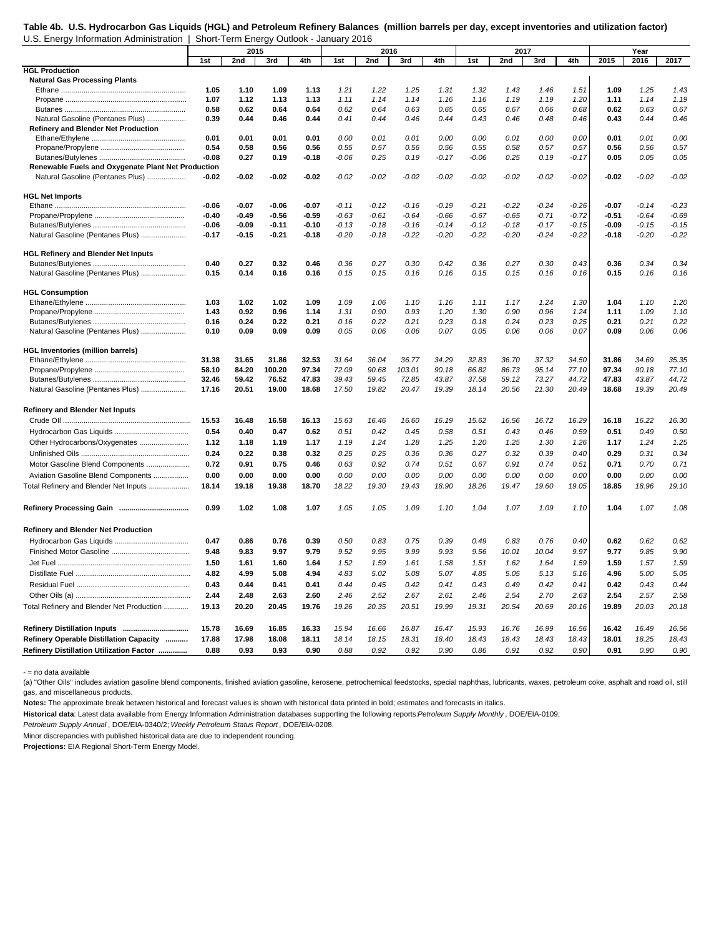#### **Table 4b. U.S. Hydrocarbon Gas Liquids (HGL) and Petroleum Refinery Balances (million barrels per day, except inventories and utilization factor)** U.S. Energy Information Administration | Short-Term Energy Outlook - January 2016

|                                                    |              | 2015         |              |              |              | 2016         |              |              |              | 2017         |              |              |              | Year         |              |
|----------------------------------------------------|--------------|--------------|--------------|--------------|--------------|--------------|--------------|--------------|--------------|--------------|--------------|--------------|--------------|--------------|--------------|
|                                                    | 1st          | 2nd          | 3rd          | 4th          | 1st          | 2nd          | 3rd          | 4th          | 1st          | 2nd          | 3rd          | 4th          | 2015         | 2016         | 2017         |
| <b>HGL Production</b>                              |              |              |              |              |              |              |              |              |              |              |              |              |              |              |              |
| <b>Natural Gas Processing Plants</b>               |              |              |              |              |              |              |              |              |              |              |              |              |              |              |              |
|                                                    | 1.05         | 1.10         | 1.09         | 1.13         | 1.21         | 1.22         | 1.25         | 1.31         | 1.32         | 1.43         | 1.46         | 1.51         | 1.09         | 1.25         | 1.43         |
|                                                    | 1.07         | 1.12         | 1.13         | 1.13         | 1.11         | 1.14         | 1.14         | 1.16         | 1.16         | 1.19         | 1.19         | 1.20         | 1.11         | 1.14         | 1.19         |
|                                                    | 0.58         | 0.62         | 0.64         | 0.64         | 0.62         | 0.64         | 0.63         | 0.65         | 0.65         | 0.67         | 0.66         | 0.68         | 0.62         | 0.63         | 0.67         |
| Natural Gasoline (Pentanes Plus)                   | 0.39         | 0.44         | 0.46         | 0.44         | 0.41         | 0.44         | 0.46         | 0.44         | 0.43         | 0.46         | 0.48         | 0.46         | 0.43         | 0.44         | 0.46         |
| Refinery and Blender Net Production                |              |              |              |              |              |              |              |              |              |              |              |              |              |              |              |
|                                                    | 0.01         | 0.01         | 0.01         | 0.01         | 0.00         | 0.01         | 0.01         | 0.00         | 0.00         | 0.01         | 0.00         | 0.00         | 0.01         | 0.01         | 0.00         |
|                                                    | 0.54         | 0.58         | 0.56         | 0.56         | 0.55         | 0.57         | 0.56         | 0.56         | 0.55         | 0.58         | 0.57         | 0.57         | 0.56         | 0.56         | 0.57         |
|                                                    | $-0.08$      | 0.27         | 0.19         | $-0.18$      | $-0.06$      | 0.25         | 0.19         | $-0.17$      | $-0.06$      | 0.25         | 0.19         | $-0.17$      | 0.05         | 0.05         | 0.05         |
| Renewable Fuels and Oxygenate Plant Net Production |              |              |              |              |              |              |              |              |              |              |              |              |              |              |              |
| Natural Gasoline (Pentanes Plus)                   | -0.02        | $-0.02$      | $-0.02$      | $-0.02$      | $-0.02$      | $-0.02$      | $-0.02$      | $-0.02$      | $-0.02$      | $-0.02$      | $-0.02$      | $-0.02$      | $-0.02$      | $-0.02$      | $-0.02$      |
|                                                    |              |              |              |              |              |              |              |              |              |              |              |              |              |              |              |
| <b>HGL Net Imports</b>                             |              |              |              |              |              |              |              |              |              |              |              |              |              |              |              |
|                                                    | $-0.06$      | $-0.07$      | $-0.06$      | $-0.07$      | $-0.11$      | $-0.12$      | $-0.16$      | $-0.19$      | $-0.21$      | $-0.22$      | $-0.24$      | $-0.26$      | $-0.07$      | $-0.14$      | $-0.23$      |
|                                                    | $-0.40$      | $-0.49$      | $-0.56$      | $-0.59$      | $-0.63$      | $-0.61$      | $-0.64$      | $-0.66$      | $-0.67$      | $-0.65$      | $-0.71$      | $-0.72$      | $-0.51$      | $-0.64$      | $-0.69$      |
|                                                    | $-0.06$      | $-0.09$      | $-0.11$      | $-0.10$      | $-0.13$      | $-0.18$      | $-0.16$      | $-0.14$      | $-0.12$      | $-0.18$      | $-0.17$      | $-0.15$      | $-0.09$      | $-0.15$      | $-0.15$      |
| Natural Gasoline (Pentanes Plus)                   | $-0.17$      | $-0.15$      | $-0.21$      | $-0.18$      | $-0.20$      | $-0.18$      | $-0.22$      | $-0.20$      | $-0.22$      | $-0.20$      | $-0.24$      | $-0.22$      | $-0.18$      | $-0.20$      | $-0.22$      |
|                                                    |              |              |              |              |              |              |              |              |              |              |              |              |              |              |              |
| <b>HGL Refinery and Blender Net Inputs</b>         |              |              |              |              |              |              |              |              |              |              |              |              |              |              |              |
|                                                    | 0.40         | 0.27         | 0.32         | 0.46         | 0.36         | 0.27         | 0.30         | 0.42         | 0.36         | 0.27         | 0.30         | 0.43         | 0.36         | 0.34         | 0.34         |
| Natural Gasoline (Pentanes Plus)                   | 0.15         | 0.14         | 0.16         | 0.16         | 0.15         | 0.15         | 0.16         | 0.16         | 0.15         | 0.15         | 0.16         | 0.16         | 0.15         | 0.16         | 0.16         |
|                                                    |              |              |              |              |              |              |              |              |              |              |              |              |              |              |              |
| <b>HGL Consumption</b>                             |              |              |              |              |              |              |              |              |              |              |              |              |              |              |              |
|                                                    | 1.03<br>1.43 | 1.02<br>0.92 | 1.02<br>0.96 | 1.09<br>1.14 | 1.09<br>1.31 | 1.06<br>0.90 | 1.10<br>0.93 | 1.16<br>1.20 | 1.11<br>1.30 | 1.17<br>0.90 | 1.24<br>0.96 | 1.30<br>1.24 | 1.04<br>1.11 | 1.10<br>1.09 | 1.20<br>1.10 |
|                                                    | 0.16         | 0.24         | 0.22         | 0.21         |              |              | 0.21         |              |              |              | 0.23         |              |              | 0.21         |              |
| Natural Gasoline (Pentanes Plus)                   | 0.10         | 0.09         | 0.09         | 0.09         | 0.16<br>0.05 | 0.22<br>0.06 | 0.06         | 0.23<br>0.07 | 0.18<br>0.05 | 0.24<br>0.06 | 0.06         | 0.25<br>0.07 | 0.21<br>0.09 | 0.06         | 0.22<br>0.06 |
|                                                    |              |              |              |              |              |              |              |              |              |              |              |              |              |              |              |
| <b>HGL Inventories (million barrels)</b>           |              |              |              |              |              |              |              |              |              |              |              |              |              |              |              |
|                                                    | 31.38        | 31.65        | 31.86        | 32.53        | 31.64        | 36.04        | 36.77        | 34.29        | 32.83        | 36.70        | 37.32        | 34.50        | 31.86        | 34.69        | 35.35        |
|                                                    | 58.10        | 84.20        | 100.20       | 97.34        | 72.09        | 90.68        | 103.01       | 90.18        | 66.82        | 86.73        | 95.14        | 77.10        | 97.34        | 90.18        | 77.10        |
|                                                    | 32.46        | 59.42        | 76.52        | 47.83        | 39.43        | 59.45        | 72.85        | 43.87        | 37.58        | 59.12        | 73.27        | 44.72        | 47.83        | 43.87        | 44.72        |
| Natural Gasoline (Pentanes Plus)                   | 17.16        | 20.51        | 19.00        | 18.68        | 17.50        | 19.82        | 20.47        | 19.39        | 18.14        | 20.56        | 21.30        | 20.49        | 18.68        | 19.39        | 20.49        |
|                                                    |              |              |              |              |              |              |              |              |              |              |              |              |              |              |              |
| <b>Refinery and Blender Net Inputs</b>             |              |              |              |              |              |              |              |              |              |              |              |              |              |              |              |
|                                                    | 15.53        | 16.48        | 16.58        | 16.13        | 15.63        | 16.46        | 16.60        | 16.19        | 15.62        | 16.56        | 16.72        | 16.29        | 16.18        | 16.22        | 16.30        |
|                                                    | 0.54         | 0.40         | 0.47         | 0.62         | 0.51         | 0.42         | 0.45         | 0.58         | 0.51         | 0.43         | 0.46         | 0.59         | 0.51         | 0.49         | 0.50         |
|                                                    | 1.12         |              | 1.19         | 1.17         | 1.19         | 1.24         | 1.28         |              |              |              | 1.30         | 1.26         | 1.17         | 1.24         |              |
| Other Hydrocarbons/Oxygenates                      |              | 1.18         |              |              |              |              |              | 1.25         | 1.20         | 1.25         |              |              |              |              | 1.25         |
|                                                    | 0.24         | 0.22         | 0.38         | 0.32         | 0.25         | 0.25         | 0.36         | 0.36         | 0.27         | 0.32         | 0.39         | 0.40         | 0.29         | 0.31         | 0.34         |
| Motor Gasoline Blend Components                    | 0.72         | 0.91         | 0.75         | 0.46         | 0.63         | 0.92         | 0.74         | 0.51         | 0.67         | 0.91         | 0.74         | 0.51         | 0.71         | 0.70         | 0.71         |
| Aviation Gasoline Blend Components                 | 0.00         | 0.00         | 0.00         | 0.00         | 0.00         | 0.00         | 0.00         | 0.00         | 0.00         | 0.00         | 0.00         | 0.00         | 0.00         | 0.00         | 0.00         |
| Total Refinery and Blender Net Inputs              | 18.14        | 19.18        | 19.38        | 18.70        | 18.22        | 19.30        | 19.43        | 18.90        | 18.26        | 19.47        | 19.60        | 19.05        | 18.85        | 18.96        | 19.10        |
|                                                    | 0.99         | 1.02         | 1.08         | 1.07         | 1.05         | 1.05         | 1.09         | 1.10         | 1.04         | 1.07         | 1.09         | 1.10         | 1.04         | 1.07         | 1.08         |
|                                                    |              |              |              |              |              |              |              |              |              |              |              |              |              |              |              |
| <b>Refinery and Blender Net Production</b>         |              |              |              |              |              |              |              |              |              |              |              |              |              |              |              |
|                                                    |              |              |              |              |              |              |              | 0.39         | 0.49         |              |              |              | 0.62         | 0.62         | 0.62         |
|                                                    | 0.47         | 0.86         | 0.76         | 0.39         | 0.50         | 0.83         | 0.75         |              |              | 0.83         | 0.76         | 0.40         |              |              |              |
|                                                    | 9.48         | 9.83         | 9.97         | 9.79         | 9.52         | 9.95         | 9.99         | 9.93         | 9.56         | 10.01        | 10.04        | 9.97         | 9.77         | 9.85         | 9.90         |
|                                                    | 1.50         | 1.61         | 1.60         | 1.64         | 1.52         | 1.59         | 1.61         | 1.58         | 1.51         | 1.62         | 1.64         | 1.59         | 1.59         | 1.57         | 1.59         |
|                                                    | 4.82         | 4.99         | 5.08         | 4.94         | 4.83         | 5.02         | 5.08         | 5.07         | 4.85         | 5.05         | 5.13         | 5.16         | 4.96         | 5.00         | 5.05         |
|                                                    | 0.43         | 0.44         | 0.41         | 0.41         | 0.44         | 0.45         | 0.42         | 0.41         | 0.43         | 0.49         | 0.42         | 0.41         | 0.42         | 0.43         | 0.44         |
|                                                    | 2.44         | 2.48         | 2.63         | 2.60         | 2.46         | 2.52         | 2.67         | 2.61         | 2.46         | 2.54         | 2.70         | 2.63         | 2.54         | 2.57         | 2.58         |
| Total Refinery and Blender Net Production          | 19.13        | 20.20        | 20.45        | 19.76        | 19.26        | 20.35        | 20.51        | 19.99        | 19.31        | 20.54        | 20.69        | 20.16        | 19.89        | 20.03        | 20.18        |
|                                                    |              |              |              |              |              |              |              |              |              |              |              |              |              |              |              |
|                                                    | 15.78        | 16.69        | 16.85        | 16.33        | 15.94        | 16.66        | 16.87        | 16.47        | 15.93        | 16.76        | 16.99        | 16.56        | 16.42        | 16.49        | 16.56        |
| Refinery Operable Distillation Capacity            | 17.88        | 17.98        | 18.08        | 18.11        | 18.14        | 18.15        | 18.31        | 18.40        | 18.43        | 18.43        | 18.43        | 18.43        | 18.01        | 18.25        | 18.43        |
| Refinery Distillation Utilization Factor           | 0.88         | 0.93         | 0.93         | 0.90         | 0.88         | 0.92         | 0.92         | 0.90         | 0.86         | 0.91         | 0.92         | 0.90         | 0.91         | 0.90         | 0.90         |
|                                                    |              |              |              |              |              |              |              |              |              |              |              |              |              |              |              |

- = no data available

(a) "Other Oils" includes aviation gasoline blend components, finished aviation gasoline, kerosene, petrochemical feedstocks, special naphthas, lubricants, waxes, petroleum coke, asphalt and road oil, still gas, and miscellaneous products.

Notes: The approximate break between historical and forecast values is shown with historical data printed in bold; estimates and forecasts in italics.

**Historical data**: Latest data available from Energy Information Administration databases supporting the following reports: *Petroleum Supply Monthly* , DOE/EIA-0109;

*Petroleum Supply Annual* , DOE/EIA-0340/2; *Weekly Petroleum Status Report* , DOE/EIA-0208.

Minor discrepancies with published historical data are due to independent rounding.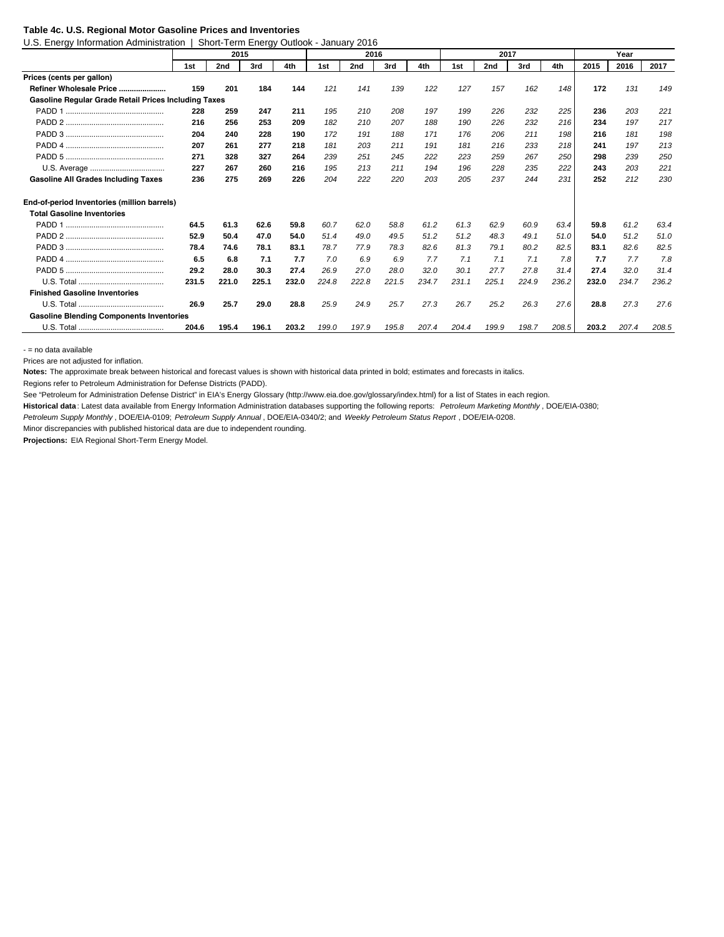#### **Table 4c. U.S. Regional Motor Gasoline Prices and Inventories**

U.S. Energy Information Administration | Short-Term Energy Outlook - January 2016

|                                                      |       | 2015  |       |       |       | 2016  |       |       |       | 2017  |       |       |       | Year  |       |
|------------------------------------------------------|-------|-------|-------|-------|-------|-------|-------|-------|-------|-------|-------|-------|-------|-------|-------|
|                                                      | 1st   | 2nd   | 3rd   | 4th   | 1st   | 2nd   | 3rd   | 4th   | 1st   | 2nd   | 3rd   | 4th   | 2015  | 2016  | 2017  |
| Prices (cents per gallon)                            |       |       |       |       |       |       |       |       |       |       |       |       |       |       |       |
| Refiner Wholesale Price                              | 159   | 201   | 184   | 144   | 121   | 141   | 139   | 122   | 127   | 157   | 162   | 148   | 172   | 131   | 149   |
| Gasoline Regular Grade Retail Prices Including Taxes |       |       |       |       |       |       |       |       |       |       |       |       |       |       |       |
|                                                      | 228   | 259   | 247   | 211   | 195   | 210   | 208   | 197   | 199   | 226   | 232   | 225   | 236   | 203   | 221   |
|                                                      | 216   | 256   | 253   | 209   | 182   | 210   | 207   | 188   | 190   | 226   | 232   | 216   | 234   | 197   | 217   |
|                                                      | 204   | 240   | 228   | 190   | 172   | 191   | 188   | 171   | 176   | 206   | 211   | 198   | 216   | 181   | 198   |
|                                                      | 207   | 261   | 277   | 218   | 181   | 203   | 211   | 191   | 181   | 216   | 233   | 218   | 241   | 197   | 213   |
|                                                      | 271   | 328   | 327   | 264   | 239   | 251   | 245   | 222   | 223   | 259   | 267   | 250   | 298   | 239   | 250   |
|                                                      | 227   | 267   | 260   | 216   | 195   | 213   | 211   | 194   | 196   | 228   | 235   | 222   | 243   | 203   | 221   |
| <b>Gasoline All Grades Including Taxes</b>           | 236   | 275   | 269   | 226   | 204   | 222   | 220   | 203   | 205   | 237   | 244   | 231   | 252   | 212   | 230   |
| End-of-period Inventories (million barrels)          |       |       |       |       |       |       |       |       |       |       |       |       |       |       |       |
| <b>Total Gasoline Inventories</b>                    |       |       |       |       |       |       |       |       |       |       |       |       |       |       |       |
|                                                      | 64.5  | 61.3  | 62.6  | 59.8  | 60.7  | 62.0  | 58.8  | 61.2  | 61.3  | 62.9  | 60.9  | 63.4  | 59.8  | 61.2  | 63.4  |
|                                                      | 52.9  | 50.4  | 47.0  | 54.0  | 51.4  | 49.0  | 49.5  | 51.2  | 51.2  | 48.3  | 49.1  | 51.0  | 54.0  | 51.2  | 51.0  |
|                                                      | 78.4  | 74.6  | 78.1  | 83.1  | 78.7  | 77.9  | 78.3  | 82.6  | 81.3  | 79.1  | 80.2  | 82.5  | 83.1  | 82.6  | 82.5  |
|                                                      | 6.5   | 6.8   | 7.1   | 7.7   | 7.0   | 6.9   | 6.9   | 7.7   | 7.1   | 7.1   | 7.1   | 7.8   | 7.7   | 7.7   | 7.8   |
|                                                      | 29.2  | 28.0  | 30.3  | 27.4  | 26.9  | 27.0  | 28.0  | 32.0  | 30.1  | 27.7  | 27.8  | 31.4  | 27.4  | 32.0  | 31.4  |
|                                                      | 231.5 | 221.0 | 225.1 | 232.0 | 224.8 | 222.8 | 221.5 | 234.7 | 231.1 | 225.1 | 224.9 | 236.2 | 232.0 | 234.7 | 236.2 |
| <b>Finished Gasoline Inventories</b>                 |       |       |       |       |       |       |       |       |       |       |       |       |       |       |       |
|                                                      | 26.9  | 25.7  | 29.0  | 28.8  | 25.9  | 24.9  | 25.7  | 27.3  | 26.7  | 25.2  | 26.3  | 27.6  | 28.8  | 27.3  | 27.6  |
| <b>Gasoline Blending Components Inventories</b>      |       |       |       |       |       |       |       |       |       |       |       |       |       |       |       |
|                                                      | 204.6 | 195.4 | 196.1 | 203.2 | 199.0 | 197.9 | 195.8 | 207.4 | 204.4 | 199.9 | 198.7 | 208.5 | 203.2 | 207.4 | 208.5 |

- = no data available

Prices are not adjusted for inflation.

**Notes:** The approximate break between historical and forecast values is shown with historical data printed in bold; estimates and forecasts in italics.

Regions refer to Petroleum Administration for Defense Districts (PADD).

See "Petroleum for Administration Defense District" in EIA's Energy Glossary (http://www.eia.doe.gov/glossary/index.html) for a list of States in each region.

**Historical data** : Latest data available from Energy Information Administration databases supporting the following reports: *Petroleum Marketing Monthly* , DOE/EIA-0380;

*Petroleum Supply Monthly* , DOE/EIA-0109; *Petroleum Supply Annual* , DOE/EIA-0340/2; and *Weekly Petroleum Status Report* , DOE/EIA-0208.

Minor discrepancies with published historical data are due to independent rounding.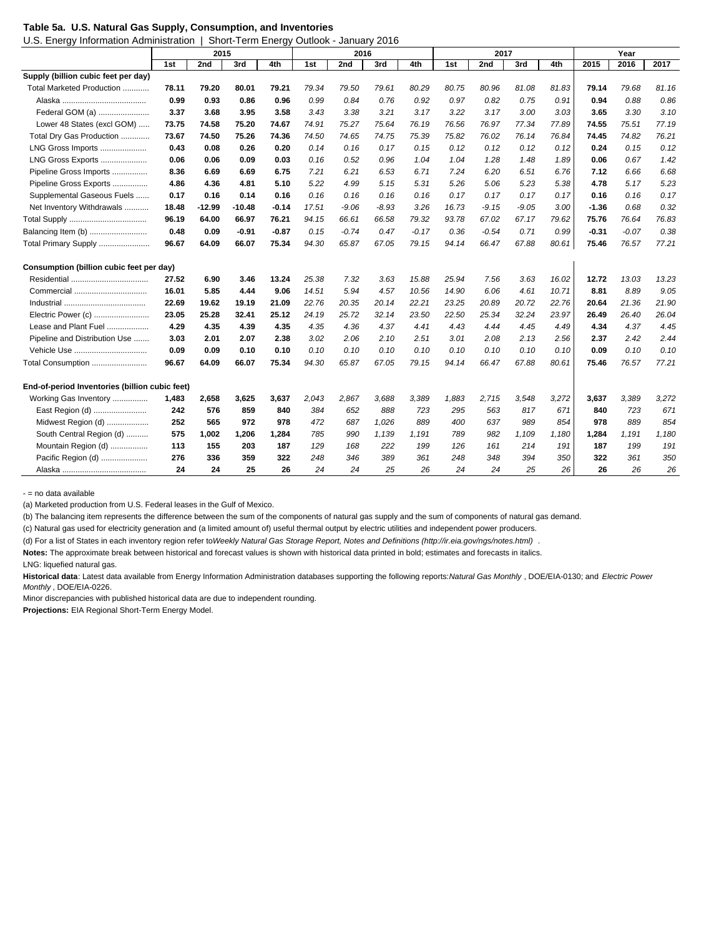|  |  |  |  | Table 5a. U.S. Natural Gas Supply, Consumption, and Inventories |
|--|--|--|--|-----------------------------------------------------------------|
|--|--|--|--|-----------------------------------------------------------------|

| U.S. Energy Information Administration   Short-Term Energy Outlook - January 2016 |
|-----------------------------------------------------------------------------------|
|                                                                                   |

|                                                | 2015  |          |          |         | 2016  |         |         |         | 2017  |         | Year    |       |         |         |       |
|------------------------------------------------|-------|----------|----------|---------|-------|---------|---------|---------|-------|---------|---------|-------|---------|---------|-------|
|                                                | 1st   | 2nd      | 3rd      | 4th     | 1st   | 2nd     | 3rd     | 4th     | 1st   | 2nd     | 3rd     | 4th   | 2015    | 2016    | 2017  |
| Supply (billion cubic feet per day)            |       |          |          |         |       |         |         |         |       |         |         |       |         |         |       |
| Total Marketed Production                      | 78.11 | 79.20    | 80.01    | 79.21   | 79.34 | 79.50   | 79.61   | 80.29   | 80.75 | 80.96   | 81.08   | 81.83 | 79.14   | 79.68   | 81.16 |
|                                                | 0.99  | 0.93     | 0.86     | 0.96    | 0.99  | 0.84    | 0.76    | 0.92    | 0.97  | 0.82    | 0.75    | 0.91  | 0.94    | 0.88    | 0.86  |
| Federal GOM (a)                                | 3.37  | 3.68     | 3.95     | 3.58    | 3.43  | 3.38    | 3.21    | 3.17    | 3.22  | 3.17    | 3.00    | 3.03  | 3.65    | 3.30    | 3.10  |
| Lower 48 States (excl GOM)                     | 73.75 | 74.58    | 75.20    | 74.67   | 74.91 | 75.27   | 75.64   | 76.19   | 76.56 | 76.97   | 77.34   | 77.89 | 74.55   | 75.51   | 77.19 |
| Total Dry Gas Production                       | 73.67 | 74.50    | 75.26    | 74.36   | 74.50 | 74.65   | 74.75   | 75.39   | 75.82 | 76.02   | 76.14   | 76.84 | 74.45   | 74.82   | 76.21 |
| LNG Gross Imports                              | 0.43  | 0.08     | 0.26     | 0.20    | 0.14  | 0.16    | 0.17    | 0.15    | 0.12  | 0.12    | 0.12    | 0.12  | 0.24    | 0.15    | 0.12  |
| LNG Gross Exports                              | 0.06  | 0.06     | 0.09     | 0.03    | 0.16  | 0.52    | 0.96    | 1.04    | 1.04  | 1.28    | 1.48    | 1.89  | 0.06    | 0.67    | 1.42  |
| Pipeline Gross Imports                         | 8.36  | 6.69     | 6.69     | 6.75    | 7.21  | 6.21    | 6.53    | 6.71    | 7.24  | 6.20    | 6.51    | 6.76  | 7.12    | 6.66    | 6.68  |
| Pipeline Gross Exports                         | 4.86  | 4.36     | 4.81     | 5.10    | 5.22  | 4.99    | 5.15    | 5.31    | 5.26  | 5.06    | 5.23    | 5.38  | 4.78    | 5.17    | 5.23  |
| Supplemental Gaseous Fuels                     | 0.17  | 0.16     | 0.14     | 0.16    | 0.16  | 0.16    | 0.16    | 0.16    | 0.17  | 0.17    | 0.17    | 0.17  | 0.16    | 0.16    | 0.17  |
| Net Inventory Withdrawals                      | 18.48 | $-12.99$ | $-10.48$ | $-0.14$ | 17.51 | $-9.06$ | $-8.93$ | 3.26    | 16.73 | $-9.15$ | $-9.05$ | 3.00  | $-1.36$ | 0.68    | 0.32  |
|                                                | 96.19 | 64.00    | 66.97    | 76.21   | 94.15 | 66.61   | 66.58   | 79.32   | 93.78 | 67.02   | 67.17   | 79.62 | 75.76   | 76.64   | 76.83 |
| Balancing Item (b)                             | 0.48  | 0.09     | -0.91    | $-0.87$ | 0.15  | $-0.74$ | 0.47    | $-0.17$ | 0.36  | $-0.54$ | 0.71    | 0.99  | $-0.31$ | $-0.07$ | 0.38  |
| Total Primary Supply                           | 96.67 | 64.09    | 66.07    | 75.34   | 94.30 | 65.87   | 67.05   | 79.15   | 94.14 | 66.47   | 67.88   | 80.61 | 75.46   | 76.57   | 77.21 |
| Consumption (billion cubic feet per day)       |       |          |          |         |       |         |         |         |       |         |         |       |         |         |       |
|                                                | 27.52 | 6.90     | 3.46     | 13.24   | 25.38 | 7.32    | 3.63    | 15.88   | 25.94 | 7.56    | 3.63    | 16.02 | 12.72   | 13.03   | 13.23 |
| Commercial                                     | 16.01 | 5.85     | 4.44     | 9.06    | 14.51 | 5.94    | 4.57    | 10.56   | 14.90 | 6.06    | 4.61    | 10.71 | 8.81    | 8.89    | 9.05  |
|                                                | 22.69 | 19.62    | 19.19    | 21.09   | 22.76 | 20.35   | 20.14   | 22.21   | 23.25 | 20.89   | 20.72   | 22.76 | 20.64   | 21.36   | 21.90 |
| Electric Power (c)                             | 23.05 | 25.28    | 32.41    | 25.12   | 24.19 | 25.72   | 32.14   | 23.50   | 22.50 | 25.34   | 32.24   | 23.97 | 26.49   | 26.40   | 26.04 |
| Lease and Plant Fuel                           | 4.29  | 4.35     | 4.39     | 4.35    | 4.35  | 4.36    | 4.37    | 4.41    | 4.43  | 4.44    | 4.45    | 4.49  | 4.34    | 4.37    | 4.45  |
| Pipeline and Distribution Use                  | 3.03  | 2.01     | 2.07     | 2.38    | 3.02  | 2.06    | 2.10    | 2.51    | 3.01  | 2.08    | 2.13    | 2.56  | 2.37    | 2.42    | 2.44  |
| Vehicle Use                                    | 0.09  | 0.09     | 0.10     | 0.10    | 0.10  | 0.10    | 0.10    | 0.10    | 0.10  | 0.10    | 0.10    | 0.10  | 0.09    | 0.10    | 0.10  |
| Total Consumption                              | 96.67 | 64.09    | 66.07    | 75.34   | 94.30 | 65.87   | 67.05   | 79.15   | 94.14 | 66.47   | 67.88   | 80.61 | 75.46   | 76.57   | 77.21 |
| End-of-period Inventories (billion cubic feet) |       |          |          |         |       |         |         |         |       |         |         |       |         |         |       |
| Working Gas Inventory                          | 1,483 | 2,658    | 3,625    | 3,637   | 2,043 | 2,867   | 3,688   | 3,389   | 1,883 | 2,715   | 3,548   | 3,272 | 3,637   | 3,389   | 3,272 |
| East Region (d)                                | 242   | 576      | 859      | 840     | 384   | 652     | 888     | 723     | 295   | 563     | 817     | 671   | 840     | 723     | 671   |
| Midwest Region (d)                             | 252   | 565      | 972      | 978     | 472   | 687     | 1,026   | 889     | 400   | 637     | 989     | 854   | 978     | 889     | 854   |
| South Central Region (d)                       | 575   | 1.002    | 1,206    | 1.284   | 785   | 990     | 1,139   | 1.191   | 789   | 982     | 1.109   | 1,180 | 1,284   | 1,191   | 1,180 |
| Mountain Region (d)                            | 113   | 155      | 203      | 187     | 129   | 168     | 222     | 199     | 126   | 161     | 214     | 191   | 187     | 199     | 191   |
| Pacific Region (d)                             | 276   | 336      | 359      | 322     | 248   | 346     | 389     | 361     | 248   | 348     | 394     | 350   | 322     | 361     | 350   |
|                                                | 24    | 24       | 25       | 26      | 24    | 24      | 25      | 26      | 24    | 24      | 25      | 26    | 26      | 26      | 26    |

- = no data available

(a) Marketed production from U.S. Federal leases in the Gulf of Mexico.

(b) The balancing item represents the difference between the sum of the components of natural gas supply and the sum of components of natural gas demand.

(c) Natural gas used for electricity generation and (a limited amount of) useful thermal output by electric utilities and independent power producers.

(d) For a list of States in each inventory region refer to *Weekly Natural Gas Storage Report, Notes and Definitions (http://ir.eia.gov/ngs/notes.html)* .

**Notes:** The approximate break between historical and forecast values is shown with historical data printed in bold; estimates and forecasts in italics.

LNG: liquefied natural gas.

**Historical data**: Latest data available from Energy Information Administration databases supporting the following reports: *Natural Gas Monthly* , DOE/EIA-0130; and *Electric Power Monthly* , DOE/EIA-0226.

Minor discrepancies with published historical data are due to independent rounding.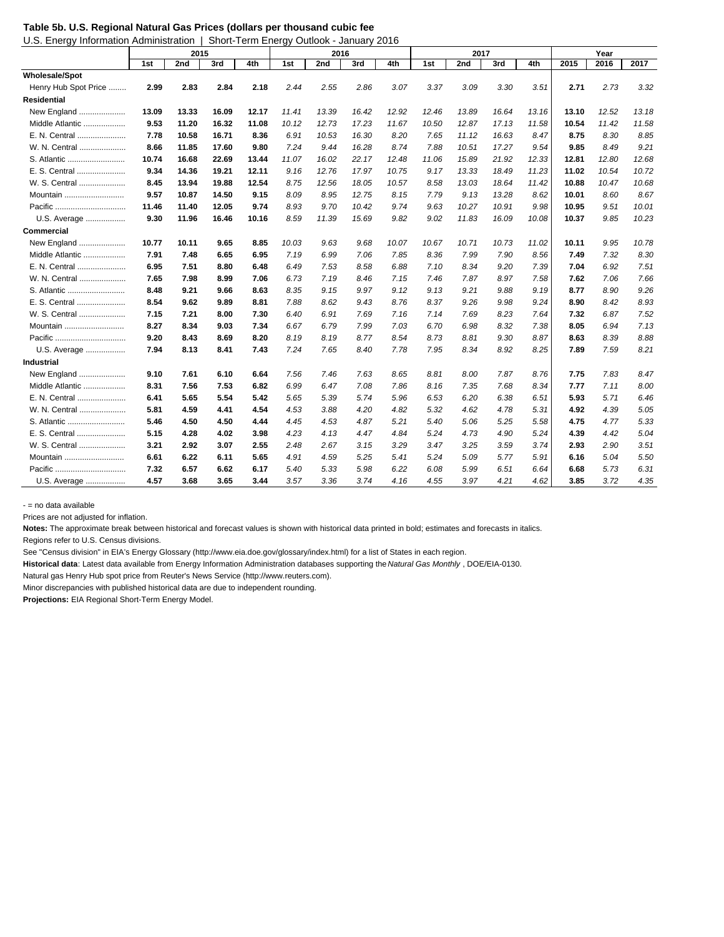|  |  |  | Table 5b. U.S. Regional Natural Gas Prices (dollars per thousand cubic fee |
|--|--|--|----------------------------------------------------------------------------|
|--|--|--|----------------------------------------------------------------------------|

U.S. Energy Information Administration | Short-Term Energy Outlook - January 2016

|                       | <u>.</u><br>2015 |       |       |       | ------<br>2016 |       |       |       | 2017  |       | Year  |       |       |       |       |
|-----------------------|------------------|-------|-------|-------|----------------|-------|-------|-------|-------|-------|-------|-------|-------|-------|-------|
|                       | 1st              | 2nd   | 3rd   | 4th   | 1st            | 2nd   | 3rd   | 4th   | 1st   | 2nd   | 3rd   | 4th   | 2015  | 2016  | 2017  |
| <b>Wholesale/Spot</b> |                  |       |       |       |                |       |       |       |       |       |       |       |       |       |       |
| Henry Hub Spot Price  | 2.99             | 2.83  | 2.84  | 2.18  | 2.44           | 2.55  | 2.86  | 3.07  | 3.37  | 3.09  | 3.30  | 3.51  | 2.71  | 2.73  | 3.32  |
| <b>Residential</b>    |                  |       |       |       |                |       |       |       |       |       |       |       |       |       |       |
| New England           | 13.09            | 13.33 | 16.09 | 12.17 | 11.41          | 13.39 | 16.42 | 12.92 | 12.46 | 13.89 | 16.64 | 13.16 | 13.10 | 12.52 | 13.18 |
| Middle Atlantic       | 9.53             | 11.20 | 16.32 | 11.08 | 10.12          | 12.73 | 17.23 | 11.67 | 10.50 | 12.87 | 17.13 | 11.58 | 10.54 | 11.42 | 11.58 |
| E. N. Central         | 7.78             | 10.58 | 16.71 | 8.36  | 6.91           | 10.53 | 16.30 | 8.20  | 7.65  | 11.12 | 16.63 | 8.47  | 8.75  | 8.30  | 8.85  |
| W. N. Central         | 8.66             | 11.85 | 17.60 | 9.80  | 7.24           | 9.44  | 16.28 | 8.74  | 7.88  | 10.51 | 17.27 | 9.54  | 9.85  | 8.49  | 9.21  |
| S. Atlantic           | 10.74            | 16.68 | 22.69 | 13.44 | 11.07          | 16.02 | 22.17 | 12.48 | 11.06 | 15.89 | 21.92 | 12.33 | 12.81 | 12.80 | 12.68 |
| E. S. Central         | 9.34             | 14.36 | 19.21 | 12.11 | 9.16           | 12.76 | 17.97 | 10.75 | 9.17  | 13.33 | 18.49 | 11.23 | 11.02 | 10.54 | 10.72 |
| W. S. Central         | 8.45             | 13.94 | 19.88 | 12.54 | 8.75           | 12.56 | 18.05 | 10.57 | 8.58  | 13.03 | 18.64 | 11.42 | 10.88 | 10.47 | 10.68 |
| Mountain              | 9.57             | 10.87 | 14.50 | 9.15  | 8.09           | 8.95  | 12.75 | 8.15  | 7.79  | 9.13  | 13.28 | 8.62  | 10.01 | 8.60  | 8.67  |
|                       | 11.46            | 11.40 | 12.05 | 9.74  | 8.93           | 9.70  | 10.42 | 9.74  | 9.63  | 10.27 | 10.91 | 9.98  | 10.95 | 9.51  | 10.01 |
| U.S. Average          | 9.30             | 11.96 | 16.46 | 10.16 | 8.59           | 11.39 | 15.69 | 9.82  | 9.02  | 11.83 | 16.09 | 10.08 | 10.37 | 9.85  | 10.23 |
| <b>Commercial</b>     |                  |       |       |       |                |       |       |       |       |       |       |       |       |       |       |
| New England           | 10.77            | 10.11 | 9.65  | 8.85  | 10.03          | 9.63  | 9.68  | 10.07 | 10.67 | 10.71 | 10.73 | 11.02 | 10.11 | 9.95  | 10.78 |
| Middle Atlantic       | 7.91             | 7.48  | 6.65  | 6.95  | 7.19           | 6.99  | 7.06  | 7.85  | 8.36  | 7.99  | 7.90  | 8.56  | 7.49  | 7.32  | 8.30  |
| E. N. Central         | 6.95             | 7.51  | 8.80  | 6.48  | 6.49           | 7.53  | 8.58  | 6.88  | 7.10  | 8.34  | 9.20  | 7.39  | 7.04  | 6.92  | 7.51  |
| W. N. Central         | 7.65             | 7.98  | 8.99  | 7.06  | 6.73           | 7.19  | 8.46  | 7.15  | 7.46  | 7.87  | 8.97  | 7.58  | 7.62  | 7.06  | 7.66  |
| S. Atlantic           | 8.48             | 9.21  | 9.66  | 8.63  | 8.35           | 9.15  | 9.97  | 9.12  | 9.13  | 9.21  | 9.88  | 9.19  | 8.77  | 8.90  | 9.26  |
| E. S. Central         | 8.54             | 9.62  | 9.89  | 8.81  | 7.88           | 8.62  | 9.43  | 8.76  | 8.37  | 9.26  | 9.98  | 9.24  | 8.90  | 8.42  | 8.93  |
| W. S. Central         | 7.15             | 7.21  | 8.00  | 7.30  | 6.40           | 6.91  | 7.69  | 7.16  | 7.14  | 7.69  | 8.23  | 7.64  | 7.32  | 6.87  | 7.52  |
| Mountain              | 8.27             | 8.34  | 9.03  | 7.34  | 6.67           | 6.79  | 7.99  | 7.03  | 6.70  | 6.98  | 8.32  | 7.38  | 8.05  | 6.94  | 7.13  |
|                       | 9.20             | 8.43  | 8.69  | 8.20  | 8.19           | 8.19  | 8.77  | 8.54  | 8.73  | 8.81  | 9.30  | 8.87  | 8.63  | 8.39  | 8.88  |
| U.S. Average          | 7.94             | 8.13  | 8.41  | 7.43  | 7.24           | 7.65  | 8.40  | 7.78  | 7.95  | 8.34  | 8.92  | 8.25  | 7.89  | 7.59  | 8.21  |
| Industrial            |                  |       |       |       |                |       |       |       |       |       |       |       |       |       |       |
| New England           | 9.10             | 7.61  | 6.10  | 6.64  | 7.56           | 7.46  | 7.63  | 8.65  | 8.81  | 8.00  | 7.87  | 8.76  | 7.75  | 7.83  | 8.47  |
| Middle Atlantic       | 8.31             | 7.56  | 7.53  | 6.82  | 6.99           | 6.47  | 7.08  | 7.86  | 8.16  | 7.35  | 7.68  | 8.34  | 7.77  | 7.11  | 8.00  |
| E. N. Central         | 6.41             | 5.65  | 5.54  | 5.42  | 5.65           | 5.39  | 5.74  | 5.96  | 6.53  | 6.20  | 6.38  | 6.51  | 5.93  | 5.71  | 6.46  |
| W. N. Central         | 5.81             | 4.59  | 4.41  | 4.54  | 4.53           | 3.88  | 4.20  | 4.82  | 5.32  | 4.62  | 4.78  | 5.31  | 4.92  | 4.39  | 5.05  |
| S. Atlantic           | 5.46             | 4.50  | 4.50  | 4.44  | 4.45           | 4.53  | 4.87  | 5.21  | 5.40  | 5.06  | 5.25  | 5.58  | 4.75  | 4.77  | 5.33  |
| E. S. Central         | 5.15             | 4.28  | 4.02  | 3.98  | 4.23           | 4.13  | 4.47  | 4.84  | 5.24  | 4.73  | 4.90  | 5.24  | 4.39  | 4.42  | 5.04  |
| W. S. Central         | 3.21             | 2.92  | 3.07  | 2.55  | 2.48           | 2.67  | 3.15  | 3.29  | 3.47  | 3.25  | 3.59  | 3.74  | 2.93  | 2.90  | 3.51  |
| Mountain              | 6.61             | 6.22  | 6.11  | 5.65  | 4.91           | 4.59  | 5.25  | 5.41  | 5.24  | 5.09  | 5.77  | 5.91  | 6.16  | 5.04  | 5.50  |
| Pacific               | 7.32             | 6.57  | 6.62  | 6.17  | 5.40           | 5.33  | 5.98  | 6.22  | 6.08  | 5.99  | 6.51  | 6.64  | 6.68  | 5.73  | 6.31  |
| U.S. Average          | 4.57             | 3.68  | 3.65  | 3.44  | 3.57           | 3.36  | 3.74  | 4.16  | 4.55  | 3.97  | 4.21  | 4.62  | 3.85  | 3.72  | 4.35  |

- = no data available

Prices are not adjusted for inflation.

**Notes:** The approximate break between historical and forecast values is shown with historical data printed in bold; estimates and forecasts in italics.

Regions refer to U.S. Census divisions.

See "Census division" in EIA's Energy Glossary (http://www.eia.doe.gov/glossary/index.html) for a list of States in each region.

**Historical data**: Latest data available from Energy Information Administration databases supporting the *Natural Gas Monthly* , DOE/EIA-0130.

Natural gas Henry Hub spot price from Reuter's News Service (http://www.reuters.com).

Minor discrepancies with published historical data are due to independent rounding.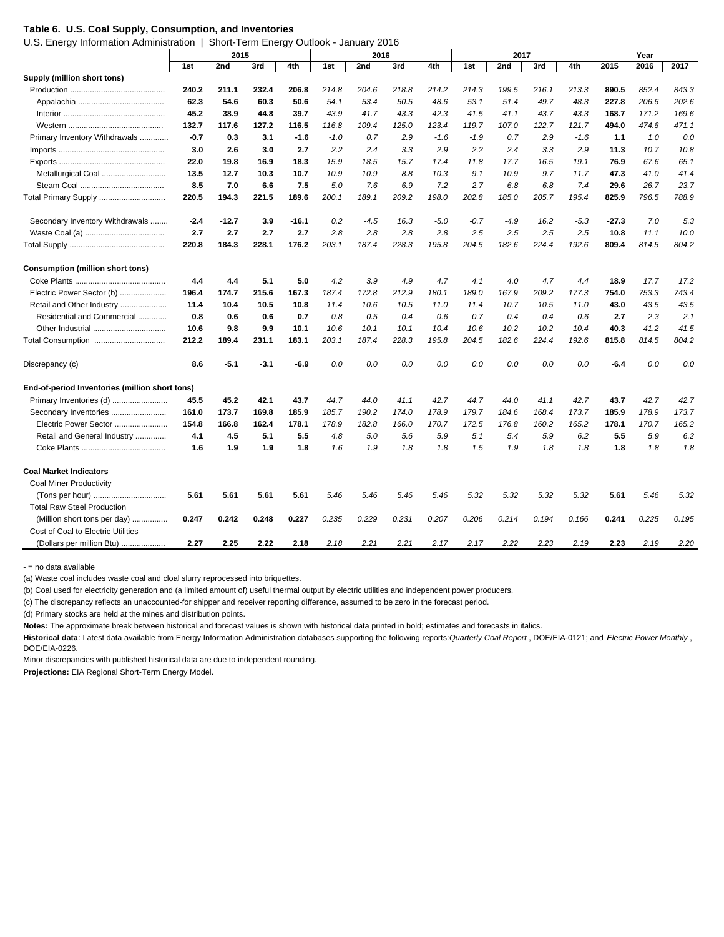#### **Table 6. U.S. Coal Supply, Consumption, and Inventories**

U.S. Energy Information Administration | Short-Term Energy Outlook - January 2016

|                                                | 2015   |         |        |         | 2016   |        |       |        |        | 2017   |       | Year   |         |       |       |
|------------------------------------------------|--------|---------|--------|---------|--------|--------|-------|--------|--------|--------|-------|--------|---------|-------|-------|
|                                                | 1st    | 2nd     | 3rd    | 4th     | 1st    | 2nd    | 3rd   | 4th    | 1st    | 2nd    | 3rd   | 4th    | 2015    | 2016  | 2017  |
| Supply (million short tons)                    |        |         |        |         |        |        |       |        |        |        |       |        |         |       |       |
|                                                | 240.2  | 211.1   | 232.4  | 206.8   | 214.8  | 204.6  | 218.8 | 214.2  | 214.3  | 199.5  | 216.1 | 213.3  | 890.5   | 852.4 | 843.3 |
|                                                | 62.3   | 54.6    | 60.3   | 50.6    | 54.1   | 53.4   | 50.5  | 48.6   | 53.1   | 51.4   | 49.7  | 48.3   | 227.8   | 206.6 | 202.6 |
|                                                | 45.2   | 38.9    | 44.8   | 39.7    | 43.9   | 41.7   | 43.3  | 42.3   | 41.5   | 41.1   | 43.7  | 43.3   | 168.7   | 171.2 | 169.6 |
|                                                | 132.7  | 117.6   | 127.2  | 116.5   | 116.8  | 109.4  | 125.0 | 123.4  | 119.7  | 107.0  | 122.7 | 121.7  | 494.0   | 474.6 | 471.1 |
| Primary Inventory Withdrawals                  | $-0.7$ | 0.3     | 3.1    | $-1.6$  | $-1.0$ | 0.7    | 2.9   | $-1.6$ | $-1.9$ | 0.7    | 2.9   | $-1.6$ | 1.1     | 1.0   | 0.0   |
|                                                | 3.0    | 2.6     | 3.0    | 2.7     | 2.2    | 2.4    | 3.3   | 2.9    | 2.2    | 2.4    | 3.3   | 2.9    | 11.3    | 10.7  | 10.8  |
|                                                | 22.0   | 19.8    | 16.9   | 18.3    | 15.9   | 18.5   | 15.7  | 17.4   | 11.8   | 17.7   | 16.5  | 19.1   | 76.9    | 67.6  | 65.1  |
|                                                | 13.5   | 12.7    | 10.3   | 10.7    | 10.9   | 10.9   | 8.8   | 10.3   | 9.1    | 10.9   | 9.7   | 11.7   | 47.3    | 41.0  | 41.4  |
|                                                | 8.5    | 7.0     | 6.6    | 7.5     | 5.0    | 7.6    | 6.9   | 7.2    | 2.7    | 6.8    | 6.8   | 7.4    | 29.6    | 26.7  | 23.7  |
| Total Primary Supply                           | 220.5  | 194.3   | 221.5  | 189.6   | 200.1  | 189.1  | 209.2 | 198.0  | 202.8  | 185.0  | 205.7 | 195.4  | 825.9   | 796.5 | 788.9 |
| Secondary Inventory Withdrawals                | $-2.4$ | $-12.7$ | 3.9    | $-16.1$ | 0.2    | $-4.5$ | 16.3  | $-5.0$ | $-0.7$ | $-4.9$ | 16.2  | $-5.3$ | $-27.3$ | 7.0   | 5.3   |
|                                                | 2.7    | 2.7     | 2.7    | 2.7     | 2.8    | 2.8    | 2.8   | 2.8    | 2.5    | 2.5    | 2.5   | 2.5    | 10.8    | 11.1  | 10.0  |
|                                                | 220.8  | 184.3   | 228.1  | 176.2   | 203.1  | 187.4  | 228.3 | 195.8  | 204.5  | 182.6  | 224.4 | 192.6  | 809.4   | 814.5 | 804.2 |
| <b>Consumption (million short tons)</b>        |        |         |        |         |        |        |       |        |        |        |       |        |         |       |       |
|                                                | 4.4    | 4.4     | 5.1    | 5.0     | 4.2    | 3.9    | 4.9   | 4.7    | 4.1    | 4.0    | 4.7   | 4.4    | 18.9    | 17.7  | 17.2  |
| Electric Power Sector (b)                      | 196.4  | 174.7   | 215.6  | 167.3   | 187.4  | 172.8  | 212.9 | 180.1  | 189.0  | 167.9  | 209.2 | 177.3  | 754.0   | 753.3 | 743.4 |
| Retail and Other Industry                      | 11.4   | 10.4    | 10.5   | 10.8    | 11.4   | 10.6   | 10.5  | 11.0   | 11.4   | 10.7   | 10.5  | 11.0   | 43.0    | 43.5  | 43.5  |
| Residential and Commercial                     | 0.8    | 0.6     | 0.6    | 0.7     | 0.8    | 0.5    | 0.4   | 0.6    | 0.7    | 0.4    | 0.4   | 0.6    | 2.7     | 2.3   | 2.1   |
| Other Industrial                               | 10.6   | 9.8     | 9.9    | 10.1    | 10.6   | 10.1   | 10.1  | 10.4   | 10.6   | 10.2   | 10.2  | 10.4   | 40.3    | 41.2  | 41.5  |
| Total Consumption                              | 212.2  | 189.4   | 231.1  | 183.1   | 203.1  | 187.4  | 228.3 | 195.8  | 204.5  | 182.6  | 224.4 | 192.6  | 815.8   | 814.5 | 804.2 |
| Discrepancy (c)                                | 8.6    | $-5.1$  | $-3.1$ | $-6.9$  | 0.0    | 0.0    | 0.0   | 0.0    | 0.0    | 0.0    | 0.0   | 0.0    | $-6.4$  | 0.0   | 0.0   |
| End-of-period Inventories (million short tons) |        |         |        |         |        |        |       |        |        |        |       |        |         |       |       |
| Primary Inventories (d)                        | 45.5   | 45.2    | 42.1   | 43.7    | 44.7   | 44.0   | 41.1  | 42.7   | 44.7   | 44.0   | 41.1  | 42.7   | 43.7    | 42.7  | 42.7  |
| Secondary Inventories                          | 161.0  | 173.7   | 169.8  | 185.9   | 185.7  | 190.2  | 174.0 | 178.9  | 179.7  | 184.6  | 168.4 | 173.7  | 185.9   | 178.9 | 173.7 |
| Electric Power Sector                          | 154.8  | 166.8   | 162.4  | 178.1   | 178.9  | 182.8  | 166.0 | 170.7  | 172.5  | 176.8  | 160.2 | 165.2  | 178.1   | 170.7 | 165.2 |
| Retail and General Industry                    | 4.1    | 4.5     | 5.1    | 5.5     | 4.8    | 5.0    | 5.6   | 5.9    | 5.1    | 5.4    | 5.9   | 6.2    | 5.5     | 5.9   | 6.2   |
|                                                | 1.6    | 1.9     | 1.9    | 1.8     | 1.6    | 1.9    | 1.8   | 1.8    | 1.5    | 1.9    | 1.8   | 1.8    | 1.8     | 1.8   | 1.8   |
| <b>Coal Market Indicators</b>                  |        |         |        |         |        |        |       |        |        |        |       |        |         |       |       |
| <b>Coal Miner Productivity</b>                 |        |         |        |         |        |        |       |        |        |        |       |        |         |       |       |
|                                                | 5.61   | 5.61    | 5.61   | 5.61    | 5.46   | 5.46   | 5.46  | 5.46   | 5.32   | 5.32   | 5.32  | 5.32   | 5.61    | 5.46  | 5.32  |
| <b>Total Raw Steel Production</b>              |        |         |        |         |        |        |       |        |        |        |       |        |         |       |       |
| (Million short tons per day)<br>               | 0.247  | 0.242   | 0.248  | 0.227   | 0.235  | 0.229  | 0.231 | 0.207  | 0.206  | 0.214  | 0.194 | 0.166  | 0.241   | 0.225 | 0.195 |
| Cost of Coal to Electric Utilities             |        |         |        |         |        |        |       |        |        |        |       |        |         |       |       |
| (Dollars per million Btu)                      | 2.27   | 2.25    | 2.22   | 2.18    | 2.18   | 2.21   | 2.21  | 2.17   | 2.17   | 2.22   | 2.23  | 2.19   | 2.23    | 2.19  | 2.20  |

- = no data available

(a) Waste coal includes waste coal and cloal slurry reprocessed into briquettes.

(b) Coal used for electricity generation and (a limited amount of) useful thermal output by electric utilities and independent power producers.

(c) The discrepancy reflects an unaccounted-for shipper and receiver reporting difference, assumed to be zero in the forecast period.

(d) Primary stocks are held at the mines and distribution points.

**Notes:** The approximate break between historical and forecast values is shown with historical data printed in bold; estimates and forecasts in italics.

**Historical data**: Latest data available from Energy Information Administration databases supporting the following reports: *Quarterly Coal Report* , DOE/EIA-0121; and *Electric Power Monthly* , DOE/EIA-0226.

Minor discrepancies with published historical data are due to independent rounding.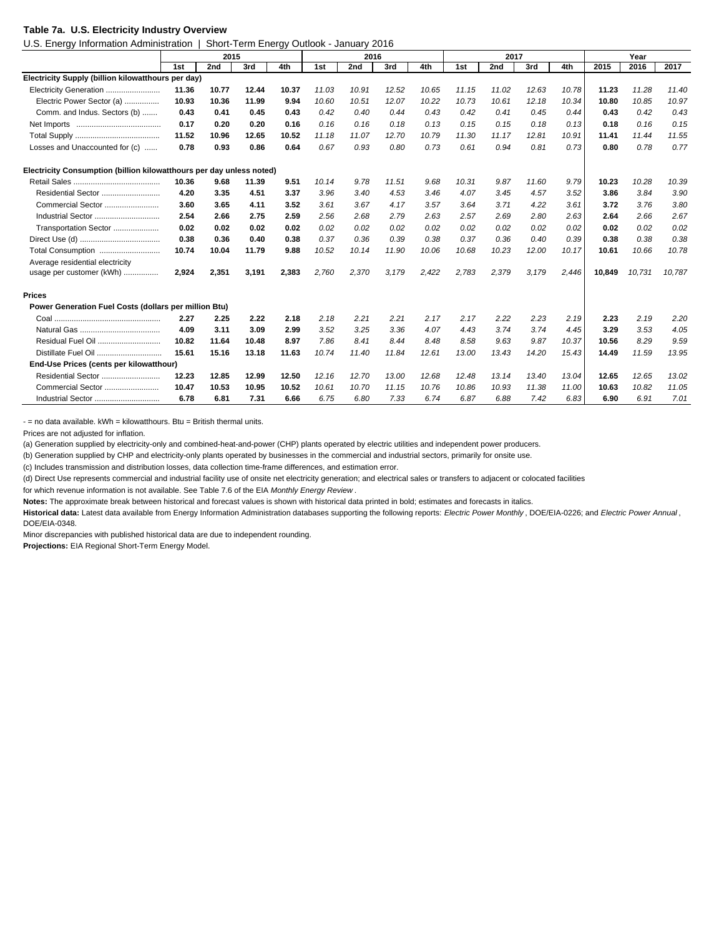#### **Table 7a. U.S. Electricity Industry Overview**

U.S. Energy Information Administration | Short-Term Energy Outlook - January 2016

|                                                                      | 2015  |       |       |       |       | 2016  |       |       |       | 2017  |       | Year  |        |        |        |
|----------------------------------------------------------------------|-------|-------|-------|-------|-------|-------|-------|-------|-------|-------|-------|-------|--------|--------|--------|
|                                                                      | 1st   | 2nd   | 3rd   | 4th   | 1st   | 2nd   | 3rd   | 4th   | 1st   | 2nd   | 3rd   | 4th   | 2015   | 2016   | 2017   |
| Electricity Supply (billion kilowatthours per day)                   |       |       |       |       |       |       |       |       |       |       |       |       |        |        |        |
| Electricity Generation                                               | 11.36 | 10.77 | 12.44 | 10.37 | 11.03 | 10.91 | 12.52 | 10.65 | 11.15 | 11.02 | 12.63 | 10.78 | 11.23  | 11.28  | 11.40  |
| Electric Power Sector (a)                                            | 10.93 | 10.36 | 11.99 | 9.94  | 10.60 | 10.51 | 12.07 | 10.22 | 10.73 | 10.61 | 12.18 | 10.34 | 10.80  | 10.85  | 10.97  |
| Comm. and Indus. Sectors (b)                                         | 0.43  | 0.41  | 0.45  | 0.43  | 0.42  | 0.40  | 0.44  | 0.43  | 0.42  | 0.41  | 0.45  | 0.44  | 0.43   | 0.42   | 0.43   |
|                                                                      | 0.17  | 0.20  | 0.20  | 0.16  | 0.16  | 0.16  | 0.18  | 0.13  | 0.15  | 0.15  | 0.18  | 0.13  | 0.18   | 0.16   | 0.15   |
|                                                                      | 11.52 | 10.96 | 12.65 | 10.52 | 11.18 | 11.07 | 12.70 | 10.79 | 11.30 | 11.17 | 12.81 | 10.91 | 11.41  | 11.44  | 11.55  |
| Losses and Unaccounted for (c)                                       | 0.78  | 0.93  | 0.86  | 0.64  | 0.67  | 0.93  | 0.80  | 0.73  | 0.61  | 0.94  | 0.81  | 0.73  | 0.80   | 0.78   | 0.77   |
| Electricity Consumption (billion kilowatthours per day unless noted) |       |       |       |       |       |       |       |       |       |       |       |       |        |        |        |
|                                                                      | 10.36 | 9.68  | 11.39 | 9.51  | 10.14 | 9.78  | 11.51 | 9.68  | 10.31 | 9.87  | 11.60 | 9.79  | 10.23  | 10.28  | 10.39  |
|                                                                      | 4.20  | 3.35  | 4.51  | 3.37  | 3.96  | 3.40  | 4.53  | 3.46  | 4.07  | 3.45  | 4.57  | 3.52  | 3.86   | 3.84   | 3.90   |
| Commercial Sector                                                    | 3.60  | 3.65  | 4.11  | 3.52  | 3.61  | 3.67  | 4.17  | 3.57  | 3.64  | 3.71  | 4.22  | 3.61  | 3.72   | 3.76   | 3.80   |
| Industrial Sector                                                    | 2.54  | 2.66  | 2.75  | 2.59  | 2.56  | 2.68  | 2.79  | 2.63  | 2.57  | 2.69  | 2.80  | 2.63  | 2.64   | 2.66   | 2.67   |
| Transportation Sector                                                | 0.02  | 0.02  | 0.02  | 0.02  | 0.02  | 0.02  | 0.02  | 0.02  | 0.02  | 0.02  | 0.02  | 0.02  | 0.02   | 0.02   | 0.02   |
|                                                                      | 0.38  | 0.36  | 0.40  | 0.38  | 0.37  | 0.36  | 0.39  | 0.38  | 0.37  | 0.36  | 0.40  | 0.39  | 0.38   | 0.38   | 0.38   |
| Total Consumption                                                    | 10.74 | 10.04 | 11.79 | 9.88  | 10.52 | 10.14 | 11.90 | 10.06 | 10.68 | 10.23 | 12.00 | 10.17 | 10.61  | 10.66  | 10.78  |
| Average residential electricity                                      |       |       |       |       |       |       |       |       |       |       |       |       |        |        |        |
| usage per customer (kWh)                                             | 2,924 | 2,351 | 3,191 | 2,383 | 2,760 | 2,370 | 3,179 | 2,422 | 2,783 | 2,379 | 3,179 | 2,446 | 10,849 | 10,731 | 10,787 |
| <b>Prices</b>                                                        |       |       |       |       |       |       |       |       |       |       |       |       |        |        |        |
| Power Generation Fuel Costs (dollars per million Btu)                |       |       |       |       |       |       |       |       |       |       |       |       |        |        |        |
|                                                                      | 2.27  | 2.25  | 2.22  | 2.18  | 2.18  | 2.21  | 2.21  | 2.17  | 2.17  | 2.22  | 2.23  | 2.19  | 2.23   | 2.19   | 2.20   |
|                                                                      | 4.09  | 3.11  | 3.09  | 2.99  | 3.52  | 3.25  | 3.36  | 4.07  | 4.43  | 3.74  | 3.74  | 4.45  | 3.29   | 3.53   | 4.05   |
| Residual Fuel Oil                                                    | 10.82 | 11.64 | 10.48 | 8.97  | 7.86  | 8.41  | 8.44  | 8.48  | 8.58  | 9.63  | 9.87  | 10.37 | 10.56  | 8.29   | 9.59   |
| Distillate Fuel Oil                                                  | 15.61 | 15.16 | 13.18 | 11.63 | 10.74 | 11.40 | 11.84 | 12.61 | 13.00 | 13.43 | 14.20 | 15.43 | 14.49  | 11.59  | 13.95  |
| End-Use Prices (cents per kilowatthour)                              |       |       |       |       |       |       |       |       |       |       |       |       |        |        |        |
| Residential Sector                                                   | 12.23 | 12.85 | 12.99 | 12.50 | 12.16 | 12.70 | 13.00 | 12.68 | 12.48 | 13.14 | 13.40 | 13.04 | 12.65  | 12.65  | 13.02  |
| Commercial Sector                                                    | 10.47 | 10.53 | 10.95 | 10.52 | 10.61 | 10.70 | 11.15 | 10.76 | 10.86 | 10.93 | 11.38 | 11.00 | 10.63  | 10.82  | 11.05  |
| Industrial Sector                                                    | 6.78  | 6.81  | 7.31  | 6.66  | 6.75  | 6.80  | 7.33  | 6.74  | 6.87  | 6.88  | 7.42  | 6.83  | 6.90   | 6.91   | 7.01   |

 $-$  = no data available.  $kWh = kilowatthours$ . Btu = British thermal units.

Prices are not adjusted for inflation.

(a) Generation supplied by electricity-only and combined-heat-and-power (CHP) plants operated by electric utilities and independent power producers.

(b) Generation supplied by CHP and electricity-only plants operated by businesses in the commercial and industrial sectors, primarily for onsite use.

(c) Includes transmission and distribution losses, data collection time-frame differences, and estimation error.

(d) Direct Use represents commercial and industrial facility use of onsite net electricity generation; and electrical sales or transfers to adjacent or colocated facilities

for which revenue information is not available. See Table 7.6 of the EIA *Monthly Energy Review* .

**Notes:** The approximate break between historical and forecast values is shown with historical data printed in bold; estimates and forecasts in italics.

**Historical data:** Latest data available from Energy Information Administration databases supporting the following reports: *Electric Power Monthly* , DOE/EIA-0226; and *Electric Power Annual* , DOE/EIA-0348.

Minor discrepancies with published historical data are due to independent rounding.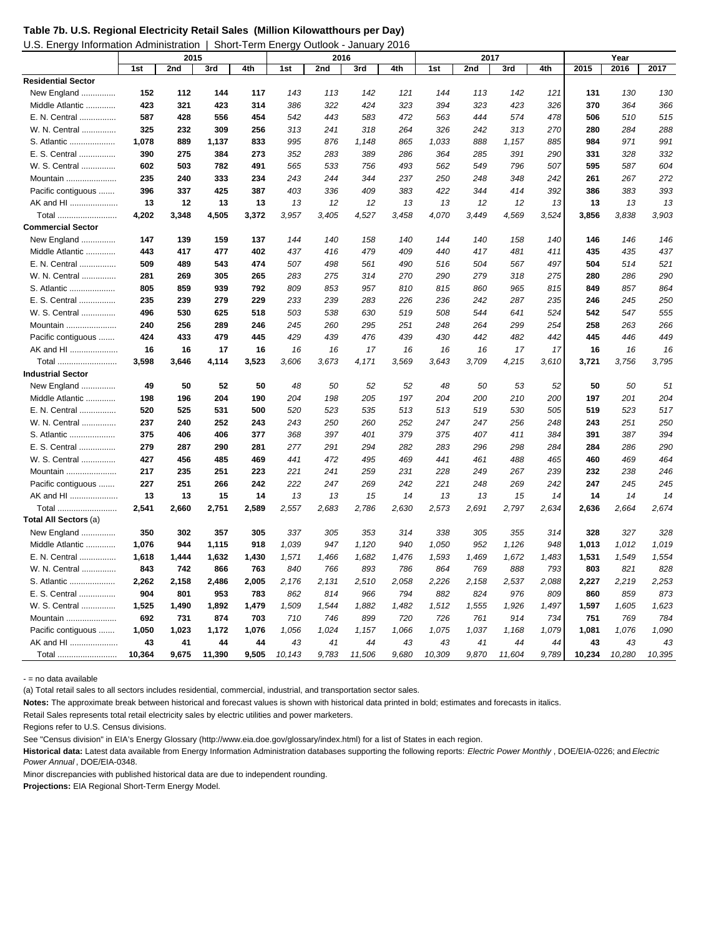| Table 7b. U.S. Regional Electricity Retail Sales (Million Kilowatthours per Day) |  |
|----------------------------------------------------------------------------------|--|
|----------------------------------------------------------------------------------|--|

| U.S. Energy Information Administration   Short-Term Energy Outlook - January 2016 |  |
|-----------------------------------------------------------------------------------|--|
|                                                                                   |  |

| 111101111000117101111111001001011 |        | 2015  |        | עשוים וויוטו ווטווט | <b>000000</b><br>2016 |       | vuriuui 1 |       |        | 2017  |        |       |        | Year   |        |
|-----------------------------------|--------|-------|--------|---------------------|-----------------------|-------|-----------|-------|--------|-------|--------|-------|--------|--------|--------|
|                                   | 1st    | 2nd   | 3rd    | 4th                 | 1st                   | 2nd   | 3rd       | 4th   | 1st    | 2nd   | 3rd    | 4th   | 2015   | 2016   | 2017   |
| <b>Residential Sector</b>         |        |       |        |                     |                       |       |           |       |        |       |        |       |        |        |        |
| New England                       | 152    | 112   | 144    | 117                 | 143                   | 113   | 142       | 121   | 144    | 113   | 142    | 121   | 131    | 130    | 130    |
| Middle Atlantic                   | 423    | 321   | 423    | 314                 | 386                   | 322   | 424       | 323   | 394    | 323   | 423    | 326   | 370    | 364    | 366    |
| E. N. Central                     | 587    | 428   | 556    | 454                 | 542                   | 443   | 583       | 472   | 563    | 444   | 574    | 478   | 506    | 510    | 515    |
| W. N. Central                     | 325    | 232   | 309    | 256                 | 313                   | 241   | 318       | 264   | 326    | 242   | 313    | 270   | 280    | 284    | 288    |
| S. Atlantic                       | 1,078  | 889   | 1,137  | 833                 | 995                   | 876   | 1,148     | 865   | 1,033  | 888   | 1,157  | 885   | 984    | 971    | 991    |
| E. S. Central                     | 390    | 275   | 384    | 273                 | 352                   | 283   | 389       | 286   | 364    | 285   | 391    | 290   | 331    | 328    | 332    |
| W. S. Central                     | 602    | 503   | 782    | 491                 | 565                   | 533   | 756       | 493   | 562    | 549   | 796    | 507   | 595    | 587    | 604    |
| Mountain                          | 235    | 240   | 333    | 234                 | 243                   | 244   | 344       | 237   | 250    | 248   | 348    | 242   | 261    | 267    | 272    |
| Pacific contiguous                | 396    | 337   | 425    | 387                 | 403                   | 336   | 409       | 383   | 422    | 344   | 414    | 392   | 386    | 383    | 393    |
| AK and HI                         | 13     | 12    | 13     | 13                  | 13                    | 12    | 12        | 13    | 13     | 12    | 12     | 13    | 13     | 13     | 13     |
| Total                             | 4,202  | 3,348 | 4,505  | 3,372               | 3,957                 | 3,405 | 4,527     | 3,458 | 4,070  | 3,449 | 4,569  | 3,524 | 3,856  | 3,838  | 3,903  |
| <b>Commercial Sector</b>          |        |       |        |                     |                       |       |           |       |        |       |        |       |        |        |        |
| New England                       | 147    | 139   | 159    | 137                 | 144                   | 140   | 158       | 140   | 144    | 140   | 158    | 140   | 146    | 146    | 146    |
| Middle Atlantic                   | 443    | 417   | 477    | 402                 | 437                   | 416   | 479       | 409   | 440    | 417   | 481    | 411   | 435    | 435    | 437    |
| E. N. Central                     | 509    | 489   | 543    | 474                 | 507                   | 498   | 561       | 490   | 516    | 504   | 567    | 497   | 504    | 514    | 521    |
| W. N. Central                     | 281    | 269   | 305    | 265                 | 283                   | 275   | 314       | 270   | 290    | 279   | 318    | 275   | 280    | 286    | 290    |
| S. Atlantic                       | 805    | 859   | 939    | 792                 | 809                   | 853   | 957       | 810   | 815    | 860   | 965    | 815   | 849    | 857    | 864    |
| E. S. Central                     | 235    | 239   | 279    | 229                 | 233                   | 239   | 283       | 226   | 236    | 242   | 287    | 235   | 246    | 245    | 250    |
| W. S. Central                     | 496    | 530   | 625    | 518                 | 503                   | 538   | 630       | 519   | 508    | 544   | 641    | 524   | 542    | 547    | 555    |
| Mountain                          | 240    | 256   | 289    | 246                 | 245                   | 260   | 295       | 251   | 248    | 264   | 299    | 254   | 258    | 263    | 266    |
| Pacific contiguous                | 424    | 433   | 479    | 445                 | 429                   | 439   | 476       | 439   | 430    | 442   | 482    | 442   | 445    | 446    | 449    |
| AK and HI                         | 16     | 16    | 17     | 16                  | 16                    | 16    | 17        | 16    | 16     | 16    | 17     | 17    | 16     | 16     | 16     |
| Total                             | 3,598  | 3,646 | 4,114  | 3,523               | 3,606                 | 3,673 | 4,171     | 3,569 | 3,643  | 3,709 | 4,215  | 3,610 | 3,721  | 3,756  | 3,795  |
| <b>Industrial Sector</b>          |        |       |        |                     |                       |       |           |       |        |       |        |       |        |        |        |
| New England                       | 49     | 50    | 52     | 50                  | 48                    | 50    | 52        | 52    | 48     | 50    | 53     | 52    | 50     | 50     | 51     |
| Middle Atlantic                   | 198    | 196   | 204    | 190                 | 204                   | 198   | 205       | 197   | 204    | 200   | 210    | 200   | 197    | 201    | 204    |
| E. N. Central                     | 520    | 525   | 531    | 500                 | 520                   | 523   | 535       | 513   | 513    | 519   | 530    | 505   | 519    | 523    | 517    |
| W. N. Central                     | 237    | 240   | 252    | 243                 | 243                   | 250   | 260       | 252   | 247    | 247   | 256    | 248   | 243    | 251    | 250    |
| S. Atlantic                       | 375    | 406   | 406    | 377                 | 368                   | 397   | 401       | 379   | 375    | 407   | 411    | 384   | 391    | 387    | 394    |
| E. S. Central                     | 279    | 287   | 290    | 281                 | 277                   | 291   | 294       | 282   | 283    | 296   | 298    | 284   | 284    | 286    | 290    |
| W. S. Central                     | 427    | 456   | 485    | 469                 | 441                   | 472   | 495       | 469   | 441    | 461   | 488    | 465   | 460    | 469    | 464    |
| Mountain                          | 217    | 235   | 251    | 223                 | 221                   | 241   | 259       | 231   | 228    | 249   | 267    | 239   | 232    | 238    | 246    |
| Pacific contiguous                | 227    | 251   | 266    | 242                 | 222                   | 247   | 269       | 242   | 221    | 248   | 269    | 242   | 247    | 245    | 245    |
| AK and HI                         | 13     | 13    | 15     | 14                  | 13                    | 13    | 15        | 14    | 13     | 13    | 15     | 14    | 14     | 14     | 14     |
| Total                             | 2,541  | 2,660 | 2,751  | 2,589               | 2,557                 | 2,683 | 2,786     | 2,630 | 2,573  | 2,691 | 2,797  | 2,634 | 2,636  | 2,664  | 2,674  |
| Total All Sectors (a)             |        |       |        |                     |                       |       |           |       |        |       |        |       |        |        |        |
| New England                       | 350    | 302   | 357    | 305                 | 337                   | 305   | 353       | 314   | 338    | 305   | 355    | 314   | 328    | 327    | 328    |
| Middle Atlantic                   | 1,076  | 944   | 1,115  | 918                 | 1,039                 | 947   | 1,120     | 940   | 1,050  | 952   | 1,126  | 948   | 1,013  | 1,012  | 1,019  |
| E. N. Central                     | 1,618  | 1,444 | 1,632  | 1,430               | 1,571                 | 1,466 | 1,682     | 1,476 | 1,593  | 1,469 | 1,672  | 1,483 | 1,531  | 1,549  | 1,554  |
| W. N. Central                     | 843    | 742   | 866    | 763                 | 840                   | 766   | 893       | 786   | 864    | 769   | 888    | 793   | 803    | 821    | 828    |
| S. Atlantic                       | 2,262  | 2,158 | 2,486  | 2,005               | 2,176                 | 2,131 | 2,510     | 2,058 | 2,226  | 2,158 | 2,537  | 2,088 | 2,227  | 2,219  | 2,253  |
| E. S. Central                     | 904    | 801   | 953    | 783                 | 862                   | 814   | 966       | 794   | 882    | 824   | 976    | 809   | 860    | 859    | 873    |
| W. S. Central                     | 1,525  | 1,490 | 1,892  | 1,479               | 1,509                 | 1,544 | 1,882     | 1,482 | 1,512  | 1,555 | 1,926  | 1,497 | 1,597  | 1,605  | 1,623  |
| Mountain                          | 692    | 731   | 874    | 703                 | 710                   | 746   | 899       | 720   | 726    | 761   | 914    | 734   | 751    | 769    | 784    |
| Pacific contiguous                | 1,050  | 1,023 | 1,172  | 1,076               | 1,056                 | 1,024 | 1,157     | 1,066 | 1,075  | 1,037 | 1,168  | 1,079 | 1,081  | 1,076  | 1,090  |
| AK and HI                         | 43     | 41    | 44     | 44                  | 43                    | 41    | 44        | 43    | 43     | 41    | 44     | 44    | 43     | 43     | 43     |
| Total                             | 10.364 | 9,675 | 11,390 | 9,505               | 10.143                | 9,783 | 11.506    | 9.680 | 10.309 | 9.870 | 11.604 | 9,789 | 10,234 | 10,280 | 10,395 |

- = no data available

(a) Total retail sales to all sectors includes residential, commercial, industrial, and transportation sector sales.

**Notes:** The approximate break between historical and forecast values is shown with historical data printed in bold; estimates and forecasts in italics.

Retail Sales represents total retail electricity sales by electric utilities and power marketers.

Regions refer to U.S. Census divisions.

See "Census division" in EIA's Energy Glossary (http://www.eia.doe.gov/glossary/index.html) for a list of States in each region.

**Historical data:** Latest data available from Energy Information Administration databases supporting the following reports: *Electric Power Monthly* , DOE/EIA-0226; and *Electric Power Annual* , DOE/EIA-0348.

Minor discrepancies with published historical data are due to independent rounding.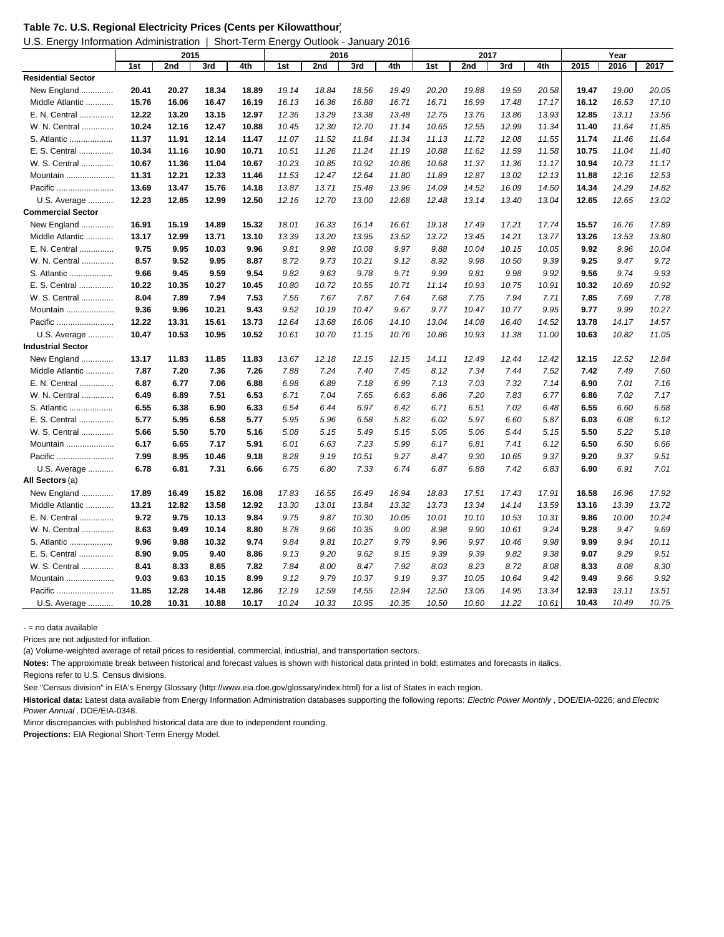|  |  | Table 7c. U.S. Regional Electricity Prices (Cents per Kilowatthour) |
|--|--|---------------------------------------------------------------------|
|--|--|---------------------------------------------------------------------|

U.S. Energy Information Administration | Short-Term Energy Outlook - January 2016

|                           |       | 2015  |       |       | 2016  |       |       |       | 2017  |       |       |       | Year  |       |       |
|---------------------------|-------|-------|-------|-------|-------|-------|-------|-------|-------|-------|-------|-------|-------|-------|-------|
|                           | 1st   | 2nd   | 3rd   | 4th   | 1st   | 2nd   | 3rd   | 4th   | 1st   | 2nd   | 3rd   | 4th   | 2015  | 2016  | 2017  |
| <b>Residential Sector</b> |       |       |       |       |       |       |       |       |       |       |       |       |       |       |       |
| New England               | 20.41 | 20.27 | 18.34 | 18.89 | 19.14 | 18.84 | 18.56 | 19.49 | 20.20 | 19.88 | 19.59 | 20.58 | 19.47 | 19.00 | 20.05 |
| Middle Atlantic           | 15.76 | 16.06 | 16.47 | 16.19 | 16.13 | 16.36 | 16.88 | 16.71 | 16.71 | 16.99 | 17.48 | 17.17 | 16.12 | 16.53 | 17.10 |
| E. N. Central             | 12.22 | 13.20 | 13.15 | 12.97 | 12.36 | 13.29 | 13.38 | 13.48 | 12.75 | 13.76 | 13.86 | 13.93 | 12.85 | 13.11 | 13.56 |
| W. N. Central             | 10.24 | 12.16 | 12.47 | 10.88 | 10.45 | 12.30 | 12.70 | 11.14 | 10.65 | 12.55 | 12.99 | 11.34 | 11.40 | 11.64 | 11.85 |
| S. Atlantic               | 11.37 | 11.91 | 12.14 | 11.47 | 11.07 | 11.52 | 11.84 | 11.34 | 11.13 | 11.72 | 12.08 | 11.55 | 11.74 | 11.46 | 11.64 |
| E. S. Central             | 10.34 | 11.16 | 10.90 | 10.71 | 10.51 | 11.26 | 11.24 | 11.19 | 10.88 | 11.62 | 11.59 | 11.58 | 10.75 | 11.04 | 11.40 |
| W. S. Central             | 10.67 | 11.36 | 11.04 | 10.67 | 10.23 | 10.85 | 10.92 | 10.86 | 10.68 | 11.37 | 11.36 | 11.17 | 10.94 | 10.73 | 11.17 |
| Mountain                  | 11.31 | 12.21 | 12.33 | 11.46 | 11.53 | 12.47 | 12.64 | 11.80 | 11.89 | 12.87 | 13.02 | 12.13 | 11.88 | 12.16 | 12.53 |
| Pacific                   | 13.69 | 13.47 | 15.76 | 14.18 | 13.87 | 13.71 | 15.48 | 13.96 | 14.09 | 14.52 | 16.09 | 14.50 | 14.34 | 14.29 | 14.82 |
| U.S. Average              | 12.23 | 12.85 | 12.99 | 12.50 | 12.16 | 12.70 | 13.00 | 12.68 | 12.48 | 13.14 | 13.40 | 13.04 | 12.65 | 12.65 | 13.02 |
| <b>Commercial Sector</b>  |       |       |       |       |       |       |       |       |       |       |       |       |       |       |       |
| New England               | 16.91 | 15.19 | 14.89 | 15.32 | 18.01 | 16.33 | 16.14 | 16.61 | 19.18 | 17.49 | 17.21 | 17.74 | 15.57 | 16.76 | 17.89 |
| Middle Atlantic           | 13.17 | 12.99 | 13.71 | 13.10 | 13.39 | 13.20 | 13.95 | 13.52 | 13.72 | 13.45 | 14.21 | 13.77 | 13.26 | 13.53 | 13.80 |
| E. N. Central             | 9.75  | 9.95  | 10.03 | 9.96  | 9.81  | 9.98  | 10.08 | 9.97  | 9.88  | 10.04 | 10.15 | 10.05 | 9.92  | 9.96  | 10.04 |
| W. N. Central             | 8.57  | 9.52  | 9.95  | 8.87  | 8.72  | 9.73  | 10.21 | 9.12  | 8.92  | 9.98  | 10.50 | 9.39  | 9.25  | 9.47  | 9.72  |
| S. Atlantic               | 9.66  | 9.45  | 9.59  | 9.54  | 9.82  | 9.63  | 9.78  | 9.71  | 9.99  | 9.81  | 9.98  | 9.92  | 9.56  | 9.74  | 9.93  |
| E. S.<br>Central          | 10.22 | 10.35 | 10.27 | 10.45 | 10.80 | 10.72 | 10.55 | 10.71 | 11.14 | 10.93 | 10.75 | 10.91 | 10.32 | 10.69 | 10.92 |
| W. S. Central             | 8.04  | 7.89  | 7.94  | 7.53  | 7.56  | 7.67  | 7.87  | 7.64  | 7.68  | 7.75  | 7.94  | 7.71  | 7.85  | 7.69  | 7.78  |
| Mountain                  | 9.36  | 9.96  | 10.21 | 9.43  | 9.52  | 10.19 | 10.47 | 9.67  | 9.77  | 10.47 | 10.77 | 9.95  | 9.77  | 9.99  | 10.27 |
| Pacific                   | 12.22 | 13.31 | 15.61 | 13.73 | 12.64 | 13.68 | 16.06 | 14.10 | 13.04 | 14.08 | 16.40 | 14.52 | 13.78 | 14.17 | 14.57 |
| U.S. Average              | 10.47 | 10.53 | 10.95 | 10.52 | 10.61 | 10.70 | 11.15 | 10.76 | 10.86 | 10.93 | 11.38 | 11.00 | 10.63 | 10.82 | 11.05 |
| <b>Industrial Sector</b>  |       |       |       |       |       |       |       |       |       |       |       |       |       |       |       |
| New England               | 13.17 | 11.83 | 11.85 | 11.83 | 13.67 | 12.18 | 12.15 | 12.15 | 14.11 | 12.49 | 12.44 | 12.42 | 12.15 | 12.52 | 12.84 |
| Middle Atlantic           | 7.87  | 7.20  | 7.36  | 7.26  | 7.88  | 7.24  | 7.40  | 7.45  | 8.12  | 7.34  | 7.44  | 7.52  | 7.42  | 7.49  | 7.60  |
| E. N. Central             | 6.87  | 6.77  | 7.06  | 6.88  | 6.98  | 6.89  | 7.18  | 6.99  | 7.13  | 7.03  | 7.32  | 7.14  | 6.90  | 7.01  | 7.16  |
| W. N. Central             | 6.49  | 6.89  | 7.51  | 6.53  | 6.71  | 7.04  | 7.65  | 6.63  | 6.86  | 7.20  | 7.83  | 6.77  | 6.86  | 7.02  | 7.17  |
| S. Atlantic               | 6.55  | 6.38  | 6.90  | 6.33  | 6.54  | 6.44  | 6.97  | 6.42  | 6.71  | 6.51  | 7.02  | 6.48  | 6.55  | 6.60  | 6.68  |
| E. S. Central             | 5.77  | 5.95  | 6.58  | 5.77  | 5.95  | 5.96  | 6.58  | 5.82  | 6.02  | 5.97  | 6.60  | 5.87  | 6.03  | 6.08  | 6.12  |
| W. S. Central             | 5.66  | 5.50  | 5.70  | 5.16  | 5.08  | 5.15  | 5.49  | 5.15  | 5.05  | 5.06  | 5.44  | 5.15  | 5.50  | 5.22  | 5.18  |
| Mountain                  | 6.17  | 6.65  | 7.17  | 5.91  | 6.01  | 6.63  | 7.23  | 5.99  | 6.17  | 6.81  | 7.41  | 6.12  | 6.50  | 6.50  | 6.66  |
| Pacific                   | 7.99  | 8.95  | 10.46 | 9.18  | 8.28  | 9.19  | 10.51 | 9.27  | 8.47  | 9.30  | 10.65 | 9.37  | 9.20  | 9.37  | 9.51  |
| U.S. Average              | 6.78  | 6.81  | 7.31  | 6.66  | 6.75  | 6.80  | 7.33  | 6.74  | 6.87  | 6.88  | 7.42  | 6.83  | 6.90  | 6.91  | 7.01  |
| All Sectors (a)           |       |       |       |       |       |       |       |       |       |       |       |       |       |       |       |
| New England               | 17.89 | 16.49 | 15.82 | 16.08 | 17.83 | 16.55 | 16.49 | 16.94 | 18.83 | 17.51 | 17.43 | 17.91 | 16.58 | 16.96 | 17.92 |
| Middle Atlantic           | 13.21 | 12.82 | 13.58 | 12.92 | 13.30 | 13.01 | 13.84 | 13.32 | 13.73 | 13.34 | 14.14 | 13.59 | 13.16 | 13.39 | 13.72 |
| E. N. Central             | 9.72  | 9.75  | 10.13 | 9.84  | 9.75  | 9.87  | 10.30 | 10.05 | 10.01 | 10.10 | 10.53 | 10.31 | 9.86  | 10.00 | 10.24 |
| W. N. Central             | 8.63  | 9.49  | 10.14 | 8.80  | 8.78  | 9.66  | 10.35 | 9.00  | 8.98  | 9.90  | 10.61 | 9.24  | 9.28  | 9.47  | 9.69  |
| S. Atlantic               | 9.96  | 9.88  | 10.32 | 9.74  | 9.84  | 9.81  | 10.27 | 9.79  | 9.96  | 9.97  | 10.46 | 9.98  | 9.99  | 9.94  | 10.11 |
| E. S. Central             | 8.90  | 9.05  | 9.40  | 8.86  | 9.13  | 9.20  | 9.62  | 9.15  | 9.39  | 9.39  | 9.82  | 9.38  | 9.07  | 9.29  | 9.51  |
| W. S. Central             | 8.41  | 8.33  | 8.65  | 7.82  | 7.84  | 8.00  | 8.47  | 7.92  | 8.03  | 8.23  | 8.72  | 8.08  | 8.33  | 8.08  | 8.30  |
| Mountain                  | 9.03  | 9.63  | 10.15 | 8.99  | 9.12  | 9.79  | 10.37 | 9.19  | 9.37  | 10.05 | 10.64 | 9.42  | 9.49  | 9.66  | 9.92  |
| Pacific                   | 11.85 | 12.28 | 14.48 | 12.86 | 12.19 | 12.59 | 14.55 | 12.94 | 12.50 | 13.06 | 14.95 | 13.34 | 12.93 | 13.11 | 13.51 |
| U.S. Average              | 10.28 | 10.31 | 10.88 | 10.17 | 10.24 | 10.33 | 10.95 | 10.35 | 10.50 | 10.60 | 11.22 | 10.61 | 10.43 | 10.49 | 10.75 |

- = no data available

Prices are not adjusted for inflation.

(a) Volume-weighted average of retail prices to residential, commercial, industrial, and transportation sectors.

**Notes:** The approximate break between historical and forecast values is shown with historical data printed in bold; estimates and forecasts in italics.

Regions refer to U.S. Census divisions.

See "Census division" in EIA's Energy Glossary (http://www.eia.doe.gov/glossary/index.html) for a list of States in each region.

**Historical data:** Latest data available from Energy Information Administration databases supporting the following reports: *Electric Power Monthly* , DOE/EIA-0226; and *Electric Power Annual* , DOE/EIA-0348.

Minor discrepancies with published historical data are due to independent rounding.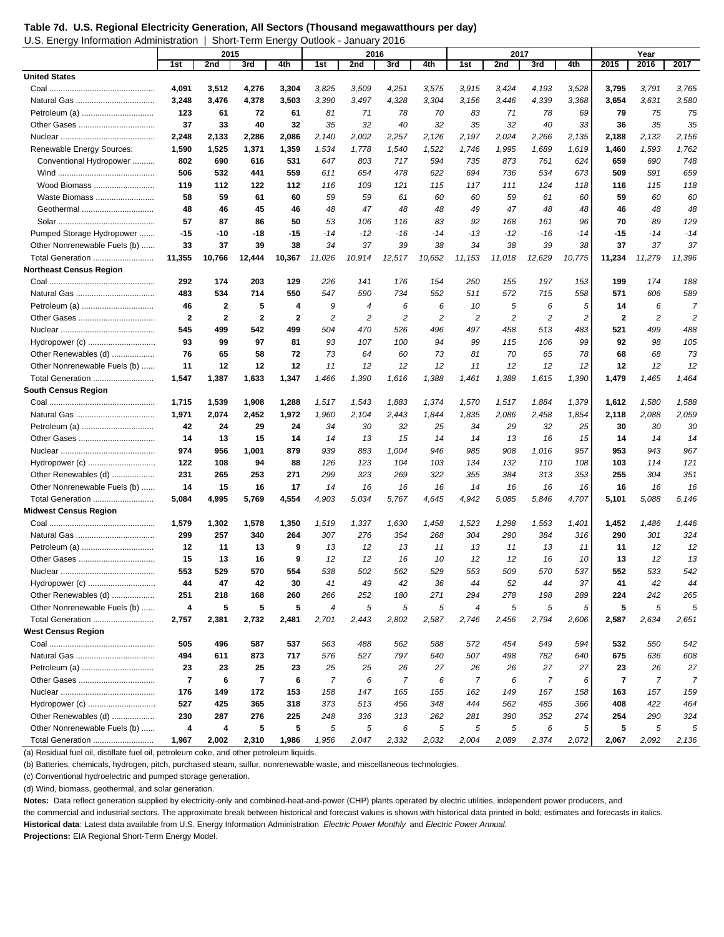**Table 7d. U.S. Regional Electricity Generation, All Sectors (Thousand megawatthours per day)**  U.S. Energy Information Administration | Short-Term Energy Outlook - January 2016

|                                | 2015                    |              |                         | 2016         |                |                |                | 2017   |                  |                |                | Year                    |              |            |                |
|--------------------------------|-------------------------|--------------|-------------------------|--------------|----------------|----------------|----------------|--------|------------------|----------------|----------------|-------------------------|--------------|------------|----------------|
|                                | 1st                     | 2nd          | 3rd                     | 4th          | 1st            | 2nd            | 3rd            | 4th    | 1st              | 2nd            | 3rd            | 4th                     | 2015         | 2016       | 2017           |
| <b>United States</b>           |                         |              |                         |              |                |                |                |        |                  |                |                |                         |              |            |                |
|                                | 4,091                   | 3,512        | 4,276                   | 3,304        | 3,825          | 3,509          | 4,251          | 3,575  | 3,915            | 3,424          | 4,193          | 3,528                   | 3,795        | 3,791      | 3,765          |
|                                | 3,248                   | 3,476        | 4,378                   | 3,503        | 3,390          | 3,497          | 4,328          | 3,304  | 3,156            | 3,446          | 4,339          | 3,368                   | 3,654        | 3,631      | 3,580          |
| Petroleum (a)                  | 123                     | 61           | 72                      | 61           | 81             | 71             | 78             | 70     | 83               | 71             | 78             | 69                      | 79           | 75         | 75             |
|                                | 37                      | 33           | 40                      | 32           | 35             | 32             | 40             | 32     | 35               | 32             | 40             | 33                      | 36           | 35         | 35             |
|                                | 2,248                   | 2,133        | 2,286                   | 2,086        | 2,140          | 2,002          | 2,257          | 2,126  | 2,197            | 2,024          | 2,266          | 2,135                   | 2,188        | 2,132      | 2,156          |
| Renewable Energy Sources:      | 1,590                   | 1,525        | 1,371                   | 1,359        | 1,534          | 1,778          | 1,540          | 1,522  | 1,746            | 1,995          | 1,689          | 1,619                   | 1,460        | 1,593      | 1,762          |
| Conventional Hydropower        | 802                     | 690          | 616                     | 531          | 647            | 803            | 717            | 594    | 735              | 873            | 761            | 624                     | 659          | 690        | 748            |
|                                | 506                     | 532          | 441                     | 559          | 611            | 654            | 478            | 622    | 694              | 736            | 534            | 673                     | 509          | 591        | 659            |
| Wood Biomass                   | 119                     | 112          | 122                     | 112          | 116            | 109            | 121            | 115    | 117              | 111            | 124            | 118                     | 116          | 115        | 118            |
| Waste Biomass                  | 58                      | 59           | 61                      | 60           | 59             | 59             | 61             | 60     | 60               | 59             | 61             | 60                      | 59           | 60         | 60             |
| Geothermal                     | 48                      | 46           | 45                      | 46           | 48             | 47             | 48             | 48     | 49               | 47             | 48             | 48                      | 46           | 48         | 48             |
|                                | 57                      | 87           | 86                      | 50           | 53             | 106            | 116            | 83     | 92               | 168            | 161            | 96                      | 70           | 89         | 129            |
| Pumped Storage Hydropower      | $-15$                   | $-10$        | -18                     | $-15$        | $-14$          | $-12$          | $-16$          | $-14$  | $-13$            | $-12$          | $-16$          | $-14$                   | -15          | $-14$      | $-14$          |
| Other Nonrenewable Fuels (b)   | 33                      | 37           | 39                      | 38           | 34             | 37             | 39             | 38     | 34               | 38             | 39             | 38                      | 37           | 37         | 37             |
| Total Generation               | 11,355                  | 10,766       | 12,444                  | 10,367       | 11,026         | 10,914         | 12,517         | 10,652 | 11,153           | 11,018         | 12,629         | 10,775                  | 11,234       | 11,279     | 11,396         |
| <b>Northeast Census Region</b> |                         |              |                         |              |                |                |                |        |                  |                |                |                         |              |            |                |
|                                | 292                     | 174          | 203                     | 129          | 226            | 141            | 176            | 154    | 250              | 155            | 197            | 153                     | 199          | 174        | 188            |
|                                | 483                     | 534          | 714                     | 550          | 547            | 590            | 734            | 552    | 511              | 572            | 715            | 558                     | 571          | 606        | 589            |
| Petroleum (a)                  | 46                      | $\mathbf{2}$ | 5                       | 4            | 9              | 4              | 6              | 6      | 10               | 5              | 6              | 5                       | 14           | 6          | $\overline{7}$ |
|                                | $\mathbf{2}$            | $\mathbf{2}$ | $\mathbf{2}$            | $\mathbf{2}$ | $\overline{c}$ | $\overline{c}$ | $\overline{c}$ | 2      | 2                | $\overline{c}$ | $\overline{c}$ | $\overline{\mathbf{c}}$ | $\mathbf{2}$ | 2          | $\overline{c}$ |
|                                | 545                     | 499          | 542                     | 499          | 504            | 470            | 526            | 496    | 497              | 458            | 513            | 483                     | 521          | 499        | 488            |
|                                | 93                      | 99           | 97                      | 81           | 93             | 107            | 100            | 94     | 99               | 115            | 106            | 99                      | 92           | 98         | 105            |
| Other Renewables (d)           | 76                      | 65           | 58                      | 72           | 73             | 64             | 60             | 73     | 81               | 70             | 65             | 78                      | 68           | 68         | 73             |
| Other Nonrenewable Fuels (b)   | 11                      | 12           | 12                      | 12           | 11             | 12             | 12             | 12     | 11               | 12             | 12             | 12                      | 12           | 12         | 12             |
| Total Generation               | 1,547                   | 1,387        | 1,633                   | 1,347        | 1,466          | 1,390          | 1,616          | 1,388  | 1,461            | 1,388          | 1,615          | 1,390                   | 1,479        | 1,465      | 1,464          |
| <b>South Census Region</b>     |                         |              |                         |              |                |                |                |        |                  |                |                |                         |              |            |                |
|                                | 1,715                   | 1,539        | 1,908                   | 1,288        | 1,517          | 1,543          | 1,883          | 1,374  | 1,570            | 1,517          | 1,884          | 1,379                   | 1,612        | 1,580      | 1,588          |
|                                | 1,971                   | 2,074        | 2,452                   | 1,972        | 1,960          | 2,104          | 2,443          | 1,844  | 1,835            | 2,086          | 2,458          | 1,854                   | 2,118        | 2,088      | 2,059          |
| Petroleum (a)                  | 42                      | 24           | 29                      | 24           | 34             | 30             | 32             | 25     | 34               | 29             | 32             | 25                      | 30           | 30         | 30             |
|                                | 14                      | 13           | 15                      | 14           | 14             | 13             | 15             | 14     | 14               | 13             | 16             | 15                      | 14           | 14         | 14             |
|                                | 974                     | 956          | 1,001                   | 879          | 939            | 883            | 1,004          | 946    | 985              | 908            | 1,016          | 957                     | 953          | 943        | 967            |
|                                | 122                     | 108          | 94                      | 88           | 126            | 123            | 104            | 103    | 134              | 132            | 110            | 108                     | 103          | 114        | 121            |
| Other Renewables (d)           | 231                     | 265          | 253                     | 271          | 299            | 323            | 269            | 322    | 355              | 384            | 313            | 353                     | 255          | 304        | 351            |
| Other Nonrenewable Fuels (b)   | 14                      | 15           | 16                      | 17           | 14             | 16             | 16             | 16     | 14               | 16             | 16             | 16                      | 16           | 16         | 16             |
| Total Generation               | 5,084                   | 4,995        | 5,769                   | 4,554        | 4,903          | 5.034          | 5,767          | 4,645  | 4,942            | 5,085          | 5,846          | 4,707                   | 5,101        | 5,088      | 5,146          |
| <b>Midwest Census Region</b>   |                         |              |                         |              |                |                |                |        |                  |                |                |                         |              |            |                |
|                                | 1,579                   | 1,302        | 1,578                   | 1,350        | 1,519          | 1,337          | 1,630          | 1,458  | 1,523            | 1,298          | 1,563          | 1,401                   | 1,452        | 1,486      | 1,446          |
|                                | 299                     | 257          | 340                     | 264          | 307            | 276            | 354            | 268    | 304              | 290            | 384            | 316                     | 290          | 301        | 324            |
|                                | 12                      | 11           | 13                      | 9            | 13             | 12             | 13             | 11     | 13               | 11             | 13             | 11                      | 11           | 12         | 12             |
|                                | 15                      | 13           | 16                      | 9            | 12             | 12             | 16             | 10     | 12               | 12             | 16             | 10                      | 13           | 12         | 13             |
|                                | 553                     | 529          | 570                     | 554          | 538            | 502            | 562            | 529    | 553              | 509            | 570            | 537                     | 552          | 533        | 542            |
| Hydropower (c)                 | 44                      | 47           | 42                      | 30           | 41             | 49             | 42             | 36     | 44               | 52             | 44             | 37                      | 41           | 42         | 44             |
| Other Renewables (d)           | 251                     | 218          | 168                     | 260          | 266            | 252            | 180            | 271    | 294              | 278            | 198            | 289                     | 224          | 242        | 265            |
| Other Nonrenewable Fuels (b)   | 4                       | 5            | 5                       | 5            | $\overline{4}$ | $\sqrt{5}$     | 5              | 5      | $\boldsymbol{4}$ | 5              | 5              | 5                       | 5            | $\sqrt{5}$ | 5              |
| Total Generation               | 2,757                   | 2,381        | 2,732                   | 2,481        | 2,701          | 2,443          | 2,802          | 2,587  | 2,746            | 2,456          | 2,794          | 2,606                   | 2,587        | 2,634      | 2,651          |
| West Census Region             |                         |              |                         |              |                |                |                |        |                  |                |                |                         |              |            |                |
|                                | 505                     | 496          | 587                     | 537          | 563            | 488            | 562            | 588    | 572              | 454            | 549            | 594                     | 532          | 550        | 542            |
|                                | 494                     | 611          | 873                     | 717          | 576            | 527            | 797            | 640    | 507              | 498            | 782            | 640                     | 675          | 636        | 608            |
| Petroleum (a)                  | 23                      | 23           | 25                      | 23           | 25             | 25             | 26             | 27     | 26               | 26             | 27             | 27                      | 23           | 26         | 27             |
|                                | $\overline{\mathbf{r}}$ | 6            | $\overline{\mathbf{r}}$ | 6            | $\overline{7}$ | 6              | 7              | 6      | 7                | 6              | 7              | 6                       | 7            | 7          | 7              |
|                                | 176                     | 149          | 172                     | 153          | 158            | 147            | 165            | 155    | 162              | 149            | 167            | 158                     | 163          | 157        | 159            |
| Hydropower (c)                 | 527                     | 425          | 365                     | 318          | 373            | 513            | 456            | 348    | 444              | 562            | 485            | 366                     | 408          | 422        | 464            |
| Other Renewables (d)           | 230                     | 287          | 276                     | 225          | 248            | 336            | 313            | 262    | 281              | 390            | 352            | 274                     | 254          | 290        | 324            |
| Other Nonrenewable Fuels (b)   | 4                       | 4            | 5                       | 5            | 5              | 5              | 6              | 5      | 5                | 5              | 6              | 5                       | 5            | 5          | 5              |
| Total Generation               | 1,967                   | 2,002        | 2,310                   | 1,986        | 1,956          | 2,047          | 2,332          | 2,032  | 2,004            | 2,089          | 2,374          | 2,072                   | 2,067        | 2,092      | 2,136          |

(a) Residual fuel oil, distillate fuel oil, petroleum coke, and other petroleum liquids.

(b) Batteries, chemicals, hydrogen, pitch, purchased steam, sulfur, nonrenewable waste, and miscellaneous technologies.

(c) Conventional hydroelectric and pumped storage generation.

(d) Wind, biomass, geothermal, and solar generation.

**Notes:** Data reflect generation supplied by electricity-only and combined-heat-and-power (CHP) plants operated by electric utilities, independent power producers, and

the commercial and industrial sectors. The approximate break between historical and forecast values is shown with historical data printed in bold; estimates and forecasts in italics.

**Historical data**: Latest data available from U.S. Energy Information Administration *Electric Power Monthly* and *Electric Power Annual.*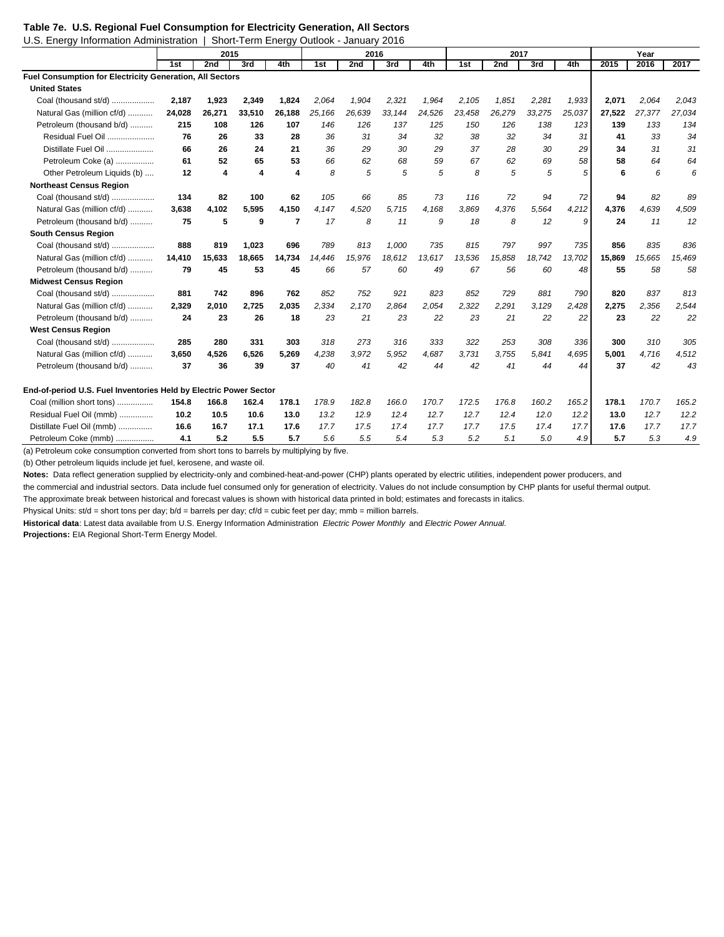#### **Table 7e. U.S. Regional Fuel Consumption for Electricity Generation, All Sectors**

| U.S. Energy Information Administration                            |        |                         | Short-Term Energy Outlook - January 2016 |                |        |        |        |        |        |        |        |        |        |        |        |
|-------------------------------------------------------------------|--------|-------------------------|------------------------------------------|----------------|--------|--------|--------|--------|--------|--------|--------|--------|--------|--------|--------|
|                                                                   | 2015   |                         |                                          |                |        | 2016   |        |        |        | 2017   |        | Year   |        |        |        |
|                                                                   | 1st    | 2nd                     | 3rd                                      | 4th            | 1st    | 2nd    | 3rd    | 4th    | 1st    | 2nd    | 3rd    | 4th    | 2015   | 2016   | 2017   |
| Fuel Consumption for Electricity Generation, All Sectors          |        |                         |                                          |                |        |        |        |        |        |        |        |        |        |        |        |
| <b>United States</b>                                              |        |                         |                                          |                |        |        |        |        |        |        |        |        |        |        |        |
| Coal (thousand st/d)                                              | 2.187  | 1,923                   | 2,349                                    | 1.824          | 2.064  | 1,904  | 2.321  | 1,964  | 2,105  | 1,851  | 2,281  | 1,933  | 2,071  | 2,064  | 2.043  |
| Natural Gas (million cf/d)                                        | 24,028 | 26,271                  | 33,510                                   | 26,188         | 25,166 | 26,639 | 33,144 | 24,526 | 23,458 | 26,279 | 33,275 | 25,037 | 27,522 | 27,377 | 27,034 |
| Petroleum (thousand b/d)                                          | 215    | 108                     | 126                                      | 107            | 146    | 126    | 137    | 125    | 150    | 126    | 138    | 123    | 139    | 133    | 134    |
| Residual Fuel Oil                                                 | 76     | 26                      | 33                                       | 28             | 36     | 31     | 34     | 32     | 38     | 32     | 34     | 31     | 41     | 33     | 34     |
| Distillate Fuel Oil                                               | 66     | 26                      | 24                                       | 21             | 36     | 29     | 30     | 29     | 37     | 28     | 30     | 29     | 34     | 31     | 31     |
| Petroleum Coke (a)                                                | 61     | 52                      | 65                                       | 53             | 66     | 62     | 68     | 59     | 67     | 62     | 69     | 58     | 58     | 64     | 64     |
| Other Petroleum Liquids (b)                                       | 12     | $\overline{\mathbf{4}}$ | 4                                        | 4              | 8      | 5      | 5      | 5      | 8      | 5      | 5      | 5      | 6      | 6      | 6      |
| <b>Northeast Census Region</b>                                    |        |                         |                                          |                |        |        |        |        |        |        |        |        |        |        |        |
| Coal (thousand st/d)                                              | 134    | 82                      | 100                                      | 62             | 105    | 66     | 85     | 73     | 116    | 72     | 94     | 72     | 94     | 82     | 89     |
| Natural Gas (million cf/d)                                        | 3,638  | 4,102                   | 5,595                                    | 4,150          | 4,147  | 4,520  | 5,715  | 4,168  | 3,869  | 4,376  | 5,564  | 4,212  | 4,376  | 4,639  | 4,509  |
| Petroleum (thousand b/d)                                          | 75     | 5                       | 9                                        | $\overline{7}$ | 17     | 8      | 11     | 9      | 18     | 8      | 12     | 9      | 24     | 11     | 12     |
| <b>South Census Region</b>                                        |        |                         |                                          |                |        |        |        |        |        |        |        |        |        |        |        |
| Coal (thousand st/d)                                              | 888    | 819                     | 1,023                                    | 696            | 789    | 813    | 1,000  | 735    | 815    | 797    | 997    | 735    | 856    | 835    | 836    |
| Natural Gas (million cf/d)                                        | 14,410 | 15,633                  | 18,665                                   | 14.734         | 14.446 | 15,976 | 18,612 | 13,617 | 13,536 | 15,858 | 18,742 | 13,702 | 15,869 | 15,665 | 15,469 |
| Petroleum (thousand b/d)                                          | 79     | 45                      | 53                                       | 45             | 66     | 57     | 60     | 49     | 67     | 56     | 60     | 48     | 55     | 58     | 58     |
| <b>Midwest Census Region</b>                                      |        |                         |                                          |                |        |        |        |        |        |        |        |        |        |        |        |
| Coal (thousand st/d)                                              | 881    | 742                     | 896                                      | 762            | 852    | 752    | 921    | 823    | 852    | 729    | 881    | 790    | 820    | 837    | 813    |
| Natural Gas (million cf/d)                                        | 2.329  | 2,010                   | 2,725                                    | 2,035          | 2,334  | 2,170  | 2,864  | 2,054  | 2,322  | 2,291  | 3,129  | 2,428  | 2,275  | 2,356  | 2,544  |
| Petroleum (thousand b/d)                                          | 24     | 23                      | 26                                       | 18             | 23     | 21     | 23     | 22     | 23     | 21     | 22     | 22     | 23     | 22     | 22     |
| <b>West Census Region</b>                                         |        |                         |                                          |                |        |        |        |        |        |        |        |        |        |        |        |
| Coal (thousand st/d)                                              | 285    | 280                     | 331                                      | 303            | 318    | 273    | 316    | 333    | 322    | 253    | 308    | 336    | 300    | 310    | 305    |
| Natural Gas (million cf/d)                                        | 3.650  | 4,526                   | 6,526                                    | 5,269          | 4,238  | 3.972  | 5,952  | 4,687  | 3,731  | 3.755  | 5.841  | 4.695  | 5,001  | 4,716  | 4,512  |
| Petroleum (thousand b/d)                                          | 37     | 36                      | 39                                       | 37             | 40     | 41     | 42     | 44     | 42     | 41     | 44     | 44     | 37     | 42     | 43     |
| End-of-period U.S. Fuel Inventories Held by Electric Power Sector |        |                         |                                          |                |        |        |        |        |        |        |        |        |        |        |        |
| Coal (million short tons)                                         | 154.8  | 166.8                   | 162.4                                    | 178.1          | 178.9  | 182.8  | 166.0  | 170.7  | 172.5  | 176.8  | 160.2  | 165.2  | 178.1  | 170.7  | 165.2  |
| Residual Fuel Oil (mmb)                                           | 10.2   | 10.5                    | 10.6                                     | 13.0           | 13.2   | 12.9   | 12.4   | 12.7   | 12.7   | 12.4   | 12.0   | 12.2   | 13.0   | 12.7   | 12.2   |
| Distillate Fuel Oil (mmb)                                         | 16.6   | 16.7                    | 17.1                                     | 17.6           | 17.7   | 17.5   | 17.4   | 17.7   | 17.7   | 17.5   | 17.4   | 17.7   | 17.6   | 17.7   | 17.7   |
| Petroleum Coke (mmb)                                              | 4.1    | 5.2                     | 5.5                                      | 5.7            | 5.6    | 5.5    | 5.4    | 5.3    | 5.2    | 5.1    | 5.0    | 4.9    | 5.7    | 5.3    | 4.9    |

(a) Petroleum coke consumption converted from short tons to barrels by multiplying by five.

(b) Other petroleum liquids include jet fuel, kerosene, and waste oil.

Notes: Data reflect generation supplied by electricity-only and combined-heat-and-power (CHP) plants operated by electric utilities, independent power producers, and

the commercial and industrial sectors. Data include fuel consumed only for generation of electricity. Values do not include consumption by CHP plants for useful thermal output.

The approximate break between historical and forecast values is shown with historical data printed in bold; estimates and forecasts in italics.

Physical Units: st/d = short tons per day; b/d = barrels per day; cf/d = cubic feet per day; mmb = million barrels.

**Historical data**: Latest data available from U.S. Energy Information Administration *Electric Power Monthly* and *Electric Power Annual.* **Projections:** EIA Regional Short-Term Energy Model.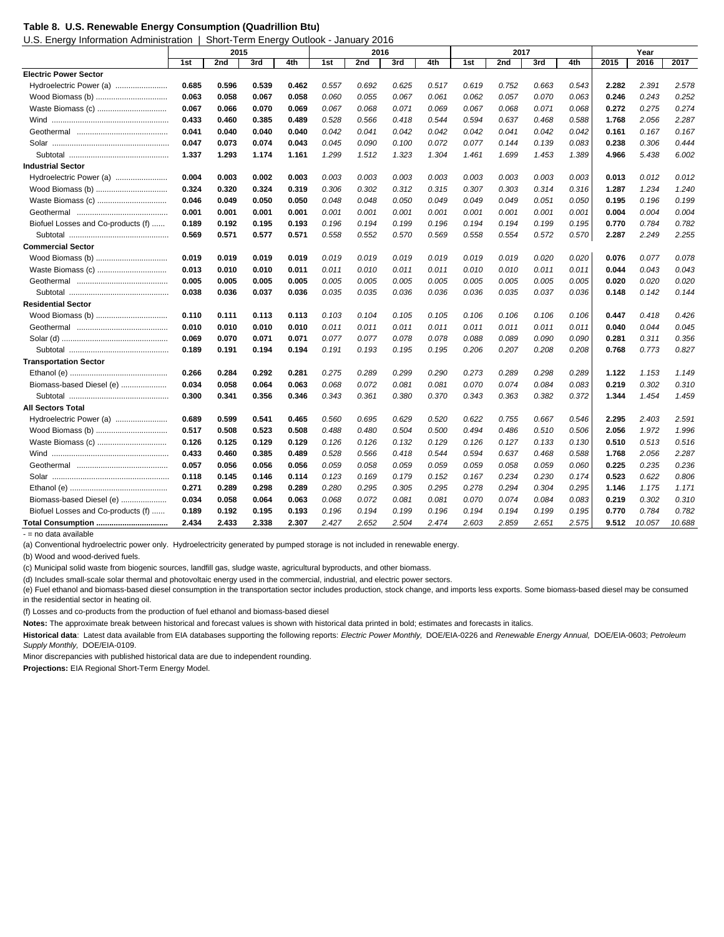#### **Table 8. U.S. Renewable Energy Consumption (Quadrillion Btu)**

U.S. Energy Information Administration | Short-Term Energy Outlook - January 2016

| 2015<br>1st<br>2nd<br>3rd<br>4th<br>1st<br>2nd<br>3rd<br>4th<br>1st<br>2nd<br>3rd<br>4th<br>2016<br><b>Electric Power Sector</b><br>Hydroelectric Power (a)<br>0.685<br>0.596<br>0.752<br>0.539<br>0.462<br>0.557<br>0.692<br>0.625<br>0.517<br>0.619<br>0.663<br>0.543<br>2.282<br>2.391 | 2017<br>2.578<br>0.252<br>0.274<br>2.287 |
|-------------------------------------------------------------------------------------------------------------------------------------------------------------------------------------------------------------------------------------------------------------------------------------------|------------------------------------------|
|                                                                                                                                                                                                                                                                                           |                                          |
|                                                                                                                                                                                                                                                                                           |                                          |
|                                                                                                                                                                                                                                                                                           |                                          |
| Wood Biomass (b)<br>0.063<br>0.058<br>0.055<br>0.067<br>0.061<br>0.062<br>0.057<br>0.070<br>0.063<br>0.246<br>0.243<br>0.067<br>0.058<br>0.060                                                                                                                                            |                                          |
| Waste Biomass (c)<br>0.067<br>0.069<br>0.067<br>0.068<br>0.071<br>0.069<br>0.272<br>0.275<br>0.066<br>0.070<br>0.067<br>0.068<br>0.071<br>0.068                                                                                                                                           |                                          |
| 0.528<br>0.433<br>0.460<br>0.385<br>0.489<br>0.566<br>0.418<br>0.544<br>0.594<br>0.637<br>0.468<br>0.588<br>1.768<br>2.056                                                                                                                                                                |                                          |
| 0.041<br>0.040<br>0.040<br>0.040<br>0.042<br>0.041<br>0.042<br>0.042<br>0.042<br>0.041<br>0.042<br>0.042<br>0.161<br>0.167                                                                                                                                                                | 0.167                                    |
| 0.047<br>0.073<br>0.074<br>0.043<br>0.045<br>0.090<br>0.100<br>0.072<br>0.077<br>0.144<br>0.139<br>0.083<br>0.238<br>0.306                                                                                                                                                                | 0.444                                    |
| 1.337<br>1.293<br>1.174<br>1.161<br>1.299<br>1.512<br>1.323<br>1.304<br>1.461<br>1.699<br>1.453<br>1.389<br>4.966<br>5.438                                                                                                                                                                | 6.002                                    |
| <b>Industrial Sector</b>                                                                                                                                                                                                                                                                  |                                          |
| Hydroelectric Power (a)<br>0.004<br>0.003<br>0.003<br>0.003<br>0.003<br>0.002<br>0.003<br>0.003<br>0.003<br>0.003<br>0.003<br>0.003<br>0.013<br>0.012                                                                                                                                     | 0.012                                    |
| Wood Biomass (b)<br>0.324<br>0.324<br>0.319<br>0.306<br>0.302<br>0.312<br>0.315<br>0.307<br>0.314<br>1.287<br>1.234<br>0.320<br>0.303<br>0.316                                                                                                                                            | 1.240                                    |
| 0.046<br>0.048<br>0.195<br>0.196<br>Waste Biomass (c)<br>0.049<br>0.050<br>0.050<br>0.048<br>0.050<br>0.049<br>0.049<br>0.049<br>0.051<br>0.050                                                                                                                                           | 0.199                                    |
| 0.004<br>0.001<br>0.001<br>0.001<br>0.001<br>0.001<br>0.001<br>0.001<br>0.001<br>0.001<br>0.001<br>0.001<br>0.001<br>0.004                                                                                                                                                                | 0.004                                    |
| Biofuel Losses and Co-products (f)<br>0.189<br>0.192<br>0.195<br>0.193<br>0.196<br>0.194<br>0.199<br>0.196<br>0.194<br>0.194<br>0.199<br>0.195<br>0.770<br>0.784                                                                                                                          | 0.782                                    |
| 0.569<br>0.571<br>0.558<br>0.552<br>0.570<br>0.569<br>0.558<br>0.570<br>2.287<br>2.249<br>0.571<br>0.577<br>0.554<br>0.572                                                                                                                                                                | 2.255                                    |
| <b>Commercial Sector</b>                                                                                                                                                                                                                                                                  |                                          |
| Wood Biomass (b)<br>0.019<br>0.019<br>0.019<br>0.019<br>0.019<br>0.020<br>0.020<br>0.076<br>0.019<br>0.019<br>0.019<br>0.019<br>0.019<br>0.077                                                                                                                                            | 0.078                                    |
| Waste Biomass (c)<br>0.013<br>0.010<br>0.010<br>0.011<br>0.011<br>0.010<br>0.011<br>0.011<br>0.010<br>0.010<br>0.011<br>0.011<br>0.044<br>0.043                                                                                                                                           | 0.043                                    |
| 0.005<br>0.005<br>0.005<br>0.005<br>0.005<br>0.005<br>0.005<br>0.005<br>0.005<br>0.005<br>0.005<br>0.005<br>0.020<br>0.020                                                                                                                                                                | 0.020                                    |
| 0.038<br>0.036<br>0.037<br>0.036<br>0.035<br>0.035<br>0.036<br>0.036<br>0.036<br>0.035<br>0.037<br>0.036<br>0.148<br>0.142                                                                                                                                                                | 0.144                                    |
| <b>Residential Sector</b>                                                                                                                                                                                                                                                                 |                                          |
| Wood Biomass (b)<br>0.103<br>0.105<br>0.106<br>0.106<br>0.418<br>0.110<br>0.111<br>0.113<br>0.113<br>0.104<br>0.105<br>0.106<br>0.106<br>0.447                                                                                                                                            | 0.426                                    |
| 0.010<br>0.011<br>0.011<br>0.011<br>0.011<br>0.011<br>0.011<br>0.040<br>0.044<br>0.010<br>0.010<br>0.010<br>0.011<br>0.011                                                                                                                                                                | 0.045                                    |
| 0.069<br>0.071<br>0.071<br>0.077<br>0.077<br>0.078<br>0.078<br>0.088<br>0.089<br>0.090<br>0.281<br>0.311<br>0.070<br>0.090                                                                                                                                                                | 0.356                                    |
| 0.195<br>0.189<br>0.191<br>0.194<br>0.194<br>0.191<br>0.193<br>0.195<br>0.206<br>0.207<br>0.208<br>0.208<br>0.768<br>0.773                                                                                                                                                                | 0.827                                    |
| <b>Transportation Sector</b>                                                                                                                                                                                                                                                              |                                          |
| 0.266<br>0.284<br>0.292<br>0.281<br>0.275<br>0.289<br>0.299<br>0.290<br>0.273<br>0.289<br>0.298<br>0.289<br>1.122<br>1.153                                                                                                                                                                | 1.149                                    |
| Biomass-based Diesel (e)<br>0.034<br>0.058<br>0.064<br>0.063<br>0.068<br>0.072<br>0.081<br>0.081<br>0.070<br>0.074<br>0.084<br>0.083<br>0.219<br>0.302                                                                                                                                    | 0.310                                    |
| 0.300<br>0.346<br>0.361<br>0.380<br>0.370<br>0.343<br>1.454<br>0.341<br>0.356<br>0.343<br>0.363<br>0.382<br>0.372<br>1.344                                                                                                                                                                | 1.459                                    |
| <b>All Sectors Total</b>                                                                                                                                                                                                                                                                  |                                          |
| Hydroelectric Power (a)<br>0.689<br>0.599<br>0.541<br>0.560<br>0.695<br>0.629<br>0.520<br>0.622<br>0.755<br>0.667<br>0.546<br>2.295<br>2.403<br>0.465                                                                                                                                     | 2.591                                    |
| Wood Biomass (b)<br>0.517<br>0.508<br>0.523<br>0.508<br>0.488<br>0.480<br>0.504<br>0.500<br>0.494<br>0.486<br>0.510<br>0.506<br>2.056<br>1.972                                                                                                                                            | 1.996                                    |
| Waste Biomass (c)<br>0.126<br>0.129<br>0.126<br>0.126<br>0.132<br>0.129<br>0.126<br>0.510<br>0.513<br>0.125<br>0.129<br>0.127<br>0.133<br>0.130                                                                                                                                           | 0.516                                    |
| 0.385<br>0.528<br>0.566<br>2.056<br>0.433<br>0.460<br>0.489<br>0.418<br>0.544<br>0.594<br>0.637<br>0.468<br>0.588<br>1.768                                                                                                                                                                | 2.287                                    |
| 0.057<br>0.056<br>0.056<br>0.056<br>0.059<br>0.058<br>0.059<br>0.059<br>0.059<br>0.058<br>0.059<br>0.060<br>0.225<br>0.235                                                                                                                                                                | 0.236                                    |
| 0.118<br>0.145<br>0.123<br>0.179<br>0.152<br>0.167<br>0.234<br>0.230<br>0.174<br>0.523<br>0.622<br>0.146<br>0.114<br>0.169                                                                                                                                                                | 0.806                                    |
| 0.271<br>0.289<br>0.298<br>0.289<br>0.280<br>0.295<br>0.295<br>1.146<br>0.305<br>0.295<br>0.278<br>0.294<br>0.304<br>1.175                                                                                                                                                                | 1.171                                    |
| Biomass-based Diesel (e)<br>0.034<br>0.064<br>0.063<br>0.068<br>0.072<br>0.081<br>0.081<br>0.070<br>0.074<br>0.084<br>0.083<br>0.219<br>0.302<br>0.058                                                                                                                                    | 0.310                                    |
| Biofuel Losses and Co-products (f)<br>0.199<br>0.196<br>0.770<br>0.784<br>0.189<br>0.192<br>0.195<br>0.193<br>0.196<br>0.194<br>0.194<br>0.194<br>0.199<br>0.195                                                                                                                          | 0.782                                    |
| 2.434<br>2.427<br>2.652<br>2.474<br>2.575<br>Total Consumption<br>2.433<br>2.338<br>2.307<br>2.504<br>2.603<br>2.859<br>2.651<br>9.512<br>10.057<br>aldelieve eteb on – -                                                                                                                 | 10.688                                   |

ata ava

(a) Conventional hydroelectric power only. Hydroelectricity generated by pumped storage is not included in renewable energy.

(b) Wood and wood-derived fuels.

(c) Municipal solid waste from biogenic sources, landfill gas, sludge waste, agricultural byproducts, and other biomass.

(d) Includes small-scale solar thermal and photovoltaic energy used in the commercial, industrial, and electric power sectors.

(e) Fuel ethanol and biomass-based diesel consumption in the transportation sector includes production, stock change, and imports less exports. Some biomass-based diesel may be consumed in the residential sector in heating oil.

(f) Losses and co-products from the production of fuel ethanol and biomass-based diesel

**Notes:** The approximate break between historical and forecast values is shown with historical data printed in bold; estimates and forecasts in italics.

**Historical data**: Latest data available from EIA databases supporting the following reports: *Electric Power Monthly,* DOE/EIA-0226 and *Renewable Energy Annual,* DOE/EIA-0603; *Petroleum Supply Monthly,* DOE/EIA-0109.

Minor discrepancies with published historical data are due to independent rounding.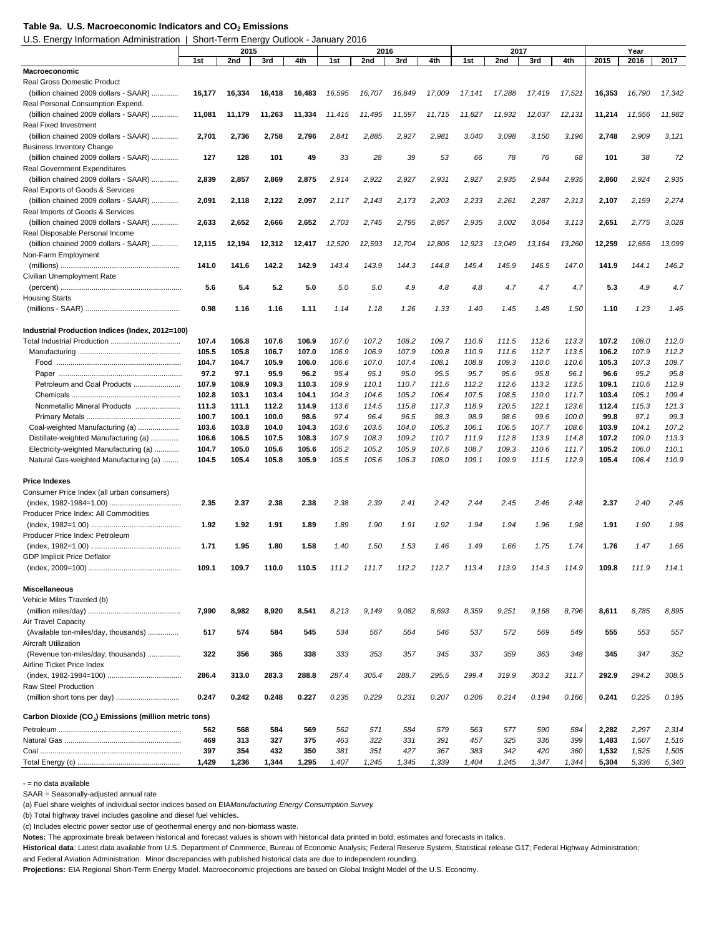#### Table 9a. U.S. Macroeconomic Indicators and CO<sub>2</sub> Emissions

U.S. Energy Information Administration | Short-Term Energy Outlook - January 2016

|                                                                   |        |        | 2016   |        |        |        | 2017   |        | Year   |        |        |        |        |        |        |
|-------------------------------------------------------------------|--------|--------|--------|--------|--------|--------|--------|--------|--------|--------|--------|--------|--------|--------|--------|
|                                                                   | 1st    | 2nd    | 3rd    | 4th    | 1st    | 2nd    | 3rd    | 4th    | 1st    | 2nd    | 3rd    | 4th    | 2015   | 2016   | 2017   |
| Macroeconomic                                                     |        |        |        |        |        |        |        |        |        |        |        |        |        |        |        |
| <b>Real Gross Domestic Product</b>                                |        |        |        |        |        |        |        |        |        |        |        |        |        |        |        |
| (billion chained 2009 dollars - SAAR)                             | 16,177 | 16,334 | 16,418 | 16,483 | 16,595 | 16,707 | 16,849 | 17,009 | 17,141 | 17,288 | 17,419 | 17,521 | 16,353 | 16,790 | 17,342 |
| Real Personal Consumption Expend.                                 |        |        |        |        |        |        |        |        |        |        |        |        |        |        |        |
| (billion chained 2009 dollars - SAAR)                             | 11,081 | 11,179 | 11,263 | 11,334 | 11,415 | 11,495 | 11,597 | 11,715 | 11,827 | 11,932 | 12,037 | 12,131 | 11,214 | 11,556 | 11,982 |
| <b>Real Fixed Investment</b>                                      |        |        |        |        |        |        |        |        |        |        |        |        |        |        |        |
| (billion chained 2009 dollars - SAAR)                             | 2,701  | 2,736  | 2,758  | 2,796  | 2,841  | 2,885  | 2,927  | 2,981  | 3,040  | 3,098  | 3,150  | 3,196  | 2,748  | 2,909  | 3,121  |
| <b>Business Inventory Change</b>                                  |        |        |        |        |        |        |        |        |        |        |        |        |        |        |        |
| (billion chained 2009 dollars - SAAR)                             | 127    | 128    | 101    | 49     | 33     | 28     | 39     | 53     | 66     | 78     | 76     | 68     | 101    | 38     | 72     |
| <b>Real Government Expenditures</b>                               |        |        |        |        |        |        |        |        |        |        |        |        |        |        |        |
| (billion chained 2009 dollars - SAAR)                             | 2,839  | 2,857  | 2,869  | 2,875  | 2,914  | 2,922  | 2,927  | 2,931  | 2,927  | 2,935  | 2,944  | 2,935  | 2,860  | 2,924  | 2,935  |
| Real Exports of Goods & Services                                  |        |        |        |        |        |        |        |        |        |        |        |        |        |        |        |
| (billion chained 2009 dollars - SAAR)                             | 2,091  | 2,118  | 2,122  | 2,097  | 2,117  | 2,143  | 2,173  | 2,203  | 2,233  | 2,261  | 2,287  | 2,313  | 2,107  | 2,159  | 2,274  |
| Real Imports of Goods & Services                                  |        |        |        |        |        |        |        |        |        |        |        |        |        |        |        |
| (billion chained 2009 dollars - SAAR)                             | 2,633  | 2,652  | 2,666  | 2,652  | 2,703  | 2,745  | 2,795  | 2,857  | 2,935  | 3,002  | 3,064  | 3,113  | 2,651  | 2,775  | 3,028  |
| Real Disposable Personal Income                                   |        |        |        |        |        |        |        |        |        |        |        |        |        |        |        |
| (billion chained 2009 dollars - SAAR)                             | 12,115 | 12,194 | 12,312 | 12,417 | 12,520 | 12,593 | 12,704 | 12,806 | 12,923 | 13,049 | 13,164 | 13,260 | 12,259 | 12,656 | 13,099 |
| Non-Farm Employment                                               |        |        |        |        |        |        |        |        |        |        |        |        |        |        |        |
|                                                                   | 141.0  | 141.6  | 142.2  | 142.9  | 143.4  | 143.9  | 144.3  | 144.8  | 145.4  | 145.9  | 146.5  | 147.0  | 141.9  | 144.1  | 146.2  |
| Civilian Unemployment Rate                                        |        |        |        |        |        |        |        |        |        |        |        |        |        |        |        |
|                                                                   | 5.6    | 5.4    | 5.2    | 5.0    | 5.0    | 5.0    | 4.9    | 4.8    | 4.8    | 4.7    | 4.7    | 4.7    | 5.3    | 4.9    | 4.7    |
| <b>Housing Starts</b>                                             |        |        |        |        |        |        |        |        |        |        |        |        |        |        |        |
|                                                                   | 0.98   | 1.16   | 1.16   | 1.11   | 1.14   | 1.18   | 1.26   | 1.33   | 1.40   | 1.45   | 1.48   | 1.50   | 1.10   | 1.23   | 1.46   |
|                                                                   |        |        |        |        |        |        |        |        |        |        |        |        |        |        |        |
| Industrial Production Indices (Index, 2012=100)                   |        |        |        |        |        |        |        |        |        |        |        |        |        |        |        |
|                                                                   | 107.4  | 106.8  | 107.6  | 106.9  | 107.0  | 107.2  | 108.2  | 109.7  | 110.8  | 111.5  | 112.6  | 113.3  | 107.2  | 108.0  | 112.0  |
|                                                                   | 105.5  | 105.8  | 106.7  | 107.0  | 106.9  | 106.9  | 107.9  | 109.8  | 110.9  | 111.6  | 112.7  | 113.5  | 106.2  | 107.9  | 112.2  |
|                                                                   | 104.7  | 104.7  | 105.9  | 106.0  | 106.6  | 107.0  | 107.4  | 108.1  | 108.8  | 109.3  | 110.0  | 110.6  | 105.3  | 107.3  | 109.7  |
|                                                                   | 97.2   | 97.1   | 95.9   | 96.2   | 95.4   | 95.1   | 95.0   | 95.5   | 95.7   | 95.6   | 95.8   | 96.1   | 96.6   | 95.2   | 95.8   |
| Petroleum and Coal Products                                       | 107.9  | 108.9  | 109.3  | 110.3  | 109.9  | 110.1  | 110.7  | 111.6  | 112.2  | 112.6  | 113.2  | 113.5  | 109.1  | 110.6  | 112.9  |
|                                                                   | 102.8  | 103.1  | 103.4  | 104.1  | 104.3  | 104.6  | 105.2  | 106.4  | 107.5  | 108.5  | 110.0  | 111.7  | 103.4  | 105.1  | 109.4  |
| Nonmetallic Mineral Products                                      | 111.3  | 111.1  | 112.2  | 114.9  | 113.6  | 114.5  | 115.8  | 117.3  | 118.9  | 120.5  | 122.1  | 123.6  | 112.4  | 115.3  | 121.3  |
|                                                                   | 100.7  | 100.1  | 100.0  | 98.6   | 97.4   | 96.4   | 96.5   | 98.3   | 98.9   | 98.6   | 99.6   | 100.0  | 99.8   | 97.1   | 99.3   |
| Coal-weighted Manufacturing (a)                                   | 103.6  | 103.8  | 104.0  | 104.3  | 103.6  | 103.5  | 104.0  | 105.3  | 106.1  | 106.5  | 107.7  | 108.6  | 103.9  | 104.1  | 107.2  |
| Distillate-weighted Manufacturing (a)                             | 106.6  | 106.5  | 107.5  | 108.3  | 107.9  | 108.3  | 109.2  | 110.7  | 111.9  | 112.8  | 113.9  | 114.8  | 107.2  | 109.0  | 113.3  |
| Electricity-weighted Manufacturing (a)                            | 104.7  | 105.0  | 105.6  | 105.6  | 105.2  | 105.2  | 105.9  | 107.6  | 108.7  | 109.3  | 110.6  | 111.7  | 105.2  | 106.0  | 110.1  |
| Natural Gas-weighted Manufacturing (a)                            | 104.5  | 105.4  | 105.8  | 105.9  | 105.5  | 105.6  | 106.3  | 108.0  | 109.1  | 109.9  | 111.5  | 112.9  | 105.4  | 106.4  | 110.9  |
|                                                                   |        |        |        |        |        |        |        |        |        |        |        |        |        |        |        |
| <b>Price Indexes</b>                                              |        |        |        |        |        |        |        |        |        |        |        |        |        |        |        |
| Consumer Price Index (all urban consumers)                        |        |        |        |        |        |        |        |        |        |        |        |        |        |        |        |
|                                                                   | 2.35   | 2.37   | 2.38   | 2.38   | 2.38   | 2.39   | 2.41   | 2.42   | 2.44   | 2.45   | 2.46   | 2.48   | 2.37   | 2.40   | 2.46   |
| Producer Price Index: All Commodities                             |        |        |        |        |        |        |        |        |        |        |        |        |        |        |        |
|                                                                   | 1.92   | 1.92   | 1.91   | 1.89   | 1.89   | 1.90   | 1.91   | 1.92   | 1.94   | 1.94   | 1.96   | 1.98   | 1.91   | 1.90   | 1.96   |
| Producer Price Index: Petroleum                                   |        |        |        |        |        |        |        |        |        |        |        |        |        |        |        |
|                                                                   | 1.71   | 1.95   | 1.80   | 1.58   | 1.40   | 1.50   | 1.53   | 1.46   | 1.49   | 1.66   | 1.75   | 1.74   | 1.76   | 1.47   | 1.66   |
| <b>GDP Implicit Price Deflator</b>                                |        |        |        |        |        |        |        |        |        |        |        |        |        |        |        |
|                                                                   | 109.1  | 109.7  | 110.0  | 110.5  | 111.2  | 111.7  | 112.2  | 112.7  | 113.4  | 113.9  | 114.3  | 114.9  | 109.8  | 111.9  | 114.1  |
|                                                                   |        |        |        |        |        |        |        |        |        |        |        |        |        |        |        |
| <b>Miscellaneous</b>                                              |        |        |        |        |        |        |        |        |        |        |        |        |        |        |        |
| Vehicle Miles Traveled (b)                                        |        |        |        |        |        |        |        |        |        |        |        |        |        |        |        |
|                                                                   | 7,990  | 8,982  | 8,920  | 8,541  | 8,213  | 9,149  | 9,082  | 8,693  | 8,359  | 9,251  | 9,168  | 8,796  | 8,611  | 8,785  | 8,895  |
| Air Travel Capacity                                               |        |        |        |        |        |        |        |        |        |        |        |        |        |        |        |
| (Available ton-miles/day, thousands)                              | 517    | 574    | 584    | 545    | 534    | 567    | 564    | 546    | 537    | 572    | 569    | 549    | 555    | 553    | 557    |
| <b>Aircraft Utilization</b>                                       |        |        |        |        |        |        |        |        |        |        |        |        |        |        |        |
| (Revenue ton-miles/day, thousands)                                | 322    | 356    | 365    | 338    | 333    | 353    | 357    | 345    | 337    | 359    | 363    | 348    | 345    | 347    | 352    |
| Airline Ticket Price Index                                        |        |        |        |        |        |        |        |        |        |        |        |        |        |        |        |
|                                                                   | 286.4  | 313.0  | 283.3  | 288.8  | 287.4  | 305.4  | 288.7  | 295.5  | 299.4  | 319.9  | 303.2  | 311.7  | 292.9  | 294.2  | 308.5  |
| <b>Raw Steel Production</b>                                       |        |        |        |        |        |        |        |        |        |        |        |        |        |        |        |
|                                                                   | 0.247  | 0.242  | 0.248  | 0.227  | 0.235  | 0.229  | 0.231  | 0.207  | 0.206  | 0.214  | 0.194  | 0.166  | 0.241  | 0.225  | 0.195  |
|                                                                   |        |        |        |        |        |        |        |        |        |        |        |        |        |        |        |
| Carbon Dioxide (CO <sub>2</sub> ) Emissions (million metric tons) |        |        |        |        |        |        |        |        |        |        |        |        |        |        |        |
|                                                                   | 562    | 568    | 584    | 569    | 562    | 571    | 584    | 579    | 563    | 577    | 590    | 584    | 2,282  | 2,297  | 2,314  |
|                                                                   | 469    | 313    | 327    | 375    | 463    | 322    | 331    | 391    | 457    | 325    | 336    | 399    | 1,483  | 1,507  | 1,516  |
|                                                                   | 397    | 354    | 432    | 350    | 381    | 351    | 427    | 367    | 383    | 342    | 420    | 360    | 1,532  | 1,525  | 1,505  |
|                                                                   | 1,429  | 1,236  | 1,344  | 1,295  | 1,407  | 1,245  | 1,345  | 1,339  | 1,404  | 1,245  | 1,347  | 1,344  | 5,304  | 5,336  | 5,340  |

- = no data available

SAAR = Seasonally-adjusted annual rate

(a) Fuel share weights of individual sector indices based on EIA *Manufacturing Energy Consumption Survey*.

(b) Total highway travel includes gasoline and diesel fuel vehicles.

(c) Includes electric power sector use of geothermal energy and non-biomass waste.

**Notes:** The approximate break between historical and forecast values is shown with historical data printed in bold; estimates and forecasts in italics.

**Historical data**: Latest data available from U.S. Department of Commerce, Bureau of Economic Analysis; Federal Reserve System, Statistical release G17; Federal Highway Administration;

and Federal Aviation Administration. Minor discrepancies with published historical data are due to independent rounding.

**Projections:** EIA Regional Short-Term Energy Model. Macroeconomic projections are based on Global Insight Model of the U.S. Economy.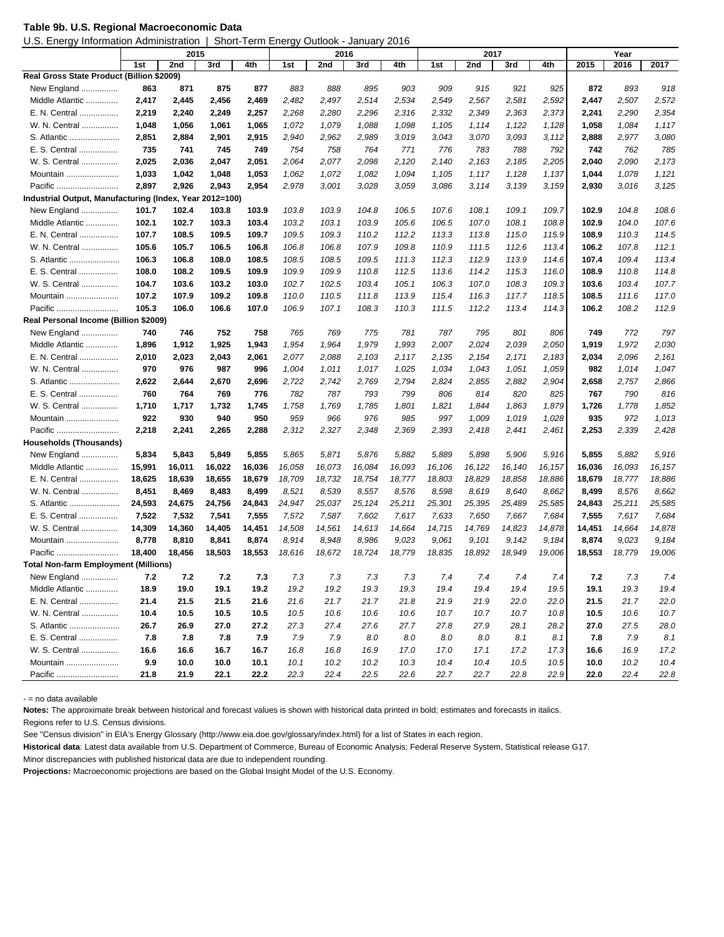|  |  | Table 9b. U.S. Regional Macroeconomic Data |
|--|--|--------------------------------------------|
|--|--|--------------------------------------------|

U.S. Energy Information Administration | Short-Term Energy Outlook - January 2016

|                                                         | 2015   |        |        | 2016   |        |        |        |              | 2017   |         | Year   |              |        |        |        |
|---------------------------------------------------------|--------|--------|--------|--------|--------|--------|--------|--------------|--------|---------|--------|--------------|--------|--------|--------|
|                                                         | 1st    | 2nd    | 3rd    | 4th    | 1st    | 2nd    | 3rd    | 4th          | 1st    | 2nd     | 3rd    | 4th          | 2015   | 2016   | 2017   |
| Real Gross State Product (Billion \$2009)               |        |        |        |        |        |        |        |              |        |         |        |              |        |        |        |
| New England                                             | 863    | 871    | 875    | 877    | 883    | 888    | 895    | 903          | 909    | 915     | 921    | 925          | 872    | 893    | 918    |
| Middle Atlantic                                         | 2,417  | 2,445  | 2,456  | 2,469  | 2,482  | 2,497  | 2,514  | 2,534        | 2,549  | 2,567   | 2,581  | 2,592        | 2,447  | 2,507  | 2,572  |
| E. N. Central                                           | 2,219  | 2,240  | 2,249  | 2,257  | 2,268  | 2,280  | 2,296  | 2,316        | 2,332  | 2,349   | 2,363  | 2,373        | 2,241  | 2,290  | 2,354  |
| W. N. Central                                           | 1,048  | 1,056  | 1,061  | 1,065  | 1,072  | 1,079  | 1,088  | 1,098        | 1,105  | 1,114   | 1,122  | 1,128        | 1,058  | 1,084  | 1,117  |
| S. Atlantic                                             | 2,851  | 2,884  | 2,901  | 2,915  | 2,940  | 2,962  | 2,989  | 3,019        | 3,043  | 3,070   | 3,093  | 3,112        | 2,888  | 2,977  | 3,080  |
|                                                         | 735    | 741    | 745    | 749    | 754    | 758    | 764    |              | 776    | 783     | 788    |              | 742    | 762    | 785    |
| E. S. Central<br>W. S. Central                          | 2,025  | 2,036  |        |        | 2,064  | 2,077  | 2,098  | 771<br>2,120 |        |         |        | 792<br>2,205 |        | 2,090  | 2,173  |
|                                                         |        |        | 2,047  | 2,051  |        |        |        |              | 2,140  | 2,163   | 2,185  |              | 2,040  |        |        |
| Mountain                                                | 1,033  | 1,042  | 1,048  | 1,053  | 1,062  | 1,072  | 1,082  | 1,094        | 1,105  | 1,117   | 1,128  | 1,137        | 1,044  | 1,078  | 1,121  |
| Pacific                                                 | 2,897  | 2,926  | 2,943  | 2,954  | 2,978  | 3,001  | 3,028  | 3,059        | 3,086  | 3, 114  | 3,139  | 3,159        | 2,930  | 3,016  | 3,125  |
| Industrial Output, Manufacturing (Index, Year 2012=100) |        |        |        |        |        |        |        |              |        |         |        |              |        |        |        |
| New England                                             | 101.7  | 102.4  | 103.8  | 103.9  | 103.8  | 103.9  | 104.8  | 106.5        | 107.6  | 108.1   | 109.1  | 109.7        | 102.9  | 104.8  | 108.6  |
| Middle Atlantic                                         | 102.1  | 102.7  | 103.3  | 103.4  | 103.2  | 103.1  | 103.9  | 105.6        | 106.5  | 107.0   | 108.1  | 108.8        | 102.9  | 104.0  | 107.6  |
| E. N. Central                                           | 107.7  | 108.5  | 109.5  | 109.7  | 109.5  | 109.3  | 110.2  | 112.2        | 113.3  | 113.8   | 115.0  | 115.9        | 108.9  | 110.3  | 114.5  |
| W. N. Central                                           | 105.6  | 105.7  | 106.5  | 106.8  | 106.8  | 106.8  | 107.9  | 109.8        | 110.9  | 111.5   | 112.6  | 113.4        | 106.2  | 107.8  | 112.1  |
| S. Atlantic                                             | 106.3  | 106.8  | 108.0  | 108.5  | 108.5  | 108.5  | 109.5  | 111.3        | 112.3  | 112.9   | 113.9  | 114.6        | 107.4  | 109.4  | 113.4  |
| E. S.<br>Central                                        | 108.0  | 108.2  | 109.5  | 109.9  | 109.9  | 109.9  | 110.8  | 112.5        | 113.6  | 114.2   | 115.3  | 116.0        | 108.9  | 110.8  | 114.8  |
| W. S. Central                                           | 104.7  | 103.6  | 103.2  | 103.0  | 102.7  | 102.5  | 103.4  | 105.1        | 106.3  | 107.0   | 108.3  | 109.3        | 103.6  | 103.4  | 107.7  |
| Mountain                                                | 107.2  | 107.9  | 109.2  | 109.8  | 110.0  | 110.5  | 111.8  | 113.9        | 115.4  | 116.3   | 117.7  | 118.5        | 108.5  | 111.6  | 117.0  |
| Pacific                                                 | 105.3  | 106.0  | 106.6  | 107.0  | 106.9  | 107.1  | 108.3  | 110.3        | 111.5  | 112.2   | 113.4  | 114.3        | 106.2  | 108.2  | 112.9  |
| Real Personal Income (Billion \$2009)                   |        |        |        |        |        |        |        |              |        |         |        |              |        |        |        |
| New England                                             | 740    | 746    | 752    | 758    | 765    | 769    | 775    | 781          | 787    | 795     | 801    | 806          | 749    | 772    | 797    |
| Middle Atlantic                                         | 1,896  | 1,912  | 1,925  | 1,943  | 1,954  | 1,964  | 1,979  | 1,993        | 2,007  | 2,024   | 2,039  | 2,050        | 1,919  | 1,972  | 2,030  |
| E. N. Central                                           | 2,010  | 2,023  | 2,043  | 2,061  | 2,077  | 2,088  | 2,103  | 2,117        | 2,135  | 2,154   | 2,171  | 2,183        | 2,034  | 2,096  | 2,161  |
| W. N. Central                                           | 970    | 976    | 987    | 996    | 1,004  | 1,011  | 1,017  | 1,025        | 1,034  | 1,043   | 1,051  | 1,059        | 982    | 1,014  | 1,047  |
| S. Atlantic                                             | 2,622  | 2,644  | 2,670  | 2,696  | 2,722  | 2,742  | 2,769  | 2,794        | 2,824  | 2,855   | 2,882  | 2,904        | 2,658  | 2,757  | 2,866  |
| E. S. Central                                           | 760    | 764    | 769    | 776    | 782    | 787    | 793    | 799          | 806    | 814     | 820    | 825          | 767    | 790    | 816    |
| W. S. Central                                           | 1,710  | 1,717  | 1,732  | 1,745  | 1,758  | 1,769  | 1,785  | 1,801        | 1,821  | 1,844   | 1,863  | 1,879        | 1,726  | 1,778  | 1,852  |
| Mountain                                                | 922    | 930    | 940    | 950    | 959    | 966    | 976    | 985          | 997    | 1,009   | 1,019  | 1,028        | 935    | 972    | 1,013  |
| Pacific                                                 | 2,218  | 2,241  | 2,265  | 2,288  | 2,312  | 2,327  | 2,348  | 2,369        | 2,393  | 2,418   | 2,441  | 2,461        | 2,253  | 2,339  | 2,428  |
| Households (Thousands)                                  |        |        |        |        |        |        |        |              |        |         |        |              |        |        |        |
| New England                                             | 5,834  | 5,843  | 5,849  | 5,855  | 5,865  | 5,871  | 5,876  | 5,882        | 5,889  | 5,898   | 5,906  | 5,916        | 5,855  | 5,882  | 5,916  |
| Middle Atlantic                                         | 15,991 | 16,011 | 16,022 | 16,036 | 16,058 | 16,073 | 16,084 | 16,093       | 16,106 | 16, 122 | 16,140 | 16, 157      | 16,036 | 16,093 | 16,157 |
| E. N. Central                                           | 18,625 | 18,639 | 18,655 | 18,679 | 18,709 | 18,732 | 18,754 | 18,777       | 18,803 | 18,829  | 18,858 | 18,886       | 18,679 | 18,777 | 18,886 |
| W. N. Central                                           | 8,451  | 8,469  | 8,483  | 8,499  | 8,521  | 8,539  | 8,557  | 8,576        | 8,598  | 8,619   | 8,640  | 8,662        | 8,499  | 8,576  | 8,662  |
| S. Atlantic                                             | 24,593 | 24,675 | 24,756 | 24,843 | 24,947 | 25,037 | 25,124 | 25,211       | 25,301 | 25,395  | 25,489 | 25,585       | 24,843 | 25,211 | 25,585 |
| E. S. Central                                           | 7,522  | 7,532  | 7,541  | 7,555  | 7,572  | 7,587  | 7,602  | 7,617        | 7,633  | 7,650   | 7,667  | 7,684        | 7,555  | 7,617  | 7,684  |
| W. S. Central                                           | 14,309 | 14,360 | 14,405 | 14,451 | 14,508 | 14,561 | 14,613 | 14,664       | 14,715 | 14,769  | 14,823 | 14,878       | 14,451 | 14,664 | 14,878 |
| Mountain                                                | 8,778  | 8,810  | 8,841  | 8,874  | 8,914  | 8,948  | 8,986  | 9,023        | 9,061  | 9,101   | 9,142  | 9,184        | 8,874  | 9,023  | 9,184  |
| Pacific                                                 | 18,400 | 18,456 | 18,503 | 18,553 | 18,616 | 18,672 | 18,724 | 18,779       | 18,835 | 18,892  | 18,949 | 19,006       | 18,553 | 18,779 | 19,006 |
| <b>Total Non-farm Employment (Millions)</b>             |        |        |        |        |        |        |        |              |        |         |        |              |        |        |        |
| New England                                             | 7.2    | 7.2    | 7.2    | 7.3    | 7.3    | 7.3    | 7.3    | 7.3          | 7.4    | 7.4     | 7.4    | 7.4          | 7.2    | 7.3    | 7.4    |
| Middle Atlantic                                         | 18.9   | 19.0   | 19.1   | 19.2   | 19.2   | 19.2   | 19.3   | 19.3         | 19.4   | 19.4    | 19.4   | 19.5         | 19.1   | 19.3   | 19.4   |
| E. N. Central                                           | 21.4   | 21.5   | 21.5   | 21.6   | 21.6   | 21.7   | 21.7   | 21.8         | 21.9   | 21.9    | 22.0   | 22.0         | 21.5   | 21.7   | 22.0   |
| W. N. Central                                           | 10.4   | 10.5   | 10.5   | 10.5   | 10.5   | 10.6   | 10.6   | 10.6         | 10.7   | 10.7    | 10.7   | 10.8         | 10.5   | 10.6   | 10.7   |
| S. Atlantic                                             | 26.7   | 26.9   | 27.0   | 27.2   | 27.3   | 27.4   | 27.6   | 27.7         | 27.8   | 27.9    | 28.1   | 28.2         | 27.0   | 27.5   | 28.0   |
| E. S. Central                                           | 7.8    | 7.8    | 7.8    | 7.9    | 7.9    | 7.9    | 8.0    | 8.0          | 8.0    | 8.0     | 8.1    | 8.1          | 7.8    | 7.9    | 8.1    |
| W. S. Central                                           | 16.6   | 16.6   | 16.7   | 16.7   | 16.8   | 16.8   | 16.9   | 17.0         | 17.0   | 17.1    | 17.2   | 17.3         | 16.6   | 16.9   | 17.2   |
| Mountain                                                | 9.9    | 10.0   | 10.0   | 10.1   | 10.1   | 10.2   | 10.2   | 10.3         | 10.4   | 10.4    | 10.5   | 10.5         | 10.0   | 10.2   | 10.4   |
| Pacific                                                 | 21.8   | 21.9   | 22.1   | 22.2   | 22.3   | 22.4   | 22.5   | 22.6         | 22.7   | 22.7    | 22.8   | 22.9         | 22.0   | 22.4   | 22.8   |

- = no data available

**Notes:** The approximate break between historical and forecast values is shown with historical data printed in bold; estimates and forecasts in italics.

Regions refer to U.S. Census divisions.

See "Census division" in EIA's Energy Glossary (http://www.eia.doe.gov/glossary/index.html) for a list of States in each region.

**Historical data**: Latest data available from U.S. Department of Commerce, Bureau of Economic Analysis; Federal Reserve System, Statistical release G17.

Minor discrepancies with published historical data are due to independent rounding.

**Projections:** Macroeconomic projections are based on the Global Insight Model of the U.S. Economy.